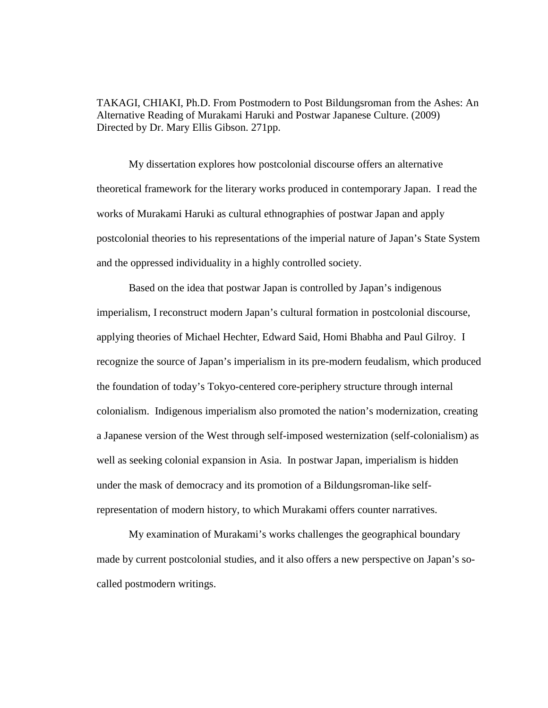TAKAGI, CHIAKI, Ph.D. From Postmodern to Post Bildungsroman from the Ashes: An Alternative Reading of Murakami Haruki and Postwar Japanese Culture. (2009) Directed by Dr. Mary Ellis Gibson. 271pp.

 My dissertation explores how postcolonial discourse offers an alternative theoretical framework for the literary works produced in contemporary Japan. I read the works of Murakami Haruki as cultural ethnographies of postwar Japan and apply postcolonial theories to his representations of the imperial nature of Japan's State System and the oppressed individuality in a highly controlled society.

Based on the idea that postwar Japan is controlled by Japan's indigenous imperialism, I reconstruct modern Japan's cultural formation in postcolonial discourse, applying theories of Michael Hechter, Edward Said, Homi Bhabha and Paul Gilroy. I recognize the source of Japan's imperialism in its pre-modern feudalism, which produced the foundation of today's Tokyo-centered core-periphery structure through internal colonialism. Indigenous imperialism also promoted the nation's modernization, creating a Japanese version of the West through self-imposed westernization (self-colonialism) as well as seeking colonial expansion in Asia. In postwar Japan, imperialism is hidden under the mask of democracy and its promotion of a Bildungsroman-like selfrepresentation of modern history, to which Murakami offers counter narratives.

My examination of Murakami's works challenges the geographical boundary made by current postcolonial studies, and it also offers a new perspective on Japan's socalled postmodern writings.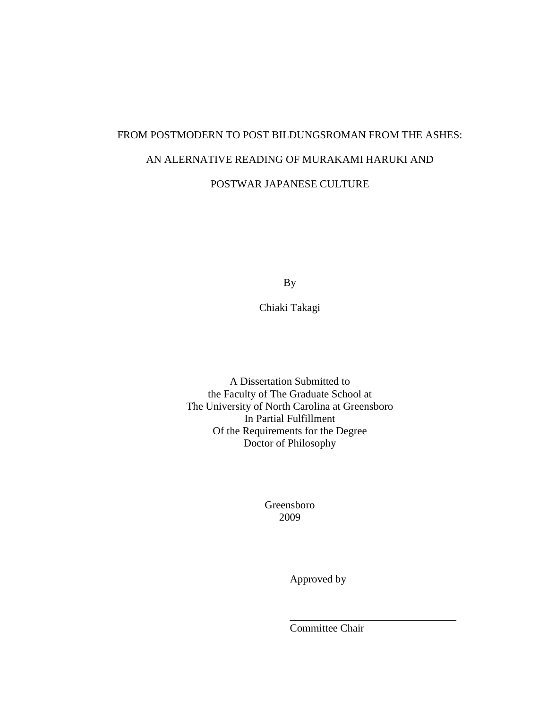# FROM POSTMODERN TO POST BILDUNGSROMAN FROM THE ASHES: AN ALERNATIVE READING OF MURAKAMI HARUKI AND POSTWAR JAPANESE CULTURE

By

Chiaki Takagi

A Dissertation Submitted to the Faculty of The Graduate School at The University of North Carolina at Greensboro In Partial Fulfillment Of the Requirements for the Degree Doctor of Philosophy

> Greensboro 2009

> > Approved by

Committee Chair

\_\_\_\_\_\_\_\_\_\_\_\_\_\_\_\_\_\_\_\_\_\_\_\_\_\_\_\_\_\_\_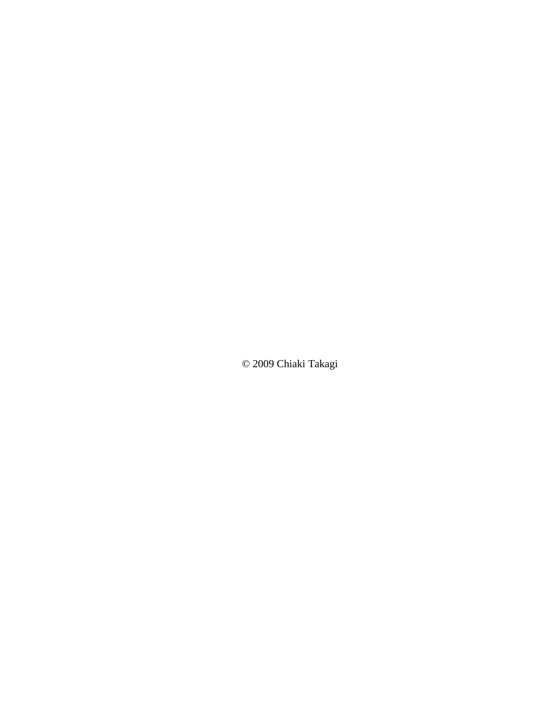© 2009 Chiaki Takagi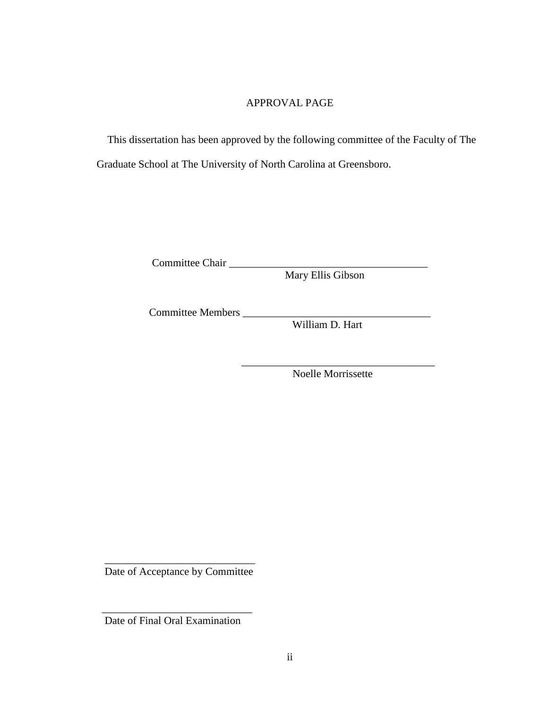#### APPROVAL PAGE

 This dissertation has been approved by the following committee of the Faculty of The Graduate School at The University of North Carolina at Greensboro.

 $\mathcal{L}_\mathcal{L}$  , which is a set of the set of the set of the set of the set of the set of the set of the set of the set of the set of the set of the set of the set of the set of the set of the set of the set of the set of

Committee Chair \_\_\_\_\_\_\_\_\_\_\_\_\_\_\_\_\_\_\_\_\_\_\_\_\_\_\_\_\_\_\_\_\_\_\_\_\_

Mary Ellis Gibson

Committee Members \_\_\_\_\_\_\_\_\_\_\_\_\_\_\_\_\_\_\_\_\_\_\_\_\_\_\_\_\_\_\_\_\_\_\_

William D. Hart

Noelle Morrissette

 $\overline{\phantom{a}}$  , and the set of the set of the set of the set of the set of the set of the set of the set of the set of the set of the set of the set of the set of the set of the set of the set of the set of the set of the s Date of Acceptance by Committee

 $\overline{\phantom{a}}$  , we can also construct the construction of  $\overline{\phantom{a}}$ Date of Final Oral Examination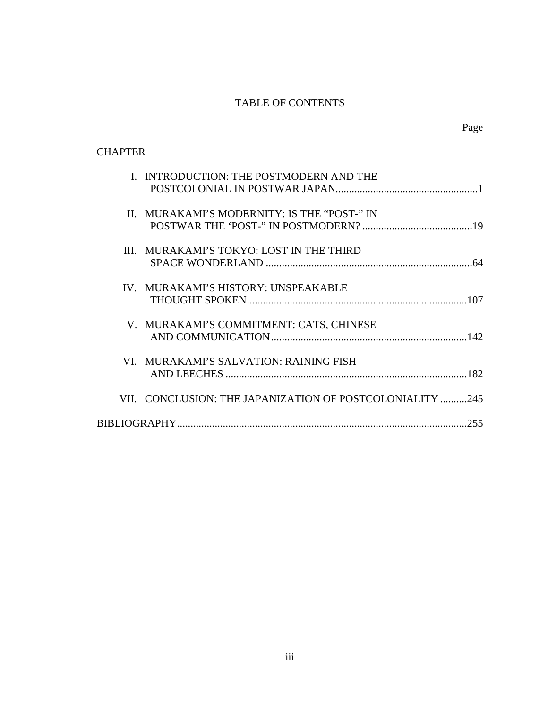### TABLE OF CONTENTS

### **CHAPTER**

|  | I. INTRODUCTION: THE POSTMODERN AND THE                  |
|--|----------------------------------------------------------|
|  |                                                          |
|  | II. MURAKAMI'S MODERNITY: IS THE "POST-" IN              |
|  |                                                          |
|  | III. MURAKAMI'S TOKYO: LOST IN THE THIRD                 |
|  |                                                          |
|  | IV. MURAKAMI'S HISTORY: UNSPEAKABLE                      |
|  |                                                          |
|  | V. MURAKAMI'S COMMITMENT: CATS, CHINESE                  |
|  |                                                          |
|  | VI. MURAKAMI'S SALVATION: RAINING FISH                   |
|  |                                                          |
|  | VII. CONCLUSION: THE JAPANIZATION OF POSTCOLONIALITY 245 |
|  |                                                          |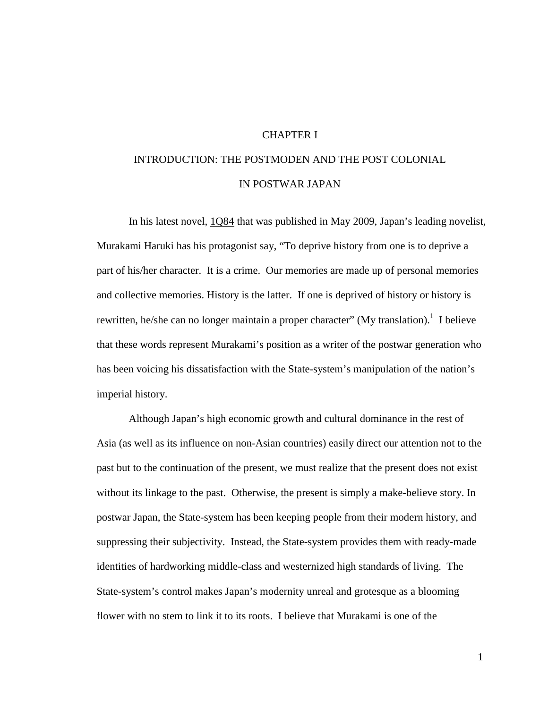#### CHAPTER I

## INTRODUCTION: THE POSTMODEN AND THE POST COLONIAL IN POSTWAR JAPAN

In his latest novel, 1Q84 that was published in May 2009, Japan's leading novelist, Murakami Haruki has his protagonist say, "To deprive history from one is to deprive a part of his/her character. It is a crime. Our memories are made up of personal memories and collective memories. History is the latter. If one is deprived of history or history is rewritten, he/she can no longer maintain a proper character" (My translation).<sup>1</sup> I believe that these words represent Murakami's position as a writer of the postwar generation who has been voicing his dissatisfaction with the State-system's manipulation of the nation's imperial history.

Although Japan's high economic growth and cultural dominance in the rest of Asia (as well as its influence on non-Asian countries) easily direct our attention not to the past but to the continuation of the present, we must realize that the present does not exist without its linkage to the past. Otherwise, the present is simply a make-believe story. In postwar Japan, the State-system has been keeping people from their modern history, and suppressing their subjectivity. Instead, the State-system provides them with ready-made identities of hardworking middle-class and westernized high standards of living. The State-system's control makes Japan's modernity unreal and grotesque as a blooming flower with no stem to link it to its roots. I believe that Murakami is one of the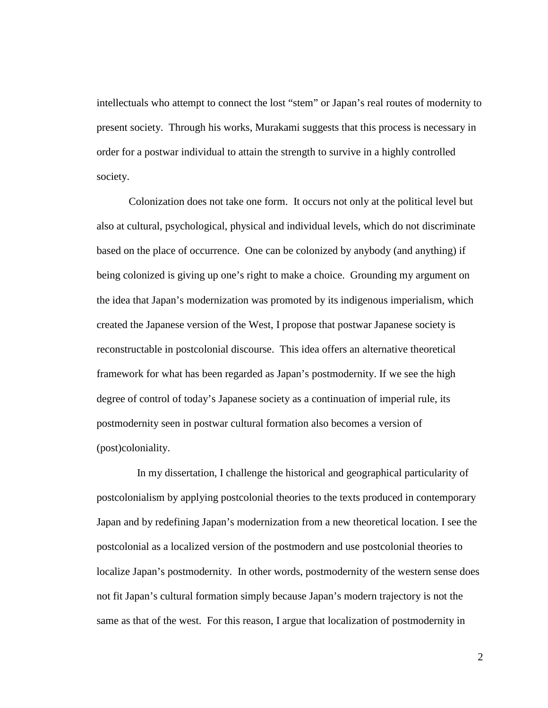intellectuals who attempt to connect the lost "stem" or Japan's real routes of modernity to present society. Through his works, Murakami suggests that this process is necessary in order for a postwar individual to attain the strength to survive in a highly controlled society.

Colonization does not take one form. It occurs not only at the political level but also at cultural, psychological, physical and individual levels, which do not discriminate based on the place of occurrence. One can be colonized by anybody (and anything) if being colonized is giving up one's right to make a choice. Grounding my argument on the idea that Japan's modernization was promoted by its indigenous imperialism, which created the Japanese version of the West, I propose that postwar Japanese society is reconstructable in postcolonial discourse. This idea offers an alternative theoretical framework for what has been regarded as Japan's postmodernity. If we see the high degree of control of today's Japanese society as a continuation of imperial rule, its postmodernity seen in postwar cultural formation also becomes a version of (post)coloniality.

 In my dissertation, I challenge the historical and geographical particularity of postcolonialism by applying postcolonial theories to the texts produced in contemporary Japan and by redefining Japan's modernization from a new theoretical location. I see the postcolonial as a localized version of the postmodern and use postcolonial theories to localize Japan's postmodernity. In other words, postmodernity of the western sense does not fit Japan's cultural formation simply because Japan's modern trajectory is not the same as that of the west. For this reason, I argue that localization of postmodernity in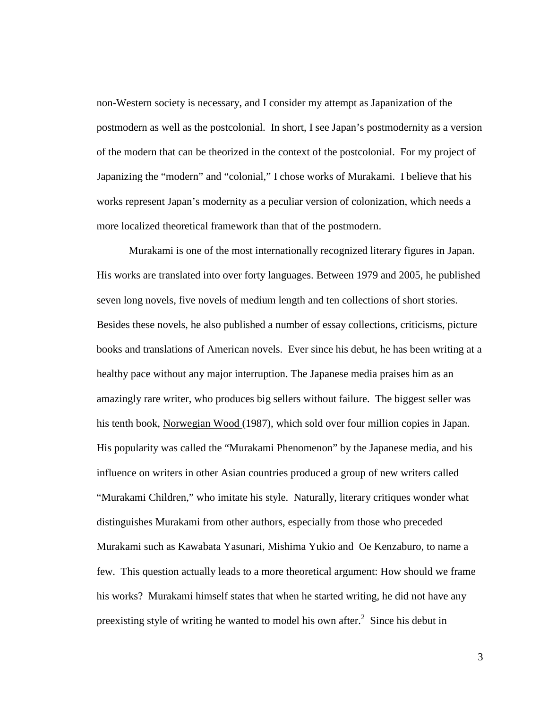non-Western society is necessary, and I consider my attempt as Japanization of the postmodern as well as the postcolonial. In short, I see Japan's postmodernity as a version of the modern that can be theorized in the context of the postcolonial. For my project of Japanizing the "modern" and "colonial," I chose works of Murakami. I believe that his works represent Japan's modernity as a peculiar version of colonization, which needs a more localized theoretical framework than that of the postmodern.

Murakami is one of the most internationally recognized literary figures in Japan. His works are translated into over forty languages. Between 1979 and 2005, he published seven long novels, five novels of medium length and ten collections of short stories. Besides these novels, he also published a number of essay collections, criticisms, picture books and translations of American novels. Ever since his debut, he has been writing at a healthy pace without any major interruption. The Japanese media praises him as an amazingly rare writer, who produces big sellers without failure. The biggest seller was his tenth book, Norwegian Wood (1987), which sold over four million copies in Japan. His popularity was called the "Murakami Phenomenon" by the Japanese media, and his influence on writers in other Asian countries produced a group of new writers called "Murakami Children," who imitate his style. Naturally, literary critiques wonder what distinguishes Murakami from other authors, especially from those who preceded Murakami such as Kawabata Yasunari, Mishima Yukio and Oe Kenzaburo, to name a few. This question actually leads to a more theoretical argument: How should we frame his works? Murakami himself states that when he started writing, he did not have any preexisting style of writing he wanted to model his own after.<sup>2</sup> Since his debut in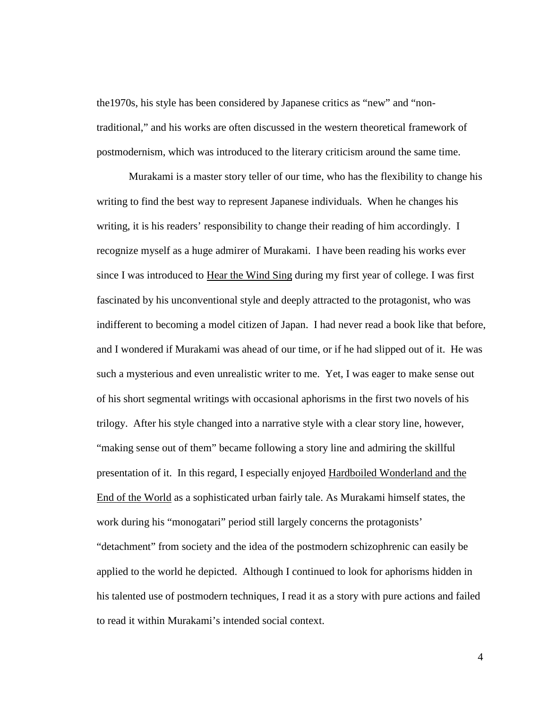the1970s, his style has been considered by Japanese critics as "new" and "nontraditional," and his works are often discussed in the western theoretical framework of postmodernism, which was introduced to the literary criticism around the same time.

Murakami is a master story teller of our time, who has the flexibility to change his writing to find the best way to represent Japanese individuals. When he changes his writing, it is his readers' responsibility to change their reading of him accordingly. I recognize myself as a huge admirer of Murakami. I have been reading his works ever since I was introduced to Hear the Wind Sing during my first year of college. I was first fascinated by his unconventional style and deeply attracted to the protagonist, who was indifferent to becoming a model citizen of Japan. I had never read a book like that before, and I wondered if Murakami was ahead of our time, or if he had slipped out of it. He was such a mysterious and even unrealistic writer to me. Yet, I was eager to make sense out of his short segmental writings with occasional aphorisms in the first two novels of his trilogy. After his style changed into a narrative style with a clear story line, however, "making sense out of them" became following a story line and admiring the skillful presentation of it. In this regard, I especially enjoyed Hardboiled Wonderland and the End of the World as a sophisticated urban fairly tale. As Murakami himself states, the work during his "monogatari" period still largely concerns the protagonists' "detachment" from society and the idea of the postmodern schizophrenic can easily be applied to the world he depicted. Although I continued to look for aphorisms hidden in his talented use of postmodern techniques, I read it as a story with pure actions and failed to read it within Murakami's intended social context.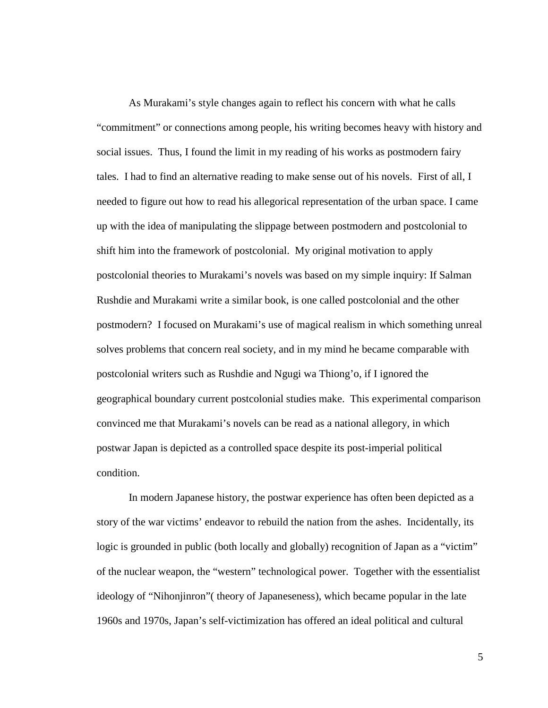As Murakami's style changes again to reflect his concern with what he calls "commitment" or connections among people, his writing becomes heavy with history and social issues. Thus, I found the limit in my reading of his works as postmodern fairy tales. I had to find an alternative reading to make sense out of his novels. First of all, I needed to figure out how to read his allegorical representation of the urban space. I came up with the idea of manipulating the slippage between postmodern and postcolonial to shift him into the framework of postcolonial. My original motivation to apply postcolonial theories to Murakami's novels was based on my simple inquiry: If Salman Rushdie and Murakami write a similar book, is one called postcolonial and the other postmodern? I focused on Murakami's use of magical realism in which something unreal solves problems that concern real society, and in my mind he became comparable with postcolonial writers such as Rushdie and Ngugi wa Thiong'o, if I ignored the geographical boundary current postcolonial studies make. This experimental comparison convinced me that Murakami's novels can be read as a national allegory, in which postwar Japan is depicted as a controlled space despite its post-imperial political condition.

In modern Japanese history, the postwar experience has often been depicted as a story of the war victims' endeavor to rebuild the nation from the ashes. Incidentally, its logic is grounded in public (both locally and globally) recognition of Japan as a "victim" of the nuclear weapon, the "western" technological power. Together with the essentialist ideology of "Nihonjinron"( theory of Japaneseness), which became popular in the late 1960s and 1970s, Japan's self-victimization has offered an ideal political and cultural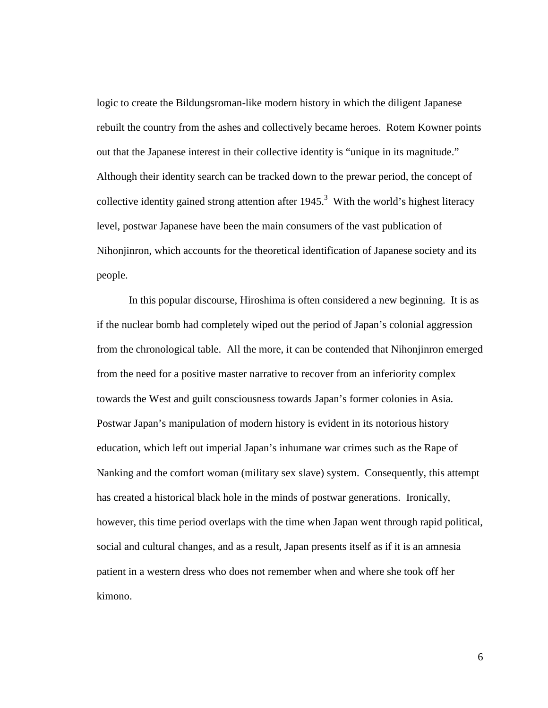logic to create the Bildungsroman-like modern history in which the diligent Japanese rebuilt the country from the ashes and collectively became heroes. Rotem Kowner points out that the Japanese interest in their collective identity is "unique in its magnitude." Although their identity search can be tracked down to the prewar period, the concept of collective identity gained strong attention after  $1945$ <sup>3</sup>. With the world's highest literacy level, postwar Japanese have been the main consumers of the vast publication of Nihonjinron, which accounts for the theoretical identification of Japanese society and its people.

In this popular discourse, Hiroshima is often considered a new beginning. It is as if the nuclear bomb had completely wiped out the period of Japan's colonial aggression from the chronological table. All the more, it can be contended that Nihonjinron emerged from the need for a positive master narrative to recover from an inferiority complex towards the West and guilt consciousness towards Japan's former colonies in Asia. Postwar Japan's manipulation of modern history is evident in its notorious history education, which left out imperial Japan's inhumane war crimes such as the Rape of Nanking and the comfort woman (military sex slave) system. Consequently, this attempt has created a historical black hole in the minds of postwar generations. Ironically, however, this time period overlaps with the time when Japan went through rapid political, social and cultural changes, and as a result, Japan presents itself as if it is an amnesia patient in a western dress who does not remember when and where she took off her kimono.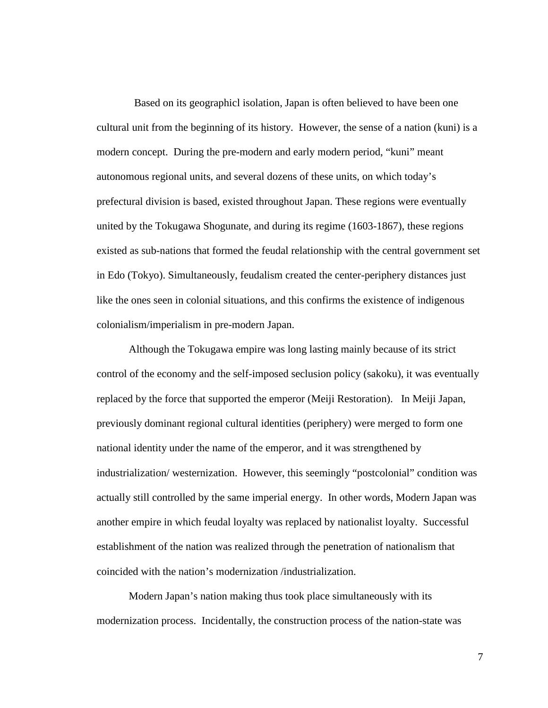Based on its geographicl isolation, Japan is often believed to have been one cultural unit from the beginning of its history. However, the sense of a nation (kuni) is a modern concept. During the pre-modern and early modern period, "kuni" meant autonomous regional units, and several dozens of these units, on which today's prefectural division is based, existed throughout Japan. These regions were eventually united by the Tokugawa Shogunate, and during its regime (1603-1867), these regions existed as sub-nations that formed the feudal relationship with the central government set in Edo (Tokyo). Simultaneously, feudalism created the center-periphery distances just like the ones seen in colonial situations, and this confirms the existence of indigenous colonialism/imperialism in pre-modern Japan.

Although the Tokugawa empire was long lasting mainly because of its strict control of the economy and the self-imposed seclusion policy (sakoku), it was eventually replaced by the force that supported the emperor (Meiji Restoration). In Meiji Japan, previously dominant regional cultural identities (periphery) were merged to form one national identity under the name of the emperor, and it was strengthened by industrialization/ westernization. However, this seemingly "postcolonial" condition was actually still controlled by the same imperial energy. In other words, Modern Japan was another empire in which feudal loyalty was replaced by nationalist loyalty. Successful establishment of the nation was realized through the penetration of nationalism that coincided with the nation's modernization /industrialization.

Modern Japan's nation making thus took place simultaneously with its modernization process. Incidentally, the construction process of the nation-state was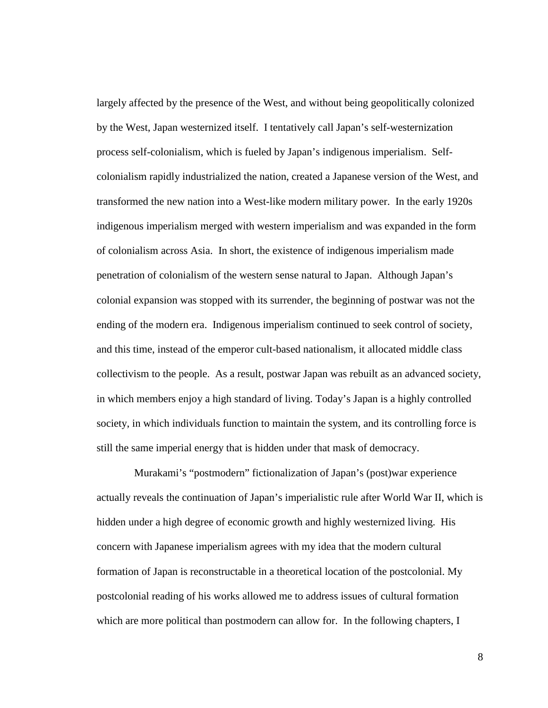largely affected by the presence of the West, and without being geopolitically colonized by the West, Japan westernized itself. I tentatively call Japan's self-westernization process self-colonialism, which is fueled by Japan's indigenous imperialism. Selfcolonialism rapidly industrialized the nation, created a Japanese version of the West, and transformed the new nation into a West-like modern military power. In the early 1920s indigenous imperialism merged with western imperialism and was expanded in the form of colonialism across Asia. In short, the existence of indigenous imperialism made penetration of colonialism of the western sense natural to Japan. Although Japan's colonial expansion was stopped with its surrender, the beginning of postwar was not the ending of the modern era. Indigenous imperialism continued to seek control of society, and this time, instead of the emperor cult-based nationalism, it allocated middle class collectivism to the people. As a result, postwar Japan was rebuilt as an advanced society, in which members enjoy a high standard of living. Today's Japan is a highly controlled society, in which individuals function to maintain the system, and its controlling force is still the same imperial energy that is hidden under that mask of democracy.

 Murakami's "postmodern" fictionalization of Japan's (post)war experience actually reveals the continuation of Japan's imperialistic rule after World War II, which is hidden under a high degree of economic growth and highly westernized living. His concern with Japanese imperialism agrees with my idea that the modern cultural formation of Japan is reconstructable in a theoretical location of the postcolonial. My postcolonial reading of his works allowed me to address issues of cultural formation which are more political than postmodern can allow for. In the following chapters, I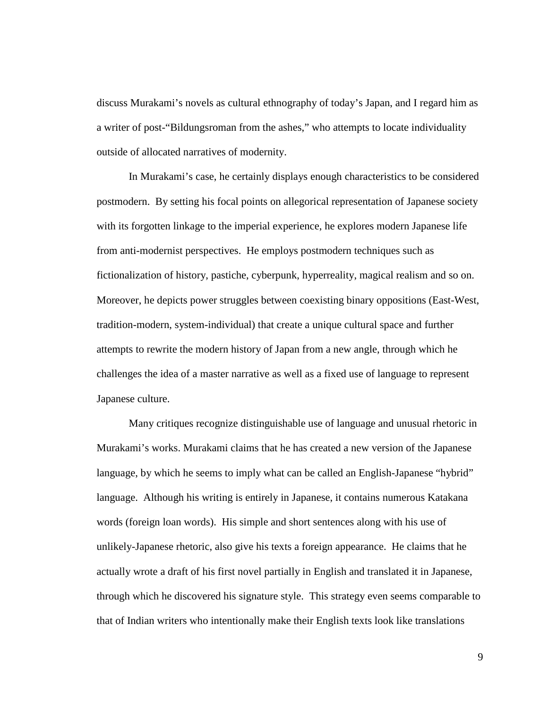discuss Murakami's novels as cultural ethnography of today's Japan, and I regard him as a writer of post-"Bildungsroman from the ashes," who attempts to locate individuality outside of allocated narratives of modernity.

In Murakami's case, he certainly displays enough characteristics to be considered postmodern. By setting his focal points on allegorical representation of Japanese society with its forgotten linkage to the imperial experience, he explores modern Japanese life from anti-modernist perspectives. He employs postmodern techniques such as fictionalization of history, pastiche, cyberpunk, hyperreality, magical realism and so on. Moreover, he depicts power struggles between coexisting binary oppositions (East-West, tradition-modern, system-individual) that create a unique cultural space and further attempts to rewrite the modern history of Japan from a new angle, through which he challenges the idea of a master narrative as well as a fixed use of language to represent Japanese culture.

Many critiques recognize distinguishable use of language and unusual rhetoric in Murakami's works. Murakami claims that he has created a new version of the Japanese language, by which he seems to imply what can be called an English-Japanese "hybrid" language. Although his writing is entirely in Japanese, it contains numerous Katakana words (foreign loan words). His simple and short sentences along with his use of unlikely-Japanese rhetoric, also give his texts a foreign appearance. He claims that he actually wrote a draft of his first novel partially in English and translated it in Japanese, through which he discovered his signature style. This strategy even seems comparable to that of Indian writers who intentionally make their English texts look like translations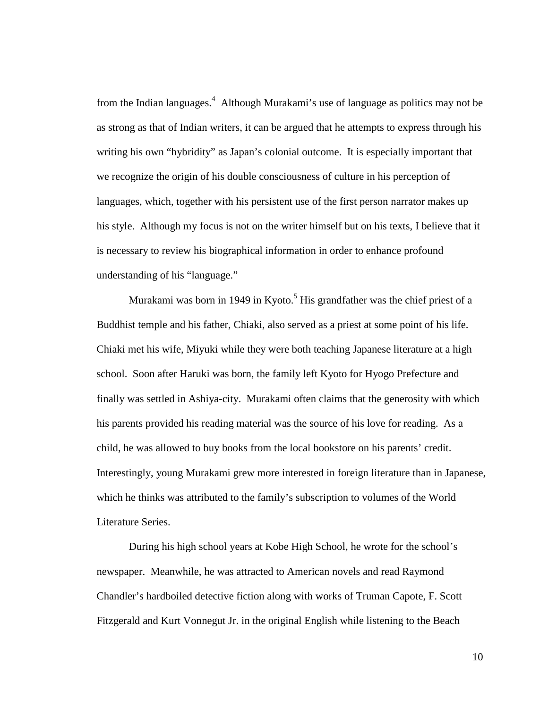from the Indian languages.<sup>4</sup> Although Murakami's use of language as politics may not be as strong as that of Indian writers, it can be argued that he attempts to express through his writing his own "hybridity" as Japan's colonial outcome. It is especially important that we recognize the origin of his double consciousness of culture in his perception of languages, which, together with his persistent use of the first person narrator makes up his style. Although my focus is not on the writer himself but on his texts, I believe that it is necessary to review his biographical information in order to enhance profound understanding of his "language."

Murakami was born in 1949 in Kyoto.<sup>5</sup> His grandfather was the chief priest of a Buddhist temple and his father, Chiaki, also served as a priest at some point of his life. Chiaki met his wife, Miyuki while they were both teaching Japanese literature at a high school. Soon after Haruki was born, the family left Kyoto for Hyogo Prefecture and finally was settled in Ashiya-city. Murakami often claims that the generosity with which his parents provided his reading material was the source of his love for reading. As a child, he was allowed to buy books from the local bookstore on his parents' credit. Interestingly, young Murakami grew more interested in foreign literature than in Japanese, which he thinks was attributed to the family's subscription to volumes of the World Literature Series.

During his high school years at Kobe High School, he wrote for the school's newspaper. Meanwhile, he was attracted to American novels and read Raymond Chandler's hardboiled detective fiction along with works of Truman Capote, F. Scott Fitzgerald and Kurt Vonnegut Jr. in the original English while listening to the Beach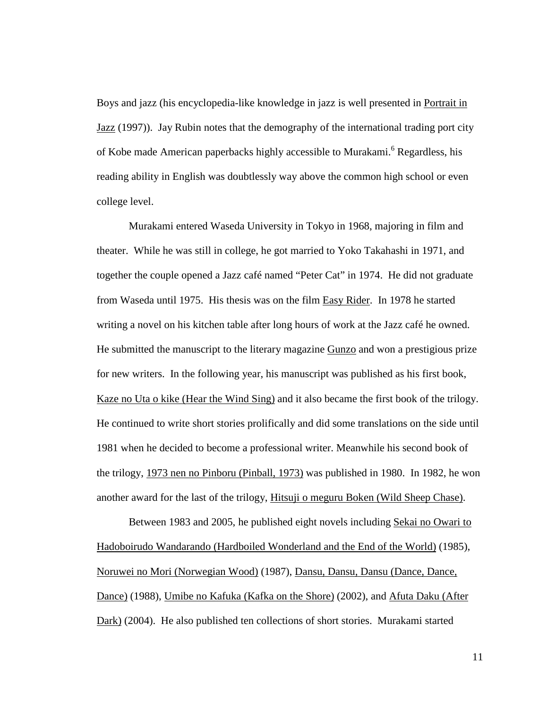Boys and jazz (his encyclopedia-like knowledge in jazz is well presented in Portrait in Jazz (1997)). Jay Rubin notes that the demography of the international trading port city of Kobe made American paperbacks highly accessible to Murakami.<sup>6</sup> Regardless, his reading ability in English was doubtlessly way above the common high school or even college level.

Murakami entered Waseda University in Tokyo in 1968, majoring in film and theater. While he was still in college, he got married to Yoko Takahashi in 1971, and together the couple opened a Jazz café named "Peter Cat" in 1974. He did not graduate from Waseda until 1975. His thesis was on the film Easy Rider. In 1978 he started writing a novel on his kitchen table after long hours of work at the Jazz café he owned. He submitted the manuscript to the literary magazine Gunzo and won a prestigious prize for new writers. In the following year, his manuscript was published as his first book, Kaze no Uta o kike (Hear the Wind Sing) and it also became the first book of the trilogy. He continued to write short stories prolifically and did some translations on the side until 1981 when he decided to become a professional writer. Meanwhile his second book of the trilogy, 1973 nen no Pinboru (Pinball, 1973) was published in 1980. In 1982, he won another award for the last of the trilogy, Hitsuji o meguru Boken (Wild Sheep Chase).

Between 1983 and 2005, he published eight novels including Sekai no Owari to Hadoboirudo Wandarando (Hardboiled Wonderland and the End of the World) (1985), Noruwei no Mori (Norwegian Wood) (1987), Dansu, Dansu, Dansu (Dance, Dance, Dance) (1988), Umibe no Kafuka (Kafka on the Shore) (2002), and Afuta Daku (After Dark) (2004). He also published ten collections of short stories. Murakami started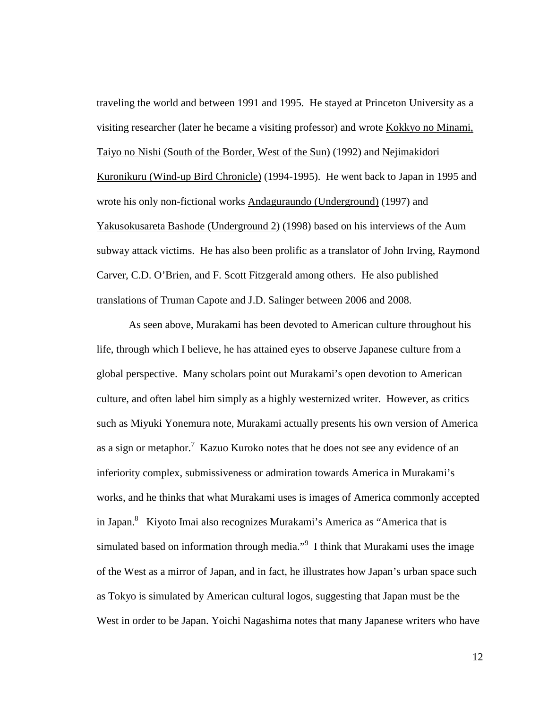traveling the world and between 1991 and 1995. He stayed at Princeton University as a visiting researcher (later he became a visiting professor) and wrote Kokkyo no Minami, Taiyo no Nishi (South of the Border, West of the Sun) (1992) and Nejimakidori Kuronikuru (Wind-up Bird Chronicle) (1994-1995). He went back to Japan in 1995 and wrote his only non-fictional works Andaguraundo (Underground) (1997) and Yakusokusareta Bashode (Underground 2) (1998) based on his interviews of the Aum subway attack victims. He has also been prolific as a translator of John Irving, Raymond Carver, C.D. O'Brien, and F. Scott Fitzgerald among others. He also published translations of Truman Capote and J.D. Salinger between 2006 and 2008.

As seen above, Murakami has been devoted to American culture throughout his life, through which I believe, he has attained eyes to observe Japanese culture from a global perspective. Many scholars point out Murakami's open devotion to American culture, and often label him simply as a highly westernized writer. However, as critics such as Miyuki Yonemura note, Murakami actually presents his own version of America as a sign or metaphor.<sup>7</sup> Kazuo Kuroko notes that he does not see any evidence of an inferiority complex, submissiveness or admiration towards America in Murakami's works, and he thinks that what Murakami uses is images of America commonly accepted in Japan.<sup>8</sup> Kiyoto Imai also recognizes Murakami's America as "America that is simulated based on information through media."<sup>9</sup> I think that Murakami uses the image of the West as a mirror of Japan, and in fact, he illustrates how Japan's urban space such as Tokyo is simulated by American cultural logos, suggesting that Japan must be the West in order to be Japan. Yoichi Nagashima notes that many Japanese writers who have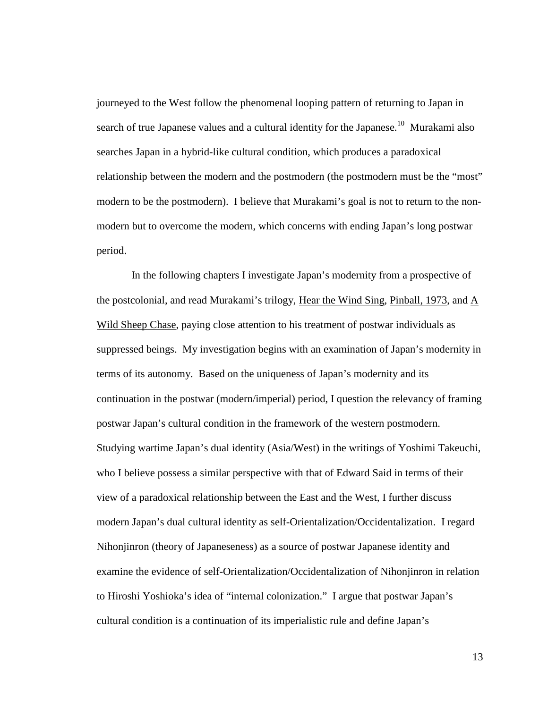journeyed to the West follow the phenomenal looping pattern of returning to Japan in search of true Japanese values and a cultural identity for the Japanese.<sup>10</sup> Murakami also searches Japan in a hybrid-like cultural condition, which produces a paradoxical relationship between the modern and the postmodern (the postmodern must be the "most" modern to be the postmodern). I believe that Murakami's goal is not to return to the nonmodern but to overcome the modern, which concerns with ending Japan's long postwar period.

 In the following chapters I investigate Japan's modernity from a prospective of the postcolonial, and read Murakami's trilogy, Hear the Wind Sing, Pinball, 1973, and A Wild Sheep Chase, paying close attention to his treatment of postwar individuals as suppressed beings. My investigation begins with an examination of Japan's modernity in terms of its autonomy. Based on the uniqueness of Japan's modernity and its continuation in the postwar (modern/imperial) period, I question the relevancy of framing postwar Japan's cultural condition in the framework of the western postmodern. Studying wartime Japan's dual identity (Asia/West) in the writings of Yoshimi Takeuchi, who I believe possess a similar perspective with that of Edward Said in terms of their view of a paradoxical relationship between the East and the West, I further discuss modern Japan's dual cultural identity as self-Orientalization/Occidentalization. I regard Nihonjinron (theory of Japaneseness) as a source of postwar Japanese identity and examine the evidence of self-Orientalization/Occidentalization of Nihonjinron in relation to Hiroshi Yoshioka's idea of "internal colonization." I argue that postwar Japan's cultural condition is a continuation of its imperialistic rule and define Japan's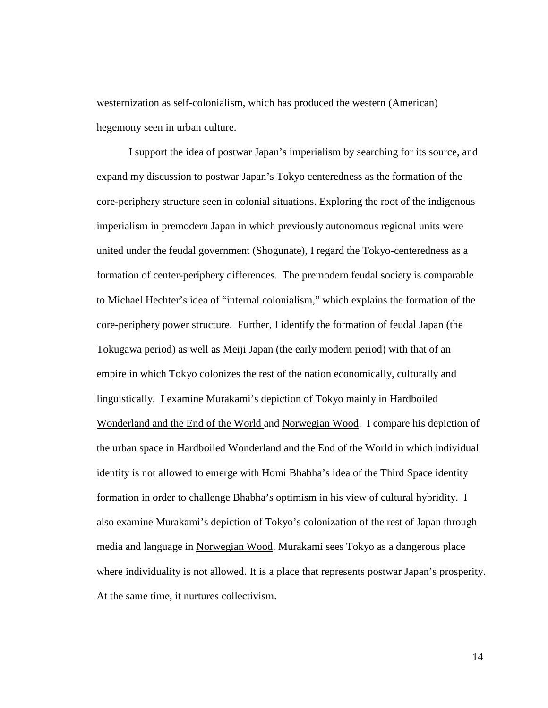westernization as self-colonialism, which has produced the western (American) hegemony seen in urban culture.

I support the idea of postwar Japan's imperialism by searching for its source, and expand my discussion to postwar Japan's Tokyo centeredness as the formation of the core-periphery structure seen in colonial situations. Exploring the root of the indigenous imperialism in premodern Japan in which previously autonomous regional units were united under the feudal government (Shogunate), I regard the Tokyo-centeredness as a formation of center-periphery differences. The premodern feudal society is comparable to Michael Hechter's idea of "internal colonialism," which explains the formation of the core-periphery power structure. Further, I identify the formation of feudal Japan (the Tokugawa period) as well as Meiji Japan (the early modern period) with that of an empire in which Tokyo colonizes the rest of the nation economically, culturally and linguistically. I examine Murakami's depiction of Tokyo mainly in Hardboiled Wonderland and the End of the World and Norwegian Wood. I compare his depiction of the urban space in Hardboiled Wonderland and the End of the World in which individual identity is not allowed to emerge with Homi Bhabha's idea of the Third Space identity formation in order to challenge Bhabha's optimism in his view of cultural hybridity. I also examine Murakami's depiction of Tokyo's colonization of the rest of Japan through media and language in Norwegian Wood. Murakami sees Tokyo as a dangerous place where individuality is not allowed. It is a place that represents postwar Japan's prosperity. At the same time, it nurtures collectivism.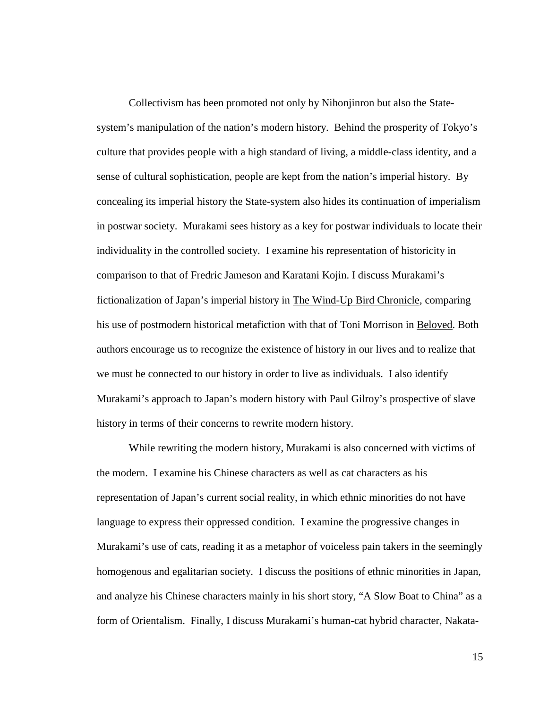Collectivism has been promoted not only by Nihonjinron but also the Statesystem's manipulation of the nation's modern history. Behind the prosperity of Tokyo's culture that provides people with a high standard of living, a middle-class identity, and a sense of cultural sophistication, people are kept from the nation's imperial history. By concealing its imperial history the State-system also hides its continuation of imperialism in postwar society. Murakami sees history as a key for postwar individuals to locate their individuality in the controlled society. I examine his representation of historicity in comparison to that of Fredric Jameson and Karatani Kojin. I discuss Murakami's fictionalization of Japan's imperial history in The Wind-Up Bird Chronicle, comparing his use of postmodern historical metafiction with that of Toni Morrison in Beloved. Both authors encourage us to recognize the existence of history in our lives and to realize that we must be connected to our history in order to live as individuals. I also identify Murakami's approach to Japan's modern history with Paul Gilroy's prospective of slave history in terms of their concerns to rewrite modern history.

While rewriting the modern history, Murakami is also concerned with victims of the modern. I examine his Chinese characters as well as cat characters as his representation of Japan's current social reality, in which ethnic minorities do not have language to express their oppressed condition. I examine the progressive changes in Murakami's use of cats, reading it as a metaphor of voiceless pain takers in the seemingly homogenous and egalitarian society. I discuss the positions of ethnic minorities in Japan, and analyze his Chinese characters mainly in his short story, "A Slow Boat to China" as a form of Orientalism. Finally, I discuss Murakami's human-cat hybrid character, Nakata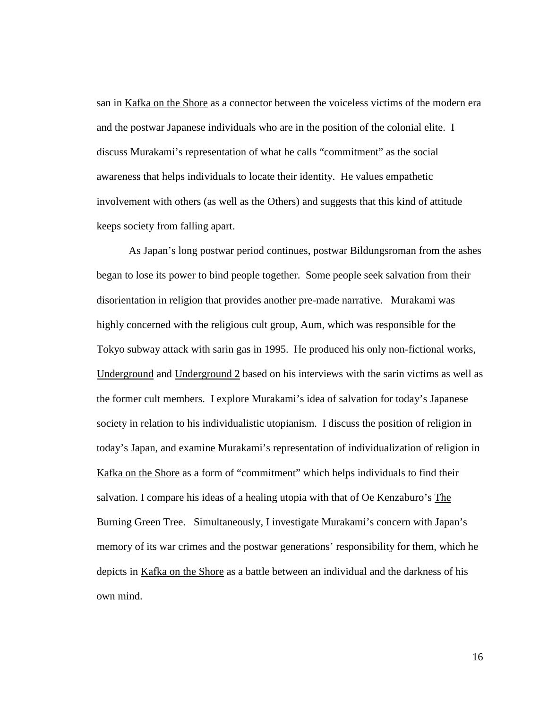san in Kafka on the Shore as a connector between the voiceless victims of the modern era and the postwar Japanese individuals who are in the position of the colonial elite. I discuss Murakami's representation of what he calls "commitment" as the social awareness that helps individuals to locate their identity. He values empathetic involvement with others (as well as the Others) and suggests that this kind of attitude keeps society from falling apart.

As Japan's long postwar period continues, postwar Bildungsroman from the ashes began to lose its power to bind people together. Some people seek salvation from their disorientation in religion that provides another pre-made narrative. Murakami was highly concerned with the religious cult group, Aum, which was responsible for the Tokyo subway attack with sarin gas in 1995. He produced his only non-fictional works, Underground and Underground 2 based on his interviews with the sarin victims as well as the former cult members. I explore Murakami's idea of salvation for today's Japanese society in relation to his individualistic utopianism. I discuss the position of religion in today's Japan, and examine Murakami's representation of individualization of religion in Kafka on the Shore as a form of "commitment" which helps individuals to find their salvation. I compare his ideas of a healing utopia with that of Oe Kenzaburo's The Burning Green Tree. Simultaneously, I investigate Murakami's concern with Japan's memory of its war crimes and the postwar generations' responsibility for them, which he depicts in Kafka on the Shore as a battle between an individual and the darkness of his own mind.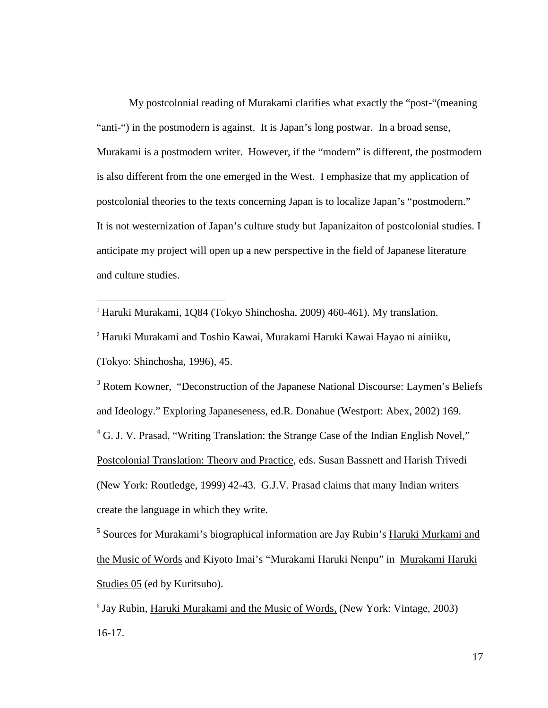My postcolonial reading of Murakami clarifies what exactly the "post-"(meaning "anti-") in the postmodern is against. It is Japan's long postwar. In a broad sense, Murakami is a postmodern writer. However, if the "modern" is different, the postmodern is also different from the one emerged in the West. I emphasize that my application of postcolonial theories to the texts concerning Japan is to localize Japan's "postmodern." It is not westernization of Japan's culture study but Japanizaiton of postcolonial studies. I anticipate my project will open up a new perspective in the field of Japanese literature and culture studies.

<sup>1</sup> Haruki Murakami, 1Q84 (Tokyo Shinchosha, 2009) 460-461). My translation.

<u>.</u>

<sup>2</sup> Haruki Murakami and Toshio Kawai, Murakami Haruki Kawai Hayao ni ainiiku, (Tokyo: Shinchosha, 1996), 45.

<sup>3</sup> Rotem Kowner, "Deconstruction of the Japanese National Discourse: Laymen's Beliefs and Ideology." Exploring Japaneseness, ed.R. Donahue (Westport: Abex, 2002) 169. <sup>4</sup> G. J. V. Prasad, "Writing Translation: the Strange Case of the Indian English Novel," Postcolonial Translation: Theory and Practice, eds. Susan Bassnett and Harish Trivedi (New York: Routledge, 1999) 42-43. G.J.V. Prasad claims that many Indian writers create the language in which they write.

<sup>5</sup> Sources for Murakami's biographical information are Jay Rubin's Haruki Murkami and the Music of Words and Kiyoto Imai's "Murakami Haruki Nenpu" in Murakami Haruki Studies 05 (ed by Kuritsubo).

<sup>6</sup> Jay Rubin, *Haruki Murakami and the Music of Words*, (New York: Vintage, 2003) 16-17.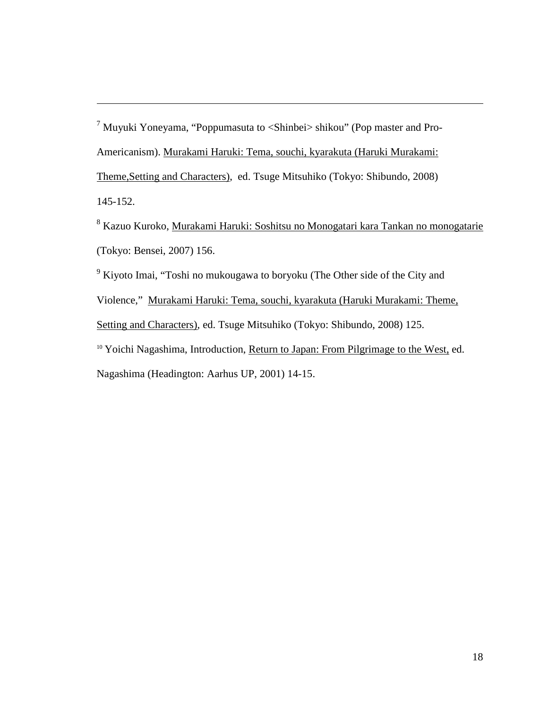<sup>7</sup> Muyuki Yoneyama, "Poppumasuta to <Shinbei> shikou" (Pop master and Pro-Americanism). Murakami Haruki: Tema, souchi, kyarakuta (Haruki Murakami: Theme,Setting and Characters), ed. Tsuge Mitsuhiko (Tokyo: Shibundo, 2008) 145-152.

<u>.</u>

<sup>8</sup> Kazuo Kuroko, <u>Murakami Haruki: Soshitsu no Monogatari kara Tankan no monogatarie</u> (Tokyo: Bensei, 2007) 156.

<sup>9</sup> Kiyoto Imai, "Toshi no mukougawa to boryoku (The Other side of the City and Violence," Murakami Haruki: Tema, souchi, kyarakuta (Haruki Murakami: Theme, Setting and Characters), ed. Tsuge Mitsuhiko (Tokyo: Shibundo, 2008) 125. <sup>10</sup> Yoichi Nagashima, Introduction, Return to Japan: From Pilgrimage to the West, ed. Nagashima (Headington: Aarhus UP, 2001) 14-15.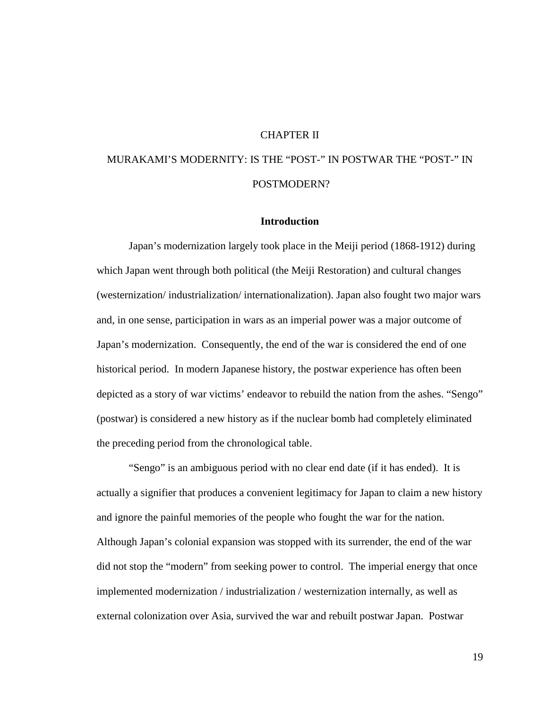#### CHAPTER II

## MURAKAMI'S MODERNITY: IS THE "POST-" IN POSTWAR THE "POST-" IN POSTMODERN?

#### **Introduction**

Japan's modernization largely took place in the Meiji period (1868-1912) during which Japan went through both political (the Meiji Restoration) and cultural changes (westernization/ industrialization/ internationalization). Japan also fought two major wars and, in one sense, participation in wars as an imperial power was a major outcome of Japan's modernization. Consequently, the end of the war is considered the end of one historical period. In modern Japanese history, the postwar experience has often been depicted as a story of war victims' endeavor to rebuild the nation from the ashes. "Sengo" (postwar) is considered a new history as if the nuclear bomb had completely eliminated the preceding period from the chronological table.

"Sengo" is an ambiguous period with no clear end date (if it has ended). It is actually a signifier that produces a convenient legitimacy for Japan to claim a new history and ignore the painful memories of the people who fought the war for the nation. Although Japan's colonial expansion was stopped with its surrender, the end of the war did not stop the "modern" from seeking power to control. The imperial energy that once implemented modernization / industrialization / westernization internally, as well as external colonization over Asia, survived the war and rebuilt postwar Japan. Postwar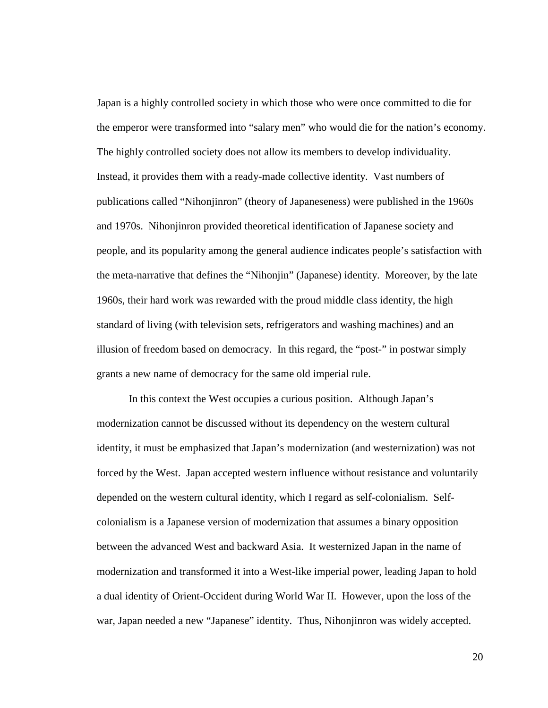Japan is a highly controlled society in which those who were once committed to die for the emperor were transformed into "salary men" who would die for the nation's economy. The highly controlled society does not allow its members to develop individuality. Instead, it provides them with a ready-made collective identity. Vast numbers of publications called "Nihonjinron" (theory of Japaneseness) were published in the 1960s and 1970s. Nihonjinron provided theoretical identification of Japanese society and people, and its popularity among the general audience indicates people's satisfaction with the meta-narrative that defines the "Nihonjin" (Japanese) identity. Moreover, by the late 1960s, their hard work was rewarded with the proud middle class identity, the high standard of living (with television sets, refrigerators and washing machines) and an illusion of freedom based on democracy. In this regard, the "post-" in postwar simply grants a new name of democracy for the same old imperial rule.

 In this context the West occupies a curious position. Although Japan's modernization cannot be discussed without its dependency on the western cultural identity, it must be emphasized that Japan's modernization (and westernization) was not forced by the West. Japan accepted western influence without resistance and voluntarily depended on the western cultural identity, which I regard as self-colonialism. Selfcolonialism is a Japanese version of modernization that assumes a binary opposition between the advanced West and backward Asia. It westernized Japan in the name of modernization and transformed it into a West-like imperial power, leading Japan to hold a dual identity of Orient-Occident during World War II. However, upon the loss of the war, Japan needed a new "Japanese" identity. Thus, Nihonjinron was widely accepted.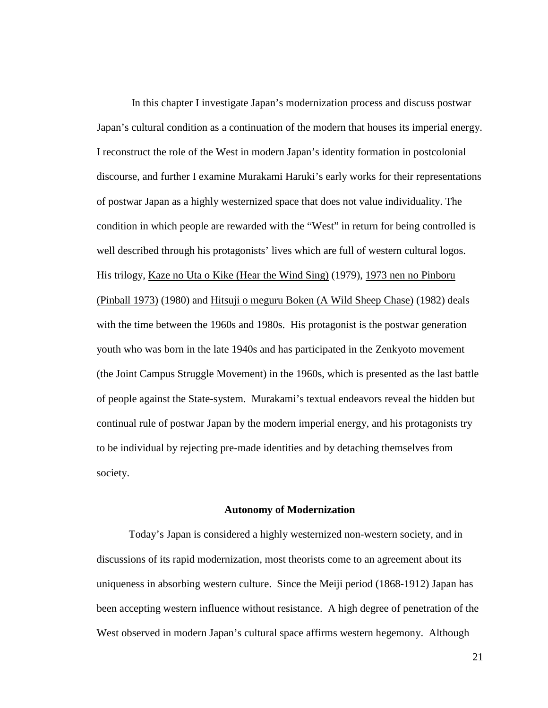In this chapter I investigate Japan's modernization process and discuss postwar Japan's cultural condition as a continuation of the modern that houses its imperial energy. I reconstruct the role of the West in modern Japan's identity formation in postcolonial discourse, and further I examine Murakami Haruki's early works for their representations of postwar Japan as a highly westernized space that does not value individuality. The condition in which people are rewarded with the "West" in return for being controlled is well described through his protagonists' lives which are full of western cultural logos. His trilogy, Kaze no Uta o Kike (Hear the Wind Sing) (1979), 1973 nen no Pinboru (Pinball 1973) (1980) and Hitsuji o meguru Boken (A Wild Sheep Chase) (1982) deals with the time between the 1960s and 1980s. His protagonist is the postwar generation youth who was born in the late 1940s and has participated in the Zenkyoto movement (the Joint Campus Struggle Movement) in the 1960s, which is presented as the last battle of people against the State-system. Murakami's textual endeavors reveal the hidden but continual rule of postwar Japan by the modern imperial energy, and his protagonists try to be individual by rejecting pre-made identities and by detaching themselves from society.

#### **Autonomy of Modernization**

Today's Japan is considered a highly westernized non-western society, and in discussions of its rapid modernization, most theorists come to an agreement about its uniqueness in absorbing western culture. Since the Meiji period (1868-1912) Japan has been accepting western influence without resistance. A high degree of penetration of the West observed in modern Japan's cultural space affirms western hegemony. Although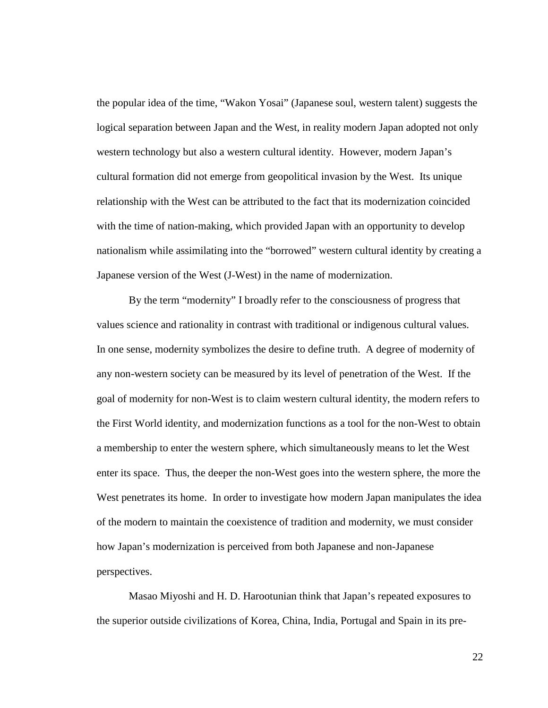the popular idea of the time, "Wakon Yosai" (Japanese soul, western talent) suggests the logical separation between Japan and the West, in reality modern Japan adopted not only western technology but also a western cultural identity. However, modern Japan's cultural formation did not emerge from geopolitical invasion by the West. Its unique relationship with the West can be attributed to the fact that its modernization coincided with the time of nation-making, which provided Japan with an opportunity to develop nationalism while assimilating into the "borrowed" western cultural identity by creating a Japanese version of the West (J-West) in the name of modernization.

By the term "modernity" I broadly refer to the consciousness of progress that values science and rationality in contrast with traditional or indigenous cultural values. In one sense, modernity symbolizes the desire to define truth. A degree of modernity of any non-western society can be measured by its level of penetration of the West. If the goal of modernity for non-West is to claim western cultural identity, the modern refers to the First World identity, and modernization functions as a tool for the non-West to obtain a membership to enter the western sphere, which simultaneously means to let the West enter its space. Thus, the deeper the non-West goes into the western sphere, the more the West penetrates its home. In order to investigate how modern Japan manipulates the idea of the modern to maintain the coexistence of tradition and modernity, we must consider how Japan's modernization is perceived from both Japanese and non-Japanese perspectives.

 Masao Miyoshi and H. D. Harootunian think that Japan's repeated exposures to the superior outside civilizations of Korea, China, India, Portugal and Spain in its pre-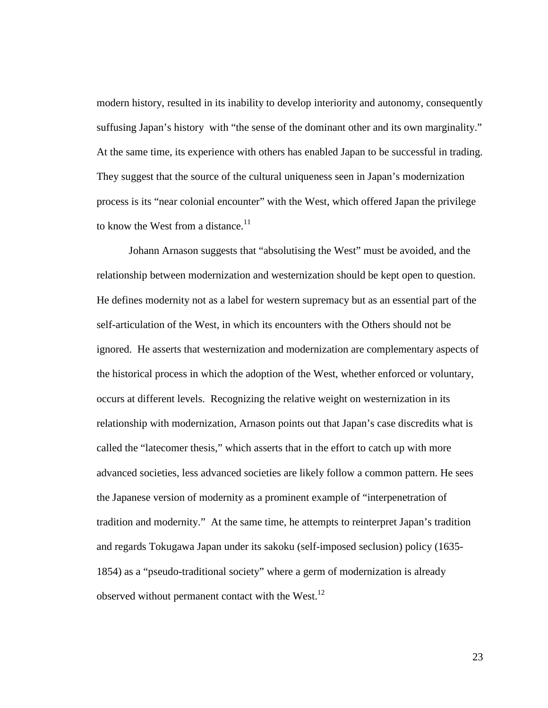modern history, resulted in its inability to develop interiority and autonomy, consequently suffusing Japan's history with "the sense of the dominant other and its own marginality." At the same time, its experience with others has enabled Japan to be successful in trading. They suggest that the source of the cultural uniqueness seen in Japan's modernization process is its "near colonial encounter" with the West, which offered Japan the privilege to know the West from a distance. $11$ 

 Johann Arnason suggests that "absolutising the West" must be avoided, and the relationship between modernization and westernization should be kept open to question. He defines modernity not as a label for western supremacy but as an essential part of the self-articulation of the West, in which its encounters with the Others should not be ignored. He asserts that westernization and modernization are complementary aspects of the historical process in which the adoption of the West, whether enforced or voluntary, occurs at different levels. Recognizing the relative weight on westernization in its relationship with modernization, Arnason points out that Japan's case discredits what is called the "latecomer thesis," which asserts that in the effort to catch up with more advanced societies, less advanced societies are likely follow a common pattern. He sees the Japanese version of modernity as a prominent example of "interpenetration of tradition and modernity." At the same time, he attempts to reinterpret Japan's tradition and regards Tokugawa Japan under its sakoku (self-imposed seclusion) policy (1635- 1854) as a "pseudo-traditional society" where a germ of modernization is already observed without permanent contact with the West. $^{12}$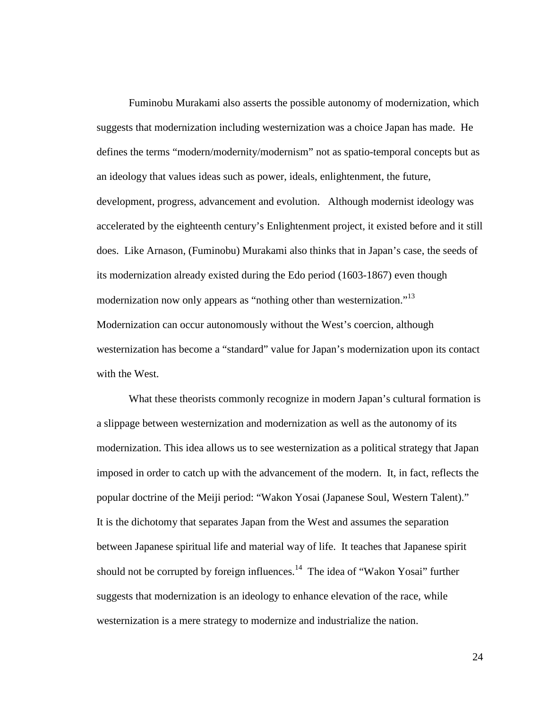Fuminobu Murakami also asserts the possible autonomy of modernization, which suggests that modernization including westernization was a choice Japan has made. He defines the terms "modern/modernity/modernism" not as spatio-temporal concepts but as an ideology that values ideas such as power, ideals, enlightenment, the future, development, progress, advancement and evolution. Although modernist ideology was accelerated by the eighteenth century's Enlightenment project, it existed before and it still does. Like Arnason, (Fuminobu) Murakami also thinks that in Japan's case, the seeds of its modernization already existed during the Edo period (1603-1867) even though modernization now only appears as "nothing other than westernization."<sup>13</sup> Modernization can occur autonomously without the West's coercion, although westernization has become a "standard" value for Japan's modernization upon its contact with the West.

 What these theorists commonly recognize in modern Japan's cultural formation is a slippage between westernization and modernization as well as the autonomy of its modernization. This idea allows us to see westernization as a political strategy that Japan imposed in order to catch up with the advancement of the modern. It, in fact, reflects the popular doctrine of the Meiji period: "Wakon Yosai (Japanese Soul, Western Talent)." It is the dichotomy that separates Japan from the West and assumes the separation between Japanese spiritual life and material way of life. It teaches that Japanese spirit should not be corrupted by foreign influences.<sup>14</sup> The idea of "Wakon Yosai" further suggests that modernization is an ideology to enhance elevation of the race, while westernization is a mere strategy to modernize and industrialize the nation.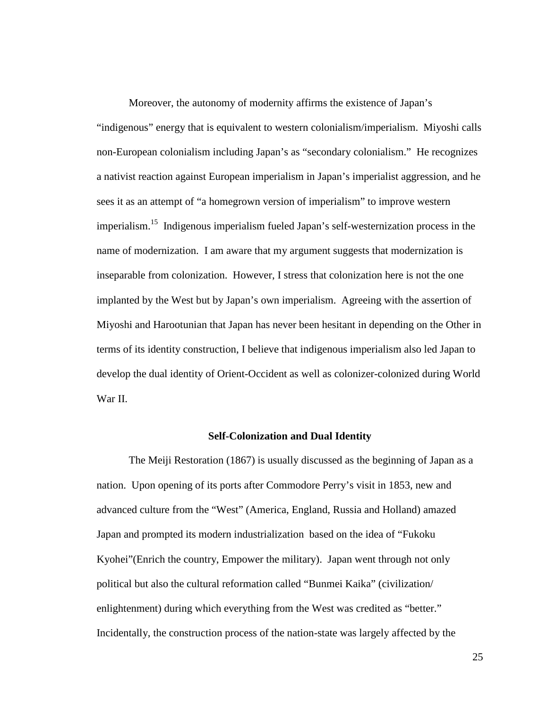Moreover, the autonomy of modernity affirms the existence of Japan's "indigenous" energy that is equivalent to western colonialism/imperialism. Miyoshi calls non-European colonialism including Japan's as "secondary colonialism." He recognizes a nativist reaction against European imperialism in Japan's imperialist aggression, and he sees it as an attempt of "a homegrown version of imperialism" to improve western imperialism.<sup>15</sup> Indigenous imperialism fueled Japan's self-westernization process in the name of modernization. I am aware that my argument suggests that modernization is inseparable from colonization. However, I stress that colonization here is not the one implanted by the West but by Japan's own imperialism. Agreeing with the assertion of Miyoshi and Harootunian that Japan has never been hesitant in depending on the Other in terms of its identity construction, I believe that indigenous imperialism also led Japan to develop the dual identity of Orient-Occident as well as colonizer-colonized during World War II.

#### **Self-Colonization and Dual Identity**

The Meiji Restoration (1867) is usually discussed as the beginning of Japan as a nation. Upon opening of its ports after Commodore Perry's visit in 1853, new and advanced culture from the "West" (America, England, Russia and Holland) amazed Japan and prompted its modern industrialization based on the idea of "Fukoku Kyohei"(Enrich the country, Empower the military). Japan went through not only political but also the cultural reformation called "Bunmei Kaika" (civilization/ enlightenment) during which everything from the West was credited as "better." Incidentally, the construction process of the nation-state was largely affected by the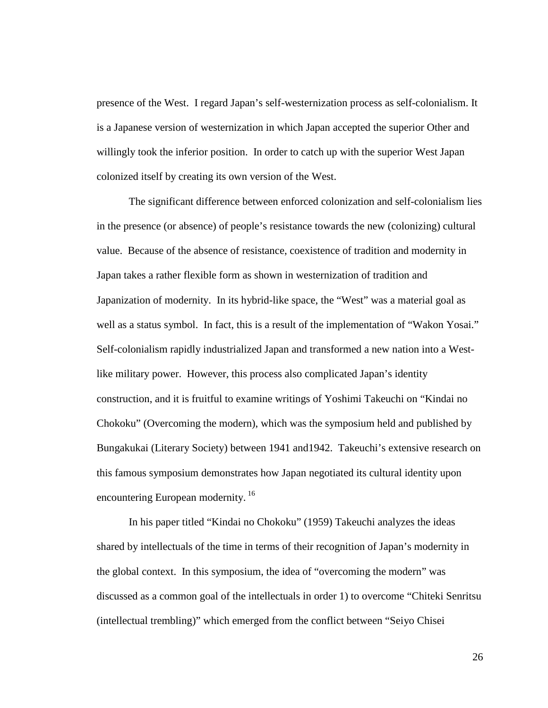presence of the West. I regard Japan's self-westernization process as self-colonialism. It is a Japanese version of westernization in which Japan accepted the superior Other and willingly took the inferior position. In order to catch up with the superior West Japan colonized itself by creating its own version of the West.

The significant difference between enforced colonization and self-colonialism lies in the presence (or absence) of people's resistance towards the new (colonizing) cultural value. Because of the absence of resistance, coexistence of tradition and modernity in Japan takes a rather flexible form as shown in westernization of tradition and Japanization of modernity. In its hybrid-like space, the "West" was a material goal as well as a status symbol. In fact, this is a result of the implementation of "Wakon Yosai." Self-colonialism rapidly industrialized Japan and transformed a new nation into a Westlike military power. However, this process also complicated Japan's identity construction, and it is fruitful to examine writings of Yoshimi Takeuchi on "Kindai no Chokoku" (Overcoming the modern), which was the symposium held and published by Bungakukai (Literary Society) between 1941 and1942. Takeuchi's extensive research on this famous symposium demonstrates how Japan negotiated its cultural identity upon encountering European modernity.<sup>16</sup>

In his paper titled "Kindai no Chokoku" (1959) Takeuchi analyzes the ideas shared by intellectuals of the time in terms of their recognition of Japan's modernity in the global context. In this symposium, the idea of "overcoming the modern" was discussed as a common goal of the intellectuals in order 1) to overcome "Chiteki Senritsu (intellectual trembling)" which emerged from the conflict between "Seiyo Chisei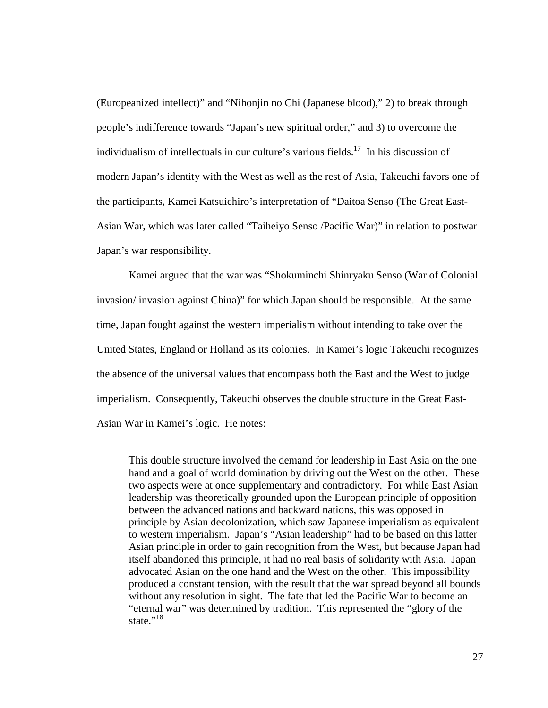(Europeanized intellect)" and "Nihonjin no Chi (Japanese blood)," 2) to break through people's indifference towards "Japan's new spiritual order," and 3) to overcome the individualism of intellectuals in our culture's various fields.<sup>17</sup> In his discussion of modern Japan's identity with the West as well as the rest of Asia, Takeuchi favors one of the participants, Kamei Katsuichiro's interpretation of "Daitoa Senso (The Great East-Asian War, which was later called "Taiheiyo Senso /Pacific War)" in relation to postwar Japan's war responsibility.

Kamei argued that the war was "Shokuminchi Shinryaku Senso (War of Colonial invasion/ invasion against China)" for which Japan should be responsible. At the same time, Japan fought against the western imperialism without intending to take over the United States, England or Holland as its colonies. In Kamei's logic Takeuchi recognizes the absence of the universal values that encompass both the East and the West to judge imperialism. Consequently, Takeuchi observes the double structure in the Great East-Asian War in Kamei's logic. He notes:

This double structure involved the demand for leadership in East Asia on the one hand and a goal of world domination by driving out the West on the other. These two aspects were at once supplementary and contradictory. For while East Asian leadership was theoretically grounded upon the European principle of opposition between the advanced nations and backward nations, this was opposed in principle by Asian decolonization, which saw Japanese imperialism as equivalent to western imperialism. Japan's "Asian leadership" had to be based on this latter Asian principle in order to gain recognition from the West, but because Japan had itself abandoned this principle, it had no real basis of solidarity with Asia. Japan advocated Asian on the one hand and the West on the other. This impossibility produced a constant tension, with the result that the war spread beyond all bounds without any resolution in sight. The fate that led the Pacific War to become an "eternal war" was determined by tradition. This represented the "glory of the state." $^{18}$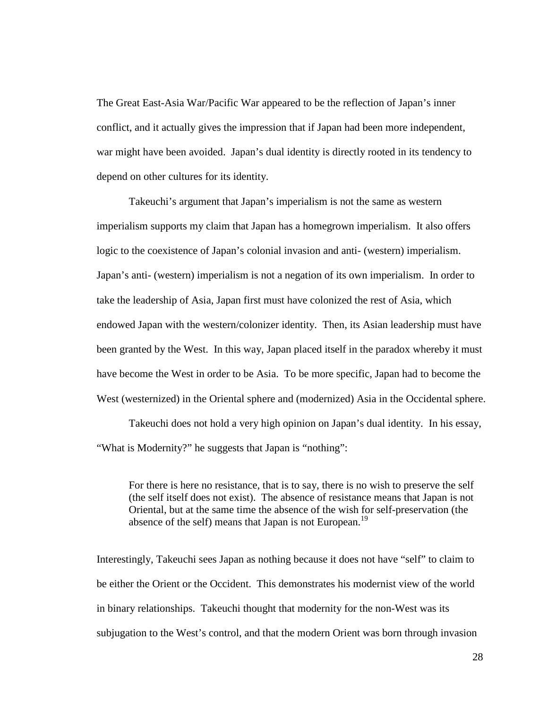The Great East-Asia War/Pacific War appeared to be the reflection of Japan's inner conflict, and it actually gives the impression that if Japan had been more independent, war might have been avoided. Japan's dual identity is directly rooted in its tendency to depend on other cultures for its identity.

Takeuchi's argument that Japan's imperialism is not the same as western imperialism supports my claim that Japan has a homegrown imperialism. It also offers logic to the coexistence of Japan's colonial invasion and anti- (western) imperialism. Japan's anti- (western) imperialism is not a negation of its own imperialism. In order to take the leadership of Asia, Japan first must have colonized the rest of Asia, which endowed Japan with the western/colonizer identity. Then, its Asian leadership must have been granted by the West. In this way, Japan placed itself in the paradox whereby it must have become the West in order to be Asia. To be more specific, Japan had to become the West (westernized) in the Oriental sphere and (modernized) Asia in the Occidental sphere.

Takeuchi does not hold a very high opinion on Japan's dual identity. In his essay, "What is Modernity?" he suggests that Japan is "nothing":

For there is here no resistance, that is to say, there is no wish to preserve the self (the self itself does not exist). The absence of resistance means that Japan is not Oriental, but at the same time the absence of the wish for self-preservation (the absence of the self) means that Japan is not European.<sup>19</sup>

Interestingly, Takeuchi sees Japan as nothing because it does not have "self" to claim to be either the Orient or the Occident. This demonstrates his modernist view of the world in binary relationships. Takeuchi thought that modernity for the non-West was its subjugation to the West's control, and that the modern Orient was born through invasion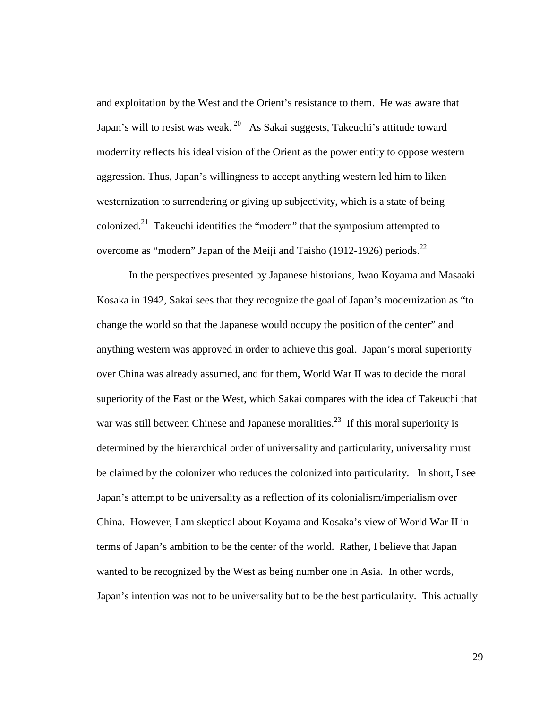and exploitation by the West and the Orient's resistance to them. He was aware that Japan's will to resist was weak.<sup>20</sup> As Sakai suggests, Takeuchi's attitude toward modernity reflects his ideal vision of the Orient as the power entity to oppose western aggression. Thus, Japan's willingness to accept anything western led him to liken westernization to surrendering or giving up subjectivity, which is a state of being colonized.<sup>21</sup> Takeuchi identifies the "modern" that the symposium attempted to overcome as "modern" Japan of the Meiji and Taisho (1912-1926) periods. $^{22}$ 

 In the perspectives presented by Japanese historians, Iwao Koyama and Masaaki Kosaka in 1942, Sakai sees that they recognize the goal of Japan's modernization as "to change the world so that the Japanese would occupy the position of the center" and anything western was approved in order to achieve this goal. Japan's moral superiority over China was already assumed, and for them, World War II was to decide the moral superiority of the East or the West, which Sakai compares with the idea of Takeuchi that war was still between Chinese and Japanese moralities.<sup>23</sup> If this moral superiority is determined by the hierarchical order of universality and particularity, universality must be claimed by the colonizer who reduces the colonized into particularity. In short, I see Japan's attempt to be universality as a reflection of its colonialism/imperialism over China. However, I am skeptical about Koyama and Kosaka's view of World War II in terms of Japan's ambition to be the center of the world. Rather, I believe that Japan wanted to be recognized by the West as being number one in Asia. In other words, Japan's intention was not to be universality but to be the best particularity. This actually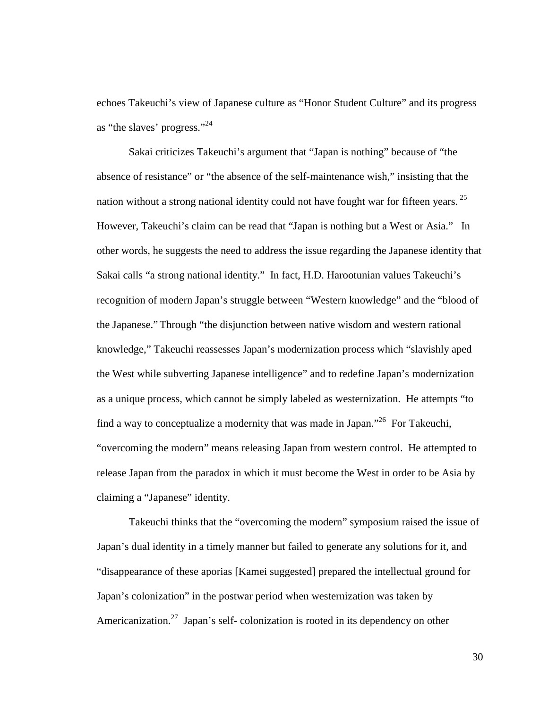echoes Takeuchi's view of Japanese culture as "Honor Student Culture" and its progress as "the slaves' progress."<sup>24</sup>

Sakai criticizes Takeuchi's argument that "Japan is nothing" because of "the absence of resistance" or "the absence of the self-maintenance wish," insisting that the nation without a strong national identity could not have fought war for fifteen years.<sup>25</sup> However, Takeuchi's claim can be read that "Japan is nothing but a West or Asia." In other words, he suggests the need to address the issue regarding the Japanese identity that Sakai calls "a strong national identity." In fact, H.D. Harootunian values Takeuchi's recognition of modern Japan's struggle between "Western knowledge" and the "blood of the Japanese." Through "the disjunction between native wisdom and western rational knowledge," Takeuchi reassesses Japan's modernization process which "slavishly aped the West while subverting Japanese intelligence" and to redefine Japan's modernization as a unique process, which cannot be simply labeled as westernization. He attempts "to find a way to conceptualize a modernity that was made in Japan."<sup>26</sup> For Takeuchi, "overcoming the modern" means releasing Japan from western control. He attempted to release Japan from the paradox in which it must become the West in order to be Asia by claiming a "Japanese" identity.

Takeuchi thinks that the "overcoming the modern" symposium raised the issue of Japan's dual identity in a timely manner but failed to generate any solutions for it, and "disappearance of these aporias [Kamei suggested] prepared the intellectual ground for Japan's colonization" in the postwar period when westernization was taken by Americanization.<sup>27</sup> Japan's self- colonization is rooted in its dependency on other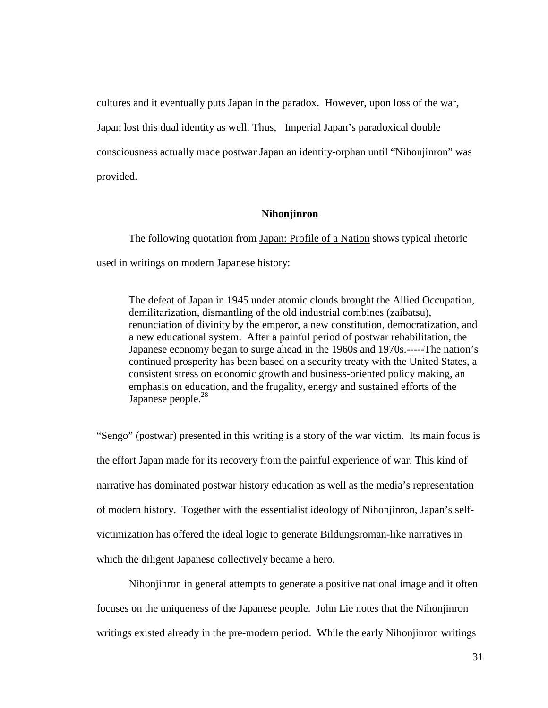cultures and it eventually puts Japan in the paradox. However, upon loss of the war, Japan lost this dual identity as well. Thus, Imperial Japan's paradoxical double consciousness actually made postwar Japan an identity-orphan until "Nihonjinron" was provided.

#### **Nihonjinron**

The following quotation from Japan: Profile of a Nation shows typical rhetoric used in writings on modern Japanese history:

The defeat of Japan in 1945 under atomic clouds brought the Allied Occupation, demilitarization, dismantling of the old industrial combines (zaibatsu), renunciation of divinity by the emperor, a new constitution, democratization, and a new educational system. After a painful period of postwar rehabilitation, the Japanese economy began to surge ahead in the 1960s and 1970s.-----The nation's continued prosperity has been based on a security treaty with the United States, a consistent stress on economic growth and business-oriented policy making, an emphasis on education, and the frugality, energy and sustained efforts of the Japanese people.<sup>28</sup>

"Sengo" (postwar) presented in this writing is a story of the war victim. Its main focus is the effort Japan made for its recovery from the painful experience of war. This kind of narrative has dominated postwar history education as well as the media's representation of modern history. Together with the essentialist ideology of Nihonjinron, Japan's selfvictimization has offered the ideal logic to generate Bildungsroman-like narratives in which the diligent Japanese collectively became a hero.

Nihonjinron in general attempts to generate a positive national image and it often focuses on the uniqueness of the Japanese people. John Lie notes that the Nihonjinron writings existed already in the pre-modern period. While the early Nihonjinron writings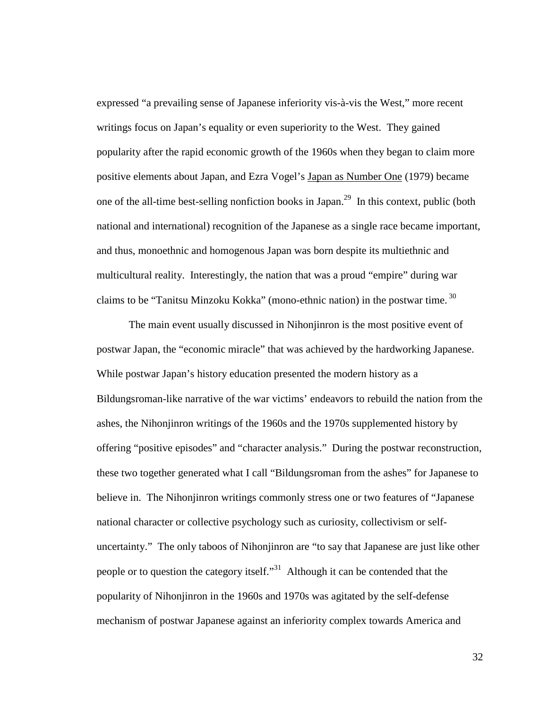expressed "a prevailing sense of Japanese inferiority vis-à-vis the West," more recent writings focus on Japan's equality or even superiority to the West. They gained popularity after the rapid economic growth of the 1960s when they began to claim more positive elements about Japan, and Ezra Vogel's Japan as Number One (1979) became one of the all-time best-selling nonfiction books in Japan.<sup>29</sup> In this context, public (both national and international) recognition of the Japanese as a single race became important, and thus, monoethnic and homogenous Japan was born despite its multiethnic and multicultural reality. Interestingly, the nation that was a proud "empire" during war claims to be "Tanitsu Minzoku Kokka" (mono-ethnic nation) in the postwar time.<sup>30</sup>

The main event usually discussed in Nihonjinron is the most positive event of postwar Japan, the "economic miracle" that was achieved by the hardworking Japanese. While postwar Japan's history education presented the modern history as a Bildungsroman-like narrative of the war victims' endeavors to rebuild the nation from the ashes, the Nihonjinron writings of the 1960s and the 1970s supplemented history by offering "positive episodes" and "character analysis." During the postwar reconstruction, these two together generated what I call "Bildungsroman from the ashes" for Japanese to believe in. The Nihonjinron writings commonly stress one or two features of "Japanese national character or collective psychology such as curiosity, collectivism or selfuncertainty." The only taboos of Nihonjinron are "to say that Japanese are just like other people or to question the category itself."<sup>31</sup> Although it can be contended that the popularity of Nihonjinron in the 1960s and 1970s was agitated by the self-defense mechanism of postwar Japanese against an inferiority complex towards America and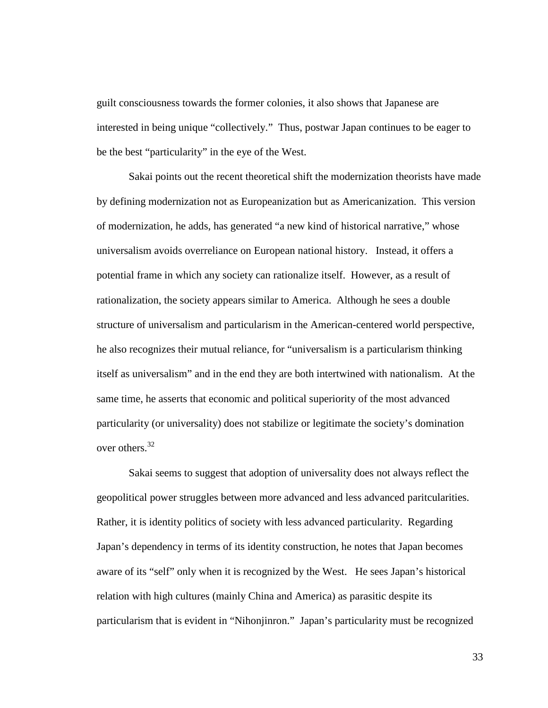guilt consciousness towards the former colonies, it also shows that Japanese are interested in being unique "collectively." Thus, postwar Japan continues to be eager to be the best "particularity" in the eye of the West.

Sakai points out the recent theoretical shift the modernization theorists have made by defining modernization not as Europeanization but as Americanization. This version of modernization, he adds, has generated "a new kind of historical narrative," whose universalism avoids overreliance on European national history. Instead, it offers a potential frame in which any society can rationalize itself. However, as a result of rationalization, the society appears similar to America. Although he sees a double structure of universalism and particularism in the American-centered world perspective, he also recognizes their mutual reliance, for "universalism is a particularism thinking itself as universalism" and in the end they are both intertwined with nationalism. At the same time, he asserts that economic and political superiority of the most advanced particularity (or universality) does not stabilize or legitimate the society's domination over others.<sup>32</sup>

Sakai seems to suggest that adoption of universality does not always reflect the geopolitical power struggles between more advanced and less advanced paritcularities. Rather, it is identity politics of society with less advanced particularity. Regarding Japan's dependency in terms of its identity construction, he notes that Japan becomes aware of its "self" only when it is recognized by the West. He sees Japan's historical relation with high cultures (mainly China and America) as parasitic despite its particularism that is evident in "Nihonjinron." Japan's particularity must be recognized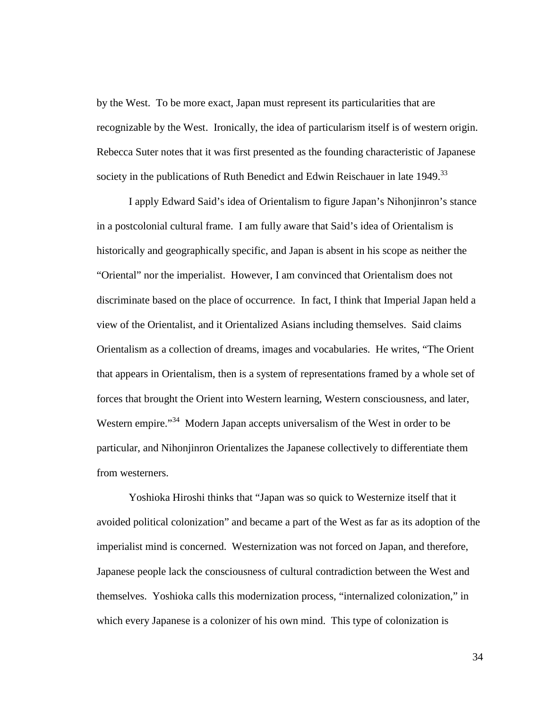by the West. To be more exact, Japan must represent its particularities that are recognizable by the West. Ironically, the idea of particularism itself is of western origin. Rebecca Suter notes that it was first presented as the founding characteristic of Japanese society in the publications of Ruth Benedict and Edwin Reischauer in late  $1949$ <sup>33</sup>

I apply Edward Said's idea of Orientalism to figure Japan's Nihonjinron's stance in a postcolonial cultural frame. I am fully aware that Said's idea of Orientalism is historically and geographically specific, and Japan is absent in his scope as neither the "Oriental" nor the imperialist. However, I am convinced that Orientalism does not discriminate based on the place of occurrence. In fact, I think that Imperial Japan held a view of the Orientalist, and it Orientalized Asians including themselves. Said claims Orientalism as a collection of dreams, images and vocabularies. He writes, "The Orient that appears in Orientalism, then is a system of representations framed by a whole set of forces that brought the Orient into Western learning, Western consciousness, and later, Western empire."<sup>34</sup> Modern Japan accepts universalism of the West in order to be particular, and Nihonjinron Orientalizes the Japanese collectively to differentiate them from westerners.

Yoshioka Hiroshi thinks that "Japan was so quick to Westernize itself that it avoided political colonization" and became a part of the West as far as its adoption of the imperialist mind is concerned. Westernization was not forced on Japan, and therefore, Japanese people lack the consciousness of cultural contradiction between the West and themselves. Yoshioka calls this modernization process, "internalized colonization," in which every Japanese is a colonizer of his own mind. This type of colonization is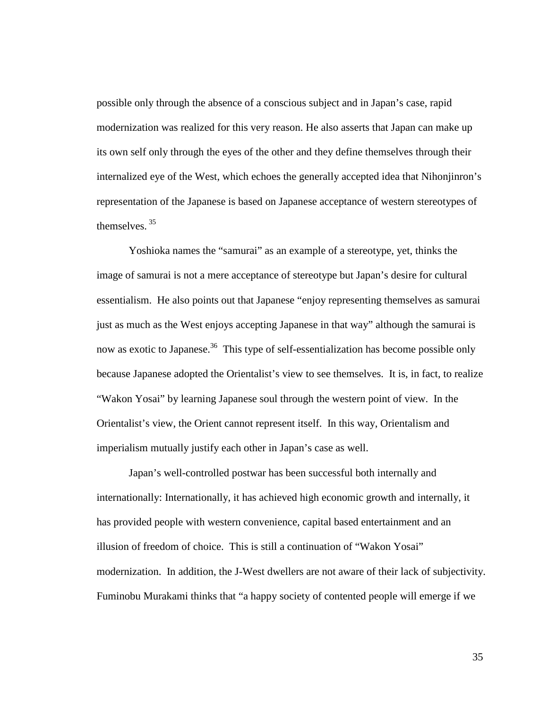possible only through the absence of a conscious subject and in Japan's case, rapid modernization was realized for this very reason. He also asserts that Japan can make up its own self only through the eyes of the other and they define themselves through their internalized eye of the West, which echoes the generally accepted idea that Nihonjinron's representation of the Japanese is based on Japanese acceptance of western stereotypes of themselves.  $35$ 

Yoshioka names the "samurai" as an example of a stereotype, yet, thinks the image of samurai is not a mere acceptance of stereotype but Japan's desire for cultural essentialism. He also points out that Japanese "enjoy representing themselves as samurai just as much as the West enjoys accepting Japanese in that way" although the samurai is now as exotic to Japanese.<sup>36</sup> This type of self-essentialization has become possible only because Japanese adopted the Orientalist's view to see themselves. It is, in fact, to realize "Wakon Yosai" by learning Japanese soul through the western point of view. In the Orientalist's view, the Orient cannot represent itself. In this way, Orientalism and imperialism mutually justify each other in Japan's case as well.

Japan's well-controlled postwar has been successful both internally and internationally: Internationally, it has achieved high economic growth and internally, it has provided people with western convenience, capital based entertainment and an illusion of freedom of choice. This is still a continuation of "Wakon Yosai" modernization. In addition, the J-West dwellers are not aware of their lack of subjectivity. Fuminobu Murakami thinks that "a happy society of contented people will emerge if we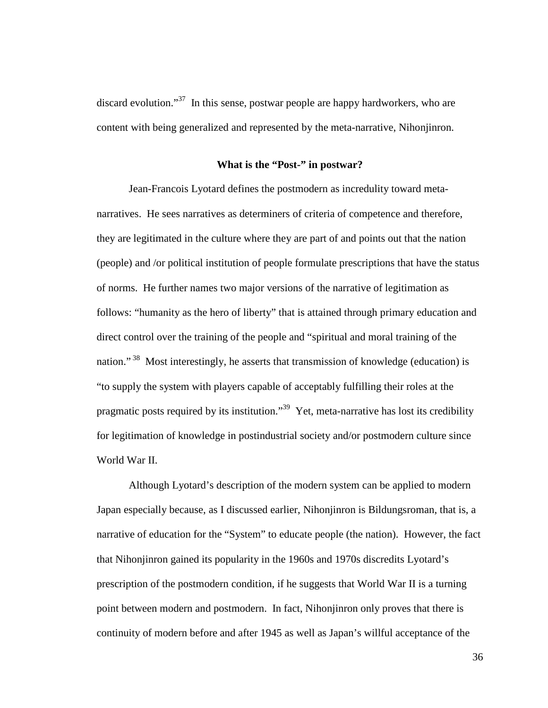discard evolution."<sup>37</sup> In this sense, postwar people are happy hardworkers, who are content with being generalized and represented by the meta-narrative, Nihonjinron.

## **What is the "Post-" in postwar?**

 Jean-Francois Lyotard defines the postmodern as incredulity toward metanarratives. He sees narratives as determiners of criteria of competence and therefore, they are legitimated in the culture where they are part of and points out that the nation (people) and /or political institution of people formulate prescriptions that have the status of norms. He further names two major versions of the narrative of legitimation as follows: "humanity as the hero of liberty" that is attained through primary education and direct control over the training of the people and "spiritual and moral training of the nation."<sup>38</sup> Most interestingly, he asserts that transmission of knowledge (education) is "to supply the system with players capable of acceptably fulfilling their roles at the pragmatic posts required by its institution."<sup>39</sup> Yet, meta-narrative has lost its credibility for legitimation of knowledge in postindustrial society and/or postmodern culture since World War II.

Although Lyotard's description of the modern system can be applied to modern Japan especially because, as I discussed earlier, Nihonjinron is Bildungsroman, that is, a narrative of education for the "System" to educate people (the nation). However, the fact that Nihonjinron gained its popularity in the 1960s and 1970s discredits Lyotard's prescription of the postmodern condition, if he suggests that World War II is a turning point between modern and postmodern. In fact, Nihonjinron only proves that there is continuity of modern before and after 1945 as well as Japan's willful acceptance of the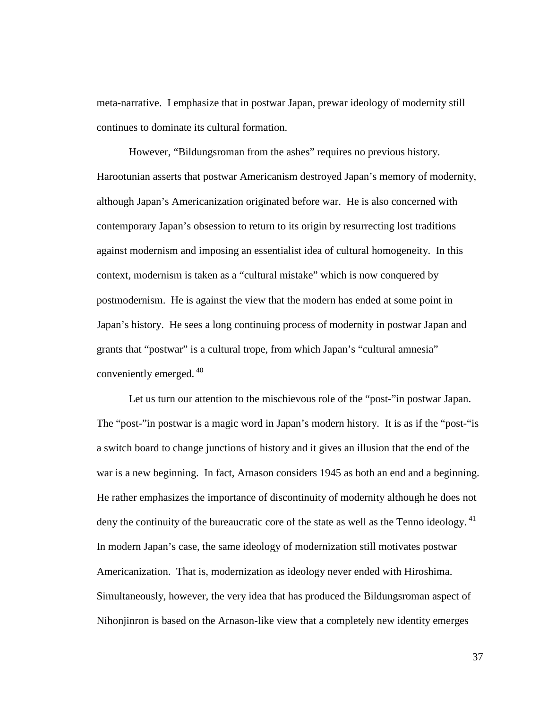meta-narrative. I emphasize that in postwar Japan, prewar ideology of modernity still continues to dominate its cultural formation.

 However, "Bildungsroman from the ashes" requires no previous history. Harootunian asserts that postwar Americanism destroyed Japan's memory of modernity, although Japan's Americanization originated before war. He is also concerned with contemporary Japan's obsession to return to its origin by resurrecting lost traditions against modernism and imposing an essentialist idea of cultural homogeneity. In this context, modernism is taken as a "cultural mistake" which is now conquered by postmodernism. He is against the view that the modern has ended at some point in Japan's history. He sees a long continuing process of modernity in postwar Japan and grants that "postwar" is a cultural trope, from which Japan's "cultural amnesia" conveniently emerged.<sup>40</sup>

 Let us turn our attention to the mischievous role of the "post-"in postwar Japan. The "post-"in postwar is a magic word in Japan's modern history. It is as if the "post-"is a switch board to change junctions of history and it gives an illusion that the end of the war is a new beginning. In fact, Arnason considers 1945 as both an end and a beginning. He rather emphasizes the importance of discontinuity of modernity although he does not deny the continuity of the bureaucratic core of the state as well as the Tenno ideology.<sup>41</sup> In modern Japan's case, the same ideology of modernization still motivates postwar Americanization. That is, modernization as ideology never ended with Hiroshima. Simultaneously, however, the very idea that has produced the Bildungsroman aspect of Nihonjinron is based on the Arnason-like view that a completely new identity emerges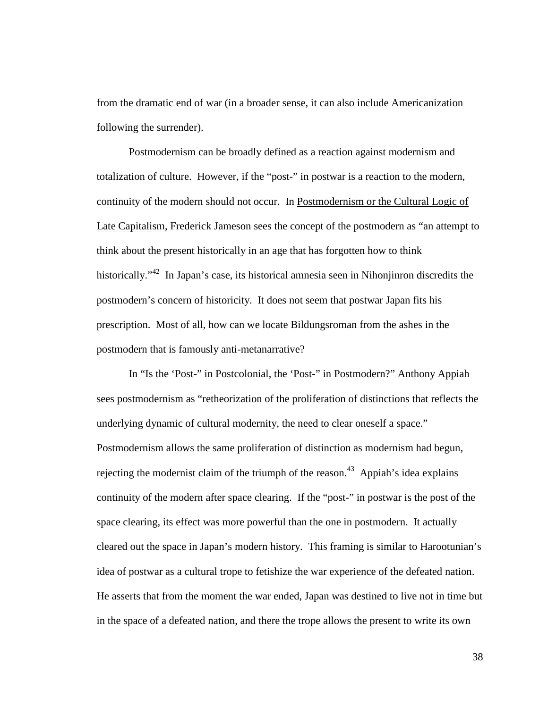from the dramatic end of war (in a broader sense, it can also include Americanization following the surrender).

Postmodernism can be broadly defined as a reaction against modernism and totalization of culture. However, if the "post-" in postwar is a reaction to the modern, continuity of the modern should not occur. In Postmodernism or the Cultural Logic of Late Capitalism, Frederick Jameson sees the concept of the postmodern as "an attempt to think about the present historically in an age that has forgotten how to think historically."<sup>42</sup> In Japan's case, its historical amnesia seen in Nihonjinron discredits the postmodern's concern of historicity. It does not seem that postwar Japan fits his prescription. Most of all, how can we locate Bildungsroman from the ashes in the postmodern that is famously anti-metanarrative?

In "Is the 'Post-" in Postcolonial, the 'Post-" in Postmodern?" Anthony Appiah sees postmodernism as "retheorization of the proliferation of distinctions that reflects the underlying dynamic of cultural modernity, the need to clear oneself a space." Postmodernism allows the same proliferation of distinction as modernism had begun, rejecting the modernist claim of the triumph of the reason.<sup>43</sup> Appiah's idea explains continuity of the modern after space clearing. If the "post-" in postwar is the post of the space clearing, its effect was more powerful than the one in postmodern. It actually cleared out the space in Japan's modern history. This framing is similar to Harootunian's idea of postwar as a cultural trope to fetishize the war experience of the defeated nation. He asserts that from the moment the war ended, Japan was destined to live not in time but in the space of a defeated nation, and there the trope allows the present to write its own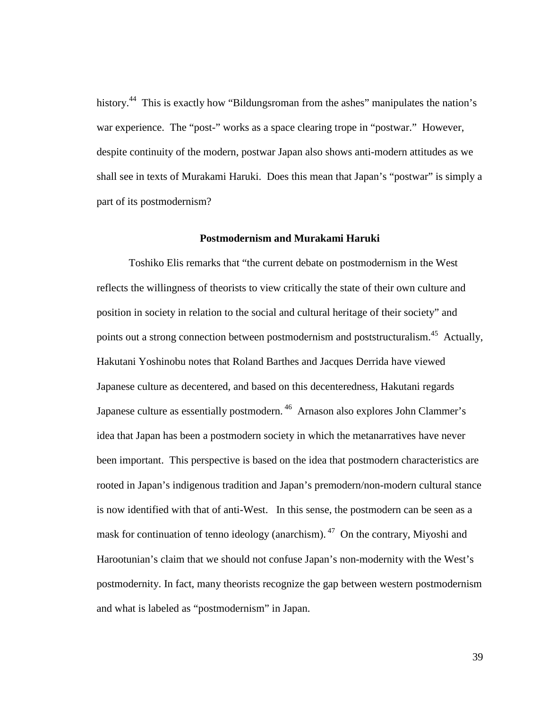history.<sup>44</sup> This is exactly how "Bildungsroman from the ashes" manipulates the nation's war experience. The "post-" works as a space clearing trope in "postwar." However, despite continuity of the modern, postwar Japan also shows anti-modern attitudes as we shall see in texts of Murakami Haruki. Does this mean that Japan's "postwar" is simply a part of its postmodernism?

## **Postmodernism and Murakami Haruki**

Toshiko Elis remarks that "the current debate on postmodernism in the West reflects the willingness of theorists to view critically the state of their own culture and position in society in relation to the social and cultural heritage of their society" and points out a strong connection between postmodernism and poststructuralism.<sup>45</sup> Actually, Hakutani Yoshinobu notes that Roland Barthes and Jacques Derrida have viewed Japanese culture as decentered, and based on this decenteredness, Hakutani regards Japanese culture as essentially postmodern.<sup>46</sup> Arnason also explores John Clammer's idea that Japan has been a postmodern society in which the metanarratives have never been important. This perspective is based on the idea that postmodern characteristics are rooted in Japan's indigenous tradition and Japan's premodern/non-modern cultural stance is now identified with that of anti-West. In this sense, the postmodern can be seen as a mask for continuation of tenno ideology (anarchism).<sup>47</sup> On the contrary, Miyoshi and Harootunian's claim that we should not confuse Japan's non-modernity with the West's postmodernity. In fact, many theorists recognize the gap between western postmodernism and what is labeled as "postmodernism" in Japan.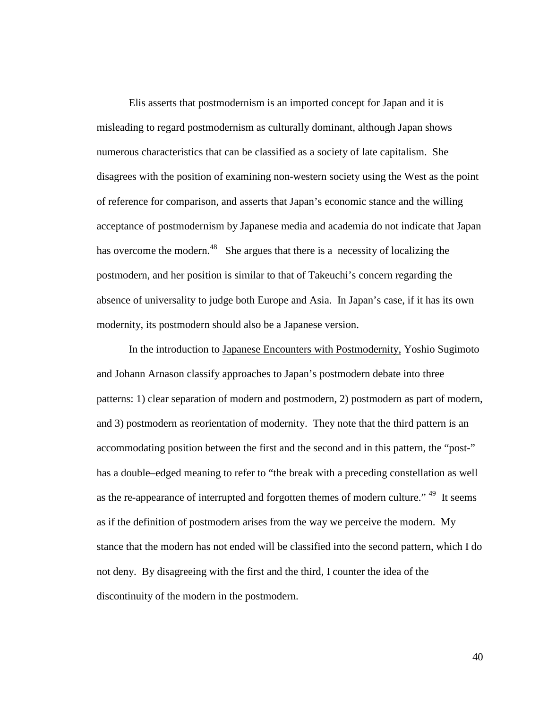Elis asserts that postmodernism is an imported concept for Japan and it is misleading to regard postmodernism as culturally dominant, although Japan shows numerous characteristics that can be classified as a society of late capitalism. She disagrees with the position of examining non-western society using the West as the point of reference for comparison, and asserts that Japan's economic stance and the willing acceptance of postmodernism by Japanese media and academia do not indicate that Japan has overcome the modern.<sup>48</sup> She argues that there is a necessity of localizing the postmodern, and her position is similar to that of Takeuchi's concern regarding the absence of universality to judge both Europe and Asia. In Japan's case, if it has its own modernity, its postmodern should also be a Japanese version.

In the introduction to Japanese Encounters with Postmodernity, Yoshio Sugimoto and Johann Arnason classify approaches to Japan's postmodern debate into three patterns: 1) clear separation of modern and postmodern, 2) postmodern as part of modern, and 3) postmodern as reorientation of modernity. They note that the third pattern is an accommodating position between the first and the second and in this pattern, the "post-" has a double–edged meaning to refer to "the break with a preceding constellation as well as the re-appearance of interrupted and forgotten themes of modern culture." <sup>49</sup> It seems as if the definition of postmodern arises from the way we perceive the modern. My stance that the modern has not ended will be classified into the second pattern, which I do not deny. By disagreeing with the first and the third, I counter the idea of the discontinuity of the modern in the postmodern.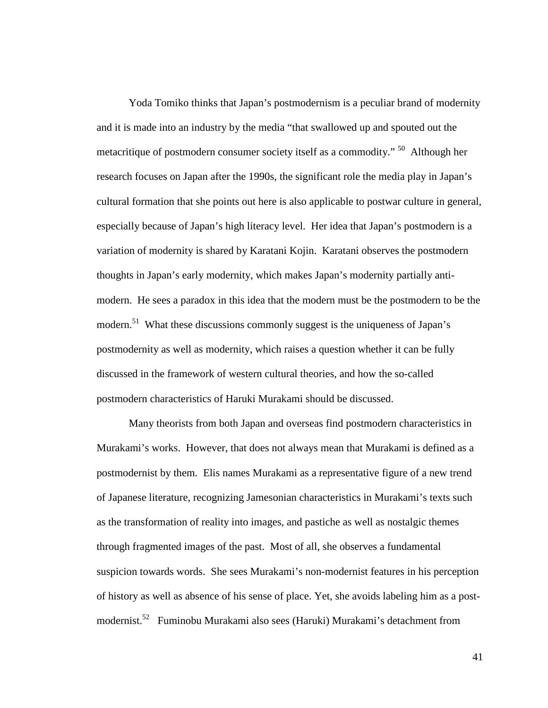Yoda Tomiko thinks that Japan's postmodernism is a peculiar brand of modernity and it is made into an industry by the media "that swallowed up and spouted out the metacritique of postmodern consumer society itself as a commodity." <sup>50</sup> Although her research focuses on Japan after the 1990s, the significant role the media play in Japan's cultural formation that she points out here is also applicable to postwar culture in general, especially because of Japan's high literacy level. Her idea that Japan's postmodern is a variation of modernity is shared by Karatani Kojin. Karatani observes the postmodern thoughts in Japan's early modernity, which makes Japan's modernity partially antimodern. He sees a paradox in this idea that the modern must be the postmodern to be the modern.<sup>51</sup> What these discussions commonly suggest is the uniqueness of Japan's postmodernity as well as modernity, which raises a question whether it can be fully discussed in the framework of western cultural theories, and how the so-called postmodern characteristics of Haruki Murakami should be discussed.

Many theorists from both Japan and overseas find postmodern characteristics in Murakami's works. However, that does not always mean that Murakami is defined as a postmodernist by them. Elis names Murakami as a representative figure of a new trend of Japanese literature, recognizing Jamesonian characteristics in Murakami's texts such as the transformation of reality into images, and pastiche as well as nostalgic themes through fragmented images of the past. Most of all, she observes a fundamental suspicion towards words. She sees Murakami's non-modernist features in his perception of history as well as absence of his sense of place. Yet, she avoids labeling him as a postmodernist.<sup>52</sup> Fuminobu Murakami also sees (Haruki) Murakami's detachment from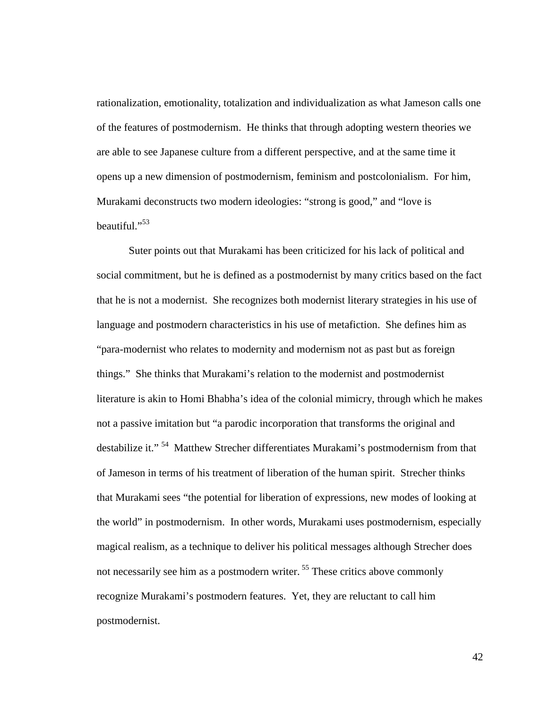rationalization, emotionality, totalization and individualization as what Jameson calls one of the features of postmodernism. He thinks that through adopting western theories we are able to see Japanese culture from a different perspective, and at the same time it opens up a new dimension of postmodernism, feminism and postcolonialism. For him, Murakami deconstructs two modern ideologies: "strong is good," and "love is beautiful."<sup>53</sup>

Suter points out that Murakami has been criticized for his lack of political and social commitment, but he is defined as a postmodernist by many critics based on the fact that he is not a modernist. She recognizes both modernist literary strategies in his use of language and postmodern characteristics in his use of metafiction. She defines him as "para-modernist who relates to modernity and modernism not as past but as foreign things." She thinks that Murakami's relation to the modernist and postmodernist literature is akin to Homi Bhabha's idea of the colonial mimicry, through which he makes not a passive imitation but "a parodic incorporation that transforms the original and destabilize it." <sup>54</sup> Matthew Strecher differentiates Murakami's postmodernism from that of Jameson in terms of his treatment of liberation of the human spirit. Strecher thinks that Murakami sees "the potential for liberation of expressions, new modes of looking at the world" in postmodernism. In other words, Murakami uses postmodernism, especially magical realism, as a technique to deliver his political messages although Strecher does not necessarily see him as a postmodern writer.<sup>55</sup> These critics above commonly recognize Murakami's postmodern features. Yet, they are reluctant to call him postmodernist.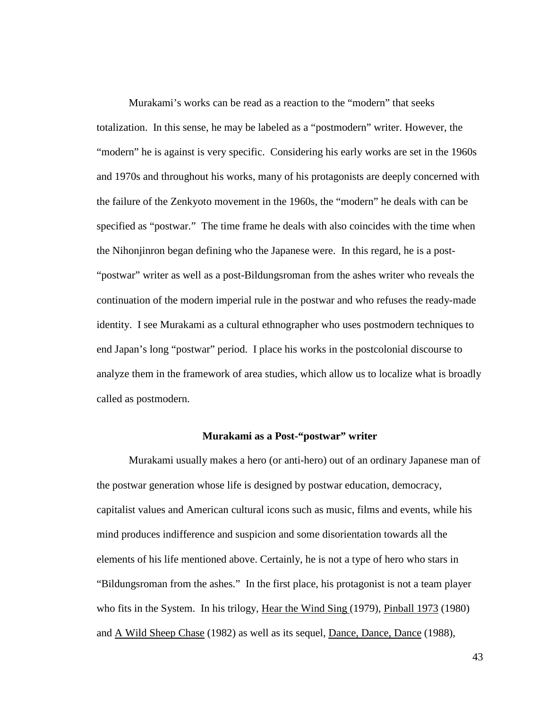Murakami's works can be read as a reaction to the "modern" that seeks totalization. In this sense, he may be labeled as a "postmodern" writer. However, the "modern" he is against is very specific. Considering his early works are set in the 1960s and 1970s and throughout his works, many of his protagonists are deeply concerned with the failure of the Zenkyoto movement in the 1960s, the "modern" he deals with can be specified as "postwar." The time frame he deals with also coincides with the time when the Nihonjinron began defining who the Japanese were. In this regard, he is a post- "postwar" writer as well as a post-Bildungsroman from the ashes writer who reveals the continuation of the modern imperial rule in the postwar and who refuses the ready-made identity. I see Murakami as a cultural ethnographer who uses postmodern techniques to end Japan's long "postwar" period. I place his works in the postcolonial discourse to analyze them in the framework of area studies, which allow us to localize what is broadly called as postmodern.

#### **Murakami as a Post-"postwar" writer**

Murakami usually makes a hero (or anti-hero) out of an ordinary Japanese man of the postwar generation whose life is designed by postwar education, democracy, capitalist values and American cultural icons such as music, films and events, while his mind produces indifference and suspicion and some disorientation towards all the elements of his life mentioned above. Certainly, he is not a type of hero who stars in "Bildungsroman from the ashes." In the first place, his protagonist is not a team player who fits in the System. In his trilogy, Hear the Wind Sing (1979), Pinball 1973 (1980) and A Wild Sheep Chase (1982) as well as its sequel, Dance, Dance, Dance (1988),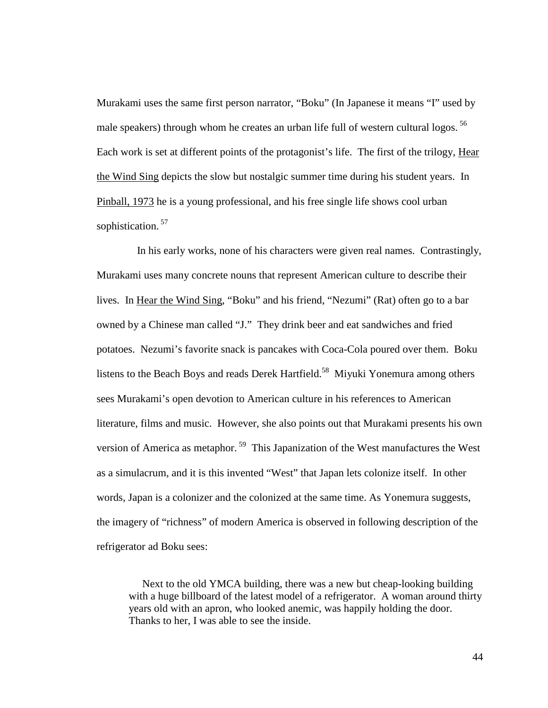Murakami uses the same first person narrator, "Boku" (In Japanese it means "I" used by male speakers) through whom he creates an urban life full of western cultural logos.<sup>56</sup> Each work is set at different points of the protagonist's life. The first of the trilogy, Hear the Wind Sing depicts the slow but nostalgic summer time during his student years. In Pinball, 1973 he is a young professional, and his free single life shows cool urban sophistication.<sup>57</sup>

 In his early works, none of his characters were given real names. Contrastingly, Murakami uses many concrete nouns that represent American culture to describe their lives. In Hear the Wind Sing, "Boku" and his friend, "Nezumi" (Rat) often go to a bar owned by a Chinese man called "J." They drink beer and eat sandwiches and fried potatoes. Nezumi's favorite snack is pancakes with Coca-Cola poured over them. Boku listens to the Beach Boys and reads Derek Hartfield.<sup>58</sup> Miyuki Yonemura among others sees Murakami's open devotion to American culture in his references to American literature, films and music. However, she also points out that Murakami presents his own version of America as metaphor.<sup>59</sup> This Japanization of the West manufactures the West as a simulacrum, and it is this invented "West" that Japan lets colonize itself. In other words, Japan is a colonizer and the colonized at the same time. As Yonemura suggests, the imagery of "richness" of modern America is observed in following description of the refrigerator ad Boku sees:

 Next to the old YMCA building, there was a new but cheap-looking building with a huge billboard of the latest model of a refrigerator. A woman around thirty years old with an apron, who looked anemic, was happily holding the door. Thanks to her, I was able to see the inside.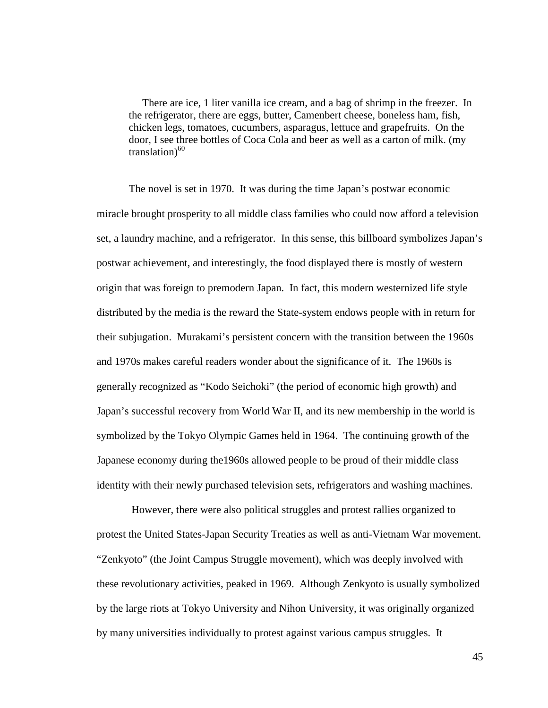There are ice, 1 liter vanilla ice cream, and a bag of shrimp in the freezer. In the refrigerator, there are eggs, butter, Camenbert cheese, boneless ham, fish, chicken legs, tomatoes, cucumbers, asparagus, lettuce and grapefruits. On the door, I see three bottles of Coca Cola and beer as well as a carton of milk. (my translation) $60$ 

The novel is set in 1970. It was during the time Japan's postwar economic miracle brought prosperity to all middle class families who could now afford a television set, a laundry machine, and a refrigerator. In this sense, this billboard symbolizes Japan's postwar achievement, and interestingly, the food displayed there is mostly of western origin that was foreign to premodern Japan. In fact, this modern westernized life style distributed by the media is the reward the State-system endows people with in return for their subjugation. Murakami's persistent concern with the transition between the 1960s and 1970s makes careful readers wonder about the significance of it. The 1960s is generally recognized as "Kodo Seichoki" (the period of economic high growth) and Japan's successful recovery from World War II, and its new membership in the world is symbolized by the Tokyo Olympic Games held in 1964. The continuing growth of the Japanese economy during the1960s allowed people to be proud of their middle class identity with their newly purchased television sets, refrigerators and washing machines.

 However, there were also political struggles and protest rallies organized to protest the United States-Japan Security Treaties as well as anti-Vietnam War movement. "Zenkyoto" (the Joint Campus Struggle movement), which was deeply involved with these revolutionary activities, peaked in 1969. Although Zenkyoto is usually symbolized by the large riots at Tokyo University and Nihon University, it was originally organized by many universities individually to protest against various campus struggles. It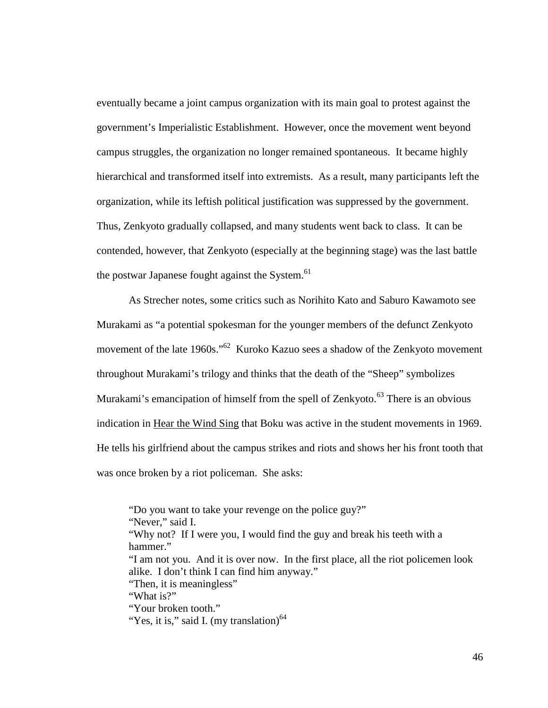eventually became a joint campus organization with its main goal to protest against the government's Imperialistic Establishment. However, once the movement went beyond campus struggles, the organization no longer remained spontaneous. It became highly hierarchical and transformed itself into extremists. As a result, many participants left the organization, while its leftish political justification was suppressed by the government. Thus, Zenkyoto gradually collapsed, and many students went back to class. It can be contended, however, that Zenkyoto (especially at the beginning stage) was the last battle the postwar Japanese fought against the System.<sup>61</sup>

As Strecher notes, some critics such as Norihito Kato and Saburo Kawamoto see Murakami as "a potential spokesman for the younger members of the defunct Zenkyoto movement of the late 1960s."<sup>62</sup> Kuroko Kazuo sees a shadow of the Zenkyoto movement throughout Murakami's trilogy and thinks that the death of the "Sheep" symbolizes Murakami's emancipation of himself from the spell of Zenkyoto.<sup>63</sup> There is an obvious indication in Hear the Wind Sing that Boku was active in the student movements in 1969. He tells his girlfriend about the campus strikes and riots and shows her his front tooth that was once broken by a riot policeman. She asks:

"Do you want to take your revenge on the police guy?" "Never," said I. "Why not? If I were you, I would find the guy and break his teeth with a hammer." "I am not you. And it is over now. In the first place, all the riot policemen look alike. I don't think I can find him anyway." "Then, it is meaningless" "What is?" "Your broken tooth." "Yes, it is," said I. (my translation) $64$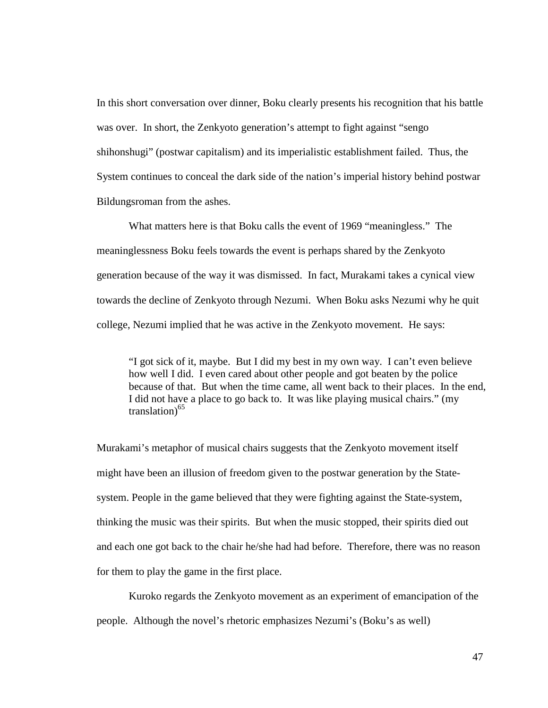In this short conversation over dinner, Boku clearly presents his recognition that his battle was over. In short, the Zenkyoto generation's attempt to fight against "sengo shihonshugi" (postwar capitalism) and its imperialistic establishment failed. Thus, the System continues to conceal the dark side of the nation's imperial history behind postwar Bildungsroman from the ashes.

What matters here is that Boku calls the event of 1969 "meaningless." The meaninglessness Boku feels towards the event is perhaps shared by the Zenkyoto generation because of the way it was dismissed. In fact, Murakami takes a cynical view towards the decline of Zenkyoto through Nezumi. When Boku asks Nezumi why he quit college, Nezumi implied that he was active in the Zenkyoto movement. He says:

"I got sick of it, maybe. But I did my best in my own way. I can't even believe how well I did. I even cared about other people and got beaten by the police because of that. But when the time came, all went back to their places. In the end, I did not have a place to go back to. It was like playing musical chairs." (my  $translation<sup>65</sup>$ 

Murakami's metaphor of musical chairs suggests that the Zenkyoto movement itself might have been an illusion of freedom given to the postwar generation by the Statesystem. People in the game believed that they were fighting against the State-system, thinking the music was their spirits. But when the music stopped, their spirits died out and each one got back to the chair he/she had had before. Therefore, there was no reason for them to play the game in the first place.

Kuroko regards the Zenkyoto movement as an experiment of emancipation of the people. Although the novel's rhetoric emphasizes Nezumi's (Boku's as well)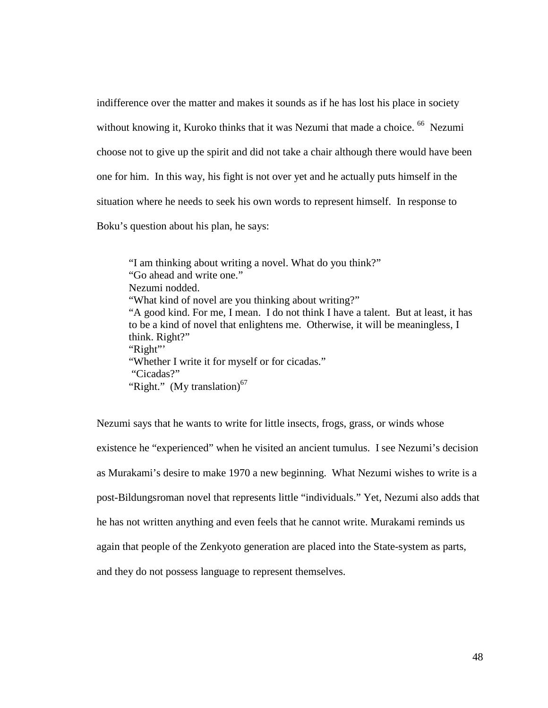indifference over the matter and makes it sounds as if he has lost his place in society without knowing it, Kuroko thinks that it was Nezumi that made a choice. <sup>66</sup> Nezumi choose not to give up the spirit and did not take a chair although there would have been one for him. In this way, his fight is not over yet and he actually puts himself in the situation where he needs to seek his own words to represent himself. In response to Boku's question about his plan, he says:

"I am thinking about writing a novel. What do you think?" "Go ahead and write one." Nezumi nodded. "What kind of novel are you thinking about writing?" "A good kind. For me, I mean. I do not think I have a talent. But at least, it has to be a kind of novel that enlightens me. Otherwise, it will be meaningless, I think. Right?" "Right" "Whether I write it for myself or for cicadas." "Cicadas?" "Right." (My translation)<sup>67</sup>

Nezumi says that he wants to write for little insects, frogs, grass, or winds whose existence he "experienced" when he visited an ancient tumulus. I see Nezumi's decision as Murakami's desire to make 1970 a new beginning. What Nezumi wishes to write is a post-Bildungsroman novel that represents little "individuals." Yet, Nezumi also adds that he has not written anything and even feels that he cannot write. Murakami reminds us again that people of the Zenkyoto generation are placed into the State-system as parts, and they do not possess language to represent themselves.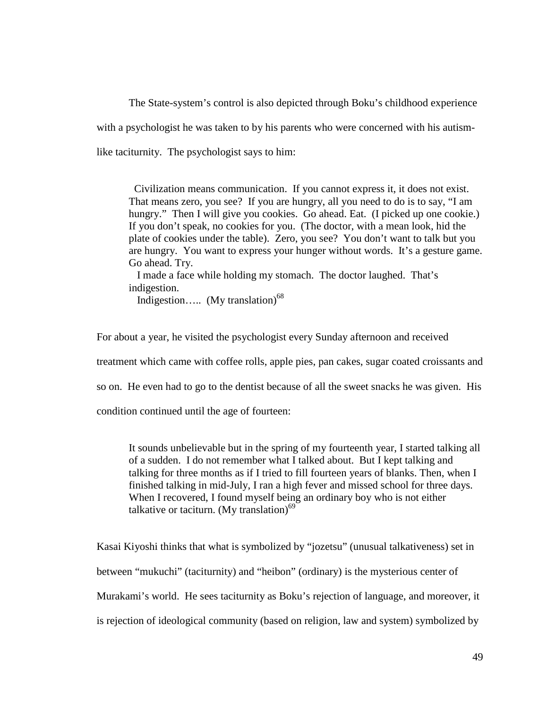The State-system's control is also depicted through Boku's childhood experience with a psychologist he was taken to by his parents who were concerned with his autismlike taciturnity. The psychologist says to him:

 Civilization means communication. If you cannot express it, it does not exist. That means zero, you see? If you are hungry, all you need to do is to say, "I am hungry." Then I will give you cookies. Go ahead. Eat. (I picked up one cookie.) If you don't speak, no cookies for you. (The doctor, with a mean look, hid the plate of cookies under the table). Zero, you see? You don't want to talk but you are hungry. You want to express your hunger without words. It's a gesture game. Go ahead. Try.

 I made a face while holding my stomach. The doctor laughed. That's indigestion.

Indigestion..... (My translation) $^{68}$ 

For about a year, he visited the psychologist every Sunday afternoon and received

treatment which came with coffee rolls, apple pies, pan cakes, sugar coated croissants and

so on. He even had to go to the dentist because of all the sweet snacks he was given. His

condition continued until the age of fourteen:

It sounds unbelievable but in the spring of my fourteenth year, I started talking all of a sudden. I do not remember what I talked about. But I kept talking and talking for three months as if I tried to fill fourteen years of blanks. Then, when I finished talking in mid-July, I ran a high fever and missed school for three days. When I recovered, I found myself being an ordinary boy who is not either talkative or taciturn. (My translation) $^{69}$ 

Kasai Kiyoshi thinks that what is symbolized by "jozetsu" (unusual talkativeness) set in between "mukuchi" (taciturnity) and "heibon" (ordinary) is the mysterious center of Murakami's world. He sees taciturnity as Boku's rejection of language, and moreover, it is rejection of ideological community (based on religion, law and system) symbolized by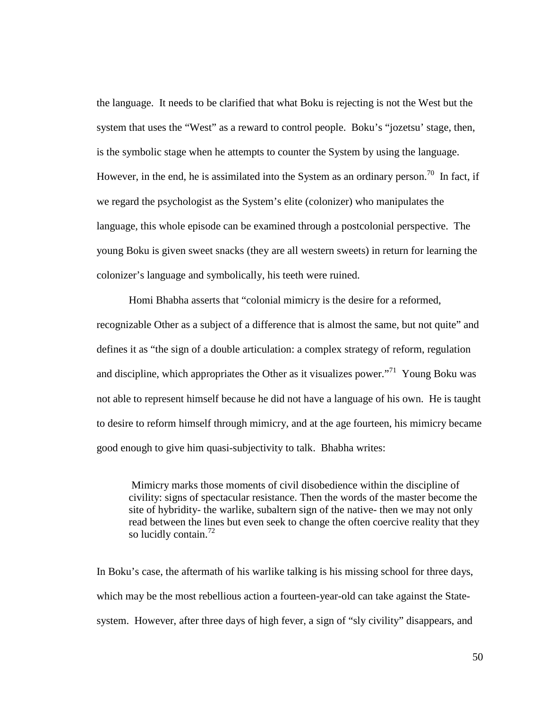the language. It needs to be clarified that what Boku is rejecting is not the West but the system that uses the "West" as a reward to control people. Boku's "jozetsu' stage, then, is the symbolic stage when he attempts to counter the System by using the language. However, in the end, he is assimilated into the System as an ordinary person.<sup>70</sup> In fact, if we regard the psychologist as the System's elite (colonizer) who manipulates the language, this whole episode can be examined through a postcolonial perspective. The young Boku is given sweet snacks (they are all western sweets) in return for learning the colonizer's language and symbolically, his teeth were ruined.

Homi Bhabha asserts that "colonial mimicry is the desire for a reformed, recognizable Other as a subject of a difference that is almost the same, but not quite" and defines it as "the sign of a double articulation: a complex strategy of reform, regulation and discipline, which appropriates the Other as it visualizes power."<sup>71</sup> Young Boku was not able to represent himself because he did not have a language of his own. He is taught to desire to reform himself through mimicry, and at the age fourteen, his mimicry became good enough to give him quasi-subjectivity to talk. Bhabha writes:

 Mimicry marks those moments of civil disobedience within the discipline of civility: signs of spectacular resistance. Then the words of the master become the site of hybridity- the warlike, subaltern sign of the native- then we may not only read between the lines but even seek to change the often coercive reality that they so lucidly contain.<sup>72</sup>

In Boku's case, the aftermath of his warlike talking is his missing school for three days, which may be the most rebellious action a fourteen-year-old can take against the Statesystem. However, after three days of high fever, a sign of "sly civility" disappears, and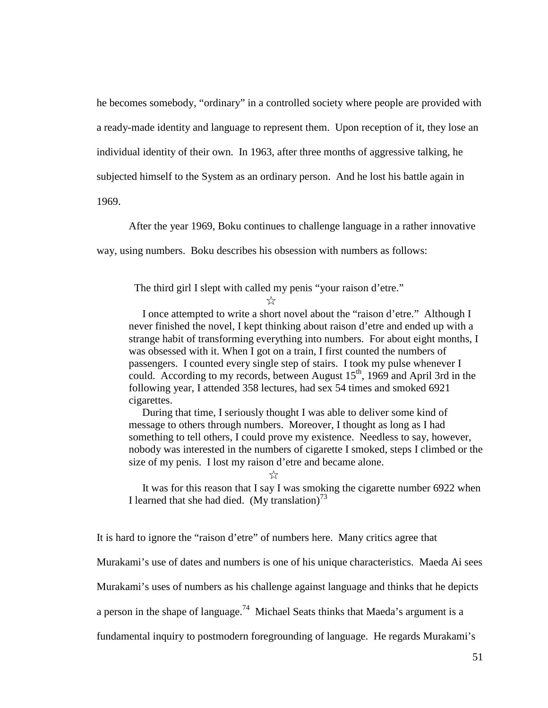he becomes somebody, "ordinary" in a controlled society where people are provided with a ready-made identity and language to represent them. Upon reception of it, they lose an individual identity of their own. In 1963, after three months of aggressive talking, he subjected himself to the System as an ordinary person. And he lost his battle again in 1969.

After the year 1969, Boku continues to challenge language in a rather innovative

way, using numbers. Boku describes his obsession with numbers as follows:

The third girl I slept with called my penis "your raison d'etre."

☆

 I once attempted to write a short novel about the "raison d'etre." Although I never finished the novel, I kept thinking about raison d'etre and ended up with a strange habit of transforming everything into numbers. For about eight months, I was obsessed with it. When I got on a train, I first counted the numbers of passengers. I counted every single step of stairs. I took my pulse whenever I could. According to my records, between August  $15<sup>th</sup>$ , 1969 and April 3rd in the following year, I attended 358 lectures, had sex 54 times and smoked 6921 cigarettes.

 During that time, I seriously thought I was able to deliver some kind of message to others through numbers. Moreover, I thought as long as I had something to tell others, I could prove my existence. Needless to say, however, nobody was interested in the numbers of cigarette I smoked, steps I climbed or the size of my penis. I lost my raison d'etre and became alone.

☆

 It was for this reason that I say I was smoking the cigarette number 6922 when I learned that she had died. (My translation)<sup>73</sup>

It is hard to ignore the "raison d'etre" of numbers here. Many critics agree that

Murakami's use of dates and numbers is one of his unique characteristics. Maeda Ai sees

Murakami's uses of numbers as his challenge against language and thinks that he depicts

a person in the shape of language.<sup>74</sup> Michael Seats thinks that Maeda's argument is a

fundamental inquiry to postmodern foregrounding of language. He regards Murakami's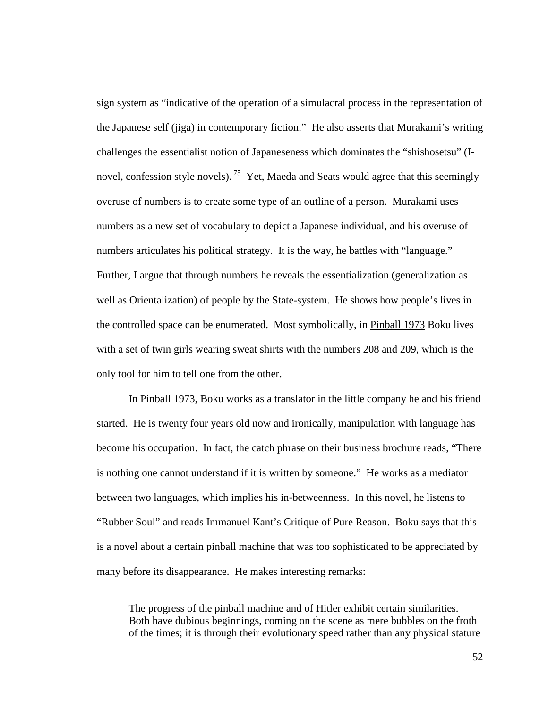sign system as "indicative of the operation of a simulacral process in the representation of the Japanese self (jiga) in contemporary fiction." He also asserts that Murakami's writing challenges the essentialist notion of Japaneseness which dominates the "shishosetsu" (Inovel, confession style novels).<sup>75</sup> Yet, Maeda and Seats would agree that this seemingly overuse of numbers is to create some type of an outline of a person. Murakami uses numbers as a new set of vocabulary to depict a Japanese individual, and his overuse of numbers articulates his political strategy. It is the way, he battles with "language." Further, I argue that through numbers he reveals the essentialization (generalization as well as Orientalization) of people by the State-system. He shows how people's lives in the controlled space can be enumerated. Most symbolically, in Pinball 1973 Boku lives with a set of twin girls wearing sweat shirts with the numbers 208 and 209, which is the only tool for him to tell one from the other.

In Pinball 1973, Boku works as a translator in the little company he and his friend started. He is twenty four years old now and ironically, manipulation with language has become his occupation. In fact, the catch phrase on their business brochure reads, "There is nothing one cannot understand if it is written by someone." He works as a mediator between two languages, which implies his in-betweenness. In this novel, he listens to "Rubber Soul" and reads Immanuel Kant's Critique of Pure Reason. Boku says that this is a novel about a certain pinball machine that was too sophisticated to be appreciated by many before its disappearance. He makes interesting remarks:

The progress of the pinball machine and of Hitler exhibit certain similarities. Both have dubious beginnings, coming on the scene as mere bubbles on the froth of the times; it is through their evolutionary speed rather than any physical stature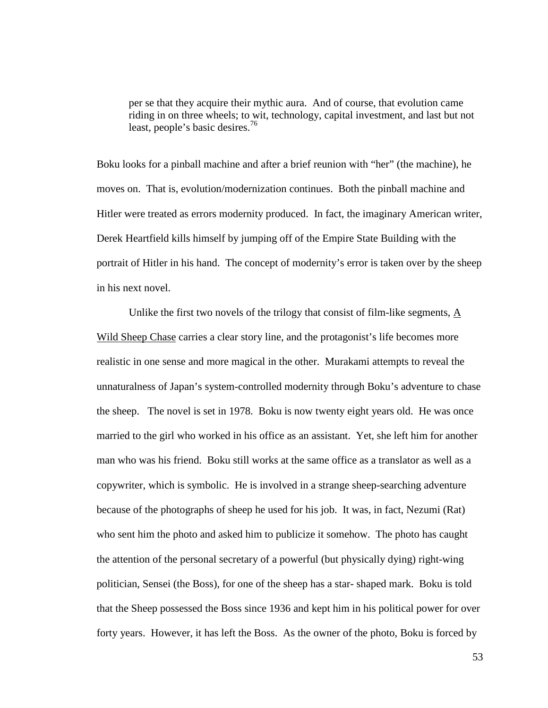per se that they acquire their mythic aura. And of course, that evolution came riding in on three wheels; to wit, technology, capital investment, and last but not least, people's basic desires.<sup>76</sup>

Boku looks for a pinball machine and after a brief reunion with "her" (the machine), he moves on. That is, evolution/modernization continues. Both the pinball machine and Hitler were treated as errors modernity produced. In fact, the imaginary American writer, Derek Heartfield kills himself by jumping off of the Empire State Building with the portrait of Hitler in his hand. The concept of modernity's error is taken over by the sheep in his next novel.

Unlike the first two novels of the trilogy that consist of film-like segments, A Wild Sheep Chase carries a clear story line, and the protagonist's life becomes more realistic in one sense and more magical in the other. Murakami attempts to reveal the unnaturalness of Japan's system-controlled modernity through Boku's adventure to chase the sheep. The novel is set in 1978. Boku is now twenty eight years old. He was once married to the girl who worked in his office as an assistant. Yet, she left him for another man who was his friend. Boku still works at the same office as a translator as well as a copywriter, which is symbolic. He is involved in a strange sheep-searching adventure because of the photographs of sheep he used for his job. It was, in fact, Nezumi (Rat) who sent him the photo and asked him to publicize it somehow. The photo has caught the attention of the personal secretary of a powerful (but physically dying) right-wing politician, Sensei (the Boss), for one of the sheep has a star- shaped mark. Boku is told that the Sheep possessed the Boss since 1936 and kept him in his political power for over forty years. However, it has left the Boss. As the owner of the photo, Boku is forced by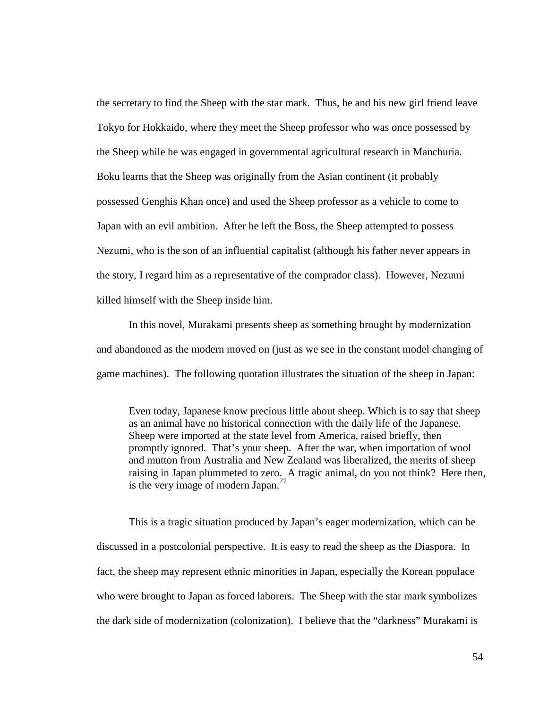the secretary to find the Sheep with the star mark. Thus, he and his new girl friend leave Tokyo for Hokkaido, where they meet the Sheep professor who was once possessed by the Sheep while he was engaged in governmental agricultural research in Manchuria. Boku learns that the Sheep was originally from the Asian continent (it probably possessed Genghis Khan once) and used the Sheep professor as a vehicle to come to Japan with an evil ambition. After he left the Boss, the Sheep attempted to possess Nezumi, who is the son of an influential capitalist (although his father never appears in the story, I regard him as a representative of the comprador class). However, Nezumi killed himself with the Sheep inside him.

In this novel, Murakami presents sheep as something brought by modernization and abandoned as the modern moved on (just as we see in the constant model changing of game machines). The following quotation illustrates the situation of the sheep in Japan:

Even today, Japanese know precious little about sheep. Which is to say that sheep as an animal have no historical connection with the daily life of the Japanese. Sheep were imported at the state level from America, raised briefly, then promptly ignored. That's your sheep. After the war, when importation of wool and mutton from Australia and New Zealand was liberalized, the merits of sheep raising in Japan plummeted to zero. A tragic animal, do you not think? Here then, is the very image of modern Japan.<sup>77</sup>

This is a tragic situation produced by Japan's eager modernization, which can be discussed in a postcolonial perspective. It is easy to read the sheep as the Diaspora. In fact, the sheep may represent ethnic minorities in Japan, especially the Korean populace who were brought to Japan as forced laborers. The Sheep with the star mark symbolizes the dark side of modernization (colonization). I believe that the "darkness" Murakami is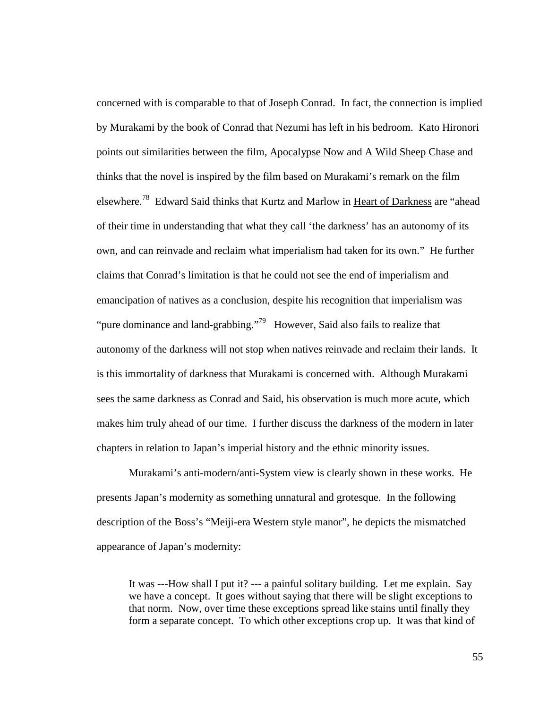concerned with is comparable to that of Joseph Conrad. In fact, the connection is implied by Murakami by the book of Conrad that Nezumi has left in his bedroom. Kato Hironori points out similarities between the film, Apocalypse Now and A Wild Sheep Chase and thinks that the novel is inspired by the film based on Murakami's remark on the film elsewhere.<sup>78</sup> Edward Said thinks that Kurtz and Marlow in Heart of Darkness are "ahead of their time in understanding that what they call 'the darkness' has an autonomy of its own, and can reinvade and reclaim what imperialism had taken for its own." He further claims that Conrad's limitation is that he could not see the end of imperialism and emancipation of natives as a conclusion, despite his recognition that imperialism was "pure dominance and land-grabbing."<sup>79</sup> However, Said also fails to realize that autonomy of the darkness will not stop when natives reinvade and reclaim their lands. It is this immortality of darkness that Murakami is concerned with. Although Murakami sees the same darkness as Conrad and Said, his observation is much more acute, which makes him truly ahead of our time. I further discuss the darkness of the modern in later chapters in relation to Japan's imperial history and the ethnic minority issues.

Murakami's anti-modern/anti-System view is clearly shown in these works. He presents Japan's modernity as something unnatural and grotesque. In the following description of the Boss's "Meiji-era Western style manor", he depicts the mismatched appearance of Japan's modernity:

It was ---How shall I put it? --- a painful solitary building. Let me explain. Say we have a concept. It goes without saying that there will be slight exceptions to that norm. Now, over time these exceptions spread like stains until finally they form a separate concept. To which other exceptions crop up. It was that kind of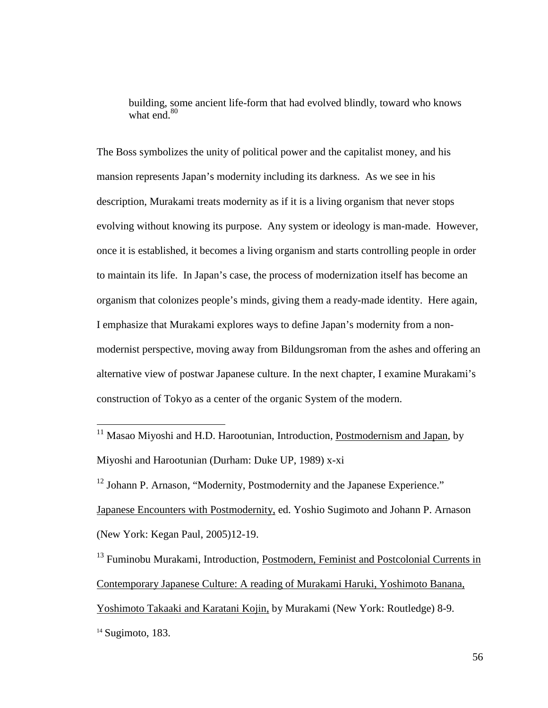building, some ancient life-form that had evolved blindly, toward who knows what end. $80$ 

The Boss symbolizes the unity of political power and the capitalist money, and his mansion represents Japan's modernity including its darkness. As we see in his description, Murakami treats modernity as if it is a living organism that never stops evolving without knowing its purpose. Any system or ideology is man-made. However, once it is established, it becomes a living organism and starts controlling people in order to maintain its life. In Japan's case, the process of modernization itself has become an organism that colonizes people's minds, giving them a ready-made identity. Here again, I emphasize that Murakami explores ways to define Japan's modernity from a nonmodernist perspective, moving away from Bildungsroman from the ashes and offering an alternative view of postwar Japanese culture. In the next chapter, I examine Murakami's construction of Tokyo as a center of the organic System of the modern.

<sup>11</sup> Masao Miyoshi and H.D. Harootunian, Introduction, Postmodernism and Japan, by Miyoshi and Harootunian (Durham: Duke UP, 1989) x-xi

<sup>12</sup> Johann P. Arnason, "Modernity, Postmodernity and the Japanese Experience." Japanese Encounters with Postmodernity, ed. Yoshio Sugimoto and Johann P. Arnason (New York: Kegan Paul, 2005)12-19.

<sup>13</sup> Fuminobu Murakami, Introduction, Postmodern, Feminist and Postcolonial Currents in Contemporary Japanese Culture: A reading of Murakami Haruki, Yoshimoto Banana, Yoshimoto Takaaki and Karatani Kojin, by Murakami (New York: Routledge) 8-9.

 $\overline{a}$ 

 $14$  Sugimoto, 183.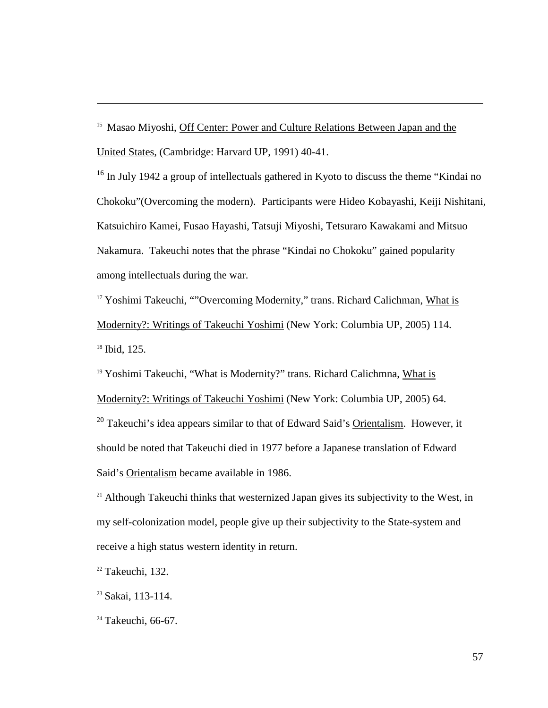<sup>15</sup> Masao Miyoshi, Off Center: Power and Culture Relations Between Japan and the United States, (Cambridge: Harvard UP, 1991) 40-41.

<sup>16</sup> In July 1942 a group of intellectuals gathered in Kyoto to discuss the theme "Kindai no" Chokoku"(Overcoming the modern). Participants were Hideo Kobayashi, Keiji Nishitani, Katsuichiro Kamei, Fusao Hayashi, Tatsuji Miyoshi, Tetsuraro Kawakami and Mitsuo Nakamura. Takeuchi notes that the phrase "Kindai no Chokoku" gained popularity among intellectuals during the war.

<sup>17</sup> Yoshimi Takeuchi, ""Overcoming Modernity," trans. Richard Calichman, What is Modernity?: Writings of Takeuchi Yoshimi (New York: Columbia UP, 2005) 114. <sup>18</sup> Ibid, 125.

<sup>19</sup> Yoshimi Takeuchi, "What is Modernity?" trans. Richard Calichmna, What is

Modernity?: Writings of Takeuchi Yoshimi (New York: Columbia UP, 2005) 64.

 $20$  Takeuchi's idea appears similar to that of Edward Said's Orientalism. However, it should be noted that Takeuchi died in 1977 before a Japanese translation of Edward Said's Orientalism became available in 1986.

 $21$  Although Takeuchi thinks that westernized Japan gives its subjectivity to the West, in my self-colonization model, people give up their subjectivity to the State-system and receive a high status western identity in return.

 $22$  Takeuchi, 132.

 $\overline{a}$ 

<sup>23</sup> Sakai, 113-114.

 $24$  Takeuchi, 66-67.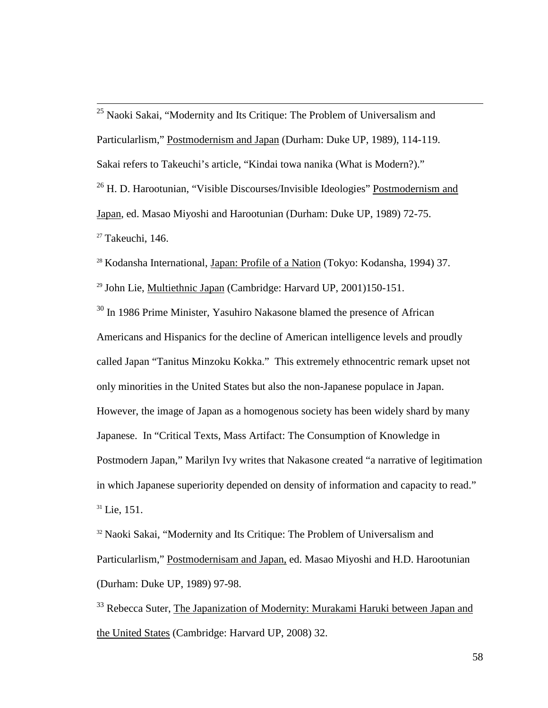$\overline{a}$  $25$  Naoki Sakai, "Modernity and Its Critique: The Problem of Universalism and Particularlism," Postmodernism and Japan (Durham: Duke UP, 1989), 114-119. Sakai refers to Takeuchi's article, "Kindai towa nanika (What is Modern?)." <sup>26</sup> H. D. Harootunian, "Visible Discourses/Invisible Ideologies" Postmodernism and Japan, ed. Masao Miyoshi and Harootunian (Durham: Duke UP, 1989) 72-75.  $27$  Takeuchi, 146.

<sup>28</sup> Kodansha International, Japan: Profile of a Nation (Tokyo: Kodansha, 1994) 37.

<sup>29</sup> John Lie, Multiethnic Japan (Cambridge: Harvard UP, 2001)150-151.

<sup>30</sup> In 1986 Prime Minister, Yasuhiro Nakasone blamed the presence of African Americans and Hispanics for the decline of American intelligence levels and proudly called Japan "Tanitus Minzoku Kokka." This extremely ethnocentric remark upset not only minorities in the United States but also the non-Japanese populace in Japan. However, the image of Japan as a homogenous society has been widely shard by many Japanese. In "Critical Texts, Mass Artifact: The Consumption of Knowledge in Postmodern Japan," Marilyn Ivy writes that Nakasone created "a narrative of legitimation in which Japanese superiority depended on density of information and capacity to read."  $31$  Lie, 151.

<sup>32</sup> Naoki Sakai, "Modernity and Its Critique: The Problem of Universalism and Particularlism," Postmodernisam and Japan, ed. Masao Miyoshi and H.D. Harootunian (Durham: Duke UP, 1989) 97-98.

<sup>33</sup> Rebecca Suter, The Japanization of Modernity: Murakami Haruki between Japan and the United States (Cambridge: Harvard UP, 2008) 32.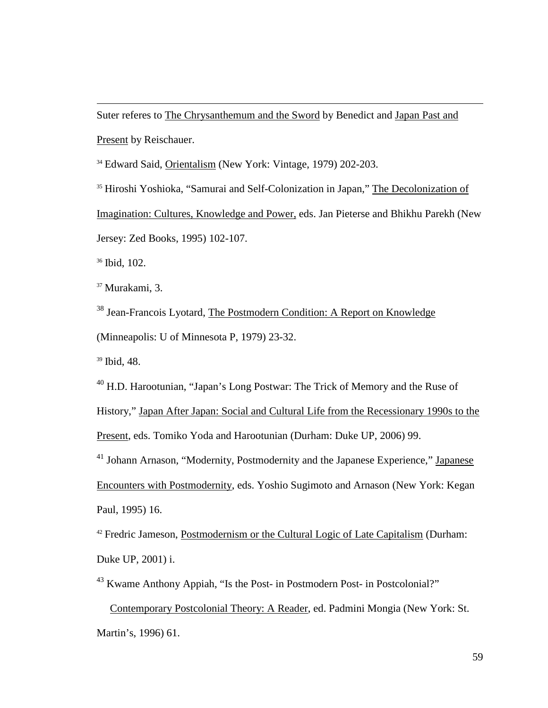Suter referes to The Chrysanthemum and the Sword by Benedict and Japan Past and Present by Reischauer.

<sup>34</sup> Edward Said, Orientalism (New York: Vintage, 1979) 202-203.

<sup>35</sup> Hiroshi Yoshioka, "Samurai and Self-Colonization in Japan," The Decolonization of Imagination: Cultures, Knowledge and Power, eds. Jan Pieterse and Bhikhu Parekh (New Jersey: Zed Books, 1995) 102-107.

<sup>36</sup> Ibid, 102.

 $\overline{a}$ 

<sup>37</sup> Murakami, 3.

<sup>38</sup> Jean-Francois Lyotard, The Postmodern Condition: A Report on Knowledge (Minneapolis: U of Minnesota P, 1979) 23-32.

<sup>39</sup> Ibid, 48.

<sup>40</sup> H.D. Harootunian, "Japan's Long Postwar: The Trick of Memory and the Ruse of

History," Japan After Japan: Social and Cultural Life from the Recessionary 1990s to the

Present, eds. Tomiko Yoda and Harootunian (Durham: Duke UP, 2006) 99.

<sup>41</sup> Johann Arnason, "Modernity, Postmodernity and the Japanese Experience," Japanese Encounters with Postmodernity, eds. Yoshio Sugimoto and Arnason (New York: Kegan Paul, 1995) 16.

<sup>42</sup> Fredric Jameson, Postmodernism or the Cultural Logic of Late Capitalism (Durham: Duke UP, 2001) i.

<sup>43</sup> Kwame Anthony Appiah, "Is the Post- in Postmodern Post- in Postcolonial?"

 Contemporary Postcolonial Theory: A Reader, ed. Padmini Mongia (New York: St. Martin's, 1996) 61.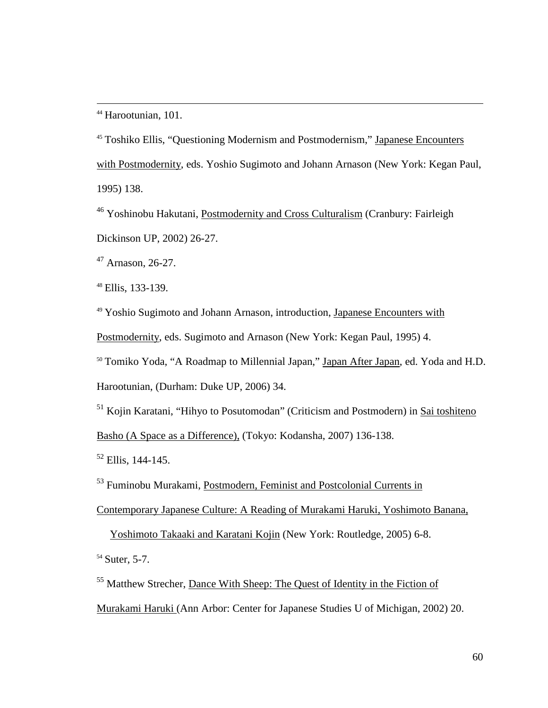<sup>44</sup> Harootunian, 101.

 $\overline{a}$ 

<sup>45</sup> Toshiko Ellis, "Questioning Modernism and Postmodernism," Japanese Encounters with Postmodernity, eds. Yoshio Sugimoto and Johann Arnason (New York: Kegan Paul, 1995) 138.

<sup>46</sup> Yoshinobu Hakutani, Postmodernity and Cross Culturalism (Cranbury: Fairleigh Dickinson UP, 2002) 26-27.

 $47$  Arnason, 26-27.

<sup>48</sup> Ellis, 133-139.

<sup>49</sup> Yoshio Sugimoto and Johann Arnason, introduction, Japanese Encounters with Postmodernity, eds. Sugimoto and Arnason (New York: Kegan Paul, 1995) 4.

<sup>50</sup> Tomiko Yoda, "A Roadmap to Millennial Japan," Japan After Japan, ed. Yoda and H.D.

Harootunian, (Durham: Duke UP, 2006) 34.

<sup>51</sup> Kojin Karatani, "Hihyo to Posutomodan" (Criticism and Postmodern) in Sai toshiteno Basho (A Space as a Difference), (Tokyo: Kodansha, 2007) 136-138.

 $52$  Ellis, 144-145.

<sup>53</sup> Fuminobu Murakami, Postmodern, Feminist and Postcolonial Currents in

Contemporary Japanese Culture: A Reading of Murakami Haruki, Yoshimoto Banana,

Yoshimoto Takaaki and Karatani Kojin (New York: Routledge, 2005) 6-8.

<sup>54</sup> Suter, 5-7.

<sup>55</sup> Matthew Strecher, Dance With Sheep: The Quest of Identity in the Fiction of

Murakami Haruki (Ann Arbor: Center for Japanese Studies U of Michigan, 2002) 20.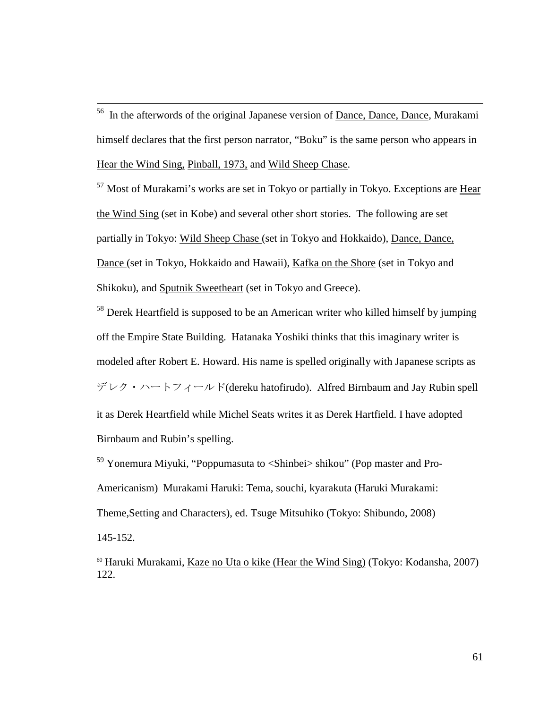$56$  In the afterwords of the original Japanese version of Dance, Dance, Dance, Murakami himself declares that the first person narrator, "Boku" is the same person who appears in Hear the Wind Sing, Pinball, 1973, and Wild Sheep Chase.

 $\overline{a}$ 

<sup>57</sup> Most of Murakami's works are set in Tokyo or partially in Tokyo. Exceptions are Hear the Wind Sing (set in Kobe) and several other short stories. The following are set partially in Tokyo: Wild Sheep Chase (set in Tokyo and Hokkaido), Dance, Dance, Dance (set in Tokyo, Hokkaido and Hawaii), Kafka on the Shore (set in Tokyo and Shikoku), and Sputnik Sweetheart (set in Tokyo and Greece).

<sup>58</sup> Derek Heartfield is supposed to be an American writer who killed himself by jumping off the Empire State Building. Hatanaka Yoshiki thinks that this imaginary writer is modeled after Robert E. Howard. His name is spelled originally with Japanese scripts as デレク・ハートフィールド(dereku hatofirudo). Alfred Birnbaum and Jay Rubin spell it as Derek Heartfield while Michel Seats writes it as Derek Hartfield. I have adopted Birnbaum and Rubin's spelling.

<sup>59</sup> Yonemura Miyuki, "Poppumasuta to <Shinbei> shikou" (Pop master and Pro-Americanism) Murakami Haruki: Tema, souchi, kyarakuta (Haruki Murakami: Theme,Setting and Characters), ed. Tsuge Mitsuhiko (Tokyo: Shibundo, 2008) 145-152.

 $60$  Haruki Murakami, Kaze no Uta o kike (Hear the Wind Sing) (Tokyo: Kodansha, 2007) 122.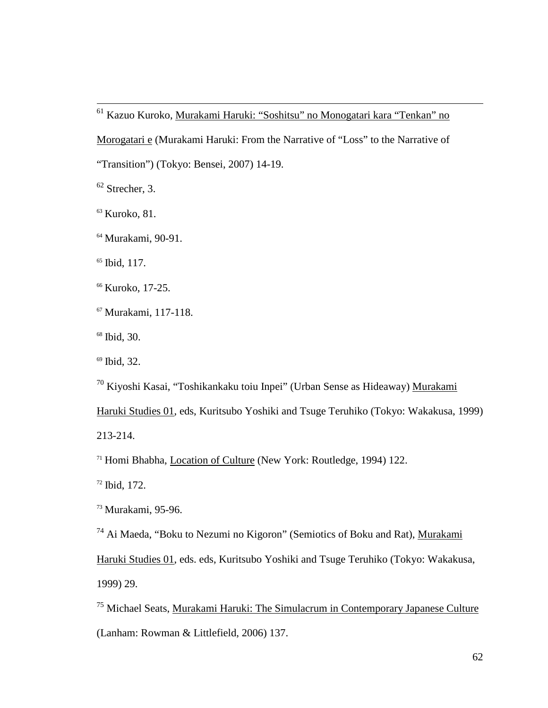<sup>61</sup> Kazuo Kuroko, <u>Murakami Haruki: "Soshitsu" no Monogatari kara "Tenkan" no</u>

Morogatari e (Murakami Haruki: From the Narrative of "Loss" to the Narrative of

"Transition") (Tokyo: Bensei, 2007) 14-19.

 $62$  Strecher, 3.

 $\overline{a}$ 

<sup>63</sup> Kuroko, 81.

<sup>64</sup> Murakami, 90-91.

<sup>65</sup> Ibid, 117.

<sup>66</sup> Kuroko, 17-25.

<sup>67</sup> Murakami, 117-118.

<sup>68</sup> Ibid, 30.

<sup>69</sup> Ibid, 32.

<sup>70</sup> Kiyoshi Kasai, "Toshikankaku toiu Inpei" (Urban Sense as Hideaway) Murakami

Haruki Studies 01, eds, Kuritsubo Yoshiki and Tsuge Teruhiko (Tokyo: Wakakusa, 1999) 213-214.

<sup>71</sup> Homi Bhabha, Location of Culture (New York: Routledge, 1994) 122.

 $72$  Ibid, 172.

<sup>73</sup> Murakami, 95-96.

 $74$  Ai Maeda, "Boku to Nezumi no Kigoron" (Semiotics of Boku and Rat), Murakami

Haruki Studies 01, eds. eds, Kuritsubo Yoshiki and Tsuge Teruhiko (Tokyo: Wakakusa,

1999) 29.

<sup>75</sup> Michael Seats, Murakami Haruki: The Simulacrum in Contemporary Japanese Culture (Lanham: Rowman & Littlefield, 2006) 137.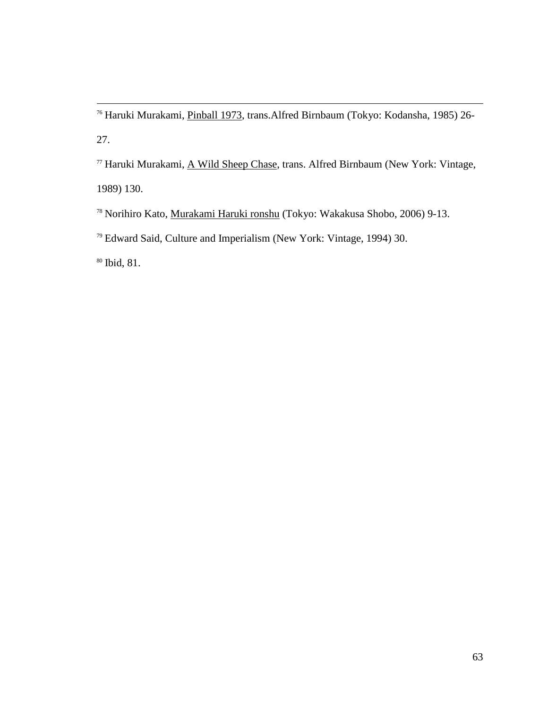<sup>76</sup> Haruki Murakami, *Pinball 1973*, trans.Alfred Birnbaum (Tokyo: Kodansha, 1985) 26-27.

<sup>77</sup> Haruki Murakami, A Wild Sheep Chase, trans. Alfred Birnbaum (New York: Vintage, 1989) 130.

<sup>78</sup> Norihiro Kato, Murakami Haruki ronshu (Tokyo: Wakakusa Shobo, 2006) 9-13.

<sup>79</sup> Edward Said, Culture and Imperialism (New York: Vintage, 1994) 30.

<sup>80</sup> Ibid, 81.

 $\overline{a}$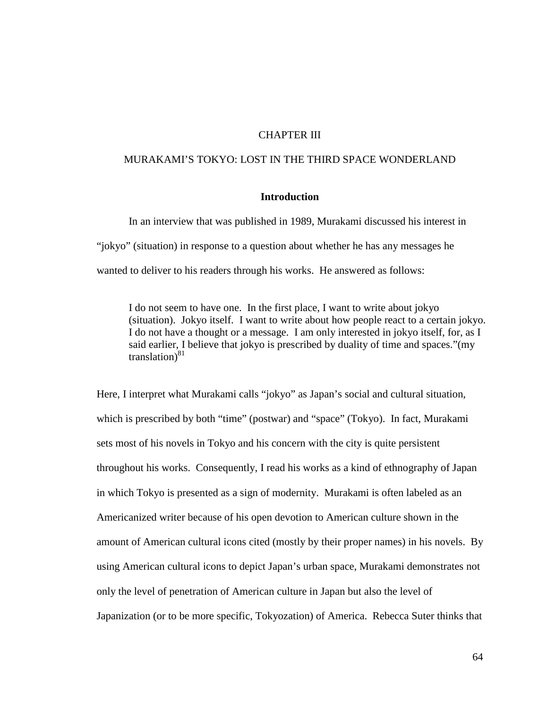## CHAPTER III

# MURAKAMI'S TOKYO: LOST IN THE THIRD SPACE WONDERLAND

# **Introduction**

In an interview that was published in 1989, Murakami discussed his interest in "jokyo" (situation) in response to a question about whether he has any messages he wanted to deliver to his readers through his works. He answered as follows:

I do not seem to have one. In the first place, I want to write about jokyo (situation). Jokyo itself. I want to write about how people react to a certain jokyo. I do not have a thought or a message. I am only interested in jokyo itself, for, as I said earlier, I believe that jokyo is prescribed by duality of time and spaces."(my translation) $81$ 

Here, I interpret what Murakami calls "jokyo" as Japan's social and cultural situation, which is prescribed by both "time" (postwar) and "space" (Tokyo). In fact, Murakami sets most of his novels in Tokyo and his concern with the city is quite persistent throughout his works. Consequently, I read his works as a kind of ethnography of Japan in which Tokyo is presented as a sign of modernity. Murakami is often labeled as an Americanized writer because of his open devotion to American culture shown in the amount of American cultural icons cited (mostly by their proper names) in his novels. By using American cultural icons to depict Japan's urban space, Murakami demonstrates not only the level of penetration of American culture in Japan but also the level of Japanization (or to be more specific, Tokyozation) of America. Rebecca Suter thinks that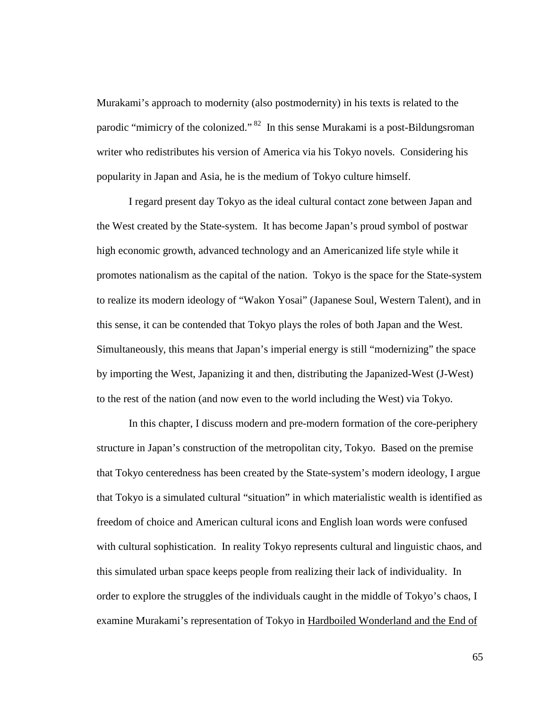Murakami's approach to modernity (also postmodernity) in his texts is related to the parodic "mimicry of the colonized."<sup>82</sup> In this sense Murakami is a post-Bildungsroman writer who redistributes his version of America via his Tokyo novels. Considering his popularity in Japan and Asia, he is the medium of Tokyo culture himself.

I regard present day Tokyo as the ideal cultural contact zone between Japan and the West created by the State-system. It has become Japan's proud symbol of postwar high economic growth, advanced technology and an Americanized life style while it promotes nationalism as the capital of the nation. Tokyo is the space for the State-system to realize its modern ideology of "Wakon Yosai" (Japanese Soul, Western Talent), and in this sense, it can be contended that Tokyo plays the roles of both Japan and the West. Simultaneously, this means that Japan's imperial energy is still "modernizing" the space by importing the West, Japanizing it and then, distributing the Japanized-West (J-West) to the rest of the nation (and now even to the world including the West) via Tokyo.

In this chapter, I discuss modern and pre-modern formation of the core-periphery structure in Japan's construction of the metropolitan city, Tokyo. Based on the premise that Tokyo centeredness has been created by the State-system's modern ideology, I argue that Tokyo is a simulated cultural "situation" in which materialistic wealth is identified as freedom of choice and American cultural icons and English loan words were confused with cultural sophistication. In reality Tokyo represents cultural and linguistic chaos, and this simulated urban space keeps people from realizing their lack of individuality. In order to explore the struggles of the individuals caught in the middle of Tokyo's chaos, I examine Murakami's representation of Tokyo in Hardboiled Wonderland and the End of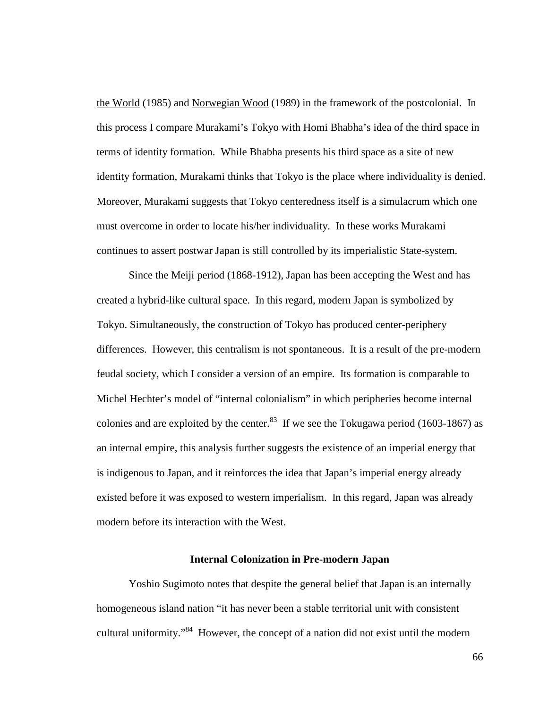the World (1985) and Norwegian Wood (1989) in the framework of the postcolonial. In this process I compare Murakami's Tokyo with Homi Bhabha's idea of the third space in terms of identity formation. While Bhabha presents his third space as a site of new identity formation, Murakami thinks that Tokyo is the place where individuality is denied. Moreover, Murakami suggests that Tokyo centeredness itself is a simulacrum which one must overcome in order to locate his/her individuality. In these works Murakami continues to assert postwar Japan is still controlled by its imperialistic State-system.

Since the Meiji period (1868-1912), Japan has been accepting the West and has created a hybrid-like cultural space. In this regard, modern Japan is symbolized by Tokyo. Simultaneously, the construction of Tokyo has produced center-periphery differences. However, this centralism is not spontaneous. It is a result of the pre-modern feudal society, which I consider a version of an empire. Its formation is comparable to Michel Hechter's model of "internal colonialism" in which peripheries become internal colonies and are exploited by the center.<sup>83</sup> If we see the Tokugawa period (1603-1867) as an internal empire, this analysis further suggests the existence of an imperial energy that is indigenous to Japan, and it reinforces the idea that Japan's imperial energy already existed before it was exposed to western imperialism. In this regard, Japan was already modern before its interaction with the West.

## **Internal Colonization in Pre-modern Japan**

 Yoshio Sugimoto notes that despite the general belief that Japan is an internally homogeneous island nation "it has never been a stable territorial unit with consistent cultural uniformity."<sup>84</sup> However, the concept of a nation did not exist until the modern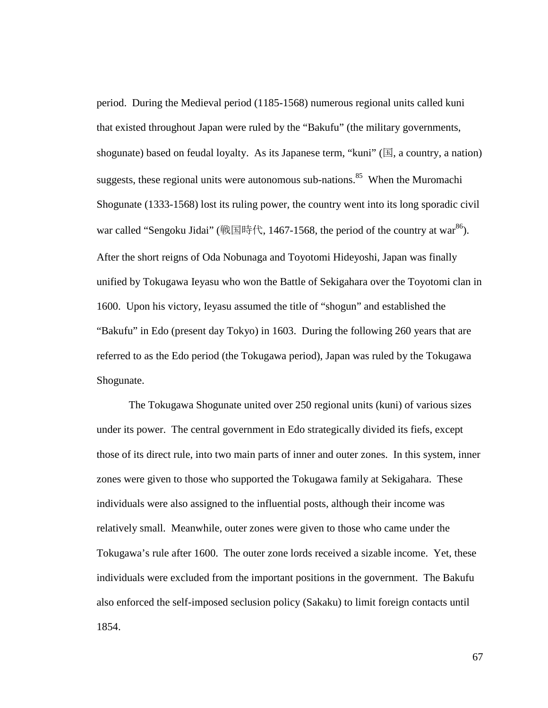period. During the Medieval period (1185-1568) numerous regional units called kuni that existed throughout Japan were ruled by the "Bakufu" (the military governments, shogunate) based on feudal loyalty. As its Japanese term, "kuni" ( $\mathbb{E}$ , a country, a nation) suggests, these regional units were autonomous sub-nations.<sup>85</sup> When the Muromachi Shogunate (1333-1568) lost its ruling power, the country went into its long sporadic civil war called "Sengoku Jidai" (戦国時代, 1467-1568, the period of the country at war<sup>86</sup>). After the short reigns of Oda Nobunaga and Toyotomi Hideyoshi, Japan was finally unified by Tokugawa Ieyasu who won the Battle of Sekigahara over the Toyotomi clan in 1600. Upon his victory, Ieyasu assumed the title of "shogun" and established the "Bakufu" in Edo (present day Tokyo) in 1603. During the following 260 years that are referred to as the Edo period (the Tokugawa period), Japan was ruled by the Tokugawa Shogunate.

 The Tokugawa Shogunate united over 250 regional units (kuni) of various sizes under its power. The central government in Edo strategically divided its fiefs, except those of its direct rule, into two main parts of inner and outer zones. In this system, inner zones were given to those who supported the Tokugawa family at Sekigahara. These individuals were also assigned to the influential posts, although their income was relatively small. Meanwhile, outer zones were given to those who came under the Tokugawa's rule after 1600. The outer zone lords received a sizable income. Yet, these individuals were excluded from the important positions in the government. The Bakufu also enforced the self-imposed seclusion policy (Sakaku) to limit foreign contacts until 1854.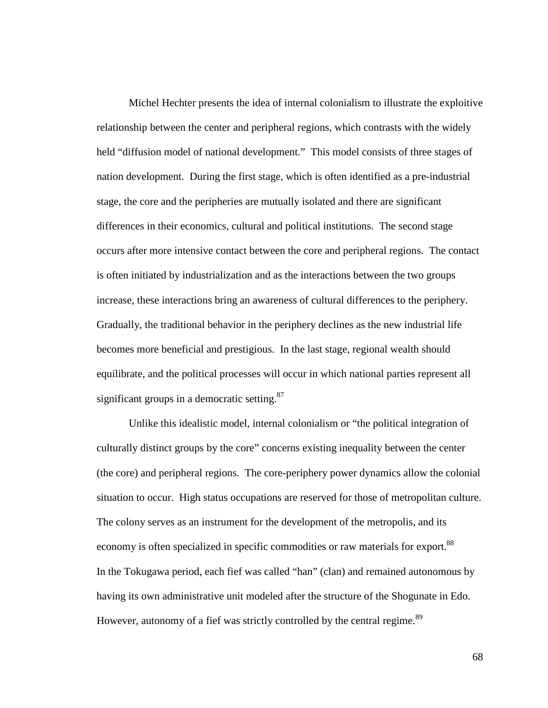Michel Hechter presents the idea of internal colonialism to illustrate the exploitive relationship between the center and peripheral regions, which contrasts with the widely held "diffusion model of national development." This model consists of three stages of nation development. During the first stage, which is often identified as a pre-industrial stage, the core and the peripheries are mutually isolated and there are significant differences in their economics, cultural and political institutions. The second stage occurs after more intensive contact between the core and peripheral regions. The contact is often initiated by industrialization and as the interactions between the two groups increase, these interactions bring an awareness of cultural differences to the periphery. Gradually, the traditional behavior in the periphery declines as the new industrial life becomes more beneficial and prestigious. In the last stage, regional wealth should equilibrate, and the political processes will occur in which national parties represent all significant groups in a democratic setting.<sup>87</sup>

 Unlike this idealistic model, internal colonialism or "the political integration of culturally distinct groups by the core" concerns existing inequality between the center (the core) and peripheral regions. The core-periphery power dynamics allow the colonial situation to occur. High status occupations are reserved for those of metropolitan culture. The colony serves as an instrument for the development of the metropolis, and its economy is often specialized in specific commodities or raw materials for export.<sup>88</sup> In the Tokugawa period, each fief was called "han" (clan) and remained autonomous by having its own administrative unit modeled after the structure of the Shogunate in Edo. However, autonomy of a fief was strictly controlled by the central regime.<sup>89</sup>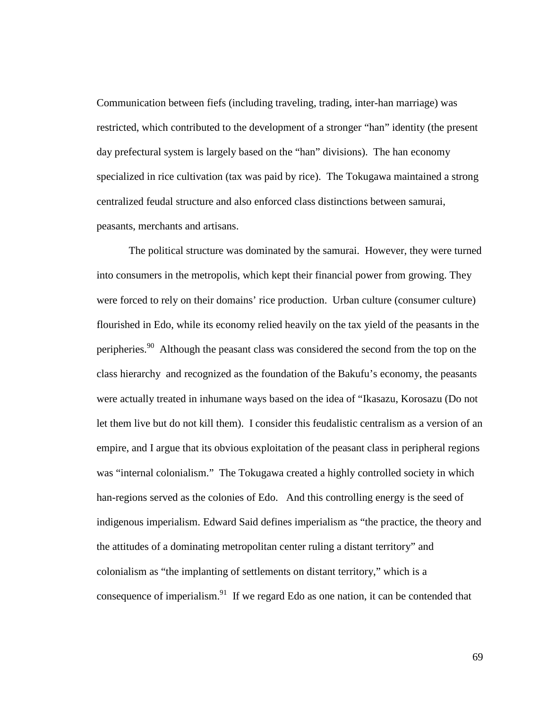Communication between fiefs (including traveling, trading, inter-han marriage) was restricted, which contributed to the development of a stronger "han" identity (the present day prefectural system is largely based on the "han" divisions). The han economy specialized in rice cultivation (tax was paid by rice). The Tokugawa maintained a strong centralized feudal structure and also enforced class distinctions between samurai, peasants, merchants and artisans.

The political structure was dominated by the samurai. However, they were turned into consumers in the metropolis, which kept their financial power from growing. They were forced to rely on their domains' rice production. Urban culture (consumer culture) flourished in Edo, while its economy relied heavily on the tax yield of the peasants in the peripheries.<sup>90</sup> Although the peasant class was considered the second from the top on the class hierarchy and recognized as the foundation of the Bakufu's economy, the peasants were actually treated in inhumane ways based on the idea of "Ikasazu, Korosazu (Do not let them live but do not kill them). I consider this feudalistic centralism as a version of an empire, and I argue that its obvious exploitation of the peasant class in peripheral regions was "internal colonialism." The Tokugawa created a highly controlled society in which han-regions served as the colonies of Edo. And this controlling energy is the seed of indigenous imperialism. Edward Said defines imperialism as "the practice, the theory and the attitudes of a dominating metropolitan center ruling a distant territory" and colonialism as "the implanting of settlements on distant territory," which is a consequence of imperialism. $91$  If we regard Edo as one nation, it can be contended that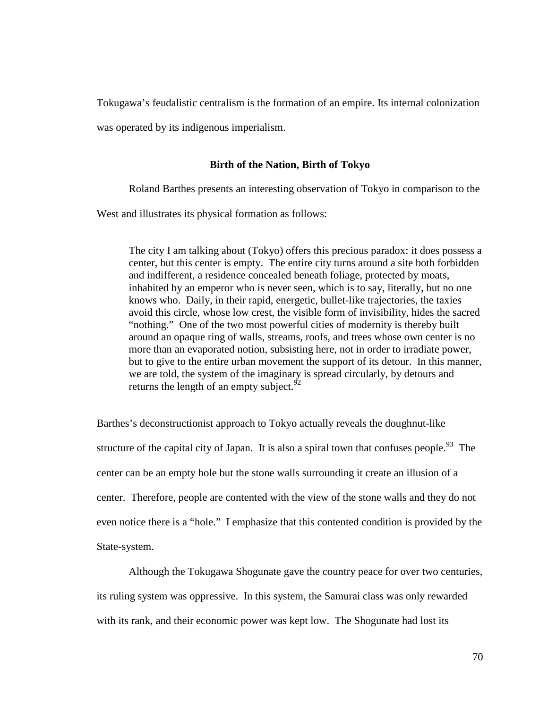Tokugawa's feudalistic centralism is the formation of an empire. Its internal colonization

was operated by its indigenous imperialism.

## **Birth of the Nation, Birth of Tokyo**

Roland Barthes presents an interesting observation of Tokyo in comparison to the

West and illustrates its physical formation as follows:

The city I am talking about (Tokyo) offers this precious paradox: it does possess a center, but this center is empty. The entire city turns around a site both forbidden and indifferent, a residence concealed beneath foliage, protected by moats, inhabited by an emperor who is never seen, which is to say, literally, but no one knows who. Daily, in their rapid, energetic, bullet-like trajectories, the taxies avoid this circle, whose low crest, the visible form of invisibility, hides the sacred "nothing." One of the two most powerful cities of modernity is thereby built around an opaque ring of walls, streams, roofs, and trees whose own center is no more than an evaporated notion, subsisting here, not in order to irradiate power, but to give to the entire urban movement the support of its detour. In this manner, we are told, the system of the imaginary is spread circularly, by detours and returns the length of an empty subject. $92$ 

Barthes's deconstructionist approach to Tokyo actually reveals the doughnut-like structure of the capital city of Japan. It is also a spiral town that confuses people.<sup>93</sup> The center can be an empty hole but the stone walls surrounding it create an illusion of a center. Therefore, people are contented with the view of the stone walls and they do not even notice there is a "hole." I emphasize that this contented condition is provided by the State-system.

Although the Tokugawa Shogunate gave the country peace for over two centuries, its ruling system was oppressive. In this system, the Samurai class was only rewarded with its rank, and their economic power was kept low. The Shogunate had lost its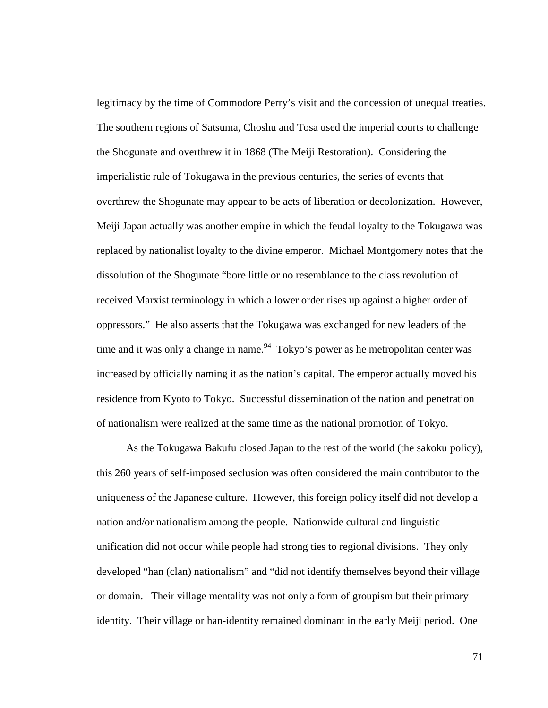legitimacy by the time of Commodore Perry's visit and the concession of unequal treaties. The southern regions of Satsuma, Choshu and Tosa used the imperial courts to challenge the Shogunate and overthrew it in 1868 (The Meiji Restoration). Considering the imperialistic rule of Tokugawa in the previous centuries, the series of events that overthrew the Shogunate may appear to be acts of liberation or decolonization. However, Meiji Japan actually was another empire in which the feudal loyalty to the Tokugawa was replaced by nationalist loyalty to the divine emperor. Michael Montgomery notes that the dissolution of the Shogunate "bore little or no resemblance to the class revolution of received Marxist terminology in which a lower order rises up against a higher order of oppressors." He also asserts that the Tokugawa was exchanged for new leaders of the time and it was only a change in name.<sup>94</sup> Tokyo's power as he metropolitan center was increased by officially naming it as the nation's capital. The emperor actually moved his residence from Kyoto to Tokyo. Successful dissemination of the nation and penetration of nationalism were realized at the same time as the national promotion of Tokyo.

 As the Tokugawa Bakufu closed Japan to the rest of the world (the sakoku policy), this 260 years of self-imposed seclusion was often considered the main contributor to the uniqueness of the Japanese culture. However, this foreign policy itself did not develop a nation and/or nationalism among the people. Nationwide cultural and linguistic unification did not occur while people had strong ties to regional divisions. They only developed "han (clan) nationalism" and "did not identify themselves beyond their village or domain. Their village mentality was not only a form of groupism but their primary identity. Their village or han-identity remained dominant in the early Meiji period. One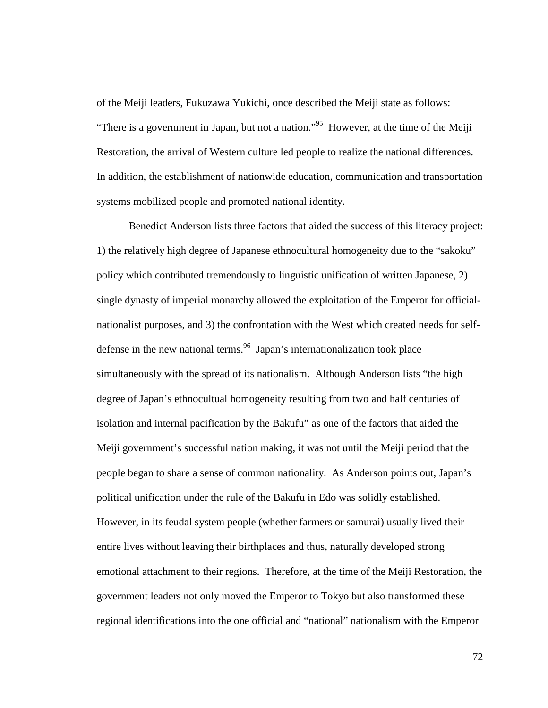of the Meiji leaders, Fukuzawa Yukichi, once described the Meiji state as follows: "There is a government in Japan, but not a nation."<sup>95</sup> However, at the time of the Meiji Restoration, the arrival of Western culture led people to realize the national differences. In addition, the establishment of nationwide education, communication and transportation systems mobilized people and promoted national identity.

Benedict Anderson lists three factors that aided the success of this literacy project: 1) the relatively high degree of Japanese ethnocultural homogeneity due to the "sakoku" policy which contributed tremendously to linguistic unification of written Japanese, 2) single dynasty of imperial monarchy allowed the exploitation of the Emperor for officialnationalist purposes, and 3) the confrontation with the West which created needs for selfdefense in the new national terms.  $96$  Japan's internationalization took place simultaneously with the spread of its nationalism. Although Anderson lists "the high degree of Japan's ethnocultual homogeneity resulting from two and half centuries of isolation and internal pacification by the Bakufu" as one of the factors that aided the Meiji government's successful nation making, it was not until the Meiji period that the people began to share a sense of common nationality. As Anderson points out, Japan's political unification under the rule of the Bakufu in Edo was solidly established. However, in its feudal system people (whether farmers or samurai) usually lived their entire lives without leaving their birthplaces and thus, naturally developed strong emotional attachment to their regions. Therefore, at the time of the Meiji Restoration, the government leaders not only moved the Emperor to Tokyo but also transformed these regional identifications into the one official and "national" nationalism with the Emperor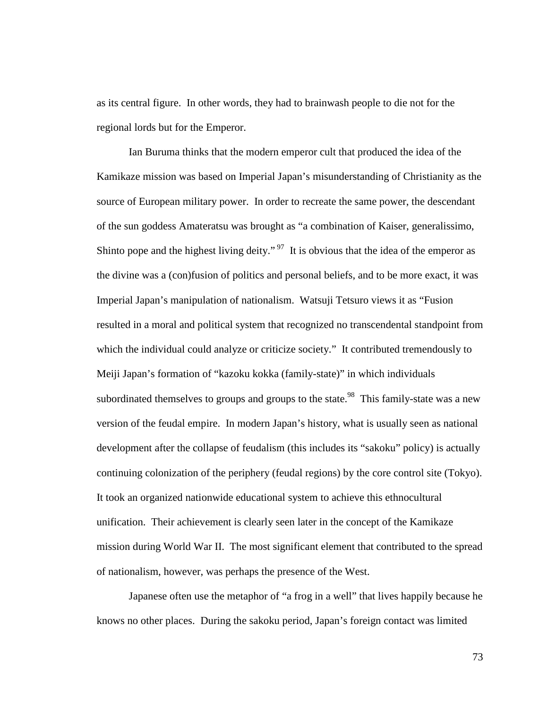as its central figure. In other words, they had to brainwash people to die not for the regional lords but for the Emperor.

Ian Buruma thinks that the modern emperor cult that produced the idea of the Kamikaze mission was based on Imperial Japan's misunderstanding of Christianity as the source of European military power. In order to recreate the same power, the descendant of the sun goddess Amateratsu was brought as "a combination of Kaiser, generalissimo, Shinto pope and the highest living deity."<sup>97</sup> It is obvious that the idea of the emperor as the divine was a (con)fusion of politics and personal beliefs, and to be more exact, it was Imperial Japan's manipulation of nationalism. Watsuji Tetsuro views it as "Fusion resulted in a moral and political system that recognized no transcendental standpoint from which the individual could analyze or criticize society." It contributed tremendously to Meiji Japan's formation of "kazoku kokka (family-state)" in which individuals subordinated themselves to groups and groups to the state.<sup>98</sup> This family-state was a new version of the feudal empire. In modern Japan's history, what is usually seen as national development after the collapse of feudalism (this includes its "sakoku" policy) is actually continuing colonization of the periphery (feudal regions) by the core control site (Tokyo). It took an organized nationwide educational system to achieve this ethnocultural unification. Their achievement is clearly seen later in the concept of the Kamikaze mission during World War II. The most significant element that contributed to the spread of nationalism, however, was perhaps the presence of the West.

Japanese often use the metaphor of "a frog in a well" that lives happily because he knows no other places. During the sakoku period, Japan's foreign contact was limited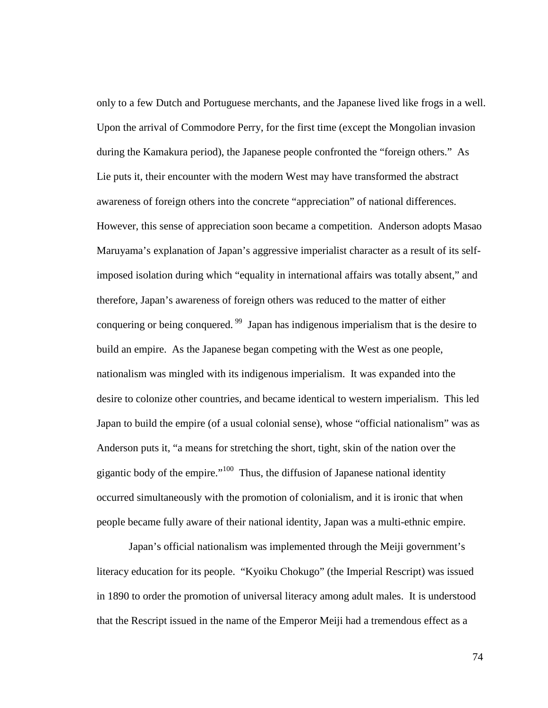only to a few Dutch and Portuguese merchants, and the Japanese lived like frogs in a well. Upon the arrival of Commodore Perry, for the first time (except the Mongolian invasion during the Kamakura period), the Japanese people confronted the "foreign others." As Lie puts it, their encounter with the modern West may have transformed the abstract awareness of foreign others into the concrete "appreciation" of national differences. However, this sense of appreciation soon became a competition. Anderson adopts Masao Maruyama's explanation of Japan's aggressive imperialist character as a result of its selfimposed isolation during which "equality in international affairs was totally absent," and therefore, Japan's awareness of foreign others was reduced to the matter of either conquering or being conquered.<sup>99</sup> Japan has indigenous imperialism that is the desire to build an empire. As the Japanese began competing with the West as one people, nationalism was mingled with its indigenous imperialism. It was expanded into the desire to colonize other countries, and became identical to western imperialism. This led Japan to build the empire (of a usual colonial sense), whose "official nationalism" was as Anderson puts it, "a means for stretching the short, tight, skin of the nation over the gigantic body of the empire."<sup>100</sup> Thus, the diffusion of Japanese national identity occurred simultaneously with the promotion of colonialism, and it is ironic that when people became fully aware of their national identity, Japan was a multi-ethnic empire.

Japan's official nationalism was implemented through the Meiji government's literacy education for its people. "Kyoiku Chokugo" (the Imperial Rescript) was issued in 1890 to order the promotion of universal literacy among adult males. It is understood that the Rescript issued in the name of the Emperor Meiji had a tremendous effect as a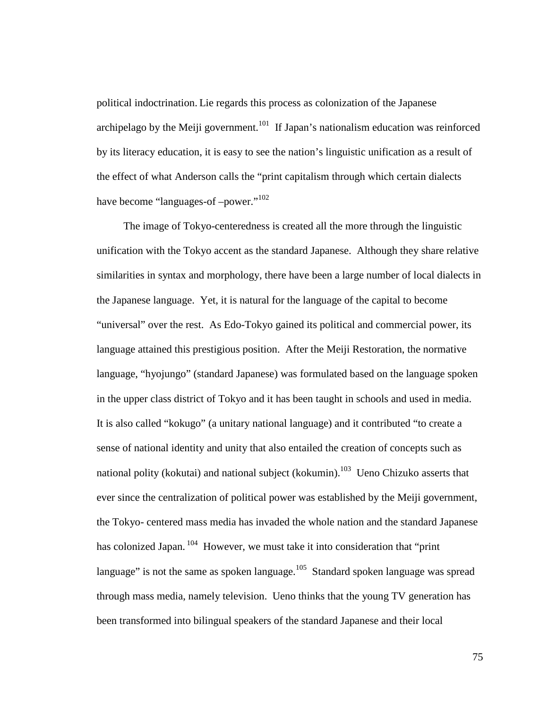political indoctrination. Lie regards this process as colonization of the Japanese archipelago by the Meiji government.<sup>101</sup> If Japan's nationalism education was reinforced by its literacy education, it is easy to see the nation's linguistic unification as a result of the effect of what Anderson calls the "print capitalism through which certain dialects have become "languages-of –power."<sup>102</sup>

 The image of Tokyo-centeredness is created all the more through the linguistic unification with the Tokyo accent as the standard Japanese. Although they share relative similarities in syntax and morphology, there have been a large number of local dialects in the Japanese language. Yet, it is natural for the language of the capital to become "universal" over the rest. As Edo-Tokyo gained its political and commercial power, its language attained this prestigious position. After the Meiji Restoration, the normative language, "hyojungo" (standard Japanese) was formulated based on the language spoken in the upper class district of Tokyo and it has been taught in schools and used in media. It is also called "kokugo" (a unitary national language) and it contributed "to create a sense of national identity and unity that also entailed the creation of concepts such as national polity (kokutai) and national subject (kokumin).<sup>103</sup> Ueno Chizuko asserts that ever since the centralization of political power was established by the Meiji government, the Tokyo- centered mass media has invaded the whole nation and the standard Japanese has colonized Japan.<sup>104</sup> However, we must take it into consideration that "print" language" is not the same as spoken language.<sup>105</sup> Standard spoken language was spread through mass media, namely television. Ueno thinks that the young TV generation has been transformed into bilingual speakers of the standard Japanese and their local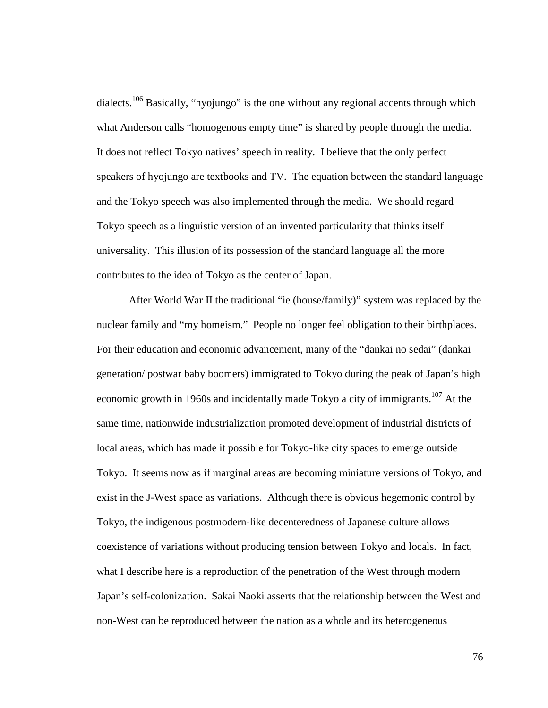dialects.<sup>106</sup> Basically, "hyojungo" is the one without any regional accents through which what Anderson calls "homogenous empty time" is shared by people through the media. It does not reflect Tokyo natives' speech in reality. I believe that the only perfect speakers of hyojungo are textbooks and TV. The equation between the standard language and the Tokyo speech was also implemented through the media. We should regard Tokyo speech as a linguistic version of an invented particularity that thinks itself universality. This illusion of its possession of the standard language all the more contributes to the idea of Tokyo as the center of Japan.

After World War II the traditional "ie (house/family)" system was replaced by the nuclear family and "my homeism." People no longer feel obligation to their birthplaces. For their education and economic advancement, many of the "dankai no sedai" (dankai generation/ postwar baby boomers) immigrated to Tokyo during the peak of Japan's high economic growth in 1960s and incidentally made Tokyo a city of immigrants.<sup>107</sup> At the same time, nationwide industrialization promoted development of industrial districts of local areas, which has made it possible for Tokyo-like city spaces to emerge outside Tokyo. It seems now as if marginal areas are becoming miniature versions of Tokyo, and exist in the J-West space as variations. Although there is obvious hegemonic control by Tokyo, the indigenous postmodern-like decenteredness of Japanese culture allows coexistence of variations without producing tension between Tokyo and locals. In fact, what I describe here is a reproduction of the penetration of the West through modern Japan's self-colonization. Sakai Naoki asserts that the relationship between the West and non-West can be reproduced between the nation as a whole and its heterogeneous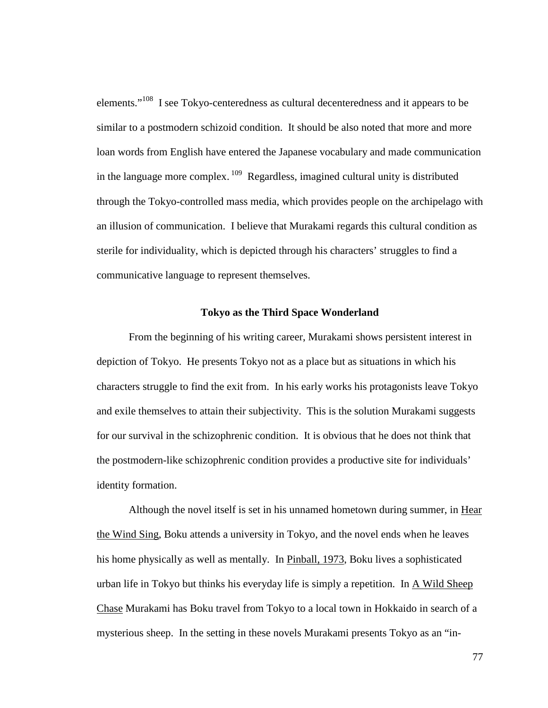elements."<sup>108</sup> I see Tokyo-centeredness as cultural decenteredness and it appears to be similar to a postmodern schizoid condition. It should be also noted that more and more loan words from English have entered the Japanese vocabulary and made communication in the language more complex.<sup>109</sup> Regardless, imagined cultural unity is distributed through the Tokyo-controlled mass media, which provides people on the archipelago with an illusion of communication. I believe that Murakami regards this cultural condition as sterile for individuality, which is depicted through his characters' struggles to find a communicative language to represent themselves.

## **Tokyo as the Third Space Wonderland**

From the beginning of his writing career, Murakami shows persistent interest in depiction of Tokyo. He presents Tokyo not as a place but as situations in which his characters struggle to find the exit from. In his early works his protagonists leave Tokyo and exile themselves to attain their subjectivity. This is the solution Murakami suggests for our survival in the schizophrenic condition. It is obvious that he does not think that the postmodern-like schizophrenic condition provides a productive site for individuals' identity formation.

Although the novel itself is set in his unnamed hometown during summer, in Hear the Wind Sing, Boku attends a university in Tokyo, and the novel ends when he leaves his home physically as well as mentally. In Pinball, 1973, Boku lives a sophisticated urban life in Tokyo but thinks his everyday life is simply a repetition. In A Wild Sheep Chase Murakami has Boku travel from Tokyo to a local town in Hokkaido in search of a mysterious sheep. In the setting in these novels Murakami presents Tokyo as an "in-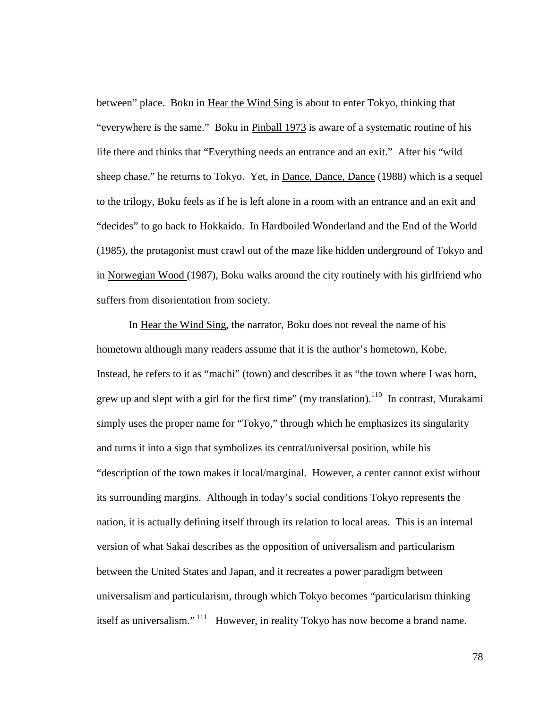between" place. Boku in Hear the Wind Sing is about to enter Tokyo, thinking that "everywhere is the same." Boku in Pinball 1973 is aware of a systematic routine of his life there and thinks that "Everything needs an entrance and an exit." After his "wild sheep chase," he returns to Tokyo. Yet, in Dance, Dance, Dance (1988) which is a sequel to the trilogy, Boku feels as if he is left alone in a room with an entrance and an exit and "decides" to go back to Hokkaido. In Hardboiled Wonderland and the End of the World (1985), the protagonist must crawl out of the maze like hidden underground of Tokyo and in Norwegian Wood (1987), Boku walks around the city routinely with his girlfriend who suffers from disorientation from society.

In Hear the Wind Sing, the narrator, Boku does not reveal the name of his hometown although many readers assume that it is the author's hometown, Kobe. Instead, he refers to it as "machi" (town) and describes it as "the town where I was born, grew up and slept with a girl for the first time" (my translation).<sup>110</sup> In contrast, Murakami simply uses the proper name for "Tokyo," through which he emphasizes its singularity and turns it into a sign that symbolizes its central/universal position, while his "description of the town makes it local/marginal. However, a center cannot exist without its surrounding margins. Although in today's social conditions Tokyo represents the nation, it is actually defining itself through its relation to local areas. This is an internal version of what Sakai describes as the opposition of universalism and particularism between the United States and Japan, and it recreates a power paradigm between universalism and particularism, through which Tokyo becomes "particularism thinking itself as universalism."<sup>111</sup> However, in reality Tokyo has now become a brand name.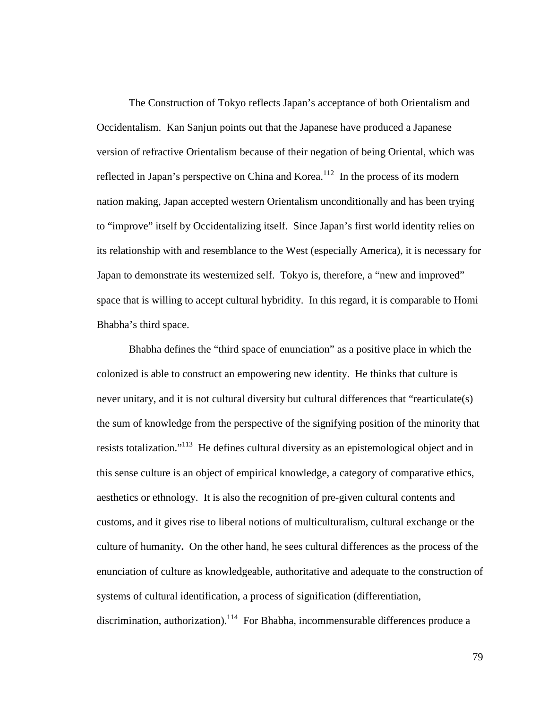The Construction of Tokyo reflects Japan's acceptance of both Orientalism and Occidentalism. Kan Sanjun points out that the Japanese have produced a Japanese version of refractive Orientalism because of their negation of being Oriental, which was reflected in Japan's perspective on China and Korea.<sup>112</sup> In the process of its modern nation making, Japan accepted western Orientalism unconditionally and has been trying to "improve" itself by Occidentalizing itself. Since Japan's first world identity relies on its relationship with and resemblance to the West (especially America), it is necessary for Japan to demonstrate its westernized self. Tokyo is, therefore, a "new and improved" space that is willing to accept cultural hybridity. In this regard, it is comparable to Homi Bhabha's third space.

Bhabha defines the "third space of enunciation" as a positive place in which the colonized is able to construct an empowering new identity. He thinks that culture is never unitary, and it is not cultural diversity but cultural differences that "rearticulate(s) the sum of knowledge from the perspective of the signifying position of the minority that resists totalization."<sup>113</sup> He defines cultural diversity as an epistemological object and in this sense culture is an object of empirical knowledge, a category of comparative ethics, aesthetics or ethnology. It is also the recognition of pre-given cultural contents and customs, and it gives rise to liberal notions of multiculturalism, cultural exchange or the culture of humanity**.** On the other hand, he sees cultural differences as the process of the enunciation of culture as knowledgeable, authoritative and adequate to the construction of systems of cultural identification, a process of signification (differentiation, discrimination, authorization).<sup>114</sup> For Bhabha, incommensurable differences produce a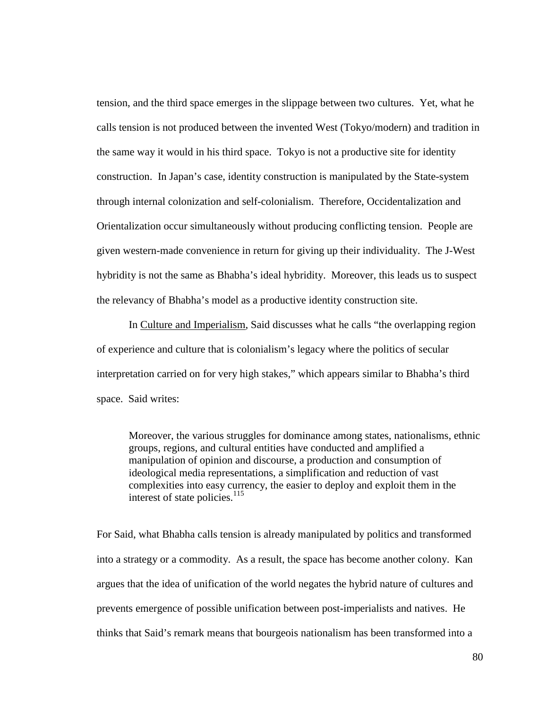tension, and the third space emerges in the slippage between two cultures. Yet, what he calls tension is not produced between the invented West (Tokyo/modern) and tradition in the same way it would in his third space. Tokyo is not a productive site for identity construction. In Japan's case, identity construction is manipulated by the State-system through internal colonization and self-colonialism. Therefore, Occidentalization and Orientalization occur simultaneously without producing conflicting tension. People are given western-made convenience in return for giving up their individuality. The J-West hybridity is not the same as Bhabha's ideal hybridity. Moreover, this leads us to suspect the relevancy of Bhabha's model as a productive identity construction site.

In Culture and Imperialism, Said discusses what he calls "the overlapping region of experience and culture that is colonialism's legacy where the politics of secular interpretation carried on for very high stakes," which appears similar to Bhabha's third space. Said writes:

Moreover, the various struggles for dominance among states, nationalisms, ethnic groups, regions, and cultural entities have conducted and amplified a manipulation of opinion and discourse, a production and consumption of ideological media representations, a simplification and reduction of vast complexities into easy currency, the easier to deploy and exploit them in the interest of state policies. $^{115}$ 

For Said, what Bhabha calls tension is already manipulated by politics and transformed into a strategy or a commodity. As a result, the space has become another colony. Kan argues that the idea of unification of the world negates the hybrid nature of cultures and prevents emergence of possible unification between post-imperialists and natives. He thinks that Said's remark means that bourgeois nationalism has been transformed into a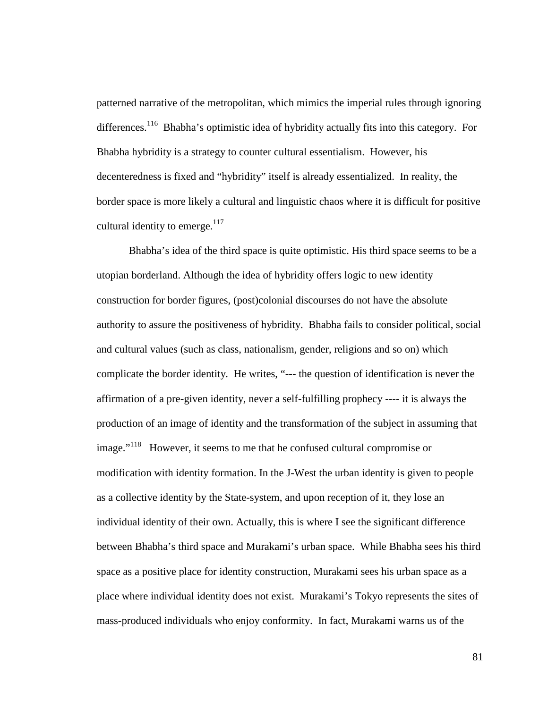patterned narrative of the metropolitan, which mimics the imperial rules through ignoring differences.<sup>116</sup> Bhabha's optimistic idea of hybridity actually fits into this category. For Bhabha hybridity is a strategy to counter cultural essentialism. However, his decenteredness is fixed and "hybridity" itself is already essentialized. In reality, the border space is more likely a cultural and linguistic chaos where it is difficult for positive cultural identity to emerge. $117$ 

Bhabha's idea of the third space is quite optimistic. His third space seems to be a utopian borderland. Although the idea of hybridity offers logic to new identity construction for border figures, (post)colonial discourses do not have the absolute authority to assure the positiveness of hybridity. Bhabha fails to consider political, social and cultural values (such as class, nationalism, gender, religions and so on) which complicate the border identity. He writes, "--- the question of identification is never the affirmation of a pre-given identity, never a self-fulfilling prophecy ---- it is always the production of an image of identity and the transformation of the subject in assuming that image."<sup>118</sup> However, it seems to me that he confused cultural compromise or modification with identity formation. In the J-West the urban identity is given to people as a collective identity by the State-system, and upon reception of it, they lose an individual identity of their own. Actually, this is where I see the significant difference between Bhabha's third space and Murakami's urban space. While Bhabha sees his third space as a positive place for identity construction, Murakami sees his urban space as a place where individual identity does not exist. Murakami's Tokyo represents the sites of mass-produced individuals who enjoy conformity. In fact, Murakami warns us of the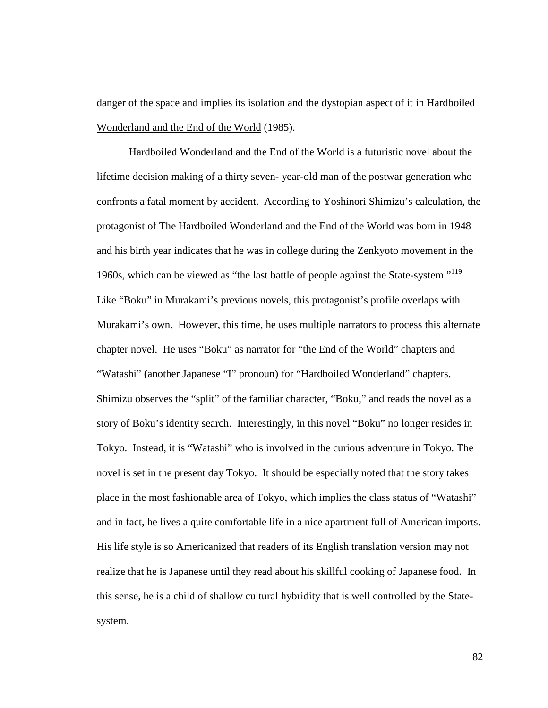danger of the space and implies its isolation and the dystopian aspect of it in Hardboiled Wonderland and the End of the World (1985).

Hardboiled Wonderland and the End of the World is a futuristic novel about the lifetime decision making of a thirty seven- year-old man of the postwar generation who confronts a fatal moment by accident. According to Yoshinori Shimizu's calculation, the protagonist of The Hardboiled Wonderland and the End of the World was born in 1948 and his birth year indicates that he was in college during the Zenkyoto movement in the 1960s, which can be viewed as "the last battle of people against the State-system."<sup>119</sup> Like "Boku" in Murakami's previous novels, this protagonist's profile overlaps with Murakami's own. However, this time, he uses multiple narrators to process this alternate chapter novel. He uses "Boku" as narrator for "the End of the World" chapters and "Watashi" (another Japanese "I" pronoun) for "Hardboiled Wonderland" chapters. Shimizu observes the "split" of the familiar character, "Boku," and reads the novel as a story of Boku's identity search. Interestingly, in this novel "Boku" no longer resides in Tokyo. Instead, it is "Watashi" who is involved in the curious adventure in Tokyo. The novel is set in the present day Tokyo. It should be especially noted that the story takes place in the most fashionable area of Tokyo, which implies the class status of "Watashi" and in fact, he lives a quite comfortable life in a nice apartment full of American imports. His life style is so Americanized that readers of its English translation version may not realize that he is Japanese until they read about his skillful cooking of Japanese food. In this sense, he is a child of shallow cultural hybridity that is well controlled by the Statesystem.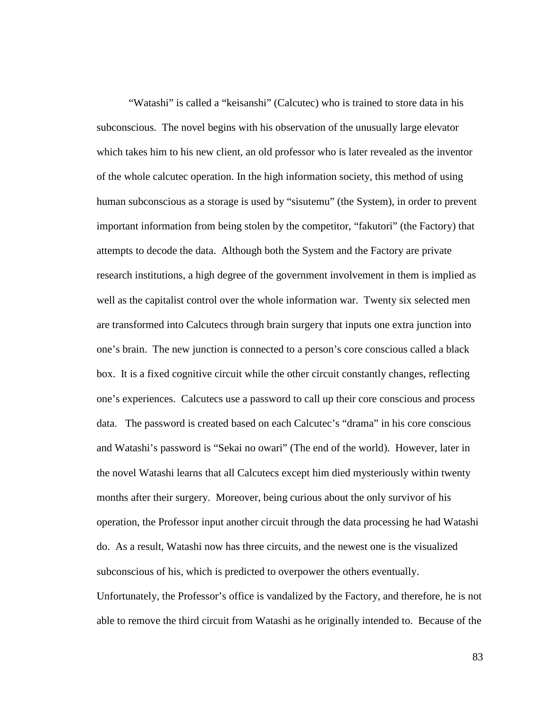"Watashi" is called a "keisanshi" (Calcutec) who is trained to store data in his subconscious. The novel begins with his observation of the unusually large elevator which takes him to his new client, an old professor who is later revealed as the inventor of the whole calcutec operation. In the high information society, this method of using human subconscious as a storage is used by "sisutemu" (the System), in order to prevent important information from being stolen by the competitor, "fakutori" (the Factory) that attempts to decode the data. Although both the System and the Factory are private research institutions, a high degree of the government involvement in them is implied as well as the capitalist control over the whole information war. Twenty six selected men are transformed into Calcutecs through brain surgery that inputs one extra junction into one's brain. The new junction is connected to a person's core conscious called a black box. It is a fixed cognitive circuit while the other circuit constantly changes, reflecting one's experiences. Calcutecs use a password to call up their core conscious and process data. The password is created based on each Calcutec's "drama" in his core conscious and Watashi's password is "Sekai no owari" (The end of the world). However, later in the novel Watashi learns that all Calcutecs except him died mysteriously within twenty months after their surgery. Moreover, being curious about the only survivor of his operation, the Professor input another circuit through the data processing he had Watashi do. As a result, Watashi now has three circuits, and the newest one is the visualized subconscious of his, which is predicted to overpower the others eventually. Unfortunately, the Professor's office is vandalized by the Factory, and therefore, he is not able to remove the third circuit from Watashi as he originally intended to. Because of the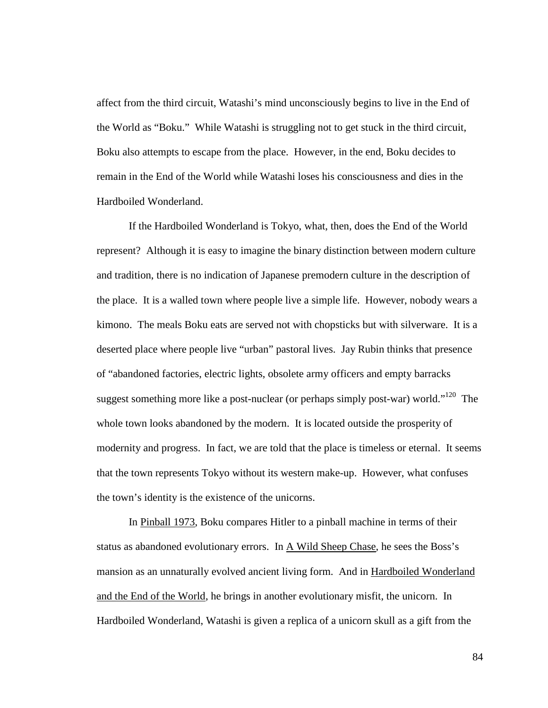affect from the third circuit, Watashi's mind unconsciously begins to live in the End of the World as "Boku." While Watashi is struggling not to get stuck in the third circuit, Boku also attempts to escape from the place. However, in the end, Boku decides to remain in the End of the World while Watashi loses his consciousness and dies in the Hardboiled Wonderland.

If the Hardboiled Wonderland is Tokyo, what, then, does the End of the World represent? Although it is easy to imagine the binary distinction between modern culture and tradition, there is no indication of Japanese premodern culture in the description of the place. It is a walled town where people live a simple life. However, nobody wears a kimono. The meals Boku eats are served not with chopsticks but with silverware. It is a deserted place where people live "urban" pastoral lives. Jay Rubin thinks that presence of "abandoned factories, electric lights, obsolete army officers and empty barracks suggest something more like a post-nuclear (or perhaps simply post-war) world."<sup>120</sup> The whole town looks abandoned by the modern. It is located outside the prosperity of modernity and progress. In fact, we are told that the place is timeless or eternal. It seems that the town represents Tokyo without its western make-up. However, what confuses the town's identity is the existence of the unicorns.

In Pinball 1973, Boku compares Hitler to a pinball machine in terms of their status as abandoned evolutionary errors. In A Wild Sheep Chase, he sees the Boss's mansion as an unnaturally evolved ancient living form. And in Hardboiled Wonderland and the End of the World, he brings in another evolutionary misfit, the unicorn. In Hardboiled Wonderland, Watashi is given a replica of a unicorn skull as a gift from the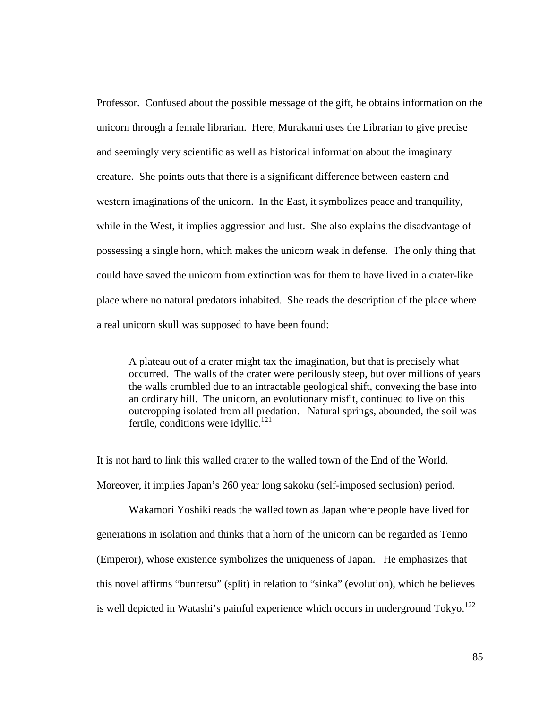Professor. Confused about the possible message of the gift, he obtains information on the unicorn through a female librarian. Here, Murakami uses the Librarian to give precise and seemingly very scientific as well as historical information about the imaginary creature. She points outs that there is a significant difference between eastern and western imaginations of the unicorn. In the East, it symbolizes peace and tranquility, while in the West, it implies aggression and lust. She also explains the disadvantage of possessing a single horn, which makes the unicorn weak in defense. The only thing that could have saved the unicorn from extinction was for them to have lived in a crater-like place where no natural predators inhabited. She reads the description of the place where a real unicorn skull was supposed to have been found:

A plateau out of a crater might tax the imagination, but that is precisely what occurred. The walls of the crater were perilously steep, but over millions of years the walls crumbled due to an intractable geological shift, convexing the base into an ordinary hill. The unicorn, an evolutionary misfit, continued to live on this outcropping isolated from all predation. Natural springs, abounded, the soil was fertile, conditions were idyllic. $121$ 

It is not hard to link this walled crater to the walled town of the End of the World. Moreover, it implies Japan's 260 year long sakoku (self-imposed seclusion) period.

Wakamori Yoshiki reads the walled town as Japan where people have lived for generations in isolation and thinks that a horn of the unicorn can be regarded as Tenno (Emperor), whose existence symbolizes the uniqueness of Japan. He emphasizes that this novel affirms "bunretsu" (split) in relation to "sinka" (evolution), which he believes is well depicted in Watashi's painful experience which occurs in underground Tokyo.<sup>122</sup>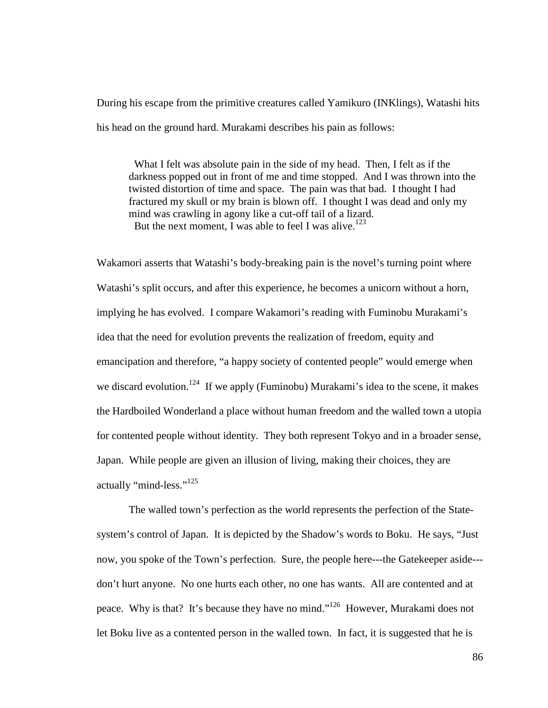During his escape from the primitive creatures called Yamikuro (INKlings), Watashi hits his head on the ground hard. Murakami describes his pain as follows:

 What I felt was absolute pain in the side of my head. Then, I felt as if the darkness popped out in front of me and time stopped. And I was thrown into the twisted distortion of time and space. The pain was that bad. I thought I had fractured my skull or my brain is blown off. I thought I was dead and only my mind was crawling in agony like a cut-off tail of a lizard. But the next moment, I was able to feel I was alive.<sup>123</sup>

Wakamori asserts that Watashi's body-breaking pain is the novel's turning point where Watashi's split occurs, and after this experience, he becomes a unicorn without a horn, implying he has evolved. I compare Wakamori's reading with Fuminobu Murakami's idea that the need for evolution prevents the realization of freedom, equity and emancipation and therefore, "a happy society of contented people" would emerge when we discard evolution.<sup>124</sup> If we apply (Fuminobu) Murakami's idea to the scene, it makes the Hardboiled Wonderland a place without human freedom and the walled town a utopia for contented people without identity. They both represent Tokyo and in a broader sense, Japan. While people are given an illusion of living, making their choices, they are actually "mind-less."<sup>125</sup>

The walled town's perfection as the world represents the perfection of the Statesystem's control of Japan. It is depicted by the Shadow's words to Boku. He says, "Just now, you spoke of the Town's perfection. Sure, the people here---the Gatekeeper aside-- don't hurt anyone. No one hurts each other, no one has wants. All are contented and at peace. Why is that? It's because they have no mind."<sup>126</sup> However, Murakami does not let Boku live as a contented person in the walled town. In fact, it is suggested that he is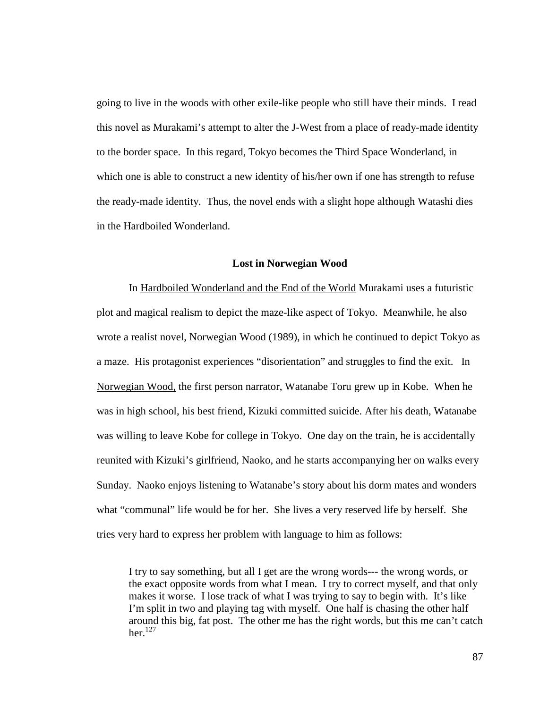going to live in the woods with other exile-like people who still have their minds. I read this novel as Murakami's attempt to alter the J-West from a place of ready-made identity to the border space. In this regard, Tokyo becomes the Third Space Wonderland, in which one is able to construct a new identity of his/her own if one has strength to refuse the ready-made identity. Thus, the novel ends with a slight hope although Watashi dies in the Hardboiled Wonderland.

## **Lost in Norwegian Wood**

In Hardboiled Wonderland and the End of the World Murakami uses a futuristic plot and magical realism to depict the maze-like aspect of Tokyo. Meanwhile, he also wrote a realist novel, Norwegian Wood (1989), in which he continued to depict Tokyo as a maze. His protagonist experiences "disorientation" and struggles to find the exit. In Norwegian Wood, the first person narrator, Watanabe Toru grew up in Kobe. When he was in high school, his best friend, Kizuki committed suicide. After his death, Watanabe was willing to leave Kobe for college in Tokyo. One day on the train, he is accidentally reunited with Kizuki's girlfriend, Naoko, and he starts accompanying her on walks every Sunday. Naoko enjoys listening to Watanabe's story about his dorm mates and wonders what "communal" life would be for her. She lives a very reserved life by herself. She tries very hard to express her problem with language to him as follows:

I try to say something, but all I get are the wrong words--- the wrong words, or the exact opposite words from what I mean. I try to correct myself, and that only makes it worse. I lose track of what I was trying to say to begin with. It's like I'm split in two and playing tag with myself. One half is chasing the other half around this big, fat post. The other me has the right words, but this me can't catch her. $^{127}$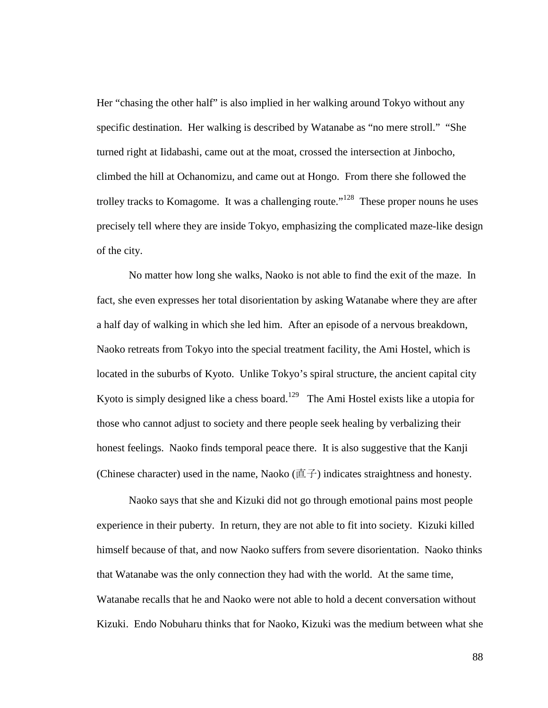Her "chasing the other half" is also implied in her walking around Tokyo without any specific destination. Her walking is described by Watanabe as "no mere stroll." "She turned right at Iidabashi, came out at the moat, crossed the intersection at Jinbocho, climbed the hill at Ochanomizu, and came out at Hongo. From there she followed the trolley tracks to Komagome. It was a challenging route."<sup>128</sup> These proper nouns he uses precisely tell where they are inside Tokyo, emphasizing the complicated maze-like design of the city.

No matter how long she walks, Naoko is not able to find the exit of the maze. In fact, she even expresses her total disorientation by asking Watanabe where they are after a half day of walking in which she led him. After an episode of a nervous breakdown, Naoko retreats from Tokyo into the special treatment facility, the Ami Hostel, which is located in the suburbs of Kyoto. Unlike Tokyo's spiral structure, the ancient capital city Kyoto is simply designed like a chess board.<sup>129</sup> The Ami Hostel exists like a utopia for those who cannot adjust to society and there people seek healing by verbalizing their honest feelings. Naoko finds temporal peace there. It is also suggestive that the Kanji (Chinese character) used in the name, Naoko (直子) indicates straightness and honesty.

Naoko says that she and Kizuki did not go through emotional pains most people experience in their puberty. In return, they are not able to fit into society. Kizuki killed himself because of that, and now Naoko suffers from severe disorientation. Naoko thinks that Watanabe was the only connection they had with the world. At the same time, Watanabe recalls that he and Naoko were not able to hold a decent conversation without Kizuki. Endo Nobuharu thinks that for Naoko, Kizuki was the medium between what she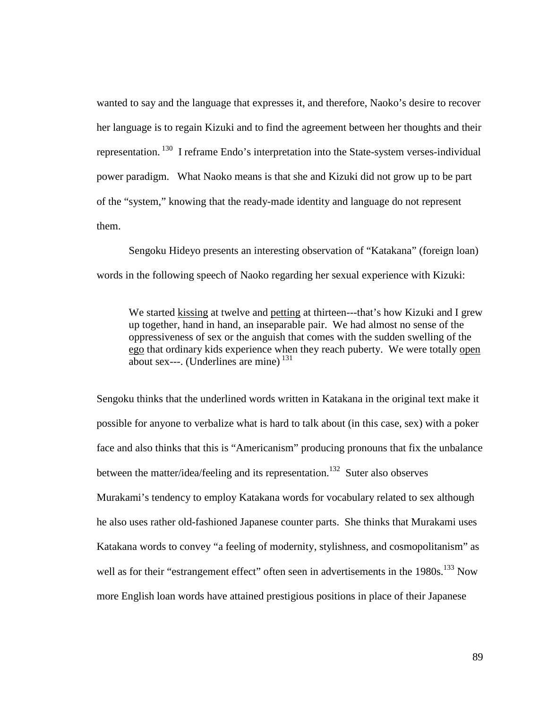wanted to say and the language that expresses it, and therefore, Naoko's desire to recover her language is to regain Kizuki and to find the agreement between her thoughts and their representation.<sup>130</sup> I reframe Endo's interpretation into the State-system verses-individual power paradigm. What Naoko means is that she and Kizuki did not grow up to be part of the "system," knowing that the ready-made identity and language do not represent them.

Sengoku Hideyo presents an interesting observation of "Katakana" (foreign loan) words in the following speech of Naoko regarding her sexual experience with Kizuki:

We started kissing at twelve and petting at thirteen---that's how Kizuki and I grew up together, hand in hand, an inseparable pair. We had almost no sense of the oppressiveness of sex or the anguish that comes with the sudden swelling of the ego that ordinary kids experience when they reach puberty. We were totally open about sex---. (Underlines are mine)<sup>131</sup>

Sengoku thinks that the underlined words written in Katakana in the original text make it possible for anyone to verbalize what is hard to talk about (in this case, sex) with a poker face and also thinks that this is "Americanism" producing pronouns that fix the unbalance between the matter/idea/feeling and its representation.<sup>132</sup> Suter also observes Murakami's tendency to employ Katakana words for vocabulary related to sex although he also uses rather old-fashioned Japanese counter parts. She thinks that Murakami uses Katakana words to convey "a feeling of modernity, stylishness, and cosmopolitanism" as well as for their "estrangement effect" often seen in advertisements in the 1980s.<sup>133</sup> Now more English loan words have attained prestigious positions in place of their Japanese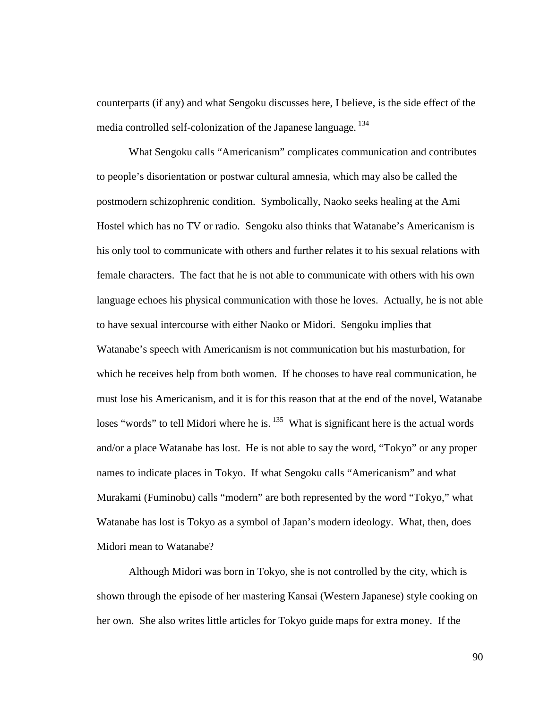counterparts (if any) and what Sengoku discusses here, I believe, is the side effect of the media controlled self-colonization of the Japanese language.<sup>134</sup>

What Sengoku calls "Americanism" complicates communication and contributes to people's disorientation or postwar cultural amnesia, which may also be called the postmodern schizophrenic condition. Symbolically, Naoko seeks healing at the Ami Hostel which has no TV or radio. Sengoku also thinks that Watanabe's Americanism is his only tool to communicate with others and further relates it to his sexual relations with female characters. The fact that he is not able to communicate with others with his own language echoes his physical communication with those he loves. Actually, he is not able to have sexual intercourse with either Naoko or Midori. Sengoku implies that Watanabe's speech with Americanism is not communication but his masturbation, for which he receives help from both women. If he chooses to have real communication, he must lose his Americanism, and it is for this reason that at the end of the novel, Watanabe loses "words" to tell Midori where he is.<sup>135</sup> What is significant here is the actual words and/or a place Watanabe has lost. He is not able to say the word, "Tokyo" or any proper names to indicate places in Tokyo. If what Sengoku calls "Americanism" and what Murakami (Fuminobu) calls "modern" are both represented by the word "Tokyo," what Watanabe has lost is Tokyo as a symbol of Japan's modern ideology. What, then, does Midori mean to Watanabe?

Although Midori was born in Tokyo, she is not controlled by the city, which is shown through the episode of her mastering Kansai (Western Japanese) style cooking on her own. She also writes little articles for Tokyo guide maps for extra money. If the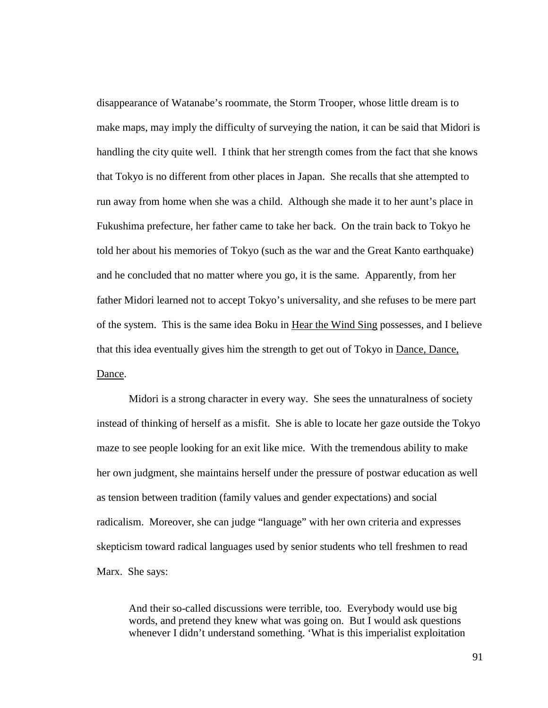disappearance of Watanabe's roommate, the Storm Trooper, whose little dream is to make maps, may imply the difficulty of surveying the nation, it can be said that Midori is handling the city quite well. I think that her strength comes from the fact that she knows that Tokyo is no different from other places in Japan. She recalls that she attempted to run away from home when she was a child. Although she made it to her aunt's place in Fukushima prefecture, her father came to take her back. On the train back to Tokyo he told her about his memories of Tokyo (such as the war and the Great Kanto earthquake) and he concluded that no matter where you go, it is the same. Apparently, from her father Midori learned not to accept Tokyo's universality, and she refuses to be mere part of the system. This is the same idea Boku in Hear the Wind Sing possesses, and I believe that this idea eventually gives him the strength to get out of Tokyo in Dance, Dance, Dance.

Midori is a strong character in every way. She sees the unnaturalness of society instead of thinking of herself as a misfit. She is able to locate her gaze outside the Tokyo maze to see people looking for an exit like mice. With the tremendous ability to make her own judgment, she maintains herself under the pressure of postwar education as well as tension between tradition (family values and gender expectations) and social radicalism. Moreover, she can judge "language" with her own criteria and expresses skepticism toward radical languages used by senior students who tell freshmen to read Marx. She says:

And their so-called discussions were terrible, too. Everybody would use big words, and pretend they knew what was going on. But I would ask questions whenever I didn't understand something. 'What is this imperialist exploitation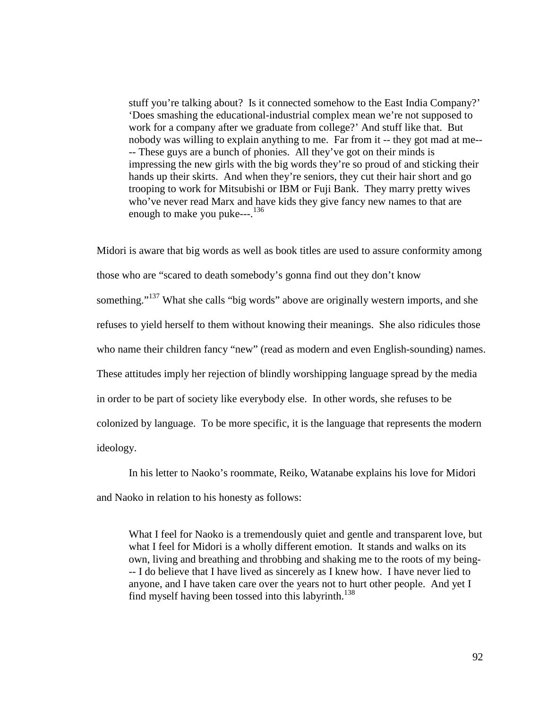stuff you're talking about? Is it connected somehow to the East India Company?' 'Does smashing the educational-industrial complex mean we're not supposed to work for a company after we graduate from college?' And stuff like that. But nobody was willing to explain anything to me. Far from it -- they got mad at me-- -- These guys are a bunch of phonies. All they've got on their minds is impressing the new girls with the big words they're so proud of and sticking their hands up their skirts. And when they're seniors, they cut their hair short and go trooping to work for Mitsubishi or IBM or Fuji Bank. They marry pretty wives who've never read Marx and have kids they give fancy new names to that are enough to make you puke---.<sup>136</sup>

Midori is aware that big words as well as book titles are used to assure conformity among those who are "scared to death somebody's gonna find out they don't know something."<sup>137</sup> What she calls "big words" above are originally western imports, and she refuses to yield herself to them without knowing their meanings. She also ridicules those who name their children fancy "new" (read as modern and even English-sounding) names. These attitudes imply her rejection of blindly worshipping language spread by the media in order to be part of society like everybody else. In other words, she refuses to be colonized by language. To be more specific, it is the language that represents the modern ideology.

In his letter to Naoko's roommate, Reiko, Watanabe explains his love for Midori and Naoko in relation to his honesty as follows:

What I feel for Naoko is a tremendously quiet and gentle and transparent love, but what I feel for Midori is a wholly different emotion. It stands and walks on its own, living and breathing and throbbing and shaking me to the roots of my being- -- I do believe that I have lived as sincerely as I knew how. I have never lied to anyone, and I have taken care over the years not to hurt other people. And yet I find myself having been tossed into this labyrinth.<sup>138</sup>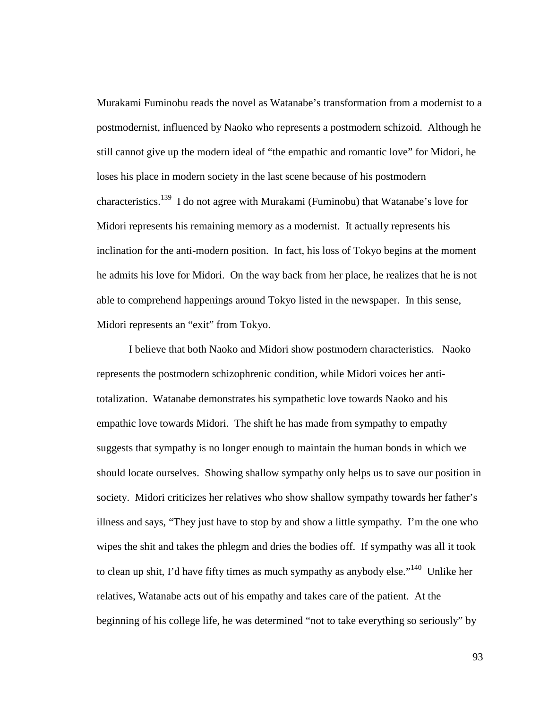Murakami Fuminobu reads the novel as Watanabe's transformation from a modernist to a postmodernist, influenced by Naoko who represents a postmodern schizoid. Although he still cannot give up the modern ideal of "the empathic and romantic love" for Midori, he loses his place in modern society in the last scene because of his postmodern characteristics.<sup>139</sup> I do not agree with Murakami (Fuminobu) that Watanabe's love for Midori represents his remaining memory as a modernist. It actually represents his inclination for the anti-modern position. In fact, his loss of Tokyo begins at the moment he admits his love for Midori. On the way back from her place, he realizes that he is not able to comprehend happenings around Tokyo listed in the newspaper. In this sense, Midori represents an "exit" from Tokyo.

I believe that both Naoko and Midori show postmodern characteristics. Naoko represents the postmodern schizophrenic condition, while Midori voices her antitotalization. Watanabe demonstrates his sympathetic love towards Naoko and his empathic love towards Midori. The shift he has made from sympathy to empathy suggests that sympathy is no longer enough to maintain the human bonds in which we should locate ourselves. Showing shallow sympathy only helps us to save our position in society. Midori criticizes her relatives who show shallow sympathy towards her father's illness and says, "They just have to stop by and show a little sympathy. I'm the one who wipes the shit and takes the phlegm and dries the bodies off. If sympathy was all it took to clean up shit, I'd have fifty times as much sympathy as anybody else."<sup>140</sup> Unlike her relatives, Watanabe acts out of his empathy and takes care of the patient. At the beginning of his college life, he was determined "not to take everything so seriously" by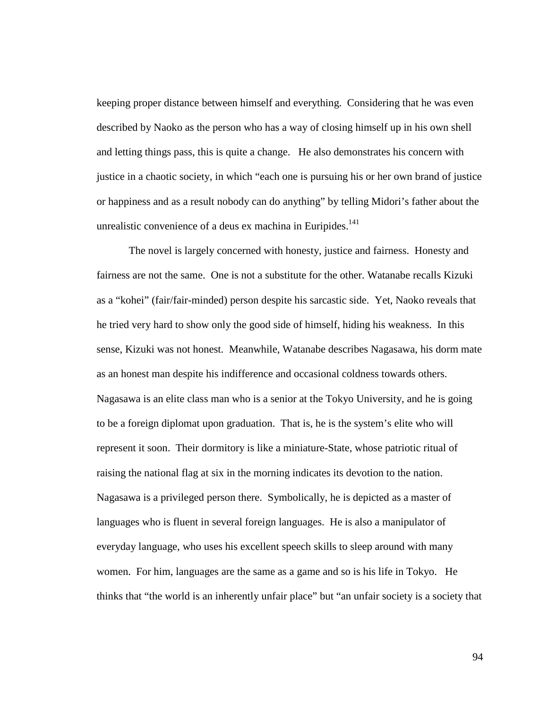keeping proper distance between himself and everything. Considering that he was even described by Naoko as the person who has a way of closing himself up in his own shell and letting things pass, this is quite a change. He also demonstrates his concern with justice in a chaotic society, in which "each one is pursuing his or her own brand of justice or happiness and as a result nobody can do anything" by telling Midori's father about the unrealistic convenience of a deus ex machina in Euripides. $141$ 

The novel is largely concerned with honesty, justice and fairness. Honesty and fairness are not the same. One is not a substitute for the other. Watanabe recalls Kizuki as a "kohei" (fair/fair-minded) person despite his sarcastic side. Yet, Naoko reveals that he tried very hard to show only the good side of himself, hiding his weakness. In this sense, Kizuki was not honest. Meanwhile, Watanabe describes Nagasawa, his dorm mate as an honest man despite his indifference and occasional coldness towards others. Nagasawa is an elite class man who is a senior at the Tokyo University, and he is going to be a foreign diplomat upon graduation. That is, he is the system's elite who will represent it soon. Their dormitory is like a miniature-State, whose patriotic ritual of raising the national flag at six in the morning indicates its devotion to the nation. Nagasawa is a privileged person there. Symbolically, he is depicted as a master of languages who is fluent in several foreign languages. He is also a manipulator of everyday language, who uses his excellent speech skills to sleep around with many women. For him, languages are the same as a game and so is his life in Tokyo. He thinks that "the world is an inherently unfair place" but "an unfair society is a society that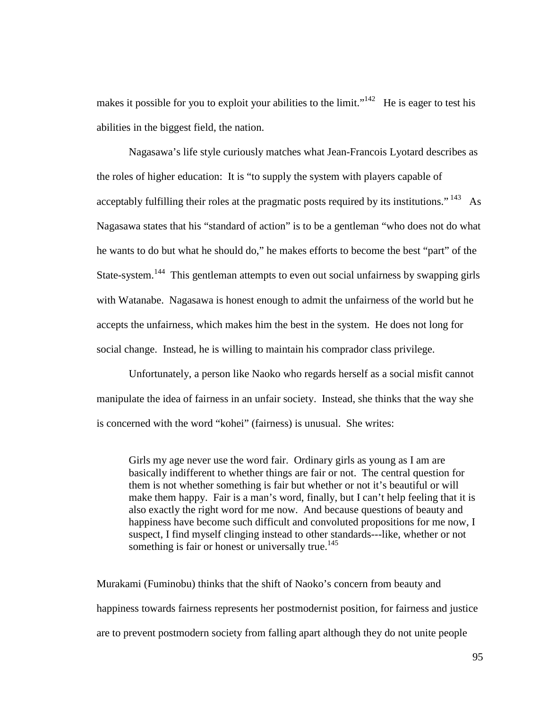makes it possible for you to exploit your abilities to the limit."<sup>142</sup> He is eager to test his abilities in the biggest field, the nation.

Nagasawa's life style curiously matches what Jean-Francois Lyotard describes as the roles of higher education: It is "to supply the system with players capable of acceptably fulfilling their roles at the pragmatic posts required by its institutions."  $^{143}$  As Nagasawa states that his "standard of action" is to be a gentleman "who does not do what he wants to do but what he should do," he makes efforts to become the best "part" of the State-system.<sup>144</sup> This gentleman attempts to even out social unfairness by swapping girls with Watanabe. Nagasawa is honest enough to admit the unfairness of the world but he accepts the unfairness, which makes him the best in the system. He does not long for social change. Instead, he is willing to maintain his comprador class privilege.

Unfortunately, a person like Naoko who regards herself as a social misfit cannot manipulate the idea of fairness in an unfair society. Instead, she thinks that the way she is concerned with the word "kohei" (fairness) is unusual. She writes:

Girls my age never use the word fair. Ordinary girls as young as I am are basically indifferent to whether things are fair or not. The central question for them is not whether something is fair but whether or not it's beautiful or will make them happy. Fair is a man's word, finally, but I can't help feeling that it is also exactly the right word for me now. And because questions of beauty and happiness have become such difficult and convoluted propositions for me now, I suspect, I find myself clinging instead to other standards---like, whether or not something is fair or honest or universally true.<sup>145</sup>

Murakami (Fuminobu) thinks that the shift of Naoko's concern from beauty and happiness towards fairness represents her postmodernist position, for fairness and justice are to prevent postmodern society from falling apart although they do not unite people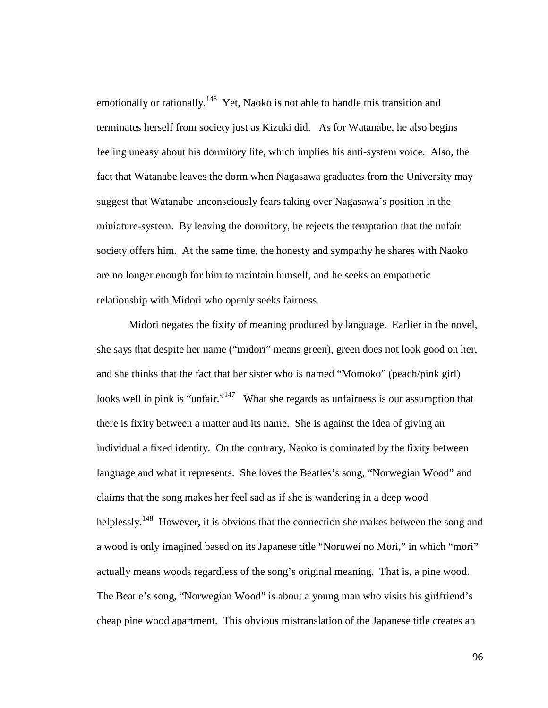emotionally or rationally.<sup>146</sup> Yet, Naoko is not able to handle this transition and terminates herself from society just as Kizuki did. As for Watanabe, he also begins feeling uneasy about his dormitory life, which implies his anti-system voice. Also, the fact that Watanabe leaves the dorm when Nagasawa graduates from the University may suggest that Watanabe unconsciously fears taking over Nagasawa's position in the miniature-system. By leaving the dormitory, he rejects the temptation that the unfair society offers him. At the same time, the honesty and sympathy he shares with Naoko are no longer enough for him to maintain himself, and he seeks an empathetic relationship with Midori who openly seeks fairness.

Midori negates the fixity of meaning produced by language. Earlier in the novel, she says that despite her name ("midori" means green), green does not look good on her, and she thinks that the fact that her sister who is named "Momoko" (peach/pink girl) looks well in pink is "unfair."<sup>147</sup> What she regards as unfairness is our assumption that there is fixity between a matter and its name. She is against the idea of giving an individual a fixed identity. On the contrary, Naoko is dominated by the fixity between language and what it represents. She loves the Beatles's song, "Norwegian Wood" and claims that the song makes her feel sad as if she is wandering in a deep wood helplessly.<sup>148</sup> However, it is obvious that the connection she makes between the song and a wood is only imagined based on its Japanese title "Noruwei no Mori," in which "mori" actually means woods regardless of the song's original meaning. That is, a pine wood. The Beatle's song, "Norwegian Wood" is about a young man who visits his girlfriend's cheap pine wood apartment. This obvious mistranslation of the Japanese title creates an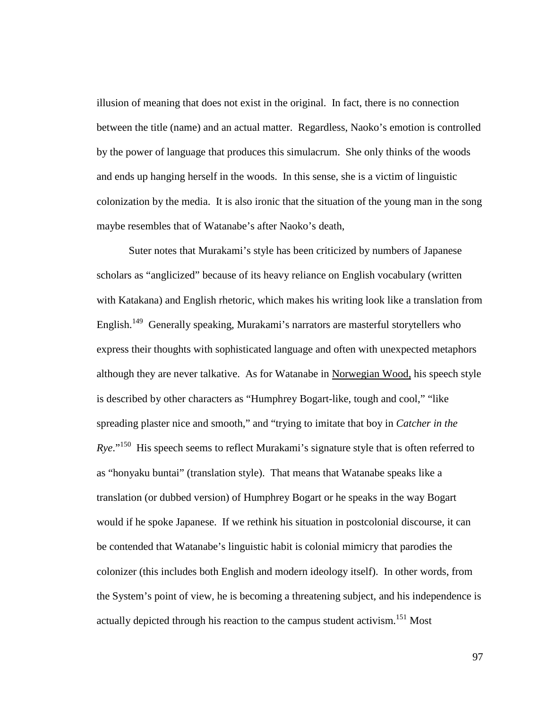illusion of meaning that does not exist in the original. In fact, there is no connection between the title (name) and an actual matter. Regardless, Naoko's emotion is controlled by the power of language that produces this simulacrum. She only thinks of the woods and ends up hanging herself in the woods. In this sense, she is a victim of linguistic colonization by the media. It is also ironic that the situation of the young man in the song maybe resembles that of Watanabe's after Naoko's death,

Suter notes that Murakami's style has been criticized by numbers of Japanese scholars as "anglicized" because of its heavy reliance on English vocabulary (written with Katakana) and English rhetoric, which makes his writing look like a translation from English.<sup>149</sup> Generally speaking, Murakami's narrators are masterful storytellers who express their thoughts with sophisticated language and often with unexpected metaphors although they are never talkative. As for Watanabe in Norwegian Wood, his speech style is described by other characters as "Humphrey Bogart-like, tough and cool," "like spreading plaster nice and smooth," and "trying to imitate that boy in *Catcher in the Rye*."<sup>150</sup> His speech seems to reflect Murakami's signature style that is often referred to as "honyaku buntai" (translation style). That means that Watanabe speaks like a translation (or dubbed version) of Humphrey Bogart or he speaks in the way Bogart would if he spoke Japanese. If we rethink his situation in postcolonial discourse, it can be contended that Watanabe's linguistic habit is colonial mimicry that parodies the colonizer (this includes both English and modern ideology itself). In other words, from the System's point of view, he is becoming a threatening subject, and his independence is actually depicted through his reaction to the campus student activism.<sup>151</sup> Most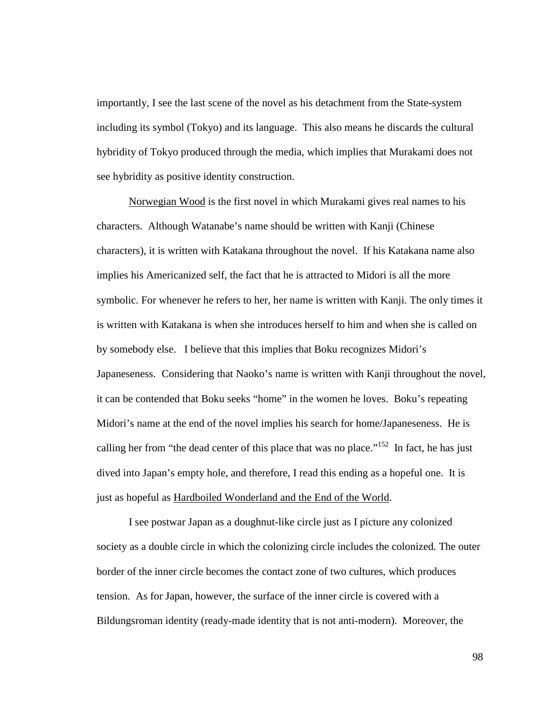importantly, I see the last scene of the novel as his detachment from the State-system including its symbol (Tokyo) and its language. This also means he discards the cultural hybridity of Tokyo produced through the media, which implies that Murakami does not see hybridity as positive identity construction.

Norwegian Wood is the first novel in which Murakami gives real names to his characters. Although Watanabe's name should be written with Kanji (Chinese characters), it is written with Katakana throughout the novel. If his Katakana name also implies his Americanized self, the fact that he is attracted to Midori is all the more symbolic. For whenever he refers to her, her name is written with Kanji. The only times it is written with Katakana is when she introduces herself to him and when she is called on by somebody else. I believe that this implies that Boku recognizes Midori's Japaneseness. Considering that Naoko's name is written with Kanji throughout the novel, it can be contended that Boku seeks "home" in the women he loves. Boku's repeating Midori's name at the end of the novel implies his search for home/Japaneseness. He is calling her from "the dead center of this place that was no place."<sup>152</sup> In fact, he has just dived into Japan's empty hole, and therefore, I read this ending as a hopeful one. It is just as hopeful as Hardboiled Wonderland and the End of the World.

I see postwar Japan as a doughnut-like circle just as I picture any colonized society as a double circle in which the colonizing circle includes the colonized. The outer border of the inner circle becomes the contact zone of two cultures, which produces tension. As for Japan, however, the surface of the inner circle is covered with a Bildungsroman identity (ready-made identity that is not anti-modern). Moreover, the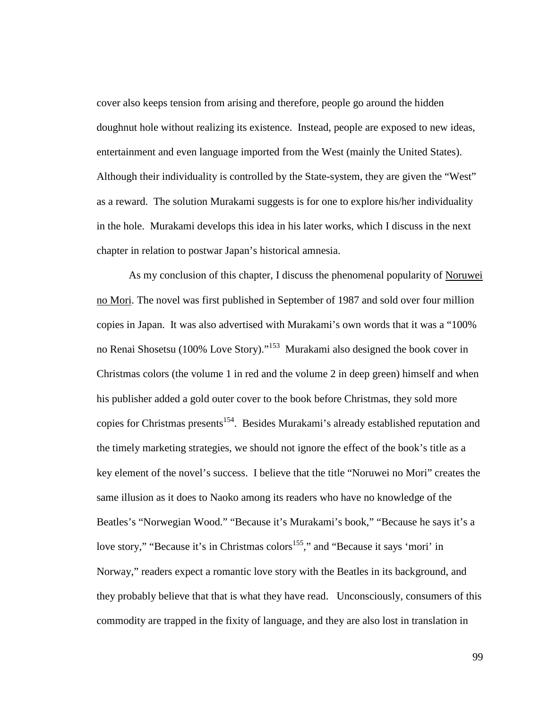cover also keeps tension from arising and therefore, people go around the hidden doughnut hole without realizing its existence. Instead, people are exposed to new ideas, entertainment and even language imported from the West (mainly the United States). Although their individuality is controlled by the State-system, they are given the "West" as a reward. The solution Murakami suggests is for one to explore his/her individuality in the hole. Murakami develops this idea in his later works, which I discuss in the next chapter in relation to postwar Japan's historical amnesia.

As my conclusion of this chapter, I discuss the phenomenal popularity of Noruwei no Mori. The novel was first published in September of 1987 and sold over four million copies in Japan. It was also advertised with Murakami's own words that it was a "100% no Renai Shosetsu (100% Love Story)."<sup>153</sup> Murakami also designed the book cover in Christmas colors (the volume 1 in red and the volume 2 in deep green) himself and when his publisher added a gold outer cover to the book before Christmas, they sold more copies for Christmas presents<sup>154</sup>. Besides Murakami's already established reputation and the timely marketing strategies, we should not ignore the effect of the book's title as a key element of the novel's success. I believe that the title "Noruwei no Mori" creates the same illusion as it does to Naoko among its readers who have no knowledge of the Beatles's "Norwegian Wood." "Because it's Murakami's book," "Because he says it's a love story," "Because it's in Christmas colors<sup>155</sup>," and "Because it says 'mori' in Norway," readers expect a romantic love story with the Beatles in its background, and they probably believe that that is what they have read. Unconsciously, consumers of this commodity are trapped in the fixity of language, and they are also lost in translation in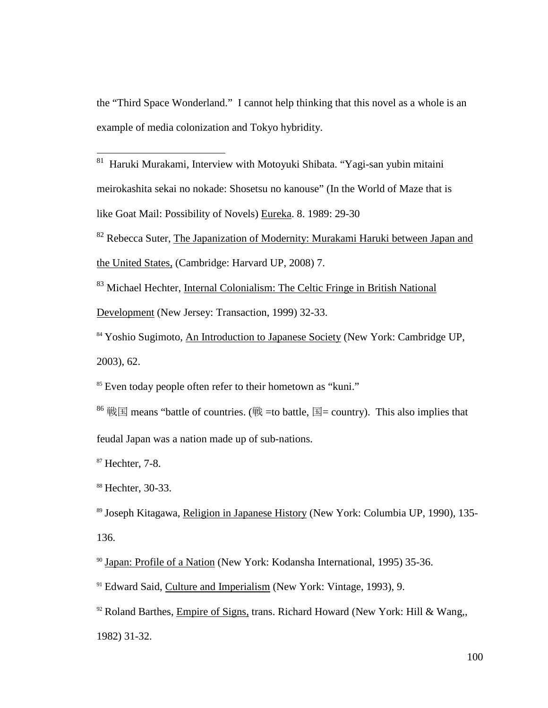the "Third Space Wonderland." I cannot help thinking that this novel as a whole is an example of media colonization and Tokyo hybridity.

- $\overline{a}$  $81$  Haruki Murakami, Interview with Motoyuki Shibata. "Yagi-san yubin mitaini meirokashita sekai no nokade: Shosetsu no kanouse" (In the World of Maze that is like Goat Mail: Possibility of Novels) Eureka. 8. 1989: 29-30
- <sup>82</sup> Rebecca Suter, The Japanization of Modernity: Murakami Haruki between Japan and the United States, (Cambridge: Harvard UP, 2008) 7.
- <sup>83</sup> Michael Hechter, Internal Colonialism: The Celtic Fringe in British National Development (New Jersey: Transaction, 1999) 32-33.
- <sup>84</sup> Yoshio Sugimoto, An Introduction to Japanese Society (New York: Cambridge UP, 2003), 62.
- <sup>85</sup> Even today people often refer to their hometown as "kuni."
- <sup>86</sup> 戦国 means "battle of countries. (戦 = to battle, 国 = country). This also implies that feudal Japan was a nation made up of sub-nations.

<sup>87</sup> Hechter, 7-8.

<sup>88</sup> Hechter, 30-33.

<sup>89</sup> Joseph Kitagawa, Religion in Japanese History (New York: Columbia UP, 1990), 135- 136.

<sup>90</sup> Japan: Profile of a Nation (New York: Kodansha International, 1995) 35-36.

<sup>91</sup> Edward Said, Culture and Imperialism (New York: Vintage, 1993), 9.

 $92$  Roland Barthes, Empire of Signs, trans. Richard Howard (New York: Hill & Wang, 1982) 31-32.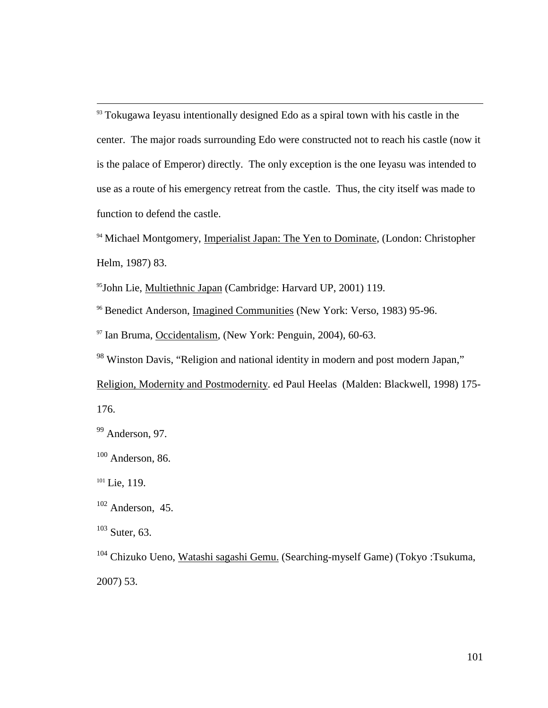$93$  Tokugawa Ieyasu intentionally designed Edo as a spiral town with his castle in the center. The major roads surrounding Edo were constructed not to reach his castle (now it is the palace of Emperor) directly. The only exception is the one Ieyasu was intended to use as a route of his emergency retreat from the castle. Thus, the city itself was made to function to defend the castle.

<sup>94</sup> Michael Montgomery, Imperialist Japan: The Yen to Dominate, (London: Christopher Helm, 1987) 83.

<sup>95</sup>John Lie, Multiethnic Japan (Cambridge: Harvard UP, 2001) 119.

<sup>96</sup> Benedict Anderson, Imagined Communities (New York: Verso, 1983) 95-96.

<sup>97</sup> Ian Bruma, Occidentalism, (New York: Penguin, 2004), 60-63.

<sup>98</sup> Winston Davis, "Religion and national identity in modern and post modern Japan,"

Religion, Modernity and Postmodernity. ed Paul Heelas (Malden: Blackwell, 1998) 175- 176.

<sup>99</sup> Anderson, 97.

 $100$  Anderson, 86.

 $101$  Lie, 119.

 $\overline{a}$ 

 $102$  Anderson, 45.

 $103$  Suter, 63.

<sup>104</sup> Chizuko Ueno, Watashi sagashi Gemu. (Searching-myself Game) (Tokyo :Tsukuma, 2007) 53.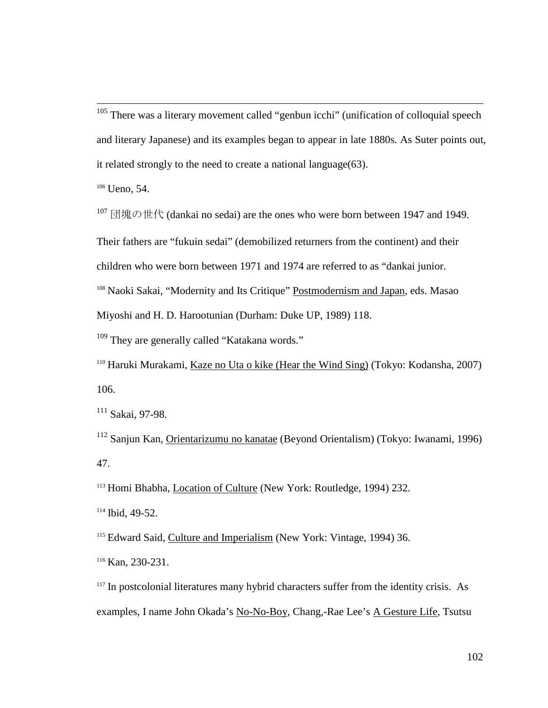$105$  There was a literary movement called "genbun icchi" (unification of colloquial speech and literary Japanese) and its examples began to appear in late 1880s. As Suter points out, it related strongly to the need to create a national language(63).

 $106$  Ueno, 54.

 $\overline{a}$ 

 $107$  団塊の世代 (dankai no sedai) are the ones who were born between 1947 and 1949.

Their fathers are "fukuin sedai" (demobilized returners from the continent) and their

children who were born between 1971 and 1974 are referred to as "dankai junior.

<sup>108</sup> Naoki Sakai, "Modernity and Its Critique" Postmodernism and Japan, eds. Masao

Miyoshi and H. D. Harootunian (Durham: Duke UP, 1989) 118.

<sup>109</sup> They are generally called "Katakana words."

<sup>110</sup> Haruki Murakami, Kaze no Uta o kike (Hear the Wind Sing) (Tokyo: Kodansha, 2007) 106.

<sup>111</sup> Sakai, 97-98.

<sup>112</sup> Sanjun Kan, Orientarizumu no kanatae (Beyond Orientalism) (Tokyo: Iwanami, 1996) 47.

<sup>113</sup> Homi Bhabha, Location of Culture (New York: Routledge, 1994) 232.

<sup>114</sup> Ibid, 49-52.

<sup>115</sup> Edward Said, Culture and Imperialism (New York: Vintage, 1994) 36.

<sup>116</sup> Kan, 230-231.

 $117$  In postcolonial literatures many hybrid characters suffer from the identity crisis. As examples, I name John Okada's No-No-Boy, Chang,-Rae Lee's A Gesture Life, Tsutsu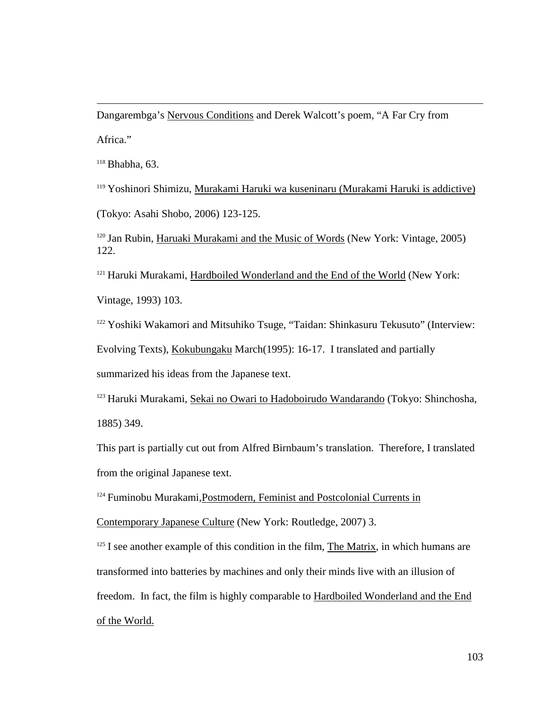Dangarembga's Nervous Conditions and Derek Walcott's poem, "A Far Cry from Africa."

 $118$  Bhabha, 63.

 $\overline{a}$ 

<sup>119</sup> Yoshinori Shimizu, Murakami Haruki wa kuseninaru (Murakami Haruki is addictive) (Tokyo: Asahi Shobo, 2006) 123-125.

 $120$  Jan Rubin, Haruaki Murakami and the Music of Words (New York: Vintage, 2005) 122.

<sup>121</sup> Haruki Murakami, Hardboiled Wonderland and the End of the World (New York: Vintage, 1993) 103.

<sup>122</sup> Yoshiki Wakamori and Mitsuhiko Tsuge, "Taidan: Shinkasuru Tekusuto" (Interview:

Evolving Texts), Kokubungaku March(1995): 16-17. I translated and partially

summarized his ideas from the Japanese text.

<sup>123</sup> Haruki Murakami, Sekai no Owari to Hadoboirudo Wandarando (Tokyo: Shinchosha, 1885) 349.

This part is partially cut out from Alfred Birnbaum's translation. Therefore, I translated from the original Japanese text.

<sup>124</sup> Fuminobu Murakami,Postmodern, Feminist and Postcolonial Currents in

Contemporary Japanese Culture (New York: Routledge, 2007) 3.

 $125$  I see another example of this condition in the film, The Matrix, in which humans are transformed into batteries by machines and only their minds live with an illusion of freedom. In fact, the film is highly comparable to Hardboiled Wonderland and the End of the World.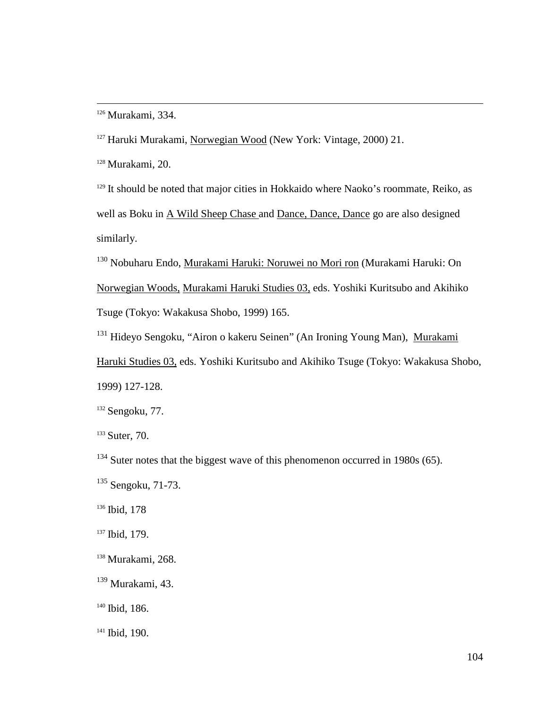<sup>126</sup> Murakami, 334.

 $\overline{a}$ 

<sup>127</sup> Haruki Murakami, Norwegian Wood (New York: Vintage, 2000) 21.

<sup>128</sup> Murakami, 20.

<sup>129</sup> It should be noted that major cities in Hokkaido where Naoko's roommate, Reiko, as well as Boku in A Wild Sheep Chase and Dance, Dance, Dance go are also designed similarly.

<sup>130</sup> Nobuharu Endo, Murakami Haruki: Noruwei no Mori ron (Murakami Haruki: On Norwegian Woods, Murakami Haruki Studies 03, eds. Yoshiki Kuritsubo and Akihiko Tsuge (Tokyo: Wakakusa Shobo, 1999) 165.

<sup>131</sup> Hideyo Sengoku, "Airon o kakeru Seinen" (An Ironing Young Man), Murakami

Haruki Studies 03, eds. Yoshiki Kuritsubo and Akihiko Tsuge (Tokyo: Wakakusa Shobo, 1999) 127-128.

<sup>132</sup> Sengoku, 77.

<sup>133</sup> Suter, 70.

 $134$  Suter notes that the biggest wave of this phenomenon occurred in 1980s (65).

<sup>135</sup> Sengoku, 71-73.

<sup>136</sup> Ibid, 178

<sup>137</sup> Ibid, 179.

<sup>138</sup> Murakami, 268.

 $139$  Murakami, 43.

<sup>140</sup> Ibid, 186.

<sup>141</sup> Ibid, 190.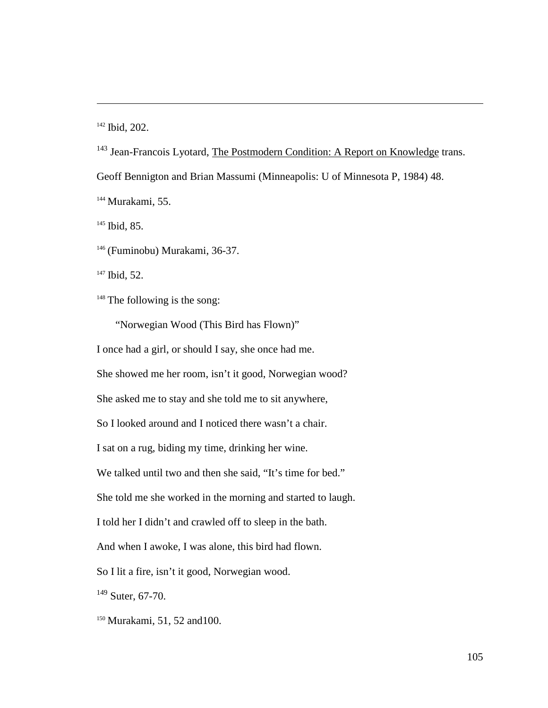<sup>142</sup> Ibid, 202.

 $\overline{a}$ 

<sup>143</sup> Jean-Francois Lyotard, The Postmodern Condition: A Report on Knowledge trans.

Geoff Bennigton and Brian Massumi (Minneapolis: U of Minnesota P, 1984) 48.

<sup>144</sup> Murakami, 55.

<sup>145</sup> Ibid, 85.

<sup>146</sup> (Fuminobu) Murakami, 36-37.

<sup>147</sup> Ibid, 52.

 $148$  The following is the song:

"Norwegian Wood (This Bird has Flown)"

I once had a girl, or should I say, she once had me.

She showed me her room, isn't it good, Norwegian wood?

She asked me to stay and she told me to sit anywhere,

So I looked around and I noticed there wasn't a chair.

I sat on a rug, biding my time, drinking her wine.

We talked until two and then she said, "It's time for bed."

She told me she worked in the morning and started to laugh.

I told her I didn't and crawled off to sleep in the bath.

And when I awoke, I was alone, this bird had flown.

So I lit a fire, isn't it good, Norwegian wood.

 $149$  Suter, 67-70.

<sup>150</sup> Murakami, 51, 52 and100.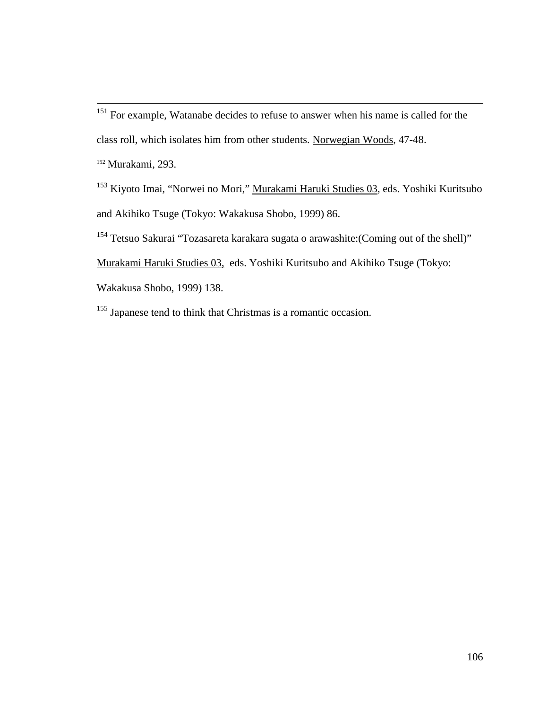$\overline{a}$ <sup>151</sup> For example, Watanabe decides to refuse to answer when his name is called for the class roll, which isolates him from other students. Norwegian Woods, 47-48. <sup>152</sup> Murakami, 293.

<sup>153</sup> Kiyoto Imai, "Norwei no Mori," Murakami Haruki Studies 03, eds. Yoshiki Kuritsubo and Akihiko Tsuge (Tokyo: Wakakusa Shobo, 1999) 86.

<sup>154</sup> Tetsuo Sakurai "Tozasareta karakara sugata o arawashite:(Coming out of the shell)"

Murakami Haruki Studies 03, eds. Yoshiki Kuritsubo and Akihiko Tsuge (Tokyo:

Wakakusa Shobo, 1999) 138.

<sup>155</sup> Japanese tend to think that Christmas is a romantic occasion.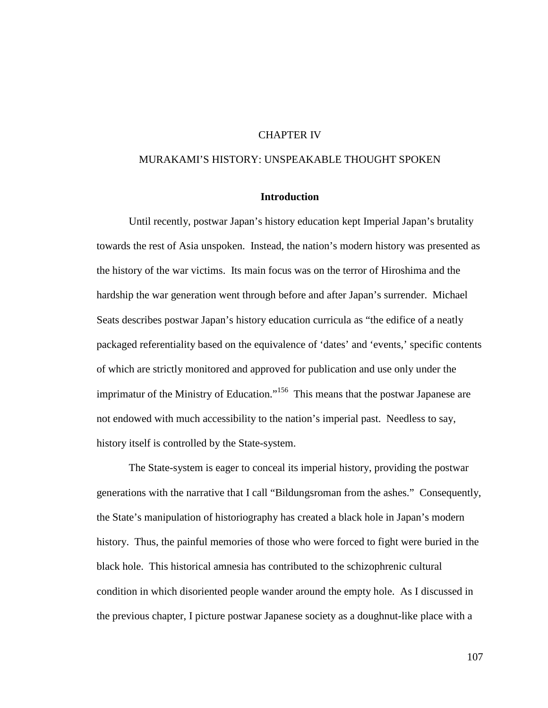# CHAPTER IV

# MURAKAMI'S HISTORY: UNSPEAKABLE THOUGHT SPOKEN

## **Introduction**

Until recently, postwar Japan's history education kept Imperial Japan's brutality towards the rest of Asia unspoken. Instead, the nation's modern history was presented as the history of the war victims. Its main focus was on the terror of Hiroshima and the hardship the war generation went through before and after Japan's surrender. Michael Seats describes postwar Japan's history education curricula as "the edifice of a neatly packaged referentiality based on the equivalence of 'dates' and 'events,' specific contents of which are strictly monitored and approved for publication and use only under the imprimatur of the Ministry of Education."<sup>156</sup> This means that the postwar Japanese are not endowed with much accessibility to the nation's imperial past. Needless to say, history itself is controlled by the State-system.

The State-system is eager to conceal its imperial history, providing the postwar generations with the narrative that I call "Bildungsroman from the ashes." Consequently, the State's manipulation of historiography has created a black hole in Japan's modern history. Thus, the painful memories of those who were forced to fight were buried in the black hole. This historical amnesia has contributed to the schizophrenic cultural condition in which disoriented people wander around the empty hole. As I discussed in the previous chapter, I picture postwar Japanese society as a doughnut-like place with a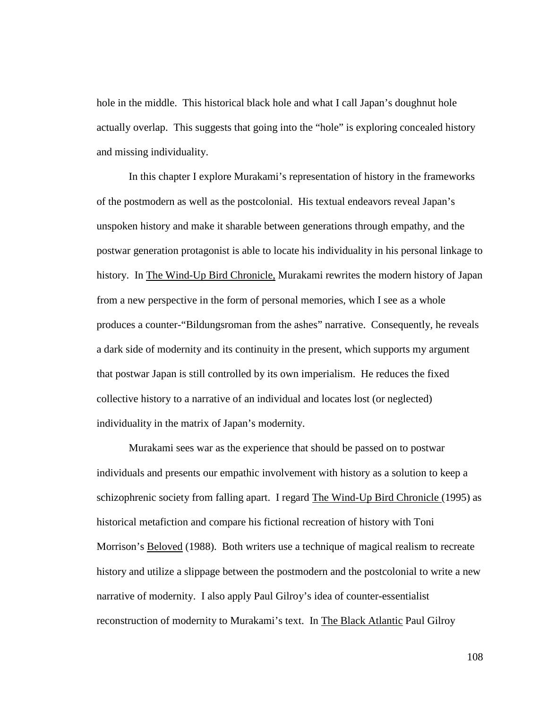hole in the middle. This historical black hole and what I call Japan's doughnut hole actually overlap. This suggests that going into the "hole" is exploring concealed history and missing individuality.

In this chapter I explore Murakami's representation of history in the frameworks of the postmodern as well as the postcolonial. His textual endeavors reveal Japan's unspoken history and make it sharable between generations through empathy, and the postwar generation protagonist is able to locate his individuality in his personal linkage to history. In The Wind-Up Bird Chronicle, Murakami rewrites the modern history of Japan from a new perspective in the form of personal memories, which I see as a whole produces a counter-"Bildungsroman from the ashes" narrative. Consequently, he reveals a dark side of modernity and its continuity in the present, which supports my argument that postwar Japan is still controlled by its own imperialism. He reduces the fixed collective history to a narrative of an individual and locates lost (or neglected) individuality in the matrix of Japan's modernity.

Murakami sees war as the experience that should be passed on to postwar individuals and presents our empathic involvement with history as a solution to keep a schizophrenic society from falling apart. I regard The Wind-Up Bird Chronicle (1995) as historical metafiction and compare his fictional recreation of history with Toni Morrison's Beloved (1988). Both writers use a technique of magical realism to recreate history and utilize a slippage between the postmodern and the postcolonial to write a new narrative of modernity. I also apply Paul Gilroy's idea of counter-essentialist reconstruction of modernity to Murakami's text. In The Black Atlantic Paul Gilroy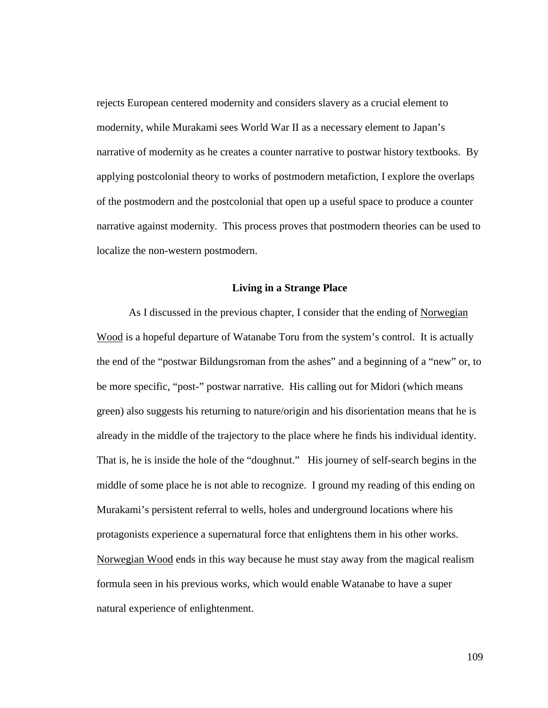rejects European centered modernity and considers slavery as a crucial element to modernity, while Murakami sees World War II as a necessary element to Japan's narrative of modernity as he creates a counter narrative to postwar history textbooks. By applying postcolonial theory to works of postmodern metafiction, I explore the overlaps of the postmodern and the postcolonial that open up a useful space to produce a counter narrative against modernity. This process proves that postmodern theories can be used to localize the non-western postmodern.

#### **Living in a Strange Place**

As I discussed in the previous chapter, I consider that the ending of Norwegian Wood is a hopeful departure of Watanabe Toru from the system's control. It is actually the end of the "postwar Bildungsroman from the ashes" and a beginning of a "new" or, to be more specific, "post-" postwar narrative. His calling out for Midori (which means green) also suggests his returning to nature/origin and his disorientation means that he is already in the middle of the trajectory to the place where he finds his individual identity. That is, he is inside the hole of the "doughnut." His journey of self-search begins in the middle of some place he is not able to recognize. I ground my reading of this ending on Murakami's persistent referral to wells, holes and underground locations where his protagonists experience a supernatural force that enlightens them in his other works. Norwegian Wood ends in this way because he must stay away from the magical realism formula seen in his previous works, which would enable Watanabe to have a super natural experience of enlightenment.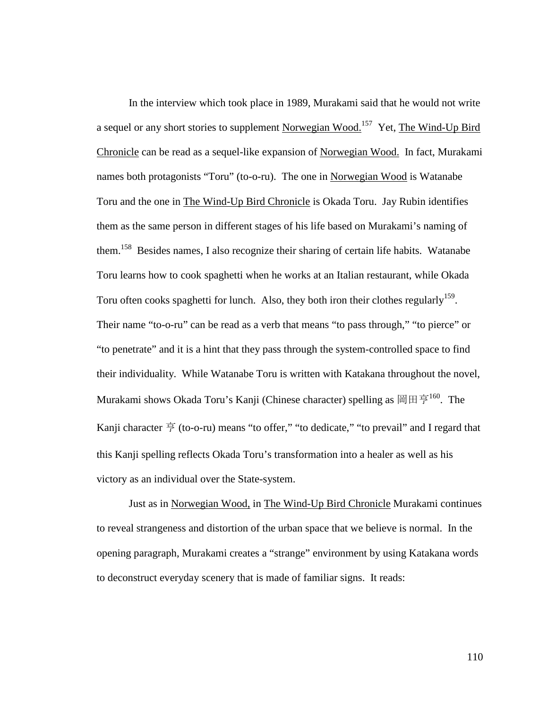In the interview which took place in 1989, Murakami said that he would not write a sequel or any short stories to supplement Norwegian Wood.<sup>157</sup> Yet, The Wind-Up Bird Chronicle can be read as a sequel-like expansion of Norwegian Wood. In fact, Murakami names both protagonists "Toru" (to-o-ru). The one in Norwegian Wood is Watanabe Toru and the one in The Wind-Up Bird Chronicle is Okada Toru. Jay Rubin identifies them as the same person in different stages of his life based on Murakami's naming of them.<sup>158</sup> Besides names, I also recognize their sharing of certain life habits. Watanabe Toru learns how to cook spaghetti when he works at an Italian restaurant, while Okada Toru often cooks spaghetti for lunch. Also, they both iron their clothes regularly<sup>159</sup>. Their name "to-o-ru" can be read as a verb that means "to pass through," "to pierce" or "to penetrate" and it is a hint that they pass through the system-controlled space to find their individuality. While Watanabe Toru is written with Katakana throughout the novel, Murakami shows Okada Toru's Kanji (Chinese character) spelling as 岡田亨<sup>160</sup>. The Kanji character  $\overline{\overline{P}}$  (to-o-ru) means "to offer," "to dedicate," "to prevail" and I regard that this Kanji spelling reflects Okada Toru's transformation into a healer as well as his victory as an individual over the State-system.

Just as in Norwegian Wood, in The Wind-Up Bird Chronicle Murakami continues to reveal strangeness and distortion of the urban space that we believe is normal. In the opening paragraph, Murakami creates a "strange" environment by using Katakana words to deconstruct everyday scenery that is made of familiar signs. It reads: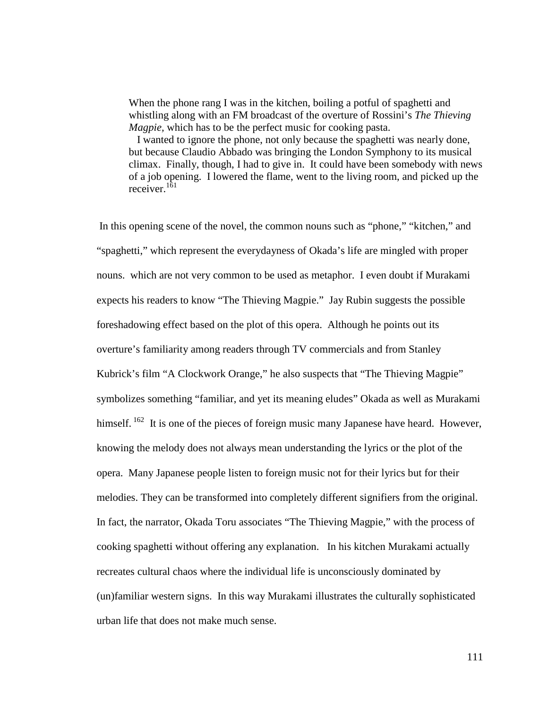When the phone rang I was in the kitchen, boiling a potful of spaghetti and whistling along with an FM broadcast of the overture of Rossini's *The Thieving Magpie,* which has to be the perfect music for cooking pasta.

 I wanted to ignore the phone, not only because the spaghetti was nearly done, but because Claudio Abbado was bringing the London Symphony to its musical climax. Finally, though, I had to give in. It could have been somebody with news of a job opening. I lowered the flame, went to the living room, and picked up the receiver.<sup>161</sup>

 In this opening scene of the novel, the common nouns such as "phone," "kitchen," and "spaghetti," which represent the everydayness of Okada's life are mingled with proper nouns. which are not very common to be used as metaphor. I even doubt if Murakami expects his readers to know "The Thieving Magpie." Jay Rubin suggests the possible foreshadowing effect based on the plot of this opera. Although he points out its overture's familiarity among readers through TV commercials and from Stanley Kubrick's film "A Clockwork Orange," he also suspects that "The Thieving Magpie" symbolizes something "familiar, and yet its meaning eludes" Okada as well as Murakami himself.<sup>162</sup> It is one of the pieces of foreign music many Japanese have heard. However, knowing the melody does not always mean understanding the lyrics or the plot of the opera. Many Japanese people listen to foreign music not for their lyrics but for their melodies. They can be transformed into completely different signifiers from the original. In fact, the narrator, Okada Toru associates "The Thieving Magpie," with the process of cooking spaghetti without offering any explanation. In his kitchen Murakami actually recreates cultural chaos where the individual life is unconsciously dominated by (un)familiar western signs. In this way Murakami illustrates the culturally sophisticated urban life that does not make much sense.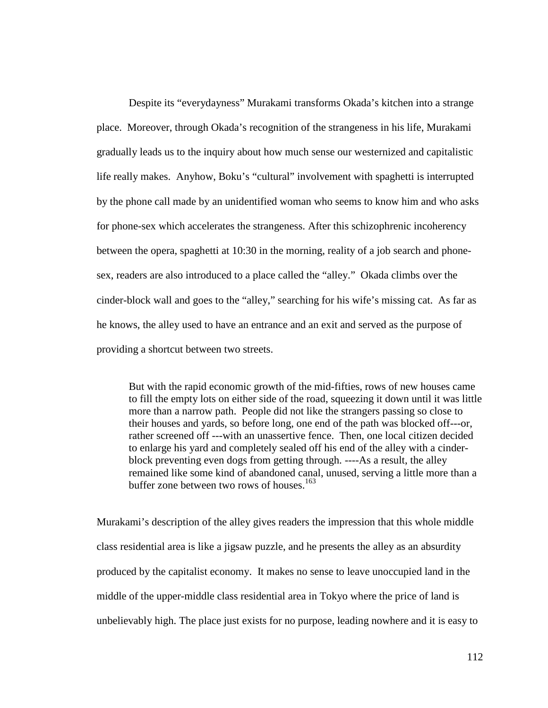Despite its "everydayness" Murakami transforms Okada's kitchen into a strange place. Moreover, through Okada's recognition of the strangeness in his life, Murakami gradually leads us to the inquiry about how much sense our westernized and capitalistic life really makes. Anyhow, Boku's "cultural" involvement with spaghetti is interrupted by the phone call made by an unidentified woman who seems to know him and who asks for phone-sex which accelerates the strangeness. After this schizophrenic incoherency between the opera, spaghetti at 10:30 in the morning, reality of a job search and phonesex, readers are also introduced to a place called the "alley." Okada climbs over the cinder-block wall and goes to the "alley," searching for his wife's missing cat. As far as he knows, the alley used to have an entrance and an exit and served as the purpose of providing a shortcut between two streets.

But with the rapid economic growth of the mid-fifties, rows of new houses came to fill the empty lots on either side of the road, squeezing it down until it was little more than a narrow path. People did not like the strangers passing so close to their houses and yards, so before long, one end of the path was blocked off---or, rather screened off ---with an unassertive fence. Then, one local citizen decided to enlarge his yard and completely sealed off his end of the alley with a cinderblock preventing even dogs from getting through. ----As a result, the alley remained like some kind of abandoned canal, unused, serving a little more than a buffer zone between two rows of houses.<sup>163</sup>

Murakami's description of the alley gives readers the impression that this whole middle class residential area is like a jigsaw puzzle, and he presents the alley as an absurdity produced by the capitalist economy. It makes no sense to leave unoccupied land in the middle of the upper-middle class residential area in Tokyo where the price of land is unbelievably high. The place just exists for no purpose, leading nowhere and it is easy to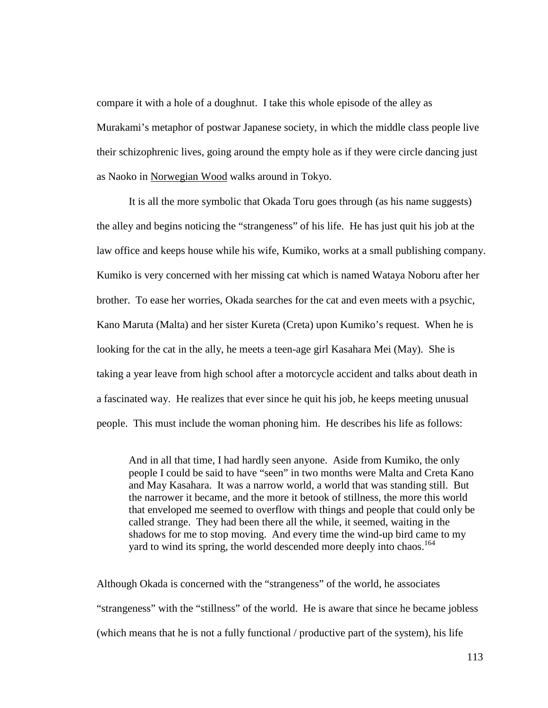compare it with a hole of a doughnut. I take this whole episode of the alley as Murakami's metaphor of postwar Japanese society, in which the middle class people live their schizophrenic lives, going around the empty hole as if they were circle dancing just as Naoko in Norwegian Wood walks around in Tokyo.

It is all the more symbolic that Okada Toru goes through (as his name suggests) the alley and begins noticing the "strangeness" of his life. He has just quit his job at the law office and keeps house while his wife, Kumiko, works at a small publishing company. Kumiko is very concerned with her missing cat which is named Wataya Noboru after her brother. To ease her worries, Okada searches for the cat and even meets with a psychic, Kano Maruta (Malta) and her sister Kureta (Creta) upon Kumiko's request. When he is looking for the cat in the ally, he meets a teen-age girl Kasahara Mei (May). She is taking a year leave from high school after a motorcycle accident and talks about death in a fascinated way. He realizes that ever since he quit his job, he keeps meeting unusual people. This must include the woman phoning him. He describes his life as follows:

And in all that time, I had hardly seen anyone. Aside from Kumiko, the only people I could be said to have "seen" in two months were Malta and Creta Kano and May Kasahara. It was a narrow world, a world that was standing still. But the narrower it became, and the more it betook of stillness, the more this world that enveloped me seemed to overflow with things and people that could only be called strange. They had been there all the while, it seemed, waiting in the shadows for me to stop moving. And every time the wind-up bird came to my yard to wind its spring, the world descended more deeply into chaos.<sup>164</sup>

Although Okada is concerned with the "strangeness" of the world, he associates "strangeness" with the "stillness" of the world. He is aware that since he became jobless (which means that he is not a fully functional / productive part of the system), his life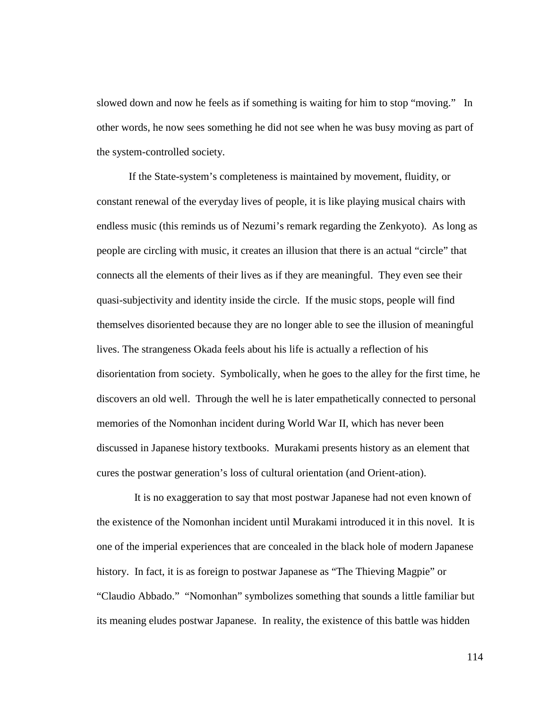slowed down and now he feels as if something is waiting for him to stop "moving." In other words, he now sees something he did not see when he was busy moving as part of the system-controlled society.

If the State-system's completeness is maintained by movement, fluidity, or constant renewal of the everyday lives of people, it is like playing musical chairs with endless music (this reminds us of Nezumi's remark regarding the Zenkyoto). As long as people are circling with music, it creates an illusion that there is an actual "circle" that connects all the elements of their lives as if they are meaningful. They even see their quasi-subjectivity and identity inside the circle. If the music stops, people will find themselves disoriented because they are no longer able to see the illusion of meaningful lives. The strangeness Okada feels about his life is actually a reflection of his disorientation from society. Symbolically, when he goes to the alley for the first time, he discovers an old well. Through the well he is later empathetically connected to personal memories of the Nomonhan incident during World War II, which has never been discussed in Japanese history textbooks. Murakami presents history as an element that cures the postwar generation's loss of cultural orientation (and Orient-ation).

 It is no exaggeration to say that most postwar Japanese had not even known of the existence of the Nomonhan incident until Murakami introduced it in this novel. It is one of the imperial experiences that are concealed in the black hole of modern Japanese history. In fact, it is as foreign to postwar Japanese as "The Thieving Magpie" or "Claudio Abbado." "Nomonhan" symbolizes something that sounds a little familiar but its meaning eludes postwar Japanese. In reality, the existence of this battle was hidden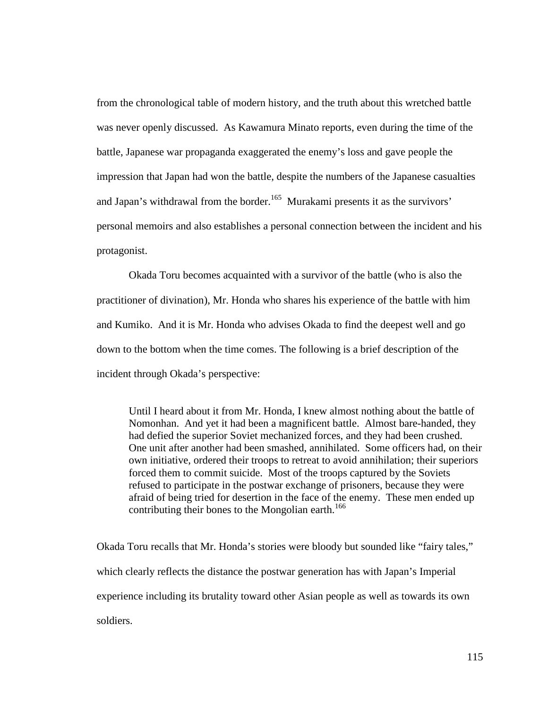from the chronological table of modern history, and the truth about this wretched battle was never openly discussed. As Kawamura Minato reports, even during the time of the battle, Japanese war propaganda exaggerated the enemy's loss and gave people the impression that Japan had won the battle, despite the numbers of the Japanese casualties and Japan's withdrawal from the border.<sup>165</sup> Murakami presents it as the survivors' personal memoirs and also establishes a personal connection between the incident and his protagonist.

 Okada Toru becomes acquainted with a survivor of the battle (who is also the practitioner of divination), Mr. Honda who shares his experience of the battle with him and Kumiko. And it is Mr. Honda who advises Okada to find the deepest well and go down to the bottom when the time comes. The following is a brief description of the incident through Okada's perspective:

Until I heard about it from Mr. Honda, I knew almost nothing about the battle of Nomonhan. And yet it had been a magnificent battle. Almost bare-handed, they had defied the superior Soviet mechanized forces, and they had been crushed. One unit after another had been smashed, annihilated. Some officers had, on their own initiative, ordered their troops to retreat to avoid annihilation; their superiors forced them to commit suicide. Most of the troops captured by the Soviets refused to participate in the postwar exchange of prisoners, because they were afraid of being tried for desertion in the face of the enemy. These men ended up contributing their bones to the Mongolian earth.<sup>166</sup>

Okada Toru recalls that Mr. Honda's stories were bloody but sounded like "fairy tales," which clearly reflects the distance the postwar generation has with Japan's Imperial experience including its brutality toward other Asian people as well as towards its own soldiers.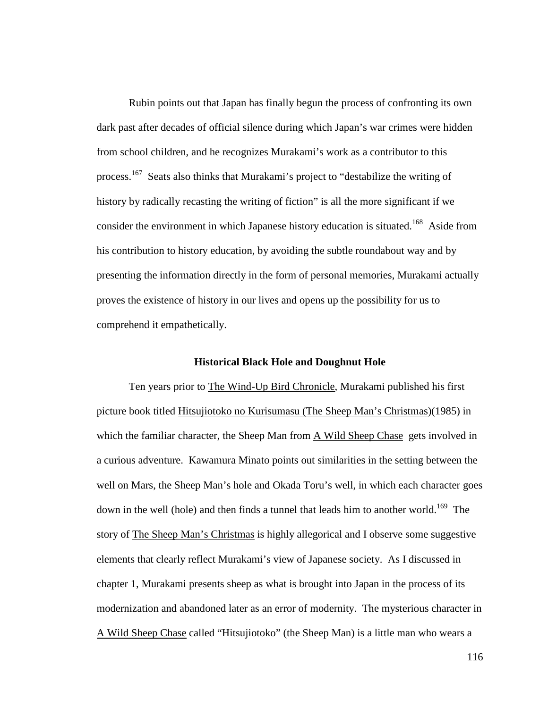Rubin points out that Japan has finally begun the process of confronting its own dark past after decades of official silence during which Japan's war crimes were hidden from school children, and he recognizes Murakami's work as a contributor to this process.<sup>167</sup> Seats also thinks that Murakami's project to "destabilize the writing of history by radically recasting the writing of fiction" is all the more significant if we consider the environment in which Japanese history education is situated.<sup>168</sup> Aside from his contribution to history education, by avoiding the subtle roundabout way and by presenting the information directly in the form of personal memories, Murakami actually proves the existence of history in our lives and opens up the possibility for us to comprehend it empathetically.

#### **Historical Black Hole and Doughnut Hole**

Ten years prior to The Wind-Up Bird Chronicle, Murakami published his first picture book titled Hitsujiotoko no Kurisumasu (The Sheep Man's Christmas)(1985) in which the familiar character, the Sheep Man from A Wild Sheep Chase gets involved in a curious adventure. Kawamura Minato points out similarities in the setting between the well on Mars, the Sheep Man's hole and Okada Toru's well, in which each character goes down in the well (hole) and then finds a tunnel that leads him to another world.<sup>169</sup> The story of The Sheep Man's Christmas is highly allegorical and I observe some suggestive elements that clearly reflect Murakami's view of Japanese society. As I discussed in chapter 1, Murakami presents sheep as what is brought into Japan in the process of its modernization and abandoned later as an error of modernity. The mysterious character in A Wild Sheep Chase called "Hitsujiotoko" (the Sheep Man) is a little man who wears a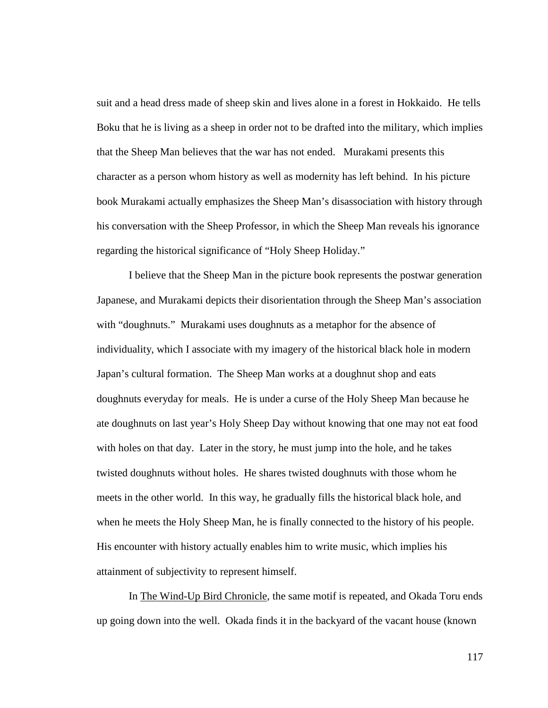suit and a head dress made of sheep skin and lives alone in a forest in Hokkaido. He tells Boku that he is living as a sheep in order not to be drafted into the military, which implies that the Sheep Man believes that the war has not ended. Murakami presents this character as a person whom history as well as modernity has left behind. In his picture book Murakami actually emphasizes the Sheep Man's disassociation with history through his conversation with the Sheep Professor, in which the Sheep Man reveals his ignorance regarding the historical significance of "Holy Sheep Holiday."

I believe that the Sheep Man in the picture book represents the postwar generation Japanese, and Murakami depicts their disorientation through the Sheep Man's association with "doughnuts." Murakami uses doughnuts as a metaphor for the absence of individuality, which I associate with my imagery of the historical black hole in modern Japan's cultural formation. The Sheep Man works at a doughnut shop and eats doughnuts everyday for meals. He is under a curse of the Holy Sheep Man because he ate doughnuts on last year's Holy Sheep Day without knowing that one may not eat food with holes on that day. Later in the story, he must jump into the hole, and he takes twisted doughnuts without holes. He shares twisted doughnuts with those whom he meets in the other world. In this way, he gradually fills the historical black hole, and when he meets the Holy Sheep Man, he is finally connected to the history of his people. His encounter with history actually enables him to write music, which implies his attainment of subjectivity to represent himself.

In The Wind-Up Bird Chronicle, the same motif is repeated, and Okada Toru ends up going down into the well. Okada finds it in the backyard of the vacant house (known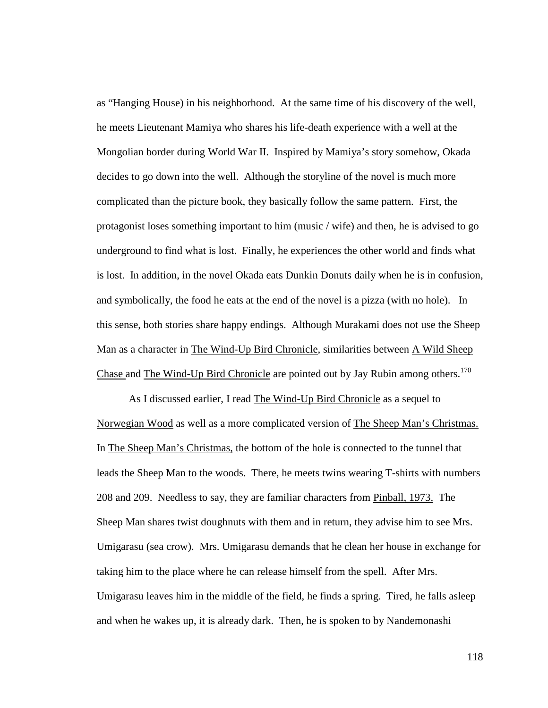as "Hanging House) in his neighborhood. At the same time of his discovery of the well, he meets Lieutenant Mamiya who shares his life-death experience with a well at the Mongolian border during World War II. Inspired by Mamiya's story somehow, Okada decides to go down into the well. Although the storyline of the novel is much more complicated than the picture book, they basically follow the same pattern. First, the protagonist loses something important to him (music / wife) and then, he is advised to go underground to find what is lost. Finally, he experiences the other world and finds what is lost. In addition, in the novel Okada eats Dunkin Donuts daily when he is in confusion, and symbolically, the food he eats at the end of the novel is a pizza (with no hole). In this sense, both stories share happy endings. Although Murakami does not use the Sheep Man as a character in The Wind-Up Bird Chronicle, similarities between A Wild Sheep Chase and The Wind-Up Bird Chronicle are pointed out by Jay Rubin among others.<sup>170</sup>

As I discussed earlier, I read The Wind-Up Bird Chronicle as a sequel to Norwegian Wood as well as a more complicated version of The Sheep Man's Christmas. In The Sheep Man's Christmas, the bottom of the hole is connected to the tunnel that leads the Sheep Man to the woods. There, he meets twins wearing T-shirts with numbers 208 and 209. Needless to say, they are familiar characters from Pinball, 1973. The Sheep Man shares twist doughnuts with them and in return, they advise him to see Mrs. Umigarasu (sea crow). Mrs. Umigarasu demands that he clean her house in exchange for taking him to the place where he can release himself from the spell. After Mrs. Umigarasu leaves him in the middle of the field, he finds a spring. Tired, he falls asleep and when he wakes up, it is already dark. Then, he is spoken to by Nandemonashi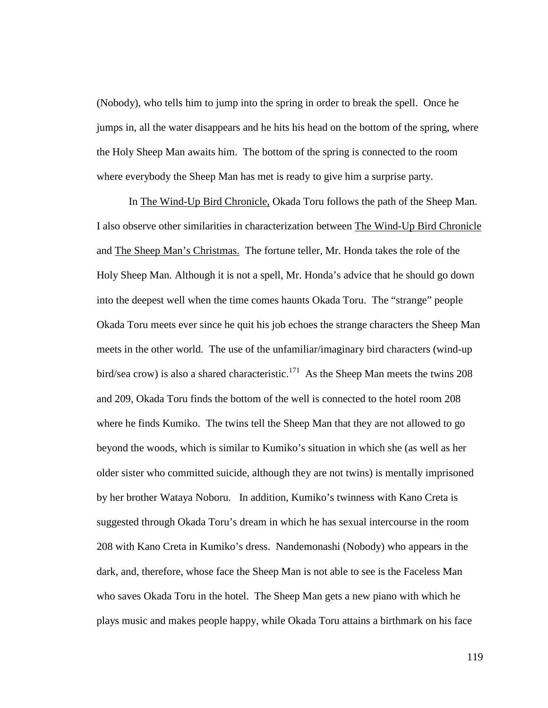(Nobody), who tells him to jump into the spring in order to break the spell. Once he jumps in, all the water disappears and he hits his head on the bottom of the spring, where the Holy Sheep Man awaits him. The bottom of the spring is connected to the room where everybody the Sheep Man has met is ready to give him a surprise party.

In The Wind-Up Bird Chronicle, Okada Toru follows the path of the Sheep Man. I also observe other similarities in characterization between The Wind-Up Bird Chronicle and The Sheep Man's Christmas. The fortune teller, Mr. Honda takes the role of the Holy Sheep Man. Although it is not a spell, Mr. Honda's advice that he should go down into the deepest well when the time comes haunts Okada Toru. The "strange" people Okada Toru meets ever since he quit his job echoes the strange characters the Sheep Man meets in the other world. The use of the unfamiliar/imaginary bird characters (wind-up bird/sea crow) is also a shared characteristic.<sup>171</sup> As the Sheep Man meets the twins 208 and 209, Okada Toru finds the bottom of the well is connected to the hotel room 208 where he finds Kumiko. The twins tell the Sheep Man that they are not allowed to go beyond the woods, which is similar to Kumiko's situation in which she (as well as her older sister who committed suicide, although they are not twins) is mentally imprisoned by her brother Wataya Noboru. In addition, Kumiko's twinness with Kano Creta is suggested through Okada Toru's dream in which he has sexual intercourse in the room 208 with Kano Creta in Kumiko's dress. Nandemonashi (Nobody) who appears in the dark, and, therefore, whose face the Sheep Man is not able to see is the Faceless Man who saves Okada Toru in the hotel. The Sheep Man gets a new piano with which he plays music and makes people happy, while Okada Toru attains a birthmark on his face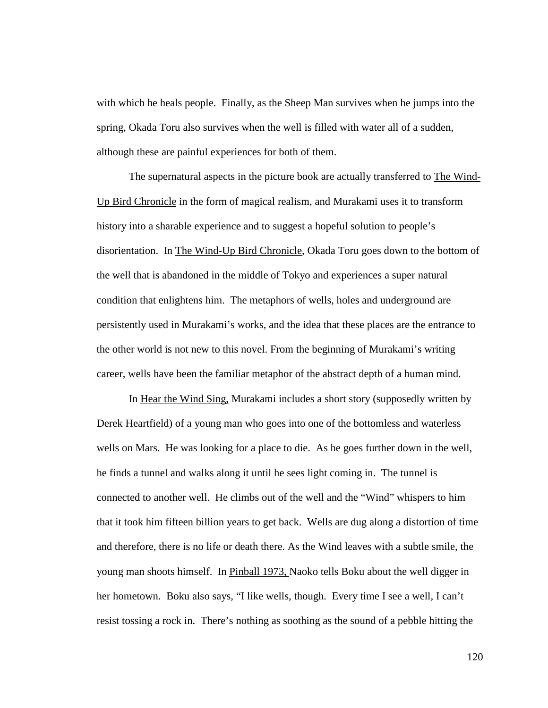with which he heals people. Finally, as the Sheep Man survives when he jumps into the spring, Okada Toru also survives when the well is filled with water all of a sudden, although these are painful experiences for both of them.

The supernatural aspects in the picture book are actually transferred to The Wind-Up Bird Chronicle in the form of magical realism, and Murakami uses it to transform history into a sharable experience and to suggest a hopeful solution to people's disorientation. In The Wind-Up Bird Chronicle, Okada Toru goes down to the bottom of the well that is abandoned in the middle of Tokyo and experiences a super natural condition that enlightens him. The metaphors of wells, holes and underground are persistently used in Murakami's works, and the idea that these places are the entrance to the other world is not new to this novel. From the beginning of Murakami's writing career, wells have been the familiar metaphor of the abstract depth of a human mind.

In Hear the Wind Sing, Murakami includes a short story (supposedly written by Derek Heartfield) of a young man who goes into one of the bottomless and waterless wells on Mars. He was looking for a place to die. As he goes further down in the well, he finds a tunnel and walks along it until he sees light coming in. The tunnel is connected to another well. He climbs out of the well and the "Wind" whispers to him that it took him fifteen billion years to get back. Wells are dug along a distortion of time and therefore, there is no life or death there. As the Wind leaves with a subtle smile, the young man shoots himself. In Pinball 1973, Naoko tells Boku about the well digger in her hometown. Boku also says, "I like wells, though. Every time I see a well, I can't resist tossing a rock in. There's nothing as soothing as the sound of a pebble hitting the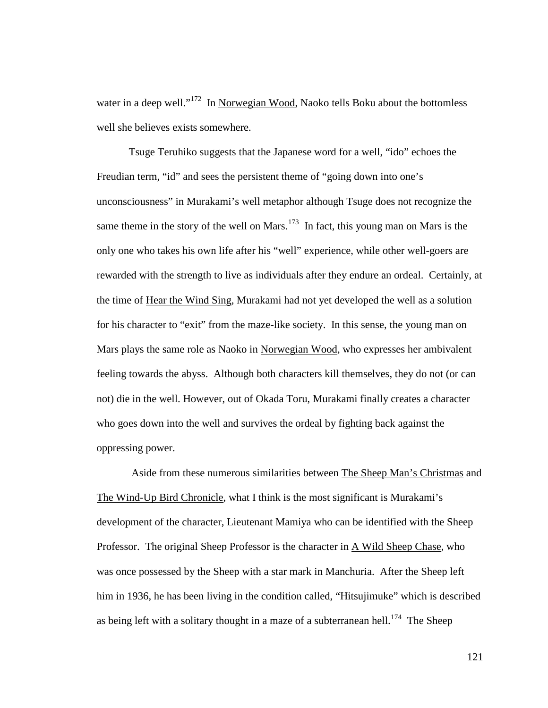water in a deep well."<sup>172</sup> In Norwegian Wood, Naoko tells Boku about the bottomless well she believes exists somewhere.

Tsuge Teruhiko suggests that the Japanese word for a well, "ido" echoes the Freudian term, "id" and sees the persistent theme of "going down into one's unconsciousness" in Murakami's well metaphor although Tsuge does not recognize the same theme in the story of the well on Mars.<sup>173</sup> In fact, this young man on Mars is the only one who takes his own life after his "well" experience, while other well-goers are rewarded with the strength to live as individuals after they endure an ordeal. Certainly, at the time of Hear the Wind Sing, Murakami had not yet developed the well as a solution for his character to "exit" from the maze-like society. In this sense, the young man on Mars plays the same role as Naoko in Norwegian Wood, who expresses her ambivalent feeling towards the abyss. Although both characters kill themselves, they do not (or can not) die in the well. However, out of Okada Toru, Murakami finally creates a character who goes down into the well and survives the ordeal by fighting back against the oppressing power.

 Aside from these numerous similarities between The Sheep Man's Christmas and The Wind-Up Bird Chronicle, what I think is the most significant is Murakami's development of the character, Lieutenant Mamiya who can be identified with the Sheep Professor. The original Sheep Professor is the character in A Wild Sheep Chase, who was once possessed by the Sheep with a star mark in Manchuria. After the Sheep left him in 1936, he has been living in the condition called, "Hitsujimuke" which is described as being left with a solitary thought in a maze of a subterranean hell.<sup>174</sup> The Sheep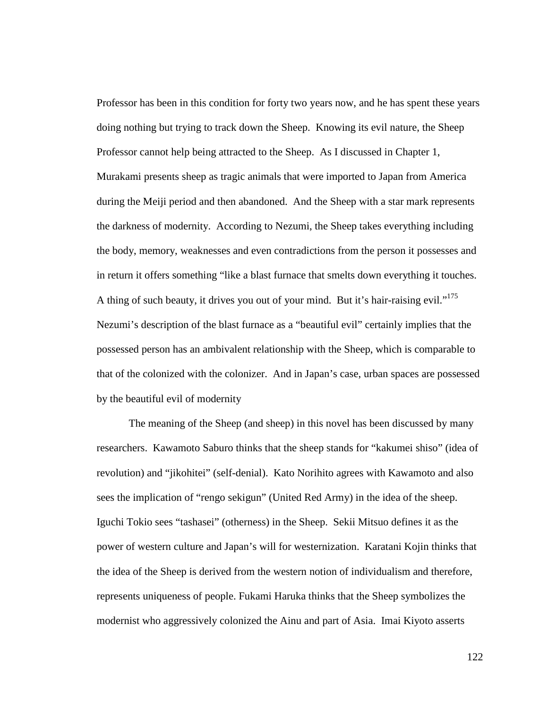Professor has been in this condition for forty two years now, and he has spent these years doing nothing but trying to track down the Sheep. Knowing its evil nature, the Sheep Professor cannot help being attracted to the Sheep. As I discussed in Chapter 1, Murakami presents sheep as tragic animals that were imported to Japan from America during the Meiji period and then abandoned. And the Sheep with a star mark represents the darkness of modernity. According to Nezumi, the Sheep takes everything including the body, memory, weaknesses and even contradictions from the person it possesses and in return it offers something "like a blast furnace that smelts down everything it touches. A thing of such beauty, it drives you out of your mind. But it's hair-raising evil."<sup>175</sup> Nezumi's description of the blast furnace as a "beautiful evil" certainly implies that the possessed person has an ambivalent relationship with the Sheep, which is comparable to that of the colonized with the colonizer. And in Japan's case, urban spaces are possessed by the beautiful evil of modernity

The meaning of the Sheep (and sheep) in this novel has been discussed by many researchers. Kawamoto Saburo thinks that the sheep stands for "kakumei shiso" (idea of revolution) and "jikohitei" (self-denial). Kato Norihito agrees with Kawamoto and also sees the implication of "rengo sekigun" (United Red Army) in the idea of the sheep. Iguchi Tokio sees "tashasei" (otherness) in the Sheep. Sekii Mitsuo defines it as the power of western culture and Japan's will for westernization. Karatani Kojin thinks that the idea of the Sheep is derived from the western notion of individualism and therefore, represents uniqueness of people. Fukami Haruka thinks that the Sheep symbolizes the modernist who aggressively colonized the Ainu and part of Asia. Imai Kiyoto asserts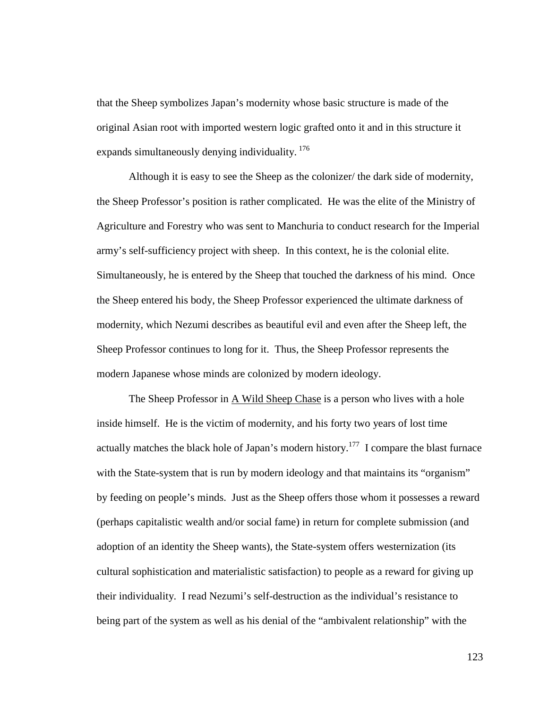that the Sheep symbolizes Japan's modernity whose basic structure is made of the original Asian root with imported western logic grafted onto it and in this structure it expands simultaneously denying individuality.<sup>176</sup>

Although it is easy to see the Sheep as the colonizer/ the dark side of modernity, the Sheep Professor's position is rather complicated. He was the elite of the Ministry of Agriculture and Forestry who was sent to Manchuria to conduct research for the Imperial army's self-sufficiency project with sheep. In this context, he is the colonial elite. Simultaneously, he is entered by the Sheep that touched the darkness of his mind. Once the Sheep entered his body, the Sheep Professor experienced the ultimate darkness of modernity, which Nezumi describes as beautiful evil and even after the Sheep left, the Sheep Professor continues to long for it. Thus, the Sheep Professor represents the modern Japanese whose minds are colonized by modern ideology.

The Sheep Professor in  $\underline{A}$  Wild Sheep Chase is a person who lives with a hole inside himself. He is the victim of modernity, and his forty two years of lost time actually matches the black hole of Japan's modern history.<sup>177</sup> I compare the blast furnace with the State-system that is run by modern ideology and that maintains its "organism" by feeding on people's minds. Just as the Sheep offers those whom it possesses a reward (perhaps capitalistic wealth and/or social fame) in return for complete submission (and adoption of an identity the Sheep wants), the State-system offers westernization (its cultural sophistication and materialistic satisfaction) to people as a reward for giving up their individuality. I read Nezumi's self-destruction as the individual's resistance to being part of the system as well as his denial of the "ambivalent relationship" with the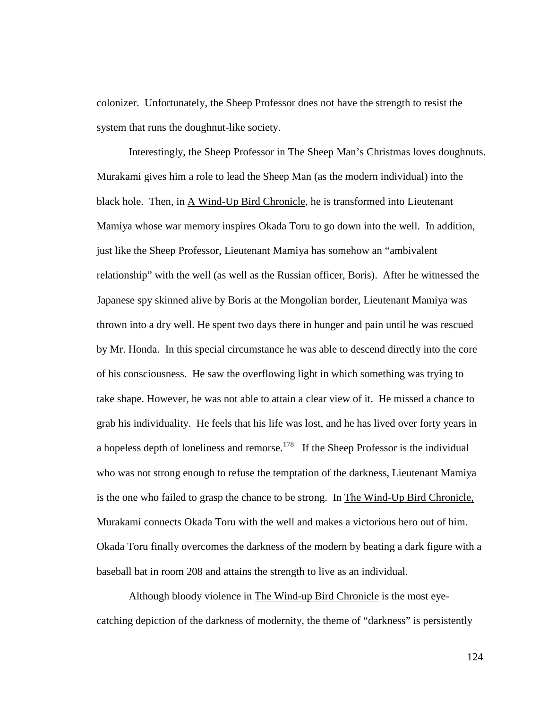colonizer. Unfortunately, the Sheep Professor does not have the strength to resist the system that runs the doughnut-like society.

Interestingly, the Sheep Professor in The Sheep Man's Christmas loves doughnuts. Murakami gives him a role to lead the Sheep Man (as the modern individual) into the black hole. Then, in A Wind-Up Bird Chronicle, he is transformed into Lieutenant Mamiya whose war memory inspires Okada Toru to go down into the well. In addition, just like the Sheep Professor, Lieutenant Mamiya has somehow an "ambivalent relationship" with the well (as well as the Russian officer, Boris). After he witnessed the Japanese spy skinned alive by Boris at the Mongolian border, Lieutenant Mamiya was thrown into a dry well. He spent two days there in hunger and pain until he was rescued by Mr. Honda. In this special circumstance he was able to descend directly into the core of his consciousness. He saw the overflowing light in which something was trying to take shape. However, he was not able to attain a clear view of it. He missed a chance to grab his individuality. He feels that his life was lost, and he has lived over forty years in a hopeless depth of loneliness and remorse.<sup>178</sup> If the Sheep Professor is the individual who was not strong enough to refuse the temptation of the darkness, Lieutenant Mamiya is the one who failed to grasp the chance to be strong. In The Wind-Up Bird Chronicle, Murakami connects Okada Toru with the well and makes a victorious hero out of him. Okada Toru finally overcomes the darkness of the modern by beating a dark figure with a baseball bat in room 208 and attains the strength to live as an individual.

Although bloody violence in The Wind-up Bird Chronicle is the most eyecatching depiction of the darkness of modernity, the theme of "darkness" is persistently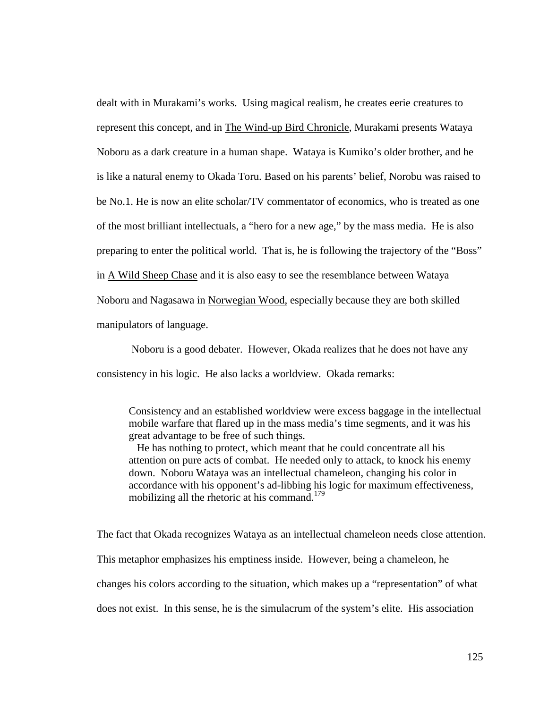dealt with in Murakami's works. Using magical realism, he creates eerie creatures to represent this concept, and in The Wind-up Bird Chronicle, Murakami presents Wataya Noboru as a dark creature in a human shape. Wataya is Kumiko's older brother, and he is like a natural enemy to Okada Toru. Based on his parents' belief, Norobu was raised to be No.1. He is now an elite scholar/TV commentator of economics, who is treated as one of the most brilliant intellectuals, a "hero for a new age," by the mass media. He is also preparing to enter the political world. That is, he is following the trajectory of the "Boss" in A Wild Sheep Chase and it is also easy to see the resemblance between Wataya Noboru and Nagasawa in Norwegian Wood, especially because they are both skilled manipulators of language.

 Noboru is a good debater. However, Okada realizes that he does not have any consistency in his logic. He also lacks a worldview. Okada remarks:

Consistency and an established worldview were excess baggage in the intellectual mobile warfare that flared up in the mass media's time segments, and it was his great advantage to be free of such things.

 He has nothing to protect, which meant that he could concentrate all his attention on pure acts of combat. He needed only to attack, to knock his enemy down. Noboru Wataya was an intellectual chameleon, changing his color in accordance with his opponent's ad-libbing his logic for maximum effectiveness, mobilizing all the rhetoric at his command.<sup>179</sup>

The fact that Okada recognizes Wataya as an intellectual chameleon needs close attention. This metaphor emphasizes his emptiness inside. However, being a chameleon, he changes his colors according to the situation, which makes up a "representation" of what does not exist. In this sense, he is the simulacrum of the system's elite. His association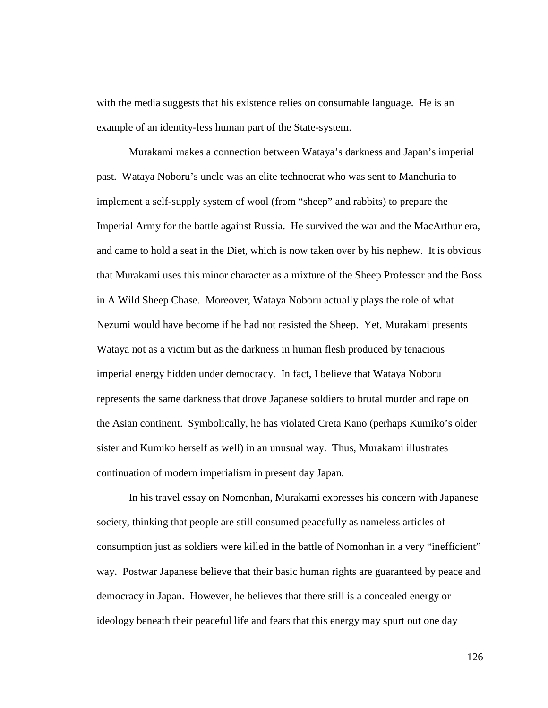with the media suggests that his existence relies on consumable language. He is an example of an identity-less human part of the State-system.

Murakami makes a connection between Wataya's darkness and Japan's imperial past. Wataya Noboru's uncle was an elite technocrat who was sent to Manchuria to implement a self-supply system of wool (from "sheep" and rabbits) to prepare the Imperial Army for the battle against Russia. He survived the war and the MacArthur era, and came to hold a seat in the Diet, which is now taken over by his nephew. It is obvious that Murakami uses this minor character as a mixture of the Sheep Professor and the Boss in A Wild Sheep Chase. Moreover, Wataya Noboru actually plays the role of what Nezumi would have become if he had not resisted the Sheep. Yet, Murakami presents Wataya not as a victim but as the darkness in human flesh produced by tenacious imperial energy hidden under democracy. In fact, I believe that Wataya Noboru represents the same darkness that drove Japanese soldiers to brutal murder and rape on the Asian continent. Symbolically, he has violated Creta Kano (perhaps Kumiko's older sister and Kumiko herself as well) in an unusual way. Thus, Murakami illustrates continuation of modern imperialism in present day Japan.

In his travel essay on Nomonhan, Murakami expresses his concern with Japanese society, thinking that people are still consumed peacefully as nameless articles of consumption just as soldiers were killed in the battle of Nomonhan in a very "inefficient" way. Postwar Japanese believe that their basic human rights are guaranteed by peace and democracy in Japan. However, he believes that there still is a concealed energy or ideology beneath their peaceful life and fears that this energy may spurt out one day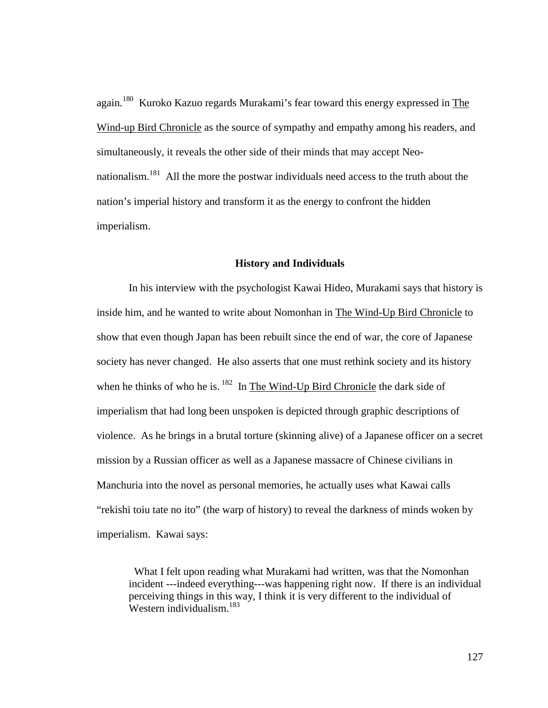again.<sup>180</sup> Kuroko Kazuo regards Murakami's fear toward this energy expressed in The Wind-up Bird Chronicle as the source of sympathy and empathy among his readers, and simultaneously, it reveals the other side of their minds that may accept Neonationalism.<sup>181</sup> All the more the postwar individuals need access to the truth about the nation's imperial history and transform it as the energy to confront the hidden imperialism.

### **History and Individuals**

In his interview with the psychologist Kawai Hideo, Murakami says that history is inside him, and he wanted to write about Nomonhan in The Wind-Up Bird Chronicle to show that even though Japan has been rebuilt since the end of war, the core of Japanese society has never changed. He also asserts that one must rethink society and its history when he thinks of who he is.<sup>182</sup> In The Wind-Up Bird Chronicle the dark side of imperialism that had long been unspoken is depicted through graphic descriptions of violence. As he brings in a brutal torture (skinning alive) of a Japanese officer on a secret mission by a Russian officer as well as a Japanese massacre of Chinese civilians in Manchuria into the novel as personal memories, he actually uses what Kawai calls "rekishi toiu tate no ito" (the warp of history) to reveal the darkness of minds woken by imperialism. Kawai says:

 What I felt upon reading what Murakami had written, was that the Nomonhan incident ---indeed everything---was happening right now. If there is an individual perceiving things in this way, I think it is very different to the individual of Western individualism.<sup>183</sup>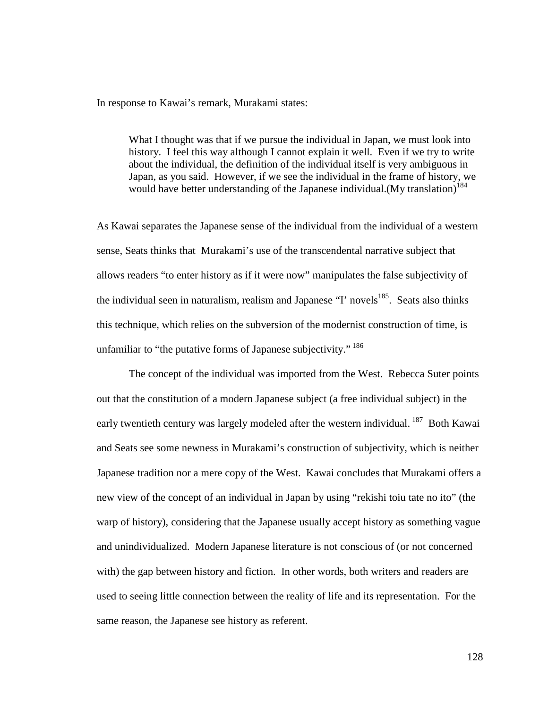In response to Kawai's remark, Murakami states:

What I thought was that if we pursue the individual in Japan, we must look into history. I feel this way although I cannot explain it well. Even if we try to write about the individual, the definition of the individual itself is very ambiguous in Japan, as you said. However, if we see the individual in the frame of history, we would have better understanding of the Japanese individual. (My translation)<sup>184</sup>

As Kawai separates the Japanese sense of the individual from the individual of a western sense, Seats thinks that Murakami's use of the transcendental narrative subject that allows readers "to enter history as if it were now" manipulates the false subjectivity of the individual seen in naturalism, realism and Japanese "I' novels<sup>185</sup>. Seats also thinks this technique, which relies on the subversion of the modernist construction of time, is unfamiliar to "the putative forms of Japanese subjectivity." <sup>186</sup>

The concept of the individual was imported from the West. Rebecca Suter points out that the constitution of a modern Japanese subject (a free individual subject) in the early twentieth century was largely modeled after the western individual.<sup>187</sup> Both Kawai and Seats see some newness in Murakami's construction of subjectivity, which is neither Japanese tradition nor a mere copy of the West. Kawai concludes that Murakami offers a new view of the concept of an individual in Japan by using "rekishi toiu tate no ito" (the warp of history), considering that the Japanese usually accept history as something vague and unindividualized. Modern Japanese literature is not conscious of (or not concerned with) the gap between history and fiction. In other words, both writers and readers are used to seeing little connection between the reality of life and its representation. For the same reason, the Japanese see history as referent.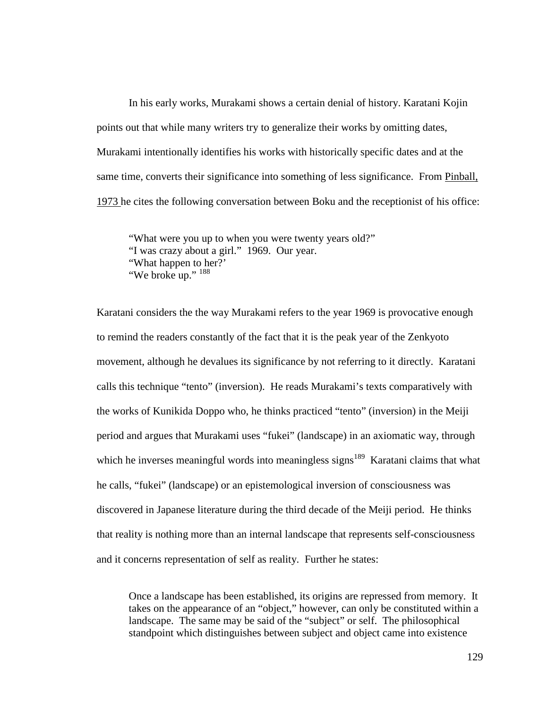In his early works, Murakami shows a certain denial of history. Karatani Kojin points out that while many writers try to generalize their works by omitting dates, Murakami intentionally identifies his works with historically specific dates and at the same time, converts their significance into something of less significance. From Pinball, 1973 he cites the following conversation between Boku and the receptionist of his office:

"What were you up to when you were twenty years old?" "I was crazy about a girl." 1969. Our year. "What happen to her?' "We broke up." <sup>188</sup>

Karatani considers the the way Murakami refers to the year 1969 is provocative enough to remind the readers constantly of the fact that it is the peak year of the Zenkyoto movement, although he devalues its significance by not referring to it directly. Karatani calls this technique "tento" (inversion). He reads Murakami's texts comparatively with the works of Kunikida Doppo who, he thinks practiced "tento" (inversion) in the Meiji period and argues that Murakami uses "fukei" (landscape) in an axiomatic way, through which he inverses meaningful words into meaningless signs<sup>189</sup> Karatani claims that what he calls, "fukei" (landscape) or an epistemological inversion of consciousness was discovered in Japanese literature during the third decade of the Meiji period. He thinks that reality is nothing more than an internal landscape that represents self-consciousness and it concerns representation of self as reality. Further he states:

Once a landscape has been established, its origins are repressed from memory. It takes on the appearance of an "object," however, can only be constituted within a landscape. The same may be said of the "subject" or self. The philosophical standpoint which distinguishes between subject and object came into existence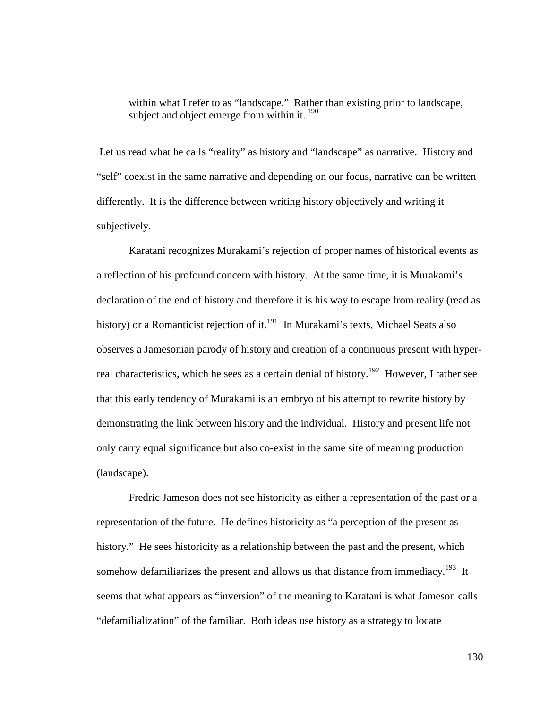within what I refer to as "landscape." Rather than existing prior to landscape, subject and object emerge from within it.  $190$ 

 Let us read what he calls "reality" as history and "landscape" as narrative. History and "self" coexist in the same narrative and depending on our focus, narrative can be written differently. It is the difference between writing history objectively and writing it subjectively.

Karatani recognizes Murakami's rejection of proper names of historical events as a reflection of his profound concern with history. At the same time, it is Murakami's declaration of the end of history and therefore it is his way to escape from reality (read as history) or a Romanticist rejection of it.<sup>191</sup> In Murakami's texts, Michael Seats also observes a Jamesonian parody of history and creation of a continuous present with hyperreal characteristics, which he sees as a certain denial of history.<sup>192</sup> However, I rather see that this early tendency of Murakami is an embryo of his attempt to rewrite history by demonstrating the link between history and the individual. History and present life not only carry equal significance but also co-exist in the same site of meaning production (landscape).

Fredric Jameson does not see historicity as either a representation of the past or a representation of the future. He defines historicity as "a perception of the present as history." He sees historicity as a relationship between the past and the present, which somehow defamiliarizes the present and allows us that distance from immediacy.<sup>193</sup> It seems that what appears as "inversion" of the meaning to Karatani is what Jameson calls "defamilialization" of the familiar. Both ideas use history as a strategy to locate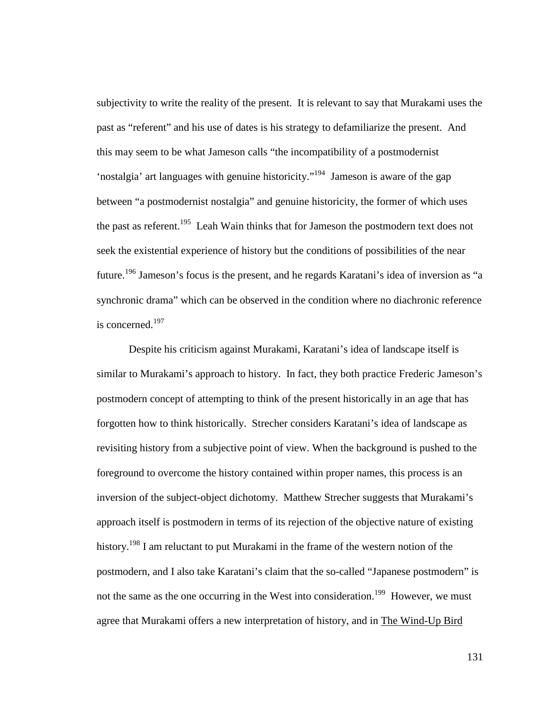subjectivity to write the reality of the present. It is relevant to say that Murakami uses the past as "referent" and his use of dates is his strategy to defamiliarize the present. And this may seem to be what Jameson calls "the incompatibility of a postmodernist 'nostalgia' art languages with genuine historicity."<sup>194</sup> Jameson is aware of the gap between "a postmodernist nostalgia" and genuine historicity, the former of which uses the past as referent.<sup>195</sup> Leah Wain thinks that for Jameson the postmodern text does not seek the existential experience of history but the conditions of possibilities of the near future.<sup>196</sup> Jameson's focus is the present, and he regards Karatani's idea of inversion as "a synchronic drama" which can be observed in the condition where no diachronic reference is concerned.<sup>197</sup>

Despite his criticism against Murakami, Karatani's idea of landscape itself is similar to Murakami's approach to history. In fact, they both practice Frederic Jameson's postmodern concept of attempting to think of the present historically in an age that has forgotten how to think historically. Strecher considers Karatani's idea of landscape as revisiting history from a subjective point of view. When the background is pushed to the foreground to overcome the history contained within proper names, this process is an inversion of the subject-object dichotomy. Matthew Strecher suggests that Murakami's approach itself is postmodern in terms of its rejection of the objective nature of existing history.<sup>198</sup> I am reluctant to put Murakami in the frame of the western notion of the postmodern, and I also take Karatani's claim that the so-called "Japanese postmodern" is not the same as the one occurring in the West into consideration.<sup>199</sup> However, we must agree that Murakami offers a new interpretation of history, and in The Wind-Up Bird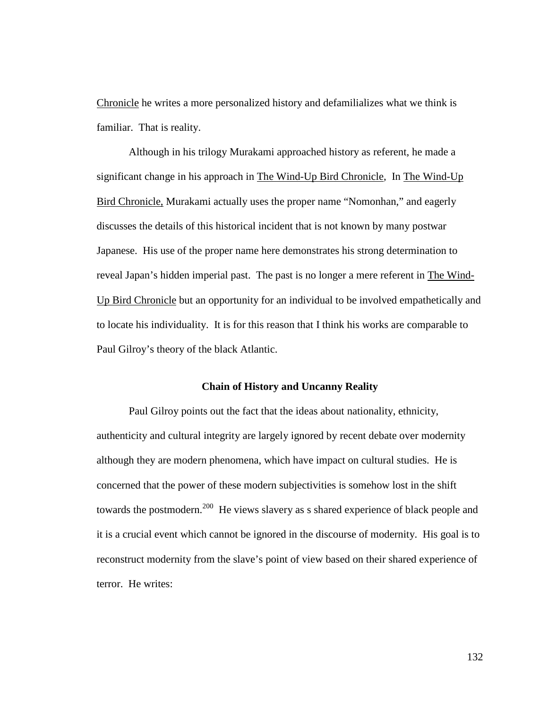Chronicle he writes a more personalized history and defamilializes what we think is familiar. That is reality.

Although in his trilogy Murakami approached history as referent, he made a significant change in his approach in The Wind-Up Bird Chronicle, In The Wind-Up Bird Chronicle, Murakami actually uses the proper name "Nomonhan," and eagerly discusses the details of this historical incident that is not known by many postwar Japanese. His use of the proper name here demonstrates his strong determination to reveal Japan's hidden imperial past. The past is no longer a mere referent in The Wind-Up Bird Chronicle but an opportunity for an individual to be involved empathetically and to locate his individuality. It is for this reason that I think his works are comparable to Paul Gilroy's theory of the black Atlantic.

## **Chain of History and Uncanny Reality**

Paul Gilroy points out the fact that the ideas about nationality, ethnicity, authenticity and cultural integrity are largely ignored by recent debate over modernity although they are modern phenomena, which have impact on cultural studies. He is concerned that the power of these modern subjectivities is somehow lost in the shift towards the postmodern.<sup>200</sup> He views slavery as s shared experience of black people and it is a crucial event which cannot be ignored in the discourse of modernity. His goal is to reconstruct modernity from the slave's point of view based on their shared experience of terror. He writes: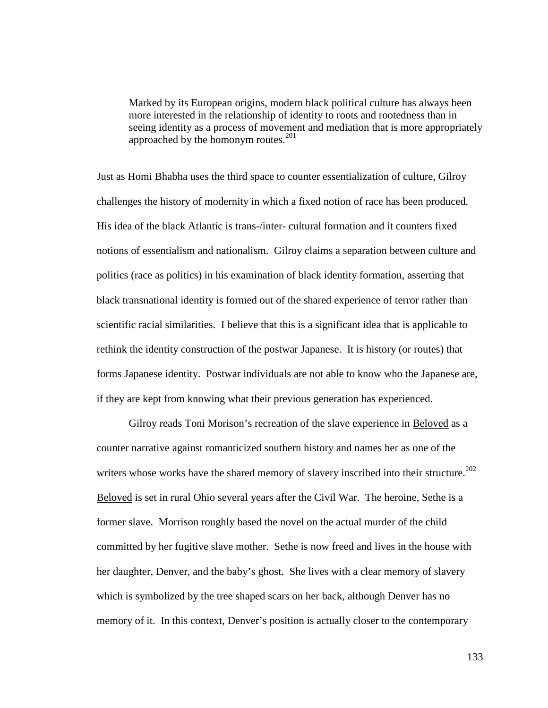Marked by its European origins, modern black political culture has always been more interested in the relationship of identity to roots and rootedness than in seeing identity as a process of movement and mediation that is more appropriately approached by the homonym routes.<sup>201</sup>

Just as Homi Bhabha uses the third space to counter essentialization of culture, Gilroy challenges the history of modernity in which a fixed notion of race has been produced. His idea of the black Atlantic is trans-/inter- cultural formation and it counters fixed notions of essentialism and nationalism. Gilroy claims a separation between culture and politics (race as politics) in his examination of black identity formation, asserting that black transnational identity is formed out of the shared experience of terror rather than scientific racial similarities. I believe that this is a significant idea that is applicable to rethink the identity construction of the postwar Japanese. It is history (or routes) that forms Japanese identity. Postwar individuals are not able to know who the Japanese are, if they are kept from knowing what their previous generation has experienced.

Gilroy reads Toni Morison's recreation of the slave experience in Beloved as a counter narrative against romanticized southern history and names her as one of the writers whose works have the shared memory of slavery inscribed into their structure.<sup>202</sup> Beloved is set in rural Ohio several years after the Civil War. The heroine, Sethe is a former slave. Morrison roughly based the novel on the actual murder of the child committed by her fugitive slave mother. Sethe is now freed and lives in the house with her daughter, Denver, and the baby's ghost. She lives with a clear memory of slavery which is symbolized by the tree shaped scars on her back, although Denver has no memory of it. In this context, Denver's position is actually closer to the contemporary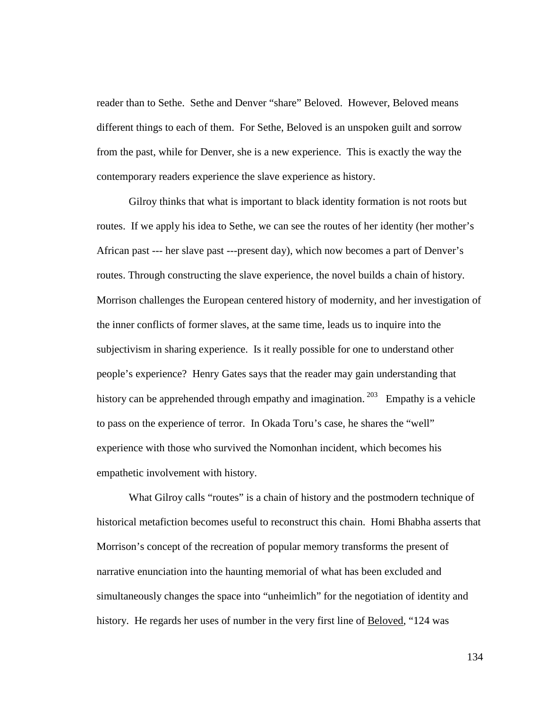reader than to Sethe. Sethe and Denver "share" Beloved. However, Beloved means different things to each of them. For Sethe, Beloved is an unspoken guilt and sorrow from the past, while for Denver, she is a new experience. This is exactly the way the contemporary readers experience the slave experience as history.

Gilroy thinks that what is important to black identity formation is not roots but routes. If we apply his idea to Sethe, we can see the routes of her identity (her mother's African past --- her slave past ---present day), which now becomes a part of Denver's routes. Through constructing the slave experience, the novel builds a chain of history. Morrison challenges the European centered history of modernity, and her investigation of the inner conflicts of former slaves, at the same time, leads us to inquire into the subjectivism in sharing experience. Is it really possible for one to understand other people's experience? Henry Gates says that the reader may gain understanding that history can be apprehended through empathy and imagination.<sup>203</sup> Empathy is a vehicle to pass on the experience of terror. In Okada Toru's case, he shares the "well" experience with those who survived the Nomonhan incident, which becomes his empathetic involvement with history.

 What Gilroy calls "routes" is a chain of history and the postmodern technique of historical metafiction becomes useful to reconstruct this chain. Homi Bhabha asserts that Morrison's concept of the recreation of popular memory transforms the present of narrative enunciation into the haunting memorial of what has been excluded and simultaneously changes the space into "unheimlich" for the negotiation of identity and history. He regards her uses of number in the very first line of Beloved, "124 was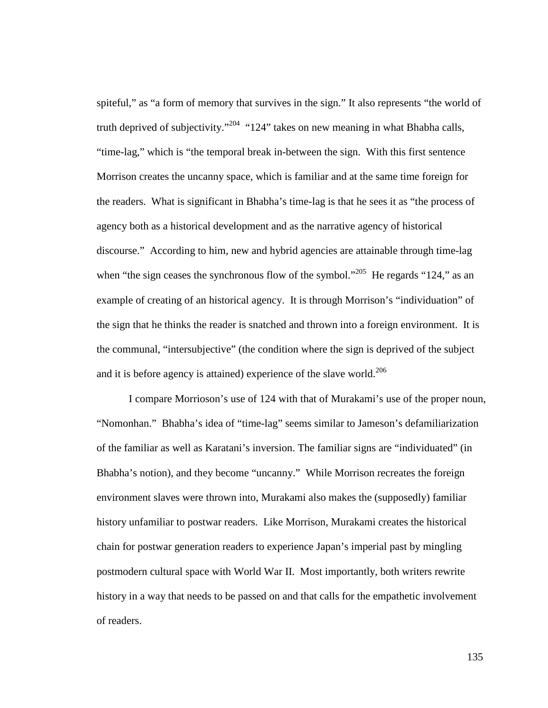spiteful," as "a form of memory that survives in the sign." It also represents "the world of truth deprived of subjectivity."<sup>204</sup> "124" takes on new meaning in what Bhabha calls, "time-lag," which is "the temporal break in-between the sign. With this first sentence Morrison creates the uncanny space, which is familiar and at the same time foreign for the readers. What is significant in Bhabha's time-lag is that he sees it as "the process of agency both as a historical development and as the narrative agency of historical discourse." According to him, new and hybrid agencies are attainable through time-lag when "the sign ceases the synchronous flow of the symbol."<sup>205</sup> He regards "124," as an example of creating of an historical agency. It is through Morrison's "individuation" of the sign that he thinks the reader is snatched and thrown into a foreign environment. It is the communal, "intersubjective" (the condition where the sign is deprived of the subject and it is before agency is attained) experience of the slave world.<sup>206</sup>

I compare Morrioson's use of 124 with that of Murakami's use of the proper noun, "Nomonhan." Bhabha's idea of "time-lag" seems similar to Jameson's defamiliarization of the familiar as well as Karatani's inversion. The familiar signs are "individuated" (in Bhabha's notion), and they become "uncanny." While Morrison recreates the foreign environment slaves were thrown into, Murakami also makes the (supposedly) familiar history unfamiliar to postwar readers. Like Morrison, Murakami creates the historical chain for postwar generation readers to experience Japan's imperial past by mingling postmodern cultural space with World War II. Most importantly, both writers rewrite history in a way that needs to be passed on and that calls for the empathetic involvement of readers.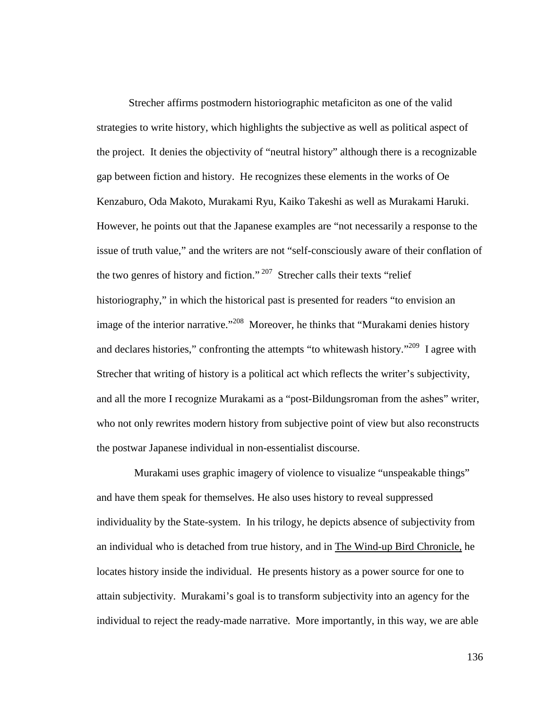Strecher affirms postmodern historiographic metaficiton as one of the valid strategies to write history, which highlights the subjective as well as political aspect of the project. It denies the objectivity of "neutral history" although there is a recognizable gap between fiction and history. He recognizes these elements in the works of Oe Kenzaburo, Oda Makoto, Murakami Ryu, Kaiko Takeshi as well as Murakami Haruki. However, he points out that the Japanese examples are "not necessarily a response to the issue of truth value," and the writers are not "self-consciously aware of their conflation of the two genres of history and fiction."<sup>207</sup> Strecher calls their texts "relief" historiography," in which the historical past is presented for readers "to envision an image of the interior narrative."<sup>208</sup> Moreover, he thinks that "Murakami denies history" and declares histories," confronting the attempts "to whitewash history."<sup>209</sup> I agree with Strecher that writing of history is a political act which reflects the writer's subjectivity, and all the more I recognize Murakami as a "post-Bildungsroman from the ashes" writer, who not only rewrites modern history from subjective point of view but also reconstructs the postwar Japanese individual in non-essentialist discourse.

 Murakami uses graphic imagery of violence to visualize "unspeakable things" and have them speak for themselves. He also uses history to reveal suppressed individuality by the State-system. In his trilogy, he depicts absence of subjectivity from an individual who is detached from true history, and in The Wind-up Bird Chronicle, he locates history inside the individual. He presents history as a power source for one to attain subjectivity. Murakami's goal is to transform subjectivity into an agency for the individual to reject the ready-made narrative. More importantly, in this way, we are able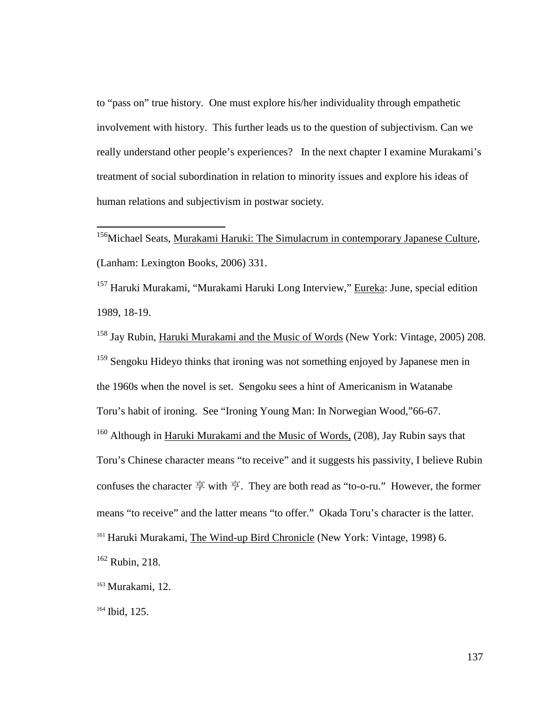to "pass on" true history. One must explore his/her individuality through empathetic involvement with history. This further leads us to the question of subjectivism. Can we really understand other people's experiences? In the next chapter I examine Murakami's treatment of social subordination in relation to minority issues and explore his ideas of human relations and subjectivism in postwar society.

<sup>156</sup>Michael Seats, Murakami Haruki: The Simulacrum in contemporary Japanese Culture, (Lanham: Lexington Books, 2006) 331.

<sup>157</sup> Haruki Murakami, "Murakami Haruki Long Interview," Eureka: June, special edition 1989, 18-19.

<sup>158</sup> Jay Rubin, Haruki Murakami and the Music of Words (New York: Vintage, 2005) 208. <sup>159</sup> Sengoku Hideyo thinks that ironing was not something enjoyed by Japanese men in the 1960s when the novel is set. Sengoku sees a hint of Americanism in Watanabe Toru's habit of ironing. See "Ironing Young Man: In Norwegian Wood,"66-67. <sup>160</sup> Although in Haruki Murakami and the Music of Words, (208), Jay Rubin says that Toru's Chinese character means "to receive" and it suggests his passivity, I believe Rubin confuses the character 享 with 亨. They are both read as "to-o-ru." However, the former means "to receive" and the latter means "to offer." Okada Toru's character is the latter. <sup>161</sup> Haruki Murakami, The Wind-up Bird Chronicle (New York: Vintage, 1998) 6.

<sup>162</sup> Rubin, 218.

 $\overline{a}$ 

<sup>163</sup> Murakami, 12.

<sup>164</sup> Ibid, 125.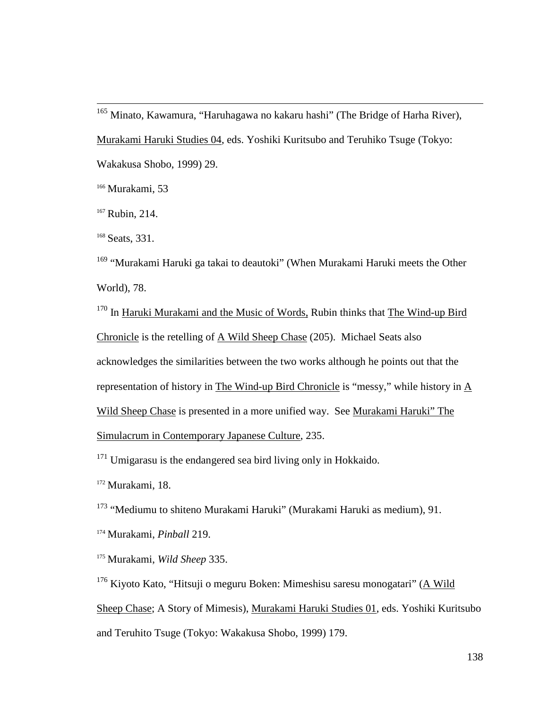<sup>165</sup> Minato, Kawamura, "Haruhagawa no kakaru hashi" (The Bridge of Harha River), Murakami Haruki Studies 04, eds. Yoshiki Kuritsubo and Teruhiko Tsuge (Tokyo: Wakakusa Shobo, 1999) 29.

<sup>166</sup> Murakami, 53

<sup>167</sup> Rubin, 214.

 $\overline{a}$ 

<sup>168</sup> Seats, 331.

<sup>169</sup> "Murakami Haruki ga takai to deautoki" (When Murakami Haruki meets the Other World), 78.

<sup>170</sup> In Haruki Murakami and the Music of Words, Rubin thinks that The Wind-up Bird Chronicle is the retelling of  $\underline{A}$  Wild Sheep Chase (205). Michael Seats also acknowledges the similarities between the two works although he points out that the representation of history in The Wind-up Bird Chronicle is "messy," while history in A Wild Sheep Chase is presented in a more unified way. See Murakami Haruki" The Simulacrum in Contemporary Japanese Culture, 235.

 $171$  Umigarasu is the endangered sea bird living only in Hokkaido.

<sup>172</sup> Murakami, 18.

<sup>173</sup> "Mediumu to shiteno Murakami Haruki" (Murakami Haruki as medium), 91.

<sup>174</sup> Murakami, *Pinball* 219.

<sup>175</sup> Murakami, *Wild Sheep* 335.

<sup>176</sup> Kiyoto Kato, "Hitsuji o meguru Boken: Mimeshisu saresu monogatari" (A Wild Sheep Chase; A Story of Mimesis), Murakami Haruki Studies 01, eds. Yoshiki Kuritsubo and Teruhito Tsuge (Tokyo: Wakakusa Shobo, 1999) 179.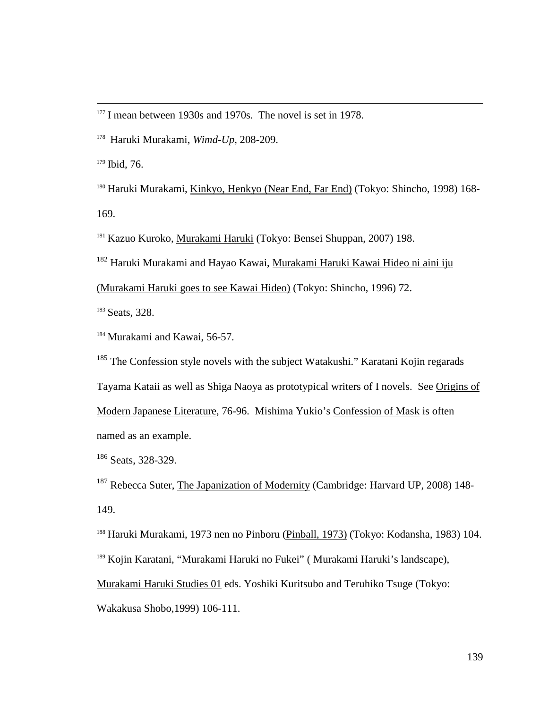<sup>179</sup> Ibid, 76.

 $\overline{a}$ 

<sup>180</sup> Haruki Murakami, Kinkyo, Henkyo (Near End, Far End) (Tokyo: Shincho, 1998) 168- 169.

<sup>181</sup> Kazuo Kuroko, *Murakami Haruki* (Tokyo: Bensei Shuppan, 2007) 198.

<sup>182</sup> Haruki Murakami and Hayao Kawai, Murakami Haruki Kawai Hideo ni aini iju

(Murakami Haruki goes to see Kawai Hideo) (Tokyo: Shincho, 1996) 72.

<sup>183</sup> Seats, 328.

<sup>184</sup> Murakami and Kawai, 56-57.

<sup>185</sup> The Confession style novels with the subject Watakushi." Karatani Kojin regarads

Tayama Kataii as well as Shiga Naoya as prototypical writers of I novels. See Origins of

Modern Japanese Literature, 76-96. Mishima Yukio's Confession of Mask is often named as an example.

<sup>186</sup> Seats, 328-329.

<sup>187</sup> Rebecca Suter, The Japanization of Modernity (Cambridge: Harvard UP, 2008) 148-149.

<sup>188</sup> Haruki Murakami, 1973 nen no Pinboru (Pinball, 1973) (Tokyo: Kodansha, 1983) 104.

<sup>189</sup> Kojin Karatani, "Murakami Haruki no Fukei" ( Murakami Haruki's landscape),

Murakami Haruki Studies 01 eds. Yoshiki Kuritsubo and Teruhiko Tsuge (Tokyo:

Wakakusa Shobo,1999) 106-111.

<sup>&</sup>lt;sup>177</sup> I mean between 1930s and 1970s. The novel is set in 1978.

<sup>178</sup> Haruki Murakami, *Wimd-Up,* 208-209.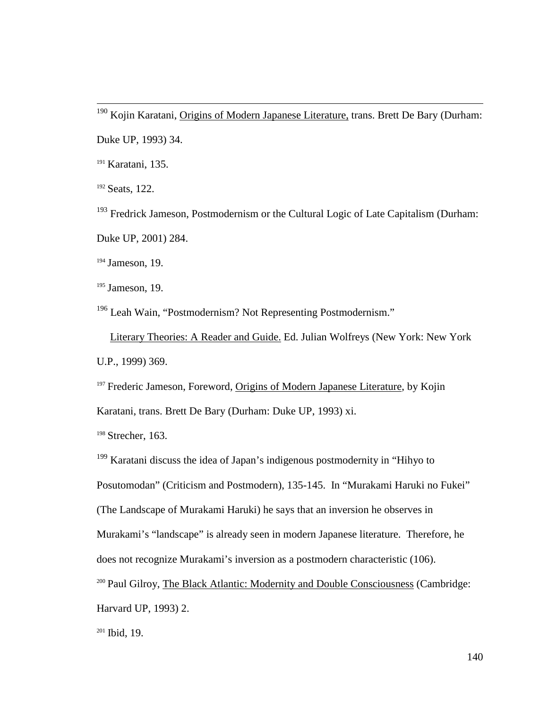<sup>190</sup> Kojin Karatani, Origins of Modern Japanese Literature, trans. Brett De Bary (Durham: Duke UP, 1993) 34.

<sup>191</sup> Karatani, 135.

<sup>192</sup> Seats, 122.

 $\overline{a}$ 

<sup>193</sup> Fredrick Jameson, Postmodernism or the Cultural Logic of Late Capitalism (Durham: Duke UP, 2001) 284.

<sup>194</sup> Jameson, 19.

<sup>195</sup> Jameson, 19.

<sup>196</sup> Leah Wain, "Postmodernism? Not Representing Postmodernism."

 Literary Theories: A Reader and Guide. Ed. Julian Wolfreys (New York: New York U.P., 1999) 369.

<sup>197</sup> Frederic Jameson, Foreword, Origins of Modern Japanese Literature, by Kojin

Karatani, trans. Brett De Bary (Durham: Duke UP, 1993) xi.

<sup>198</sup> Strecher, 163.

<sup>199</sup> Karatani discuss the idea of Japan's indigenous postmodernity in "Hihyo to

Posutomodan" (Criticism and Postmodern), 135-145. In "Murakami Haruki no Fukei"

(The Landscape of Murakami Haruki) he says that an inversion he observes in

Murakami's "landscape" is already seen in modern Japanese literature. Therefore, he

does not recognize Murakami's inversion as a postmodern characteristic (106).

<sup>200</sup> Paul Gilroy, The Black Atlantic: Modernity and Double Consciousness (Cambridge:

Harvard UP, 1993) 2.

 $201$  Ibid, 19.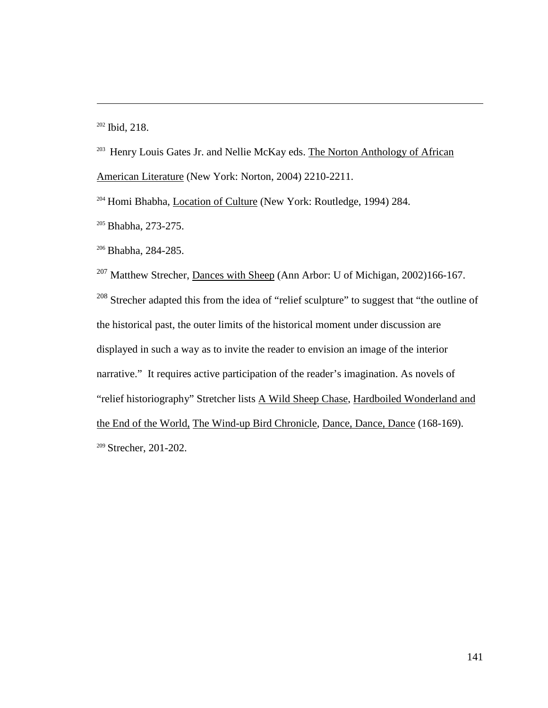$202$  Ibid, 218.

 $\overline{a}$ 

<sup>203</sup> Henry Louis Gates Jr. and Nellie McKay eds. The Norton Anthology of African American Literature (New York: Norton, 2004) 2210-2211.

<sup>204</sup> Homi Bhabha, Location of Culture (New York: Routledge, 1994) 284.

<sup>205</sup> Bhabha, 273-275.

<sup>206</sup> Bhabha, 284-285.

<sup>207</sup> Matthew Strecher, <u>Dances with Sheep</u> (Ann Arbor: U of Michigan, 2002)166-167.  $208$  Strecher adapted this from the idea of "relief sculpture" to suggest that "the outline of the historical past, the outer limits of the historical moment under discussion are displayed in such a way as to invite the reader to envision an image of the interior narrative." It requires active participation of the reader's imagination. As novels of "relief historiography" Stretcher lists A Wild Sheep Chase, Hardboiled Wonderland and the End of the World, The Wind-up Bird Chronicle, Dance, Dance, Dance (168-169). <sup>209</sup> Strecher, 201-202.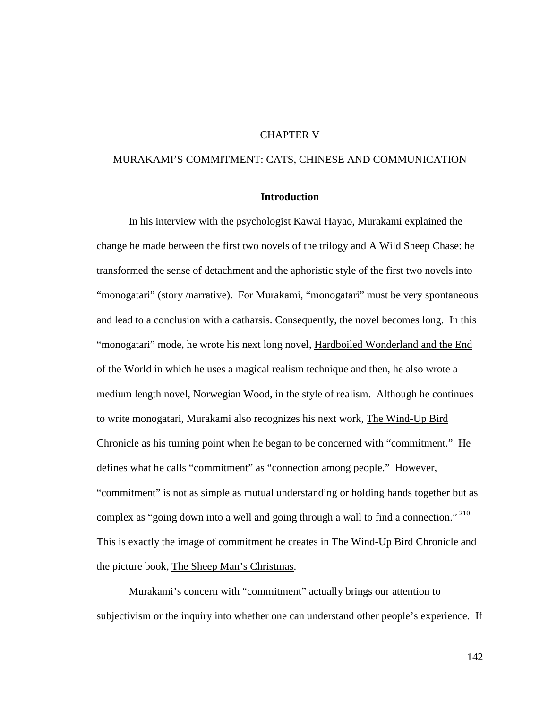# CHAPTER V

# MURAKAMI'S COMMITMENT: CATS, CHINESE AND COMMUNICATION

## **Introduction**

In his interview with the psychologist Kawai Hayao, Murakami explained the change he made between the first two novels of the trilogy and A Wild Sheep Chase: he transformed the sense of detachment and the aphoristic style of the first two novels into "monogatari" (story /narrative). For Murakami, "monogatari" must be very spontaneous and lead to a conclusion with a catharsis. Consequently, the novel becomes long. In this "monogatari" mode, he wrote his next long novel, Hardboiled Wonderland and the End of the World in which he uses a magical realism technique and then, he also wrote a medium length novel, Norwegian Wood, in the style of realism. Although he continues to write monogatari, Murakami also recognizes his next work, The Wind-Up Bird Chronicle as his turning point when he began to be concerned with "commitment." He defines what he calls "commitment" as "connection among people." However, "commitment" is not as simple as mutual understanding or holding hands together but as complex as "going down into a well and going through a wall to find a connection."<sup>210</sup> This is exactly the image of commitment he creates in The Wind-Up Bird Chronicle and the picture book, The Sheep Man's Christmas.

Murakami's concern with "commitment" actually brings our attention to subjectivism or the inquiry into whether one can understand other people's experience. If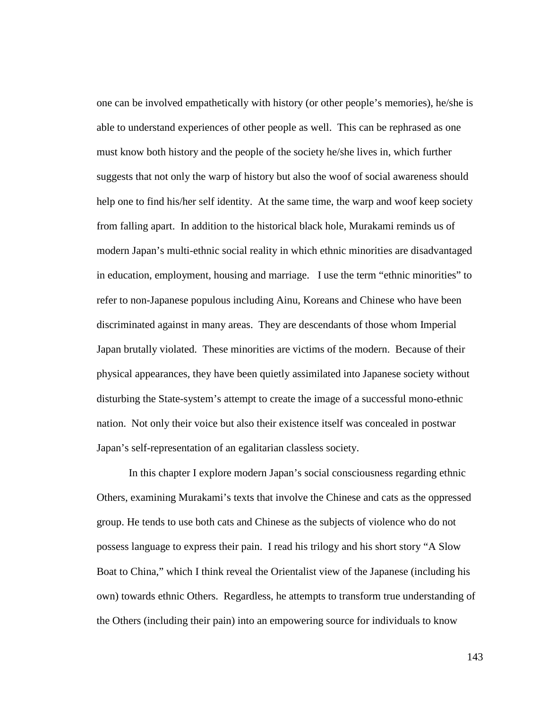one can be involved empathetically with history (or other people's memories), he/she is able to understand experiences of other people as well. This can be rephrased as one must know both history and the people of the society he/she lives in, which further suggests that not only the warp of history but also the woof of social awareness should help one to find his/her self identity. At the same time, the warp and woof keep society from falling apart. In addition to the historical black hole, Murakami reminds us of modern Japan's multi-ethnic social reality in which ethnic minorities are disadvantaged in education, employment, housing and marriage. I use the term "ethnic minorities" to refer to non-Japanese populous including Ainu, Koreans and Chinese who have been discriminated against in many areas. They are descendants of those whom Imperial Japan brutally violated. These minorities are victims of the modern. Because of their physical appearances, they have been quietly assimilated into Japanese society without disturbing the State-system's attempt to create the image of a successful mono-ethnic nation. Not only their voice but also their existence itself was concealed in postwar Japan's self-representation of an egalitarian classless society.

In this chapter I explore modern Japan's social consciousness regarding ethnic Others, examining Murakami's texts that involve the Chinese and cats as the oppressed group. He tends to use both cats and Chinese as the subjects of violence who do not possess language to express their pain. I read his trilogy and his short story "A Slow Boat to China," which I think reveal the Orientalist view of the Japanese (including his own) towards ethnic Others. Regardless, he attempts to transform true understanding of the Others (including their pain) into an empowering source for individuals to know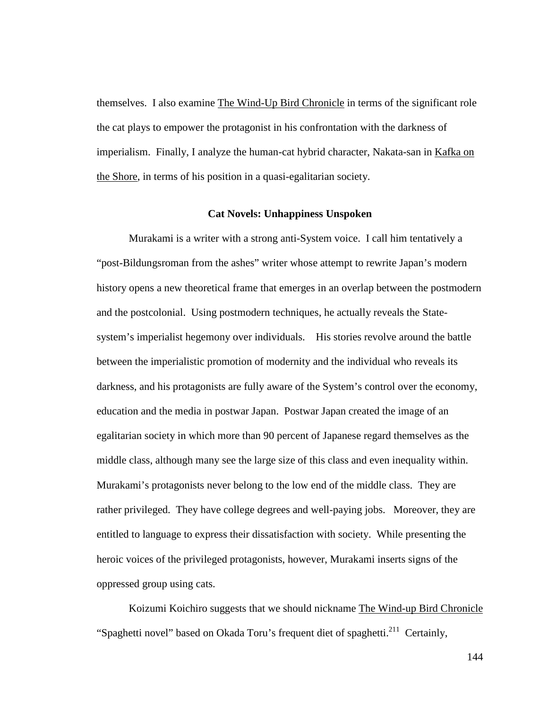themselves. I also examine The Wind-Up Bird Chronicle in terms of the significant role the cat plays to empower the protagonist in his confrontation with the darkness of imperialism. Finally, I analyze the human-cat hybrid character, Nakata-san in Kafka on the Shore, in terms of his position in a quasi-egalitarian society.

### **Cat Novels: Unhappiness Unspoken**

Murakami is a writer with a strong anti-System voice. I call him tentatively a "post-Bildungsroman from the ashes" writer whose attempt to rewrite Japan's modern history opens a new theoretical frame that emerges in an overlap between the postmodern and the postcolonial. Using postmodern techniques, he actually reveals the Statesystem's imperialist hegemony over individuals. His stories revolve around the battle between the imperialistic promotion of modernity and the individual who reveals its darkness, and his protagonists are fully aware of the System's control over the economy, education and the media in postwar Japan. Postwar Japan created the image of an egalitarian society in which more than 90 percent of Japanese regard themselves as the middle class, although many see the large size of this class and even inequality within. Murakami's protagonists never belong to the low end of the middle class. They are rather privileged. They have college degrees and well-paying jobs. Moreover, they are entitled to language to express their dissatisfaction with society. While presenting the heroic voices of the privileged protagonists, however, Murakami inserts signs of the oppressed group using cats.

Koizumi Koichiro suggests that we should nickname The Wind-up Bird Chronicle "Spaghetti novel" based on Okada Toru's frequent diet of spaghetti.<sup>211</sup> Certainly,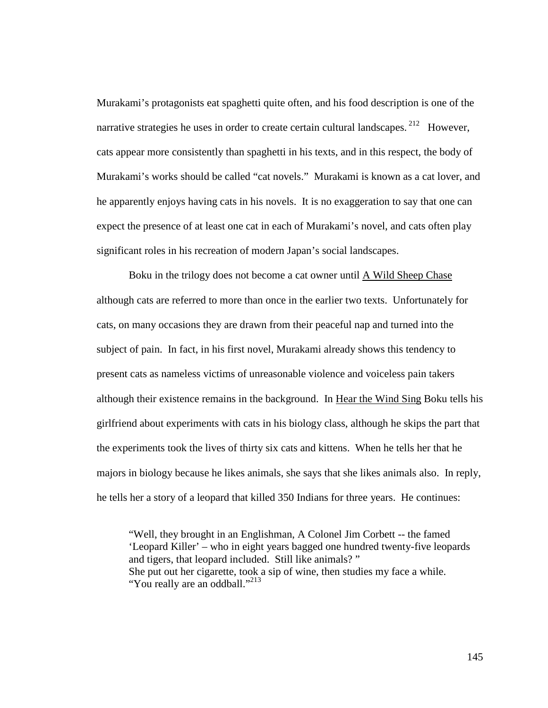Murakami's protagonists eat spaghetti quite often, and his food description is one of the narrative strategies he uses in order to create certain cultural landscapes.<sup>212</sup> However, cats appear more consistently than spaghetti in his texts, and in this respect, the body of Murakami's works should be called "cat novels." Murakami is known as a cat lover, and he apparently enjoys having cats in his novels. It is no exaggeration to say that one can expect the presence of at least one cat in each of Murakami's novel, and cats often play significant roles in his recreation of modern Japan's social landscapes.

Boku in the trilogy does not become a cat owner until A Wild Sheep Chase although cats are referred to more than once in the earlier two texts. Unfortunately for cats, on many occasions they are drawn from their peaceful nap and turned into the subject of pain. In fact, in his first novel, Murakami already shows this tendency to present cats as nameless victims of unreasonable violence and voiceless pain takers although their existence remains in the background. In Hear the Wind Sing Boku tells his girlfriend about experiments with cats in his biology class, although he skips the part that the experiments took the lives of thirty six cats and kittens. When he tells her that he majors in biology because he likes animals, she says that she likes animals also. In reply, he tells her a story of a leopard that killed 350 Indians for three years. He continues:

"Well, they brought in an Englishman, A Colonel Jim Corbett -- the famed 'Leopard Killer' – who in eight years bagged one hundred twenty-five leopards and tigers, that leopard included. Still like animals? " She put out her cigarette, took a sip of wine, then studies my face a while. "You really are an oddball."<sup>213</sup>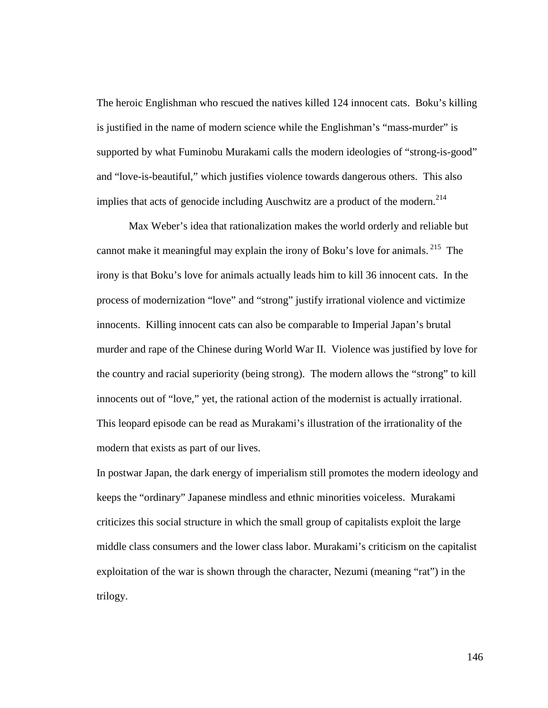The heroic Englishman who rescued the natives killed 124 innocent cats. Boku's killing is justified in the name of modern science while the Englishman's "mass-murder" is supported by what Fuminobu Murakami calls the modern ideologies of "strong-is-good" and "love-is-beautiful," which justifies violence towards dangerous others. This also implies that acts of genocide including Auschwitz are a product of the modern. $^{214}$ 

Max Weber's idea that rationalization makes the world orderly and reliable but cannot make it meaningful may explain the irony of Boku's love for animals.<sup>215</sup> The irony is that Boku's love for animals actually leads him to kill 36 innocent cats. In the process of modernization "love" and "strong" justify irrational violence and victimize innocents. Killing innocent cats can also be comparable to Imperial Japan's brutal murder and rape of the Chinese during World War II. Violence was justified by love for the country and racial superiority (being strong). The modern allows the "strong" to kill innocents out of "love," yet, the rational action of the modernist is actually irrational. This leopard episode can be read as Murakami's illustration of the irrationality of the modern that exists as part of our lives.

In postwar Japan, the dark energy of imperialism still promotes the modern ideology and keeps the "ordinary" Japanese mindless and ethnic minorities voiceless. Murakami criticizes this social structure in which the small group of capitalists exploit the large middle class consumers and the lower class labor. Murakami's criticism on the capitalist exploitation of the war is shown through the character, Nezumi (meaning "rat") in the trilogy.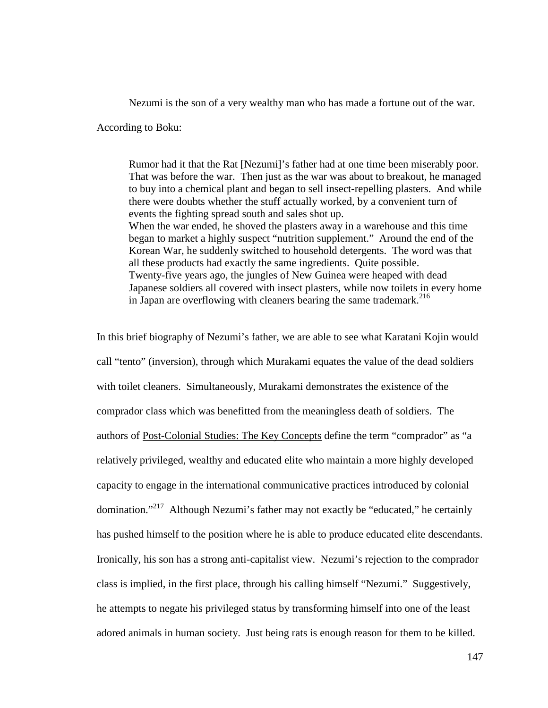Nezumi is the son of a very wealthy man who has made a fortune out of the war.

According to Boku:

Rumor had it that the Rat [Nezumi]'s father had at one time been miserably poor. That was before the war. Then just as the war was about to breakout, he managed to buy into a chemical plant and began to sell insect-repelling plasters. And while there were doubts whether the stuff actually worked, by a convenient turn of events the fighting spread south and sales shot up. When the war ended, he shoved the plasters away in a warehouse and this time began to market a highly suspect "nutrition supplement." Around the end of the Korean War, he suddenly switched to household detergents. The word was that all these products had exactly the same ingredients. Quite possible. Twenty-five years ago, the jungles of New Guinea were heaped with dead Japanese soldiers all covered with insect plasters, while now toilets in every home in Japan are overflowing with cleaners bearing the same trademark.<sup>216</sup>

In this brief biography of Nezumi's father, we are able to see what Karatani Kojin would call "tento" (inversion), through which Murakami equates the value of the dead soldiers with toilet cleaners. Simultaneously, Murakami demonstrates the existence of the comprador class which was benefitted from the meaningless death of soldiers. The authors of Post-Colonial Studies: The Key Concepts define the term "comprador" as "a relatively privileged, wealthy and educated elite who maintain a more highly developed capacity to engage in the international communicative practices introduced by colonial domination."<sup>217</sup> Although Nezumi's father may not exactly be "educated," he certainly has pushed himself to the position where he is able to produce educated elite descendants. Ironically, his son has a strong anti-capitalist view. Nezumi's rejection to the comprador class is implied, in the first place, through his calling himself "Nezumi." Suggestively, he attempts to negate his privileged status by transforming himself into one of the least adored animals in human society. Just being rats is enough reason for them to be killed.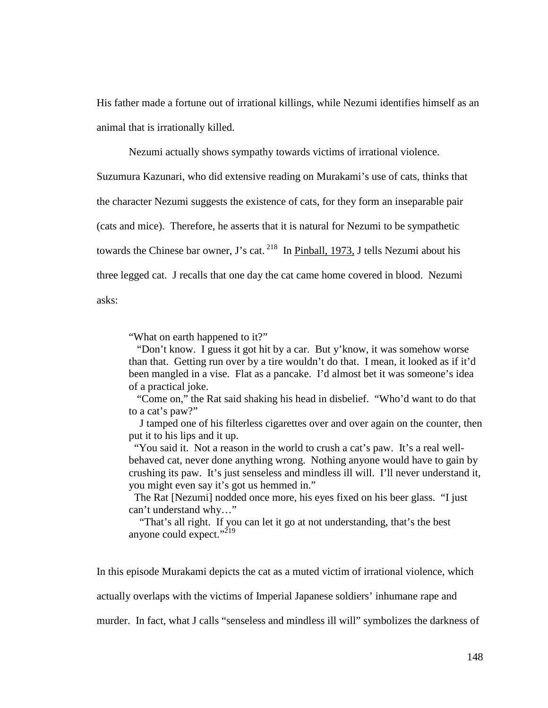His father made a fortune out of irrational killings, while Nezumi identifies himself as an animal that is irrationally killed.

Nezumi actually shows sympathy towards victims of irrational violence.

Suzumura Kazunari, who did extensive reading on Murakami's use of cats, thinks that the character Nezumi suggests the existence of cats, for they form an inseparable pair (cats and mice). Therefore, he asserts that it is natural for Nezumi to be sympathetic towards the Chinese bar owner, J's cat.<sup>218</sup> In Pinball, 1973, J tells Nezumi about his three legged cat. J recalls that one day the cat came home covered in blood. Nezumi asks:

"What on earth happened to it?"

 "Don't know. I guess it got hit by a car. But y'know, it was somehow worse than that. Getting run over by a tire wouldn't do that. I mean, it looked as if it'd been mangled in a vise. Flat as a pancake. I'd almost bet it was someone's idea of a practical joke.

 "Come on," the Rat said shaking his head in disbelief. "Who'd want to do that to a cat's paw?"

 J tamped one of his filterless cigarettes over and over again on the counter, then put it to his lips and it up.

"You said it. Not a reason in the world to crush a cat's paw. It's a real wellbehaved cat, never done anything wrong. Nothing anyone would have to gain by crushing its paw. It's just senseless and mindless ill will. I'll never understand it, you might even say it's got us hemmed in."

The Rat [Nezumi] nodded once more, his eyes fixed on his beer glass. "I just can't understand why…"

 "That's all right. If you can let it go at not understanding, that's the best anyone could expect." $^{219}$ 

In this episode Murakami depicts the cat as a muted victim of irrational violence, which

actually overlaps with the victims of Imperial Japanese soldiers' inhumane rape and

murder. In fact, what J calls "senseless and mindless ill will" symbolizes the darkness of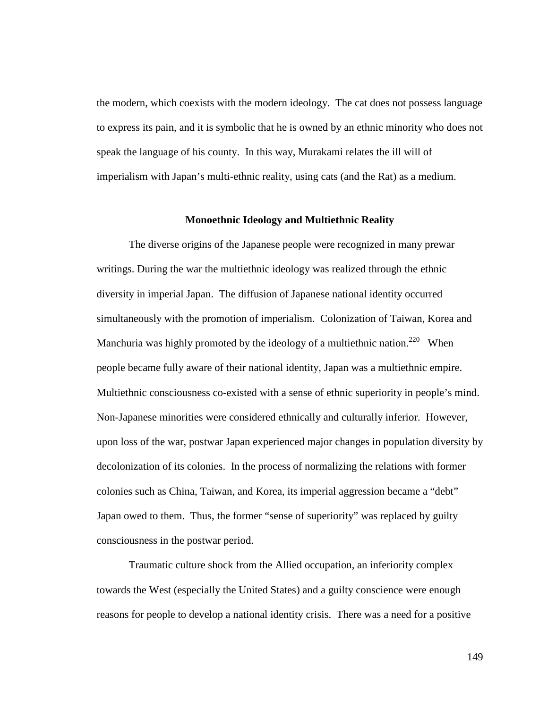the modern, which coexists with the modern ideology. The cat does not possess language to express its pain, and it is symbolic that he is owned by an ethnic minority who does not speak the language of his county. In this way, Murakami relates the ill will of imperialism with Japan's multi-ethnic reality, using cats (and the Rat) as a medium.

#### **Monoethnic Ideology and Multiethnic Reality**

The diverse origins of the Japanese people were recognized in many prewar writings. During the war the multiethnic ideology was realized through the ethnic diversity in imperial Japan. The diffusion of Japanese national identity occurred simultaneously with the promotion of imperialism. Colonization of Taiwan, Korea and Manchuria was highly promoted by the ideology of a multiethnic nation.<sup>220</sup> When people became fully aware of their national identity, Japan was a multiethnic empire. Multiethnic consciousness co-existed with a sense of ethnic superiority in people's mind. Non-Japanese minorities were considered ethnically and culturally inferior. However, upon loss of the war, postwar Japan experienced major changes in population diversity by decolonization of its colonies. In the process of normalizing the relations with former colonies such as China, Taiwan, and Korea, its imperial aggression became a "debt" Japan owed to them. Thus, the former "sense of superiority" was replaced by guilty consciousness in the postwar period.

 Traumatic culture shock from the Allied occupation, an inferiority complex towards the West (especially the United States) and a guilty conscience were enough reasons for people to develop a national identity crisis. There was a need for a positive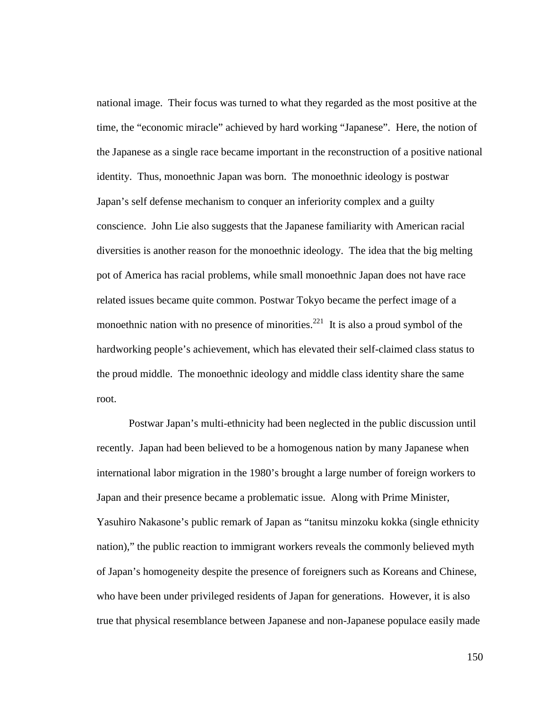national image. Their focus was turned to what they regarded as the most positive at the time, the "economic miracle" achieved by hard working "Japanese". Here, the notion of the Japanese as a single race became important in the reconstruction of a positive national identity. Thus, monoethnic Japan was born. The monoethnic ideology is postwar Japan's self defense mechanism to conquer an inferiority complex and a guilty conscience. John Lie also suggests that the Japanese familiarity with American racial diversities is another reason for the monoethnic ideology. The idea that the big melting pot of America has racial problems, while small monoethnic Japan does not have race related issues became quite common. Postwar Tokyo became the perfect image of a monoethnic nation with no presence of minorities.<sup>221</sup> It is also a proud symbol of the hardworking people's achievement, which has elevated their self-claimed class status to the proud middle. The monoethnic ideology and middle class identity share the same root.

Postwar Japan's multi-ethnicity had been neglected in the public discussion until recently. Japan had been believed to be a homogenous nation by many Japanese when international labor migration in the 1980's brought a large number of foreign workers to Japan and their presence became a problematic issue. Along with Prime Minister, Yasuhiro Nakasone's public remark of Japan as "tanitsu minzoku kokka (single ethnicity nation)," the public reaction to immigrant workers reveals the commonly believed myth of Japan's homogeneity despite the presence of foreigners such as Koreans and Chinese, who have been under privileged residents of Japan for generations. However, it is also true that physical resemblance between Japanese and non-Japanese populace easily made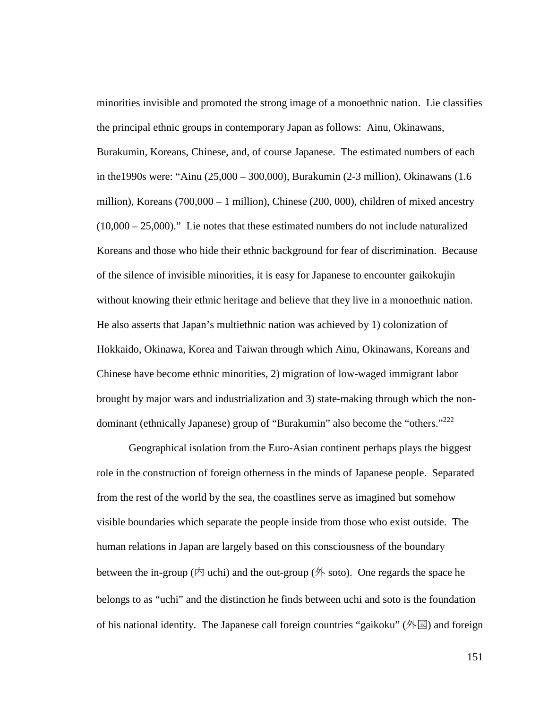minorities invisible and promoted the strong image of a monoethnic nation. Lie classifies the principal ethnic groups in contemporary Japan as follows: Ainu, Okinawans, Burakumin, Koreans, Chinese, and, of course Japanese. The estimated numbers of each in the1990s were: "Ainu (25,000 – 300,000), Burakumin (2-3 million), Okinawans (1.6 million), Koreans (700,000 – 1 million), Chinese (200, 000), children of mixed ancestry  $(10,000 - 25,000)$ ." Lie notes that these estimated numbers do not include naturalized Koreans and those who hide their ethnic background for fear of discrimination. Because of the silence of invisible minorities, it is easy for Japanese to encounter gaikokujin without knowing their ethnic heritage and believe that they live in a monoethnic nation. He also asserts that Japan's multiethnic nation was achieved by 1) colonization of Hokkaido, Okinawa, Korea and Taiwan through which Ainu, Okinawans, Koreans and Chinese have become ethnic minorities, 2) migration of low-waged immigrant labor brought by major wars and industrialization and 3) state-making through which the nondominant (ethnically Japanese) group of "Burakumin" also become the "others."<sup>222</sup>

Geographical isolation from the Euro-Asian continent perhaps plays the biggest role in the construction of foreign otherness in the minds of Japanese people. Separated from the rest of the world by the sea, the coastlines serve as imagined but somehow visible boundaries which separate the people inside from those who exist outside. The human relations in Japan are largely based on this consciousness of the boundary between the in-group ( $\uparrow$ ) uchi) and the out-group ( $\uparrow$ ) soto). One regards the space he belongs to as "uchi" and the distinction he finds between uchi and soto is the foundation of his national identity. The Japanese call foreign countries "gaikoku" (外国) and foreign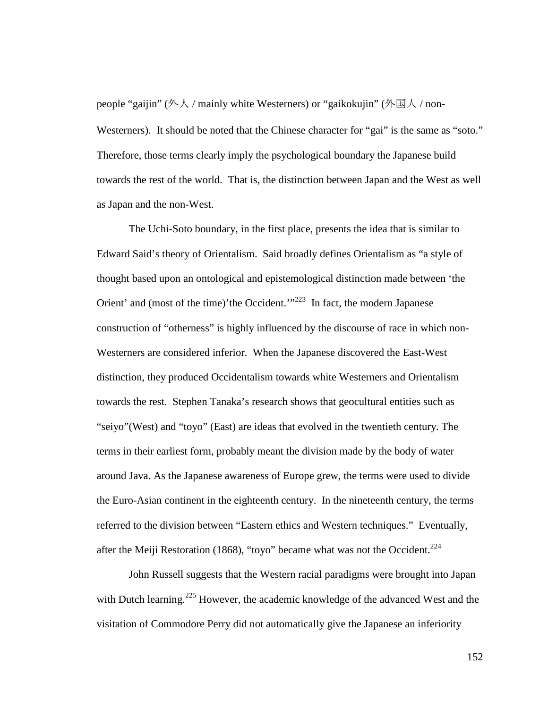people "gaijin" (外人 / mainly white Westerners) or "gaikokujin" (外国人 / non-Westerners). It should be noted that the Chinese character for "gai" is the same as "soto." Therefore, those terms clearly imply the psychological boundary the Japanese build towards the rest of the world. That is, the distinction between Japan and the West as well as Japan and the non-West.

The Uchi-Soto boundary, in the first place, presents the idea that is similar to Edward Said's theory of Orientalism. Said broadly defines Orientalism as "a style of thought based upon an ontological and epistemological distinction made between 'the Orient' and (most of the time)'the Occident.'<sup>"223</sup> In fact, the modern Japanese construction of "otherness" is highly influenced by the discourse of race in which non-Westerners are considered inferior. When the Japanese discovered the East-West distinction, they produced Occidentalism towards white Westerners and Orientalism towards the rest. Stephen Tanaka's research shows that geocultural entities such as "seiyo"(West) and "toyo" (East) are ideas that evolved in the twentieth century. The terms in their earliest form, probably meant the division made by the body of water around Java. As the Japanese awareness of Europe grew, the terms were used to divide the Euro-Asian continent in the eighteenth century. In the nineteenth century, the terms referred to the division between "Eastern ethics and Western techniques." Eventually, after the Meiji Restoration (1868), "toyo" became what was not the Occident.<sup>224</sup>

John Russell suggests that the Western racial paradigms were brought into Japan with Dutch learning.<sup>225</sup> However, the academic knowledge of the advanced West and the visitation of Commodore Perry did not automatically give the Japanese an inferiority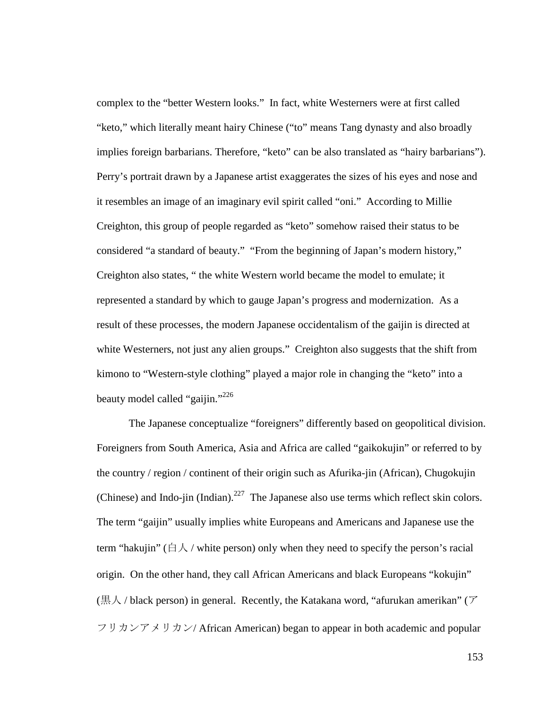complex to the "better Western looks." In fact, white Westerners were at first called "keto," which literally meant hairy Chinese ("to" means Tang dynasty and also broadly implies foreign barbarians. Therefore, "keto" can be also translated as "hairy barbarians"). Perry's portrait drawn by a Japanese artist exaggerates the sizes of his eyes and nose and it resembles an image of an imaginary evil spirit called "oni." According to Millie Creighton, this group of people regarded as "keto" somehow raised their status to be considered "a standard of beauty." "From the beginning of Japan's modern history," Creighton also states, " the white Western world became the model to emulate; it represented a standard by which to gauge Japan's progress and modernization. As a result of these processes, the modern Japanese occidentalism of the gaijin is directed at white Westerners, not just any alien groups." Creighton also suggests that the shift from kimono to "Western-style clothing" played a major role in changing the "keto" into a beauty model called "gaijin."<sup>226</sup>

The Japanese conceptualize "foreigners" differently based on geopolitical division. Foreigners from South America, Asia and Africa are called "gaikokujin" or referred to by the country / region / continent of their origin such as Afurika-jin (African), Chugokujin (Chinese) and Indo-jin (Indian).<sup>227</sup> The Japanese also use terms which reflect skin colors. The term "gaijin" usually implies white Europeans and Americans and Japanese use the term "hakujin" ( $\exists \lambda$  / white person) only when they need to specify the person's racial origin. On the other hand, they call African Americans and black Europeans "kokujin" (黒人 / black person) in general. Recently, the Katakana word, "afurukan amerikan" (ア フリカンアメリカン/ African American) began to appear in both academic and popular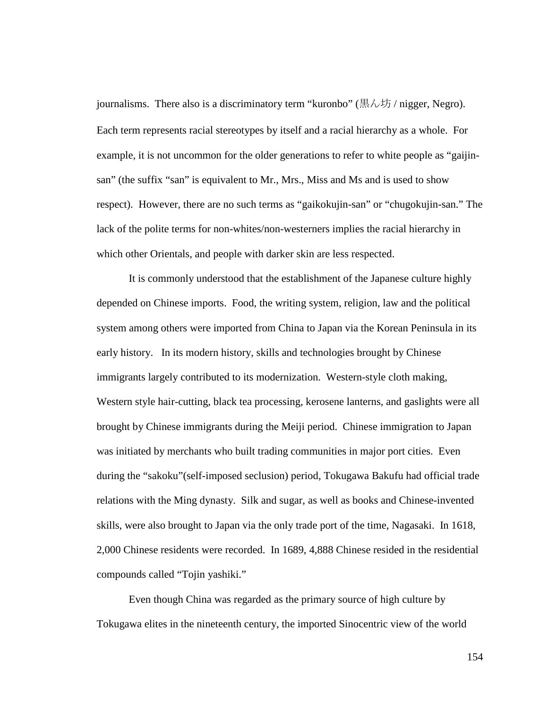journalisms. There also is a discriminatory term "kuronbo" (黒ん坊 / nigger, Negro). Each term represents racial stereotypes by itself and a racial hierarchy as a whole. For example, it is not uncommon for the older generations to refer to white people as "gaijinsan" (the suffix "san" is equivalent to Mr., Mrs., Miss and Ms and is used to show respect). However, there are no such terms as "gaikokujin-san" or "chugokujin-san." The lack of the polite terms for non-whites/non-westerners implies the racial hierarchy in which other Orientals, and people with darker skin are less respected.

It is commonly understood that the establishment of the Japanese culture highly depended on Chinese imports. Food, the writing system, religion, law and the political system among others were imported from China to Japan via the Korean Peninsula in its early history. In its modern history, skills and technologies brought by Chinese immigrants largely contributed to its modernization. Western-style cloth making, Western style hair-cutting, black tea processing, kerosene lanterns, and gaslights were all brought by Chinese immigrants during the Meiji period. Chinese immigration to Japan was initiated by merchants who built trading communities in major port cities. Even during the "sakoku"(self-imposed seclusion) period, Tokugawa Bakufu had official trade relations with the Ming dynasty. Silk and sugar, as well as books and Chinese-invented skills, were also brought to Japan via the only trade port of the time, Nagasaki. In 1618, 2,000 Chinese residents were recorded. In 1689, 4,888 Chinese resided in the residential compounds called "Tojin yashiki."

Even though China was regarded as the primary source of high culture by Tokugawa elites in the nineteenth century, the imported Sinocentric view of the world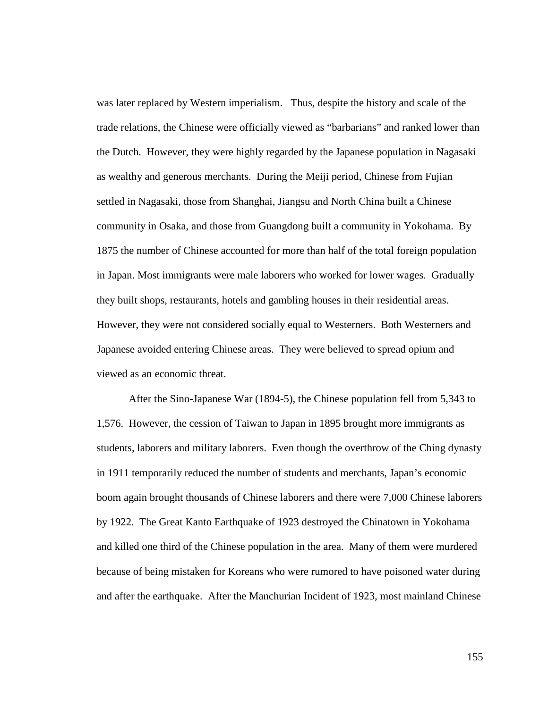was later replaced by Western imperialism. Thus, despite the history and scale of the trade relations, the Chinese were officially viewed as "barbarians" and ranked lower than the Dutch. However, they were highly regarded by the Japanese population in Nagasaki as wealthy and generous merchants. During the Meiji period, Chinese from Fujian settled in Nagasaki, those from Shanghai, Jiangsu and North China built a Chinese community in Osaka, and those from Guangdong built a community in Yokohama. By 1875 the number of Chinese accounted for more than half of the total foreign population in Japan. Most immigrants were male laborers who worked for lower wages. Gradually they built shops, restaurants, hotels and gambling houses in their residential areas. However, they were not considered socially equal to Westerners. Both Westerners and Japanese avoided entering Chinese areas. They were believed to spread opium and viewed as an economic threat.

After the Sino-Japanese War (1894-5), the Chinese population fell from 5,343 to 1,576. However, the cession of Taiwan to Japan in 1895 brought more immigrants as students, laborers and military laborers. Even though the overthrow of the Ching dynasty in 1911 temporarily reduced the number of students and merchants, Japan's economic boom again brought thousands of Chinese laborers and there were 7,000 Chinese laborers by 1922. The Great Kanto Earthquake of 1923 destroyed the Chinatown in Yokohama and killed one third of the Chinese population in the area. Many of them were murdered because of being mistaken for Koreans who were rumored to have poisoned water during and after the earthquake. After the Manchurian Incident of 1923, most mainland Chinese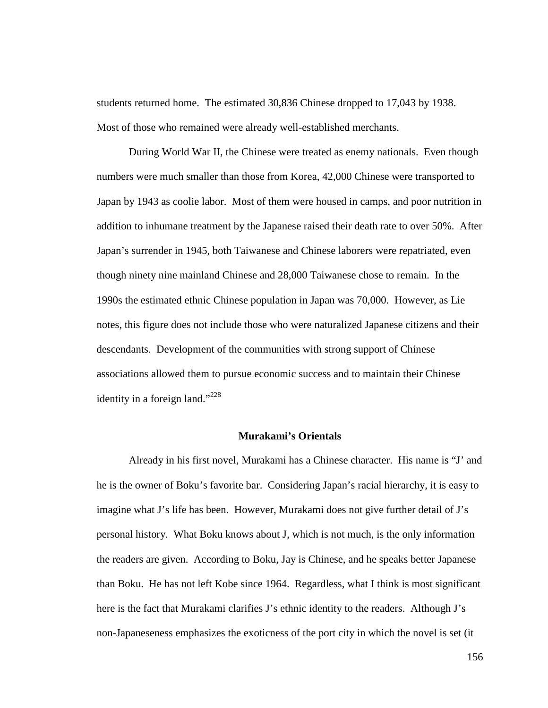students returned home. The estimated 30,836 Chinese dropped to 17,043 by 1938. Most of those who remained were already well-established merchants.

During World War II, the Chinese were treated as enemy nationals. Even though numbers were much smaller than those from Korea, 42,000 Chinese were transported to Japan by 1943 as coolie labor. Most of them were housed in camps, and poor nutrition in addition to inhumane treatment by the Japanese raised their death rate to over 50%. After Japan's surrender in 1945, both Taiwanese and Chinese laborers were repatriated, even though ninety nine mainland Chinese and 28,000 Taiwanese chose to remain. In the 1990s the estimated ethnic Chinese population in Japan was 70,000. However, as Lie notes, this figure does not include those who were naturalized Japanese citizens and their descendants. Development of the communities with strong support of Chinese associations allowed them to pursue economic success and to maintain their Chinese identity in a foreign land."<sup>228</sup>

### **Murakami's Orientals**

Already in his first novel, Murakami has a Chinese character. His name is "J' and he is the owner of Boku's favorite bar. Considering Japan's racial hierarchy, it is easy to imagine what J's life has been. However, Murakami does not give further detail of J's personal history. What Boku knows about J, which is not much, is the only information the readers are given. According to Boku, Jay is Chinese, and he speaks better Japanese than Boku. He has not left Kobe since 1964. Regardless, what I think is most significant here is the fact that Murakami clarifies J's ethnic identity to the readers. Although J's non-Japaneseness emphasizes the exoticness of the port city in which the novel is set (it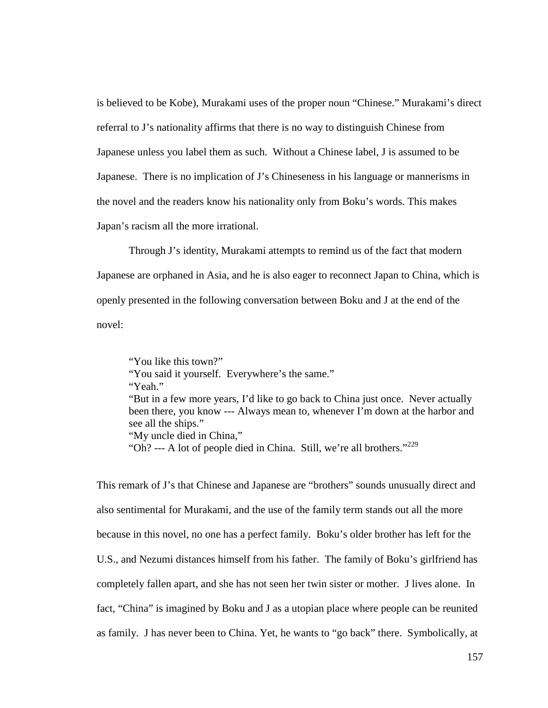is believed to be Kobe), Murakami uses of the proper noun "Chinese." Murakami's direct referral to J's nationality affirms that there is no way to distinguish Chinese from Japanese unless you label them as such. Without a Chinese label, J is assumed to be Japanese. There is no implication of J's Chineseness in his language or mannerisms in the novel and the readers know his nationality only from Boku's words. This makes Japan's racism all the more irrational.

Through J's identity, Murakami attempts to remind us of the fact that modern Japanese are orphaned in Asia, and he is also eager to reconnect Japan to China, which is openly presented in the following conversation between Boku and J at the end of the novel:

"You like this town?" "You said it yourself. Everywhere's the same." "Yeah." "But in a few more years, I'd like to go back to China just once. Never actually been there, you know --- Always mean to, whenever I'm down at the harbor and see all the ships." "My uncle died in China," "Oh? --- A lot of people died in China. Still, we're all brothers."<sup>229</sup>

This remark of J's that Chinese and Japanese are "brothers" sounds unusually direct and also sentimental for Murakami, and the use of the family term stands out all the more because in this novel, no one has a perfect family. Boku's older brother has left for the U.S., and Nezumi distances himself from his father. The family of Boku's girlfriend has completely fallen apart, and she has not seen her twin sister or mother. J lives alone. In fact, "China" is imagined by Boku and J as a utopian place where people can be reunited as family. J has never been to China. Yet, he wants to "go back" there. Symbolically, at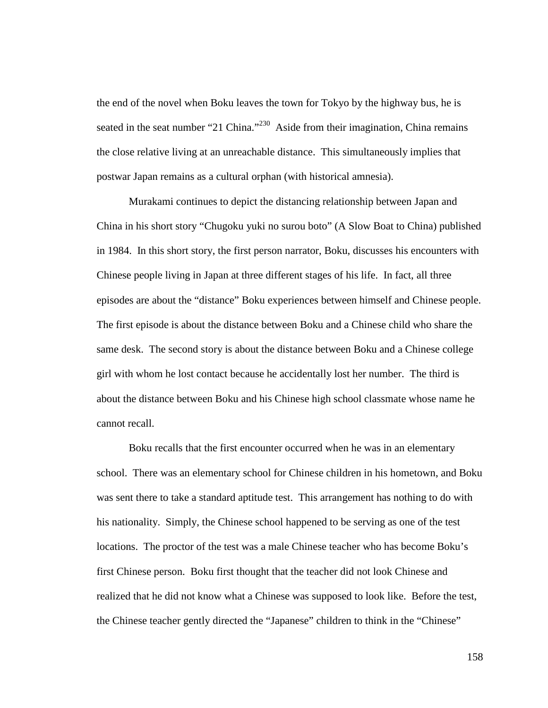the end of the novel when Boku leaves the town for Tokyo by the highway bus, he is seated in the seat number "21 China."<sup>230</sup> Aside from their imagination, China remains the close relative living at an unreachable distance. This simultaneously implies that postwar Japan remains as a cultural orphan (with historical amnesia).

Murakami continues to depict the distancing relationship between Japan and China in his short story "Chugoku yuki no surou boto" (A Slow Boat to China) published in 1984. In this short story, the first person narrator, Boku, discusses his encounters with Chinese people living in Japan at three different stages of his life. In fact, all three episodes are about the "distance" Boku experiences between himself and Chinese people. The first episode is about the distance between Boku and a Chinese child who share the same desk. The second story is about the distance between Boku and a Chinese college girl with whom he lost contact because he accidentally lost her number. The third is about the distance between Boku and his Chinese high school classmate whose name he cannot recall.

Boku recalls that the first encounter occurred when he was in an elementary school. There was an elementary school for Chinese children in his hometown, and Boku was sent there to take a standard aptitude test. This arrangement has nothing to do with his nationality. Simply, the Chinese school happened to be serving as one of the test locations. The proctor of the test was a male Chinese teacher who has become Boku's first Chinese person. Boku first thought that the teacher did not look Chinese and realized that he did not know what a Chinese was supposed to look like. Before the test, the Chinese teacher gently directed the "Japanese" children to think in the "Chinese"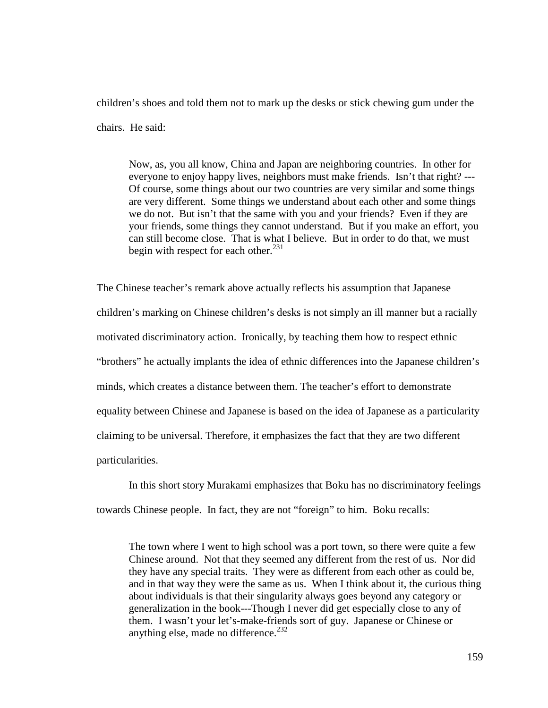children's shoes and told them not to mark up the desks or stick chewing gum under the chairs. He said:

Now, as, you all know, China and Japan are neighboring countries. In other for everyone to enjoy happy lives, neighbors must make friends. Isn't that right? --- Of course, some things about our two countries are very similar and some things are very different. Some things we understand about each other and some things we do not. But isn't that the same with you and your friends? Even if they are your friends, some things they cannot understand. But if you make an effort, you can still become close. That is what I believe. But in order to do that, we must begin with respect for each other.<sup>231</sup>

The Chinese teacher's remark above actually reflects his assumption that Japanese children's marking on Chinese children's desks is not simply an ill manner but a racially motivated discriminatory action. Ironically, by teaching them how to respect ethnic "brothers" he actually implants the idea of ethnic differences into the Japanese children's minds, which creates a distance between them. The teacher's effort to demonstrate equality between Chinese and Japanese is based on the idea of Japanese as a particularity claiming to be universal. Therefore, it emphasizes the fact that they are two different particularities.

In this short story Murakami emphasizes that Boku has no discriminatory feelings towards Chinese people. In fact, they are not "foreign" to him. Boku recalls:

The town where I went to high school was a port town, so there were quite a few Chinese around. Not that they seemed any different from the rest of us. Nor did they have any special traits. They were as different from each other as could be, and in that way they were the same as us. When I think about it, the curious thing about individuals is that their singularity always goes beyond any category or generalization in the book---Though I never did get especially close to any of them. I wasn't your let's-make-friends sort of guy. Japanese or Chinese or anything else, made no difference.<sup>232</sup>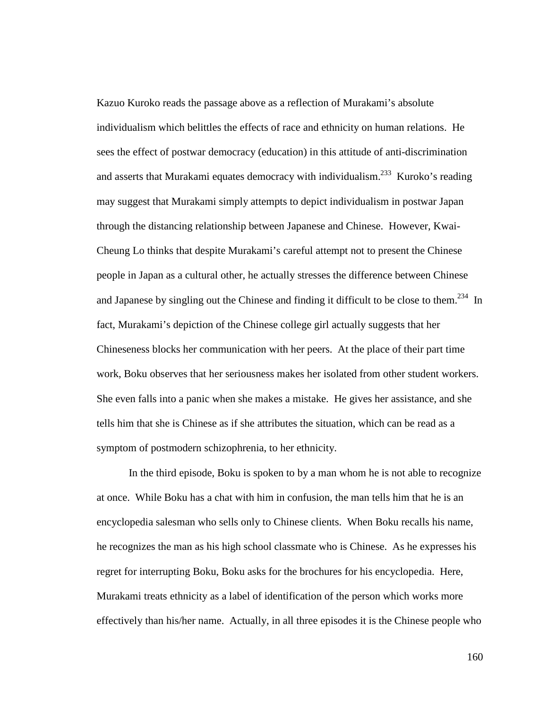Kazuo Kuroko reads the passage above as a reflection of Murakami's absolute individualism which belittles the effects of race and ethnicity on human relations. He sees the effect of postwar democracy (education) in this attitude of anti-discrimination and asserts that Murakami equates democracy with individualism.<sup>233</sup> Kuroko's reading may suggest that Murakami simply attempts to depict individualism in postwar Japan through the distancing relationship between Japanese and Chinese. However, Kwai-Cheung Lo thinks that despite Murakami's careful attempt not to present the Chinese people in Japan as a cultural other, he actually stresses the difference between Chinese and Japanese by singling out the Chinese and finding it difficult to be close to them.<sup>234</sup> In fact, Murakami's depiction of the Chinese college girl actually suggests that her Chineseness blocks her communication with her peers. At the place of their part time work, Boku observes that her seriousness makes her isolated from other student workers. She even falls into a panic when she makes a mistake. He gives her assistance, and she tells him that she is Chinese as if she attributes the situation, which can be read as a symptom of postmodern schizophrenia, to her ethnicity.

In the third episode, Boku is spoken to by a man whom he is not able to recognize at once. While Boku has a chat with him in confusion, the man tells him that he is an encyclopedia salesman who sells only to Chinese clients. When Boku recalls his name, he recognizes the man as his high school classmate who is Chinese. As he expresses his regret for interrupting Boku, Boku asks for the brochures for his encyclopedia. Here, Murakami treats ethnicity as a label of identification of the person which works more effectively than his/her name. Actually, in all three episodes it is the Chinese people who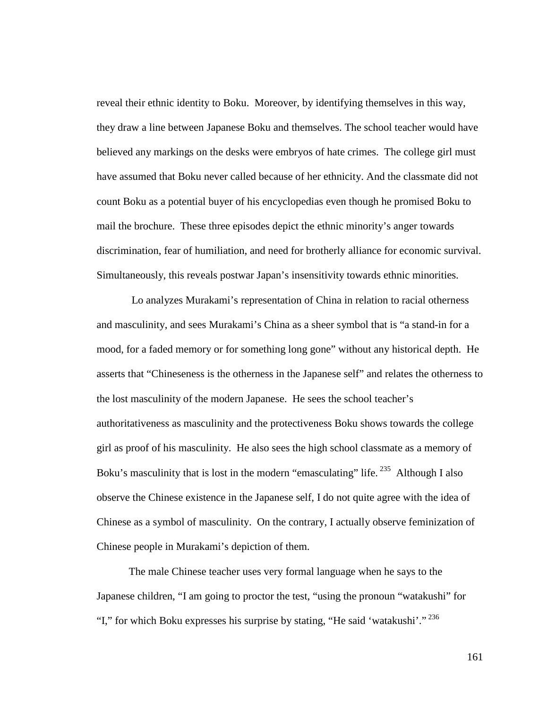reveal their ethnic identity to Boku. Moreover, by identifying themselves in this way, they draw a line between Japanese Boku and themselves. The school teacher would have believed any markings on the desks were embryos of hate crimes. The college girl must have assumed that Boku never called because of her ethnicity. And the classmate did not count Boku as a potential buyer of his encyclopedias even though he promised Boku to mail the brochure. These three episodes depict the ethnic minority's anger towards discrimination, fear of humiliation, and need for brotherly alliance for economic survival. Simultaneously, this reveals postwar Japan's insensitivity towards ethnic minorities.

 Lo analyzes Murakami's representation of China in relation to racial otherness and masculinity, and sees Murakami's China as a sheer symbol that is "a stand-in for a mood, for a faded memory or for something long gone" without any historical depth. He asserts that "Chineseness is the otherness in the Japanese self" and relates the otherness to the lost masculinity of the modern Japanese. He sees the school teacher's authoritativeness as masculinity and the protectiveness Boku shows towards the college girl as proof of his masculinity. He also sees the high school classmate as a memory of Boku's masculinity that is lost in the modern "emasculating" life.<sup>235</sup> Although I also observe the Chinese existence in the Japanese self, I do not quite agree with the idea of Chinese as a symbol of masculinity. On the contrary, I actually observe feminization of Chinese people in Murakami's depiction of them.

The male Chinese teacher uses very formal language when he says to the Japanese children, "I am going to proctor the test, "using the pronoun "watakushi" for "I," for which Boku expresses his surprise by stating, "He said 'watakushi'."<sup>236</sup>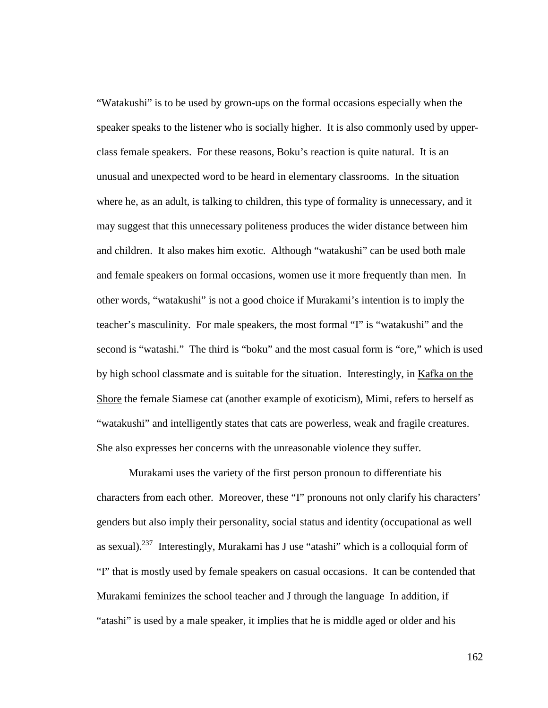"Watakushi" is to be used by grown-ups on the formal occasions especially when the speaker speaks to the listener who is socially higher. It is also commonly used by upperclass female speakers. For these reasons, Boku's reaction is quite natural. It is an unusual and unexpected word to be heard in elementary classrooms. In the situation where he, as an adult, is talking to children, this type of formality is unnecessary, and it may suggest that this unnecessary politeness produces the wider distance between him and children. It also makes him exotic. Although "watakushi" can be used both male and female speakers on formal occasions, women use it more frequently than men. In other words, "watakushi" is not a good choice if Murakami's intention is to imply the teacher's masculinity. For male speakers, the most formal "I" is "watakushi" and the second is "watashi." The third is "boku" and the most casual form is "ore," which is used by high school classmate and is suitable for the situation. Interestingly, in Kafka on the Shore the female Siamese cat (another example of exoticism), Mimi, refers to herself as "watakushi" and intelligently states that cats are powerless, weak and fragile creatures. She also expresses her concerns with the unreasonable violence they suffer.

Murakami uses the variety of the first person pronoun to differentiate his characters from each other. Moreover, these "I" pronouns not only clarify his characters' genders but also imply their personality, social status and identity (occupational as well as sexual).<sup>237</sup> Interestingly, Murakami has J use "atashi" which is a colloquial form of "I" that is mostly used by female speakers on casual occasions. It can be contended that Murakami feminizes the school teacher and J through the language In addition, if "atashi" is used by a male speaker, it implies that he is middle aged or older and his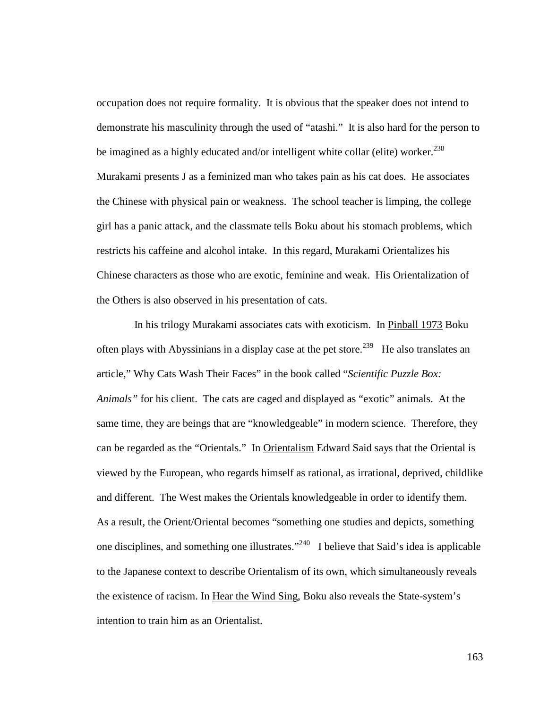occupation does not require formality. It is obvious that the speaker does not intend to demonstrate his masculinity through the used of "atashi." It is also hard for the person to be imagined as a highly educated and/or intelligent white collar (elite) worker.<sup>238</sup> Murakami presents J as a feminized man who takes pain as his cat does. He associates the Chinese with physical pain or weakness. The school teacher is limping, the college girl has a panic attack, and the classmate tells Boku about his stomach problems, which restricts his caffeine and alcohol intake. In this regard, Murakami Orientalizes his Chinese characters as those who are exotic, feminine and weak. His Orientalization of the Others is also observed in his presentation of cats.

 In his trilogy Murakami associates cats with exoticism. In Pinball 1973 Boku often plays with Abyssinians in a display case at the pet store.<sup>239</sup> He also translates an article," Why Cats Wash Their Faces" in the book called "*Scientific Puzzle Box: Animals"* for his client. The cats are caged and displayed as "exotic" animals. At the same time, they are beings that are "knowledgeable" in modern science. Therefore, they can be regarded as the "Orientals." In Orientalism Edward Said says that the Oriental is viewed by the European, who regards himself as rational, as irrational, deprived, childlike and different. The West makes the Orientals knowledgeable in order to identify them. As a result, the Orient/Oriental becomes "something one studies and depicts, something one disciplines, and something one illustrates."<sup>240</sup> I believe that Said's idea is applicable to the Japanese context to describe Orientalism of its own, which simultaneously reveals the existence of racism. In Hear the Wind Sing, Boku also reveals the State-system's intention to train him as an Orientalist.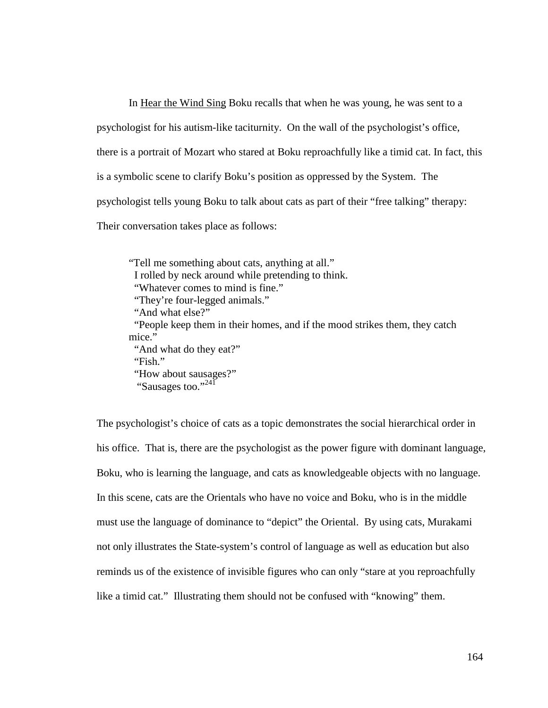In Hear the Wind Sing Boku recalls that when he was young, he was sent to a psychologist for his autism-like taciturnity. On the wall of the psychologist's office, there is a portrait of Mozart who stared at Boku reproachfully like a timid cat. In fact, this is a symbolic scene to clarify Boku's position as oppressed by the System. The psychologist tells young Boku to talk about cats as part of their "free talking" therapy: Their conversation takes place as follows:

"Tell me something about cats, anything at all." I rolled by neck around while pretending to think. "Whatever comes to mind is fine." "They're four-legged animals." "And what else?" "People keep them in their homes, and if the mood strikes them, they catch mice." "And what do they eat?" "Fish." "How about sausages?"

"Sausages too."<sup>241</sup>

The psychologist's choice of cats as a topic demonstrates the social hierarchical order in his office. That is, there are the psychologist as the power figure with dominant language, Boku, who is learning the language, and cats as knowledgeable objects with no language. In this scene, cats are the Orientals who have no voice and Boku, who is in the middle must use the language of dominance to "depict" the Oriental. By using cats, Murakami not only illustrates the State-system's control of language as well as education but also reminds us of the existence of invisible figures who can only "stare at you reproachfully like a timid cat." Illustrating them should not be confused with "knowing" them.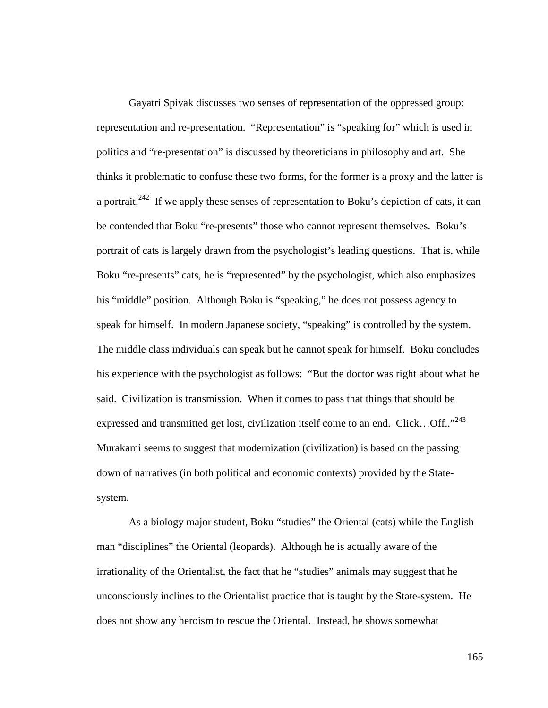Gayatri Spivak discusses two senses of representation of the oppressed group: representation and re-presentation. "Representation" is "speaking for" which is used in politics and "re-presentation" is discussed by theoreticians in philosophy and art. She thinks it problematic to confuse these two forms, for the former is a proxy and the latter is a portrait.<sup>242</sup> If we apply these senses of representation to Boku's depiction of cats, it can be contended that Boku "re-presents" those who cannot represent themselves. Boku's portrait of cats is largely drawn from the psychologist's leading questions. That is, while Boku "re-presents" cats, he is "represented" by the psychologist, which also emphasizes his "middle" position. Although Boku is "speaking," he does not possess agency to speak for himself. In modern Japanese society, "speaking" is controlled by the system. The middle class individuals can speak but he cannot speak for himself. Boku concludes his experience with the psychologist as follows: "But the doctor was right about what he said. Civilization is transmission. When it comes to pass that things that should be expressed and transmitted get lost, civilization itself come to an end. Click...Off.."<sup>243</sup> Murakami seems to suggest that modernization (civilization) is based on the passing down of narratives (in both political and economic contexts) provided by the Statesystem.

As a biology major student, Boku "studies" the Oriental (cats) while the English man "disciplines" the Oriental (leopards). Although he is actually aware of the irrationality of the Orientalist, the fact that he "studies" animals may suggest that he unconsciously inclines to the Orientalist practice that is taught by the State-system. He does not show any heroism to rescue the Oriental. Instead, he shows somewhat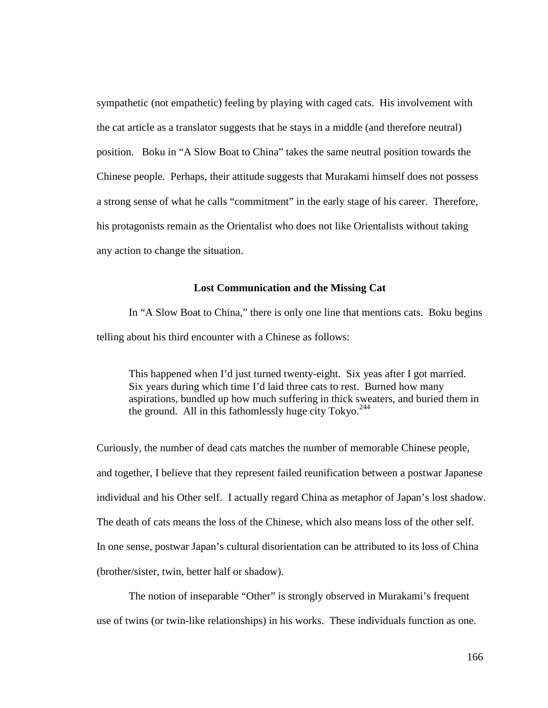sympathetic (not empathetic) feeling by playing with caged cats. His involvement with the cat article as a translator suggests that he stays in a middle (and therefore neutral) position. Boku in "A Slow Boat to China" takes the same neutral position towards the Chinese people. Perhaps, their attitude suggests that Murakami himself does not possess a strong sense of what he calls "commitment" in the early stage of his career. Therefore, his protagonists remain as the Orientalist who does not like Orientalists without taking any action to change the situation.

#### **Lost Communication and the Missing Cat**

In "A Slow Boat to China," there is only one line that mentions cats. Boku begins telling about his third encounter with a Chinese as follows:

This happened when I'd just turned twenty-eight. Six yeas after I got married. Six years during which time I'd laid three cats to rest. Burned how many aspirations, bundled up how much suffering in thick sweaters, and buried them in the ground. All in this fathomlessly huge city Tokyo.<sup>244</sup>

Curiously, the number of dead cats matches the number of memorable Chinese people, and together, I believe that they represent failed reunification between a postwar Japanese individual and his Other self. I actually regard China as metaphor of Japan's lost shadow. The death of cats means the loss of the Chinese, which also means loss of the other self. In one sense, postwar Japan's cultural disorientation can be attributed to its loss of China (brother/sister, twin, better half or shadow).

The notion of inseparable "Other" is strongly observed in Murakami's frequent use of twins (or twin-like relationships) in his works. These individuals function as one.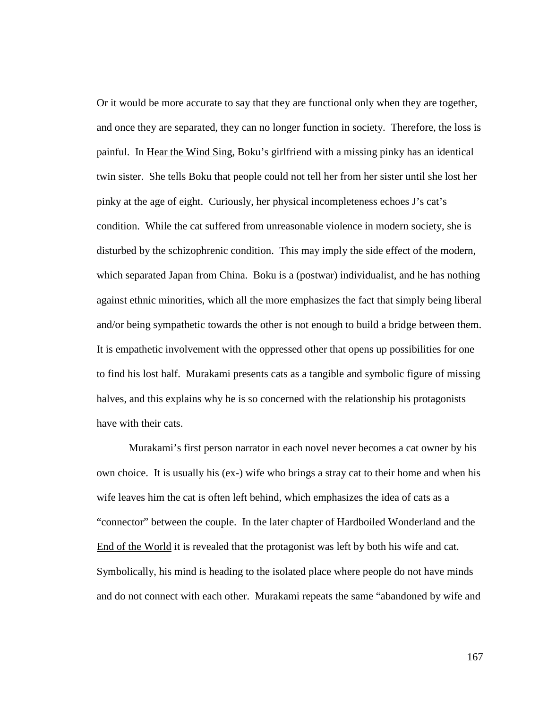Or it would be more accurate to say that they are functional only when they are together, and once they are separated, they can no longer function in society. Therefore, the loss is painful. In Hear the Wind Sing, Boku's girlfriend with a missing pinky has an identical twin sister. She tells Boku that people could not tell her from her sister until she lost her pinky at the age of eight. Curiously, her physical incompleteness echoes J's cat's condition. While the cat suffered from unreasonable violence in modern society, she is disturbed by the schizophrenic condition. This may imply the side effect of the modern, which separated Japan from China. Boku is a (postwar) individualist, and he has nothing against ethnic minorities, which all the more emphasizes the fact that simply being liberal and/or being sympathetic towards the other is not enough to build a bridge between them. It is empathetic involvement with the oppressed other that opens up possibilities for one to find his lost half. Murakami presents cats as a tangible and symbolic figure of missing halves, and this explains why he is so concerned with the relationship his protagonists have with their cats.

Murakami's first person narrator in each novel never becomes a cat owner by his own choice. It is usually his (ex-) wife who brings a stray cat to their home and when his wife leaves him the cat is often left behind, which emphasizes the idea of cats as a "connector" between the couple. In the later chapter of Hardboiled Wonderland and the End of the World it is revealed that the protagonist was left by both his wife and cat. Symbolically, his mind is heading to the isolated place where people do not have minds and do not connect with each other. Murakami repeats the same "abandoned by wife and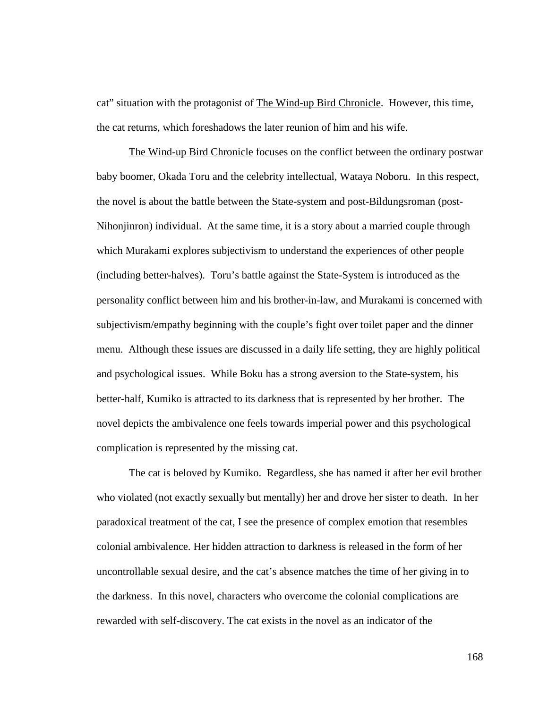cat" situation with the protagonist of The Wind-up Bird Chronicle. However, this time, the cat returns, which foreshadows the later reunion of him and his wife.

The Wind-up Bird Chronicle focuses on the conflict between the ordinary postwar baby boomer, Okada Toru and the celebrity intellectual, Wataya Noboru. In this respect, the novel is about the battle between the State-system and post-Bildungsroman (post-Nihonjinron) individual. At the same time, it is a story about a married couple through which Murakami explores subjectivism to understand the experiences of other people (including better-halves). Toru's battle against the State-System is introduced as the personality conflict between him and his brother-in-law, and Murakami is concerned with subjectivism/empathy beginning with the couple's fight over toilet paper and the dinner menu. Although these issues are discussed in a daily life setting, they are highly political and psychological issues. While Boku has a strong aversion to the State-system, his better-half, Kumiko is attracted to its darkness that is represented by her brother. The novel depicts the ambivalence one feels towards imperial power and this psychological complication is represented by the missing cat.

The cat is beloved by Kumiko. Regardless, she has named it after her evil brother who violated (not exactly sexually but mentally) her and drove her sister to death. In her paradoxical treatment of the cat, I see the presence of complex emotion that resembles colonial ambivalence. Her hidden attraction to darkness is released in the form of her uncontrollable sexual desire, and the cat's absence matches the time of her giving in to the darkness. In this novel, characters who overcome the colonial complications are rewarded with self-discovery. The cat exists in the novel as an indicator of the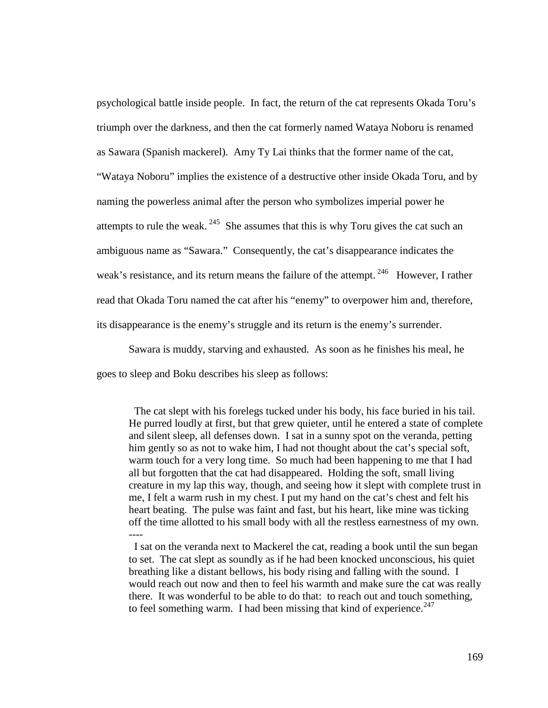psychological battle inside people. In fact, the return of the cat represents Okada Toru's triumph over the darkness, and then the cat formerly named Wataya Noboru is renamed as Sawara (Spanish mackerel). Amy Ty Lai thinks that the former name of the cat, "Wataya Noboru" implies the existence of a destructive other inside Okada Toru, and by naming the powerless animal after the person who symbolizes imperial power he attempts to rule the weak.  $245$  She assumes that this is why Toru gives the cat such an ambiguous name as "Sawara." Consequently, the cat's disappearance indicates the weak's resistance, and its return means the failure of the attempt.<sup>246</sup> However, I rather read that Okada Toru named the cat after his "enemy" to overpower him and, therefore, its disappearance is the enemy's struggle and its return is the enemy's surrender.

Sawara is muddy, starving and exhausted. As soon as he finishes his meal, he goes to sleep and Boku describes his sleep as follows:

 The cat slept with his forelegs tucked under his body, his face buried in his tail. He purred loudly at first, but that grew quieter, until he entered a state of complete and silent sleep, all defenses down. I sat in a sunny spot on the veranda, petting him gently so as not to wake him, I had not thought about the cat's special soft, warm touch for a very long time. So much had been happening to me that I had all but forgotten that the cat had disappeared. Holding the soft, small living creature in my lap this way, though, and seeing how it slept with complete trust in me, I felt a warm rush in my chest. I put my hand on the cat's chest and felt his heart beating. The pulse was faint and fast, but his heart, like mine was ticking off the time allotted to his small body with all the restless earnestness of my own. ----

I sat on the veranda next to Mackerel the cat, reading a book until the sun began to set. The cat slept as soundly as if he had been knocked unconscious, his quiet breathing like a distant bellows, his body rising and falling with the sound. I would reach out now and then to feel his warmth and make sure the cat was really there. It was wonderful to be able to do that: to reach out and touch something, to feel something warm. I had been missing that kind of experience. $247$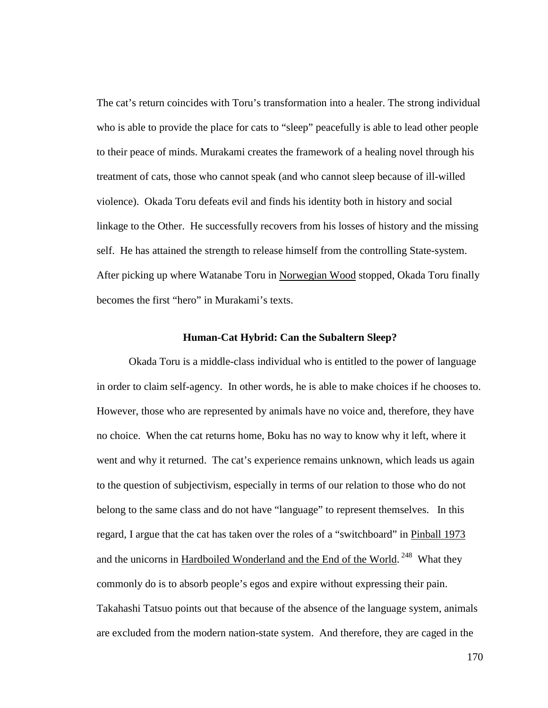The cat's return coincides with Toru's transformation into a healer. The strong individual who is able to provide the place for cats to "sleep" peacefully is able to lead other people to their peace of minds. Murakami creates the framework of a healing novel through his treatment of cats, those who cannot speak (and who cannot sleep because of ill-willed violence). Okada Toru defeats evil and finds his identity both in history and social linkage to the Other. He successfully recovers from his losses of history and the missing self. He has attained the strength to release himself from the controlling State-system. After picking up where Watanabe Toru in Norwegian Wood stopped, Okada Toru finally becomes the first "hero" in Murakami's texts.

#### **Human-Cat Hybrid: Can the Subaltern Sleep?**

Okada Toru is a middle-class individual who is entitled to the power of language in order to claim self-agency. In other words, he is able to make choices if he chooses to. However, those who are represented by animals have no voice and, therefore, they have no choice. When the cat returns home, Boku has no way to know why it left, where it went and why it returned. The cat's experience remains unknown, which leads us again to the question of subjectivism, especially in terms of our relation to those who do not belong to the same class and do not have "language" to represent themselves. In this regard, I argue that the cat has taken over the roles of a "switchboard" in Pinball 1973 and the unicorns in Hardboiled Wonderland and the End of the World.<sup>248</sup> What they commonly do is to absorb people's egos and expire without expressing their pain. Takahashi Tatsuo points out that because of the absence of the language system, animals are excluded from the modern nation-state system. And therefore, they are caged in the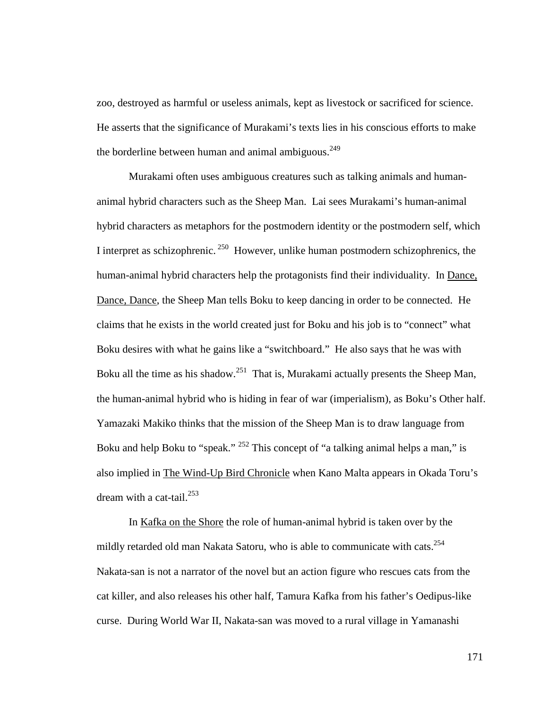zoo, destroyed as harmful or useless animals, kept as livestock or sacrificed for science. He asserts that the significance of Murakami's texts lies in his conscious efforts to make the borderline between human and animal ambiguous.<sup>249</sup>

Murakami often uses ambiguous creatures such as talking animals and humananimal hybrid characters such as the Sheep Man. Lai sees Murakami's human-animal hybrid characters as metaphors for the postmodern identity or the postmodern self, which I interpret as schizophrenic.<sup>250</sup> However, unlike human postmodern schizophrenics, the human-animal hybrid characters help the protagonists find their individuality. In Dance, Dance, Dance, the Sheep Man tells Boku to keep dancing in order to be connected. He claims that he exists in the world created just for Boku and his job is to "connect" what Boku desires with what he gains like a "switchboard." He also says that he was with Boku all the time as his shadow.<sup>251</sup> That is, Murakami actually presents the Sheep Man, the human-animal hybrid who is hiding in fear of war (imperialism), as Boku's Other half. Yamazaki Makiko thinks that the mission of the Sheep Man is to draw language from Boku and help Boku to "speak." <sup>252</sup> This concept of "a talking animal helps a man," is also implied in The Wind-Up Bird Chronicle when Kano Malta appears in Okada Toru's dream with a cat-tail. $^{253}$ 

In Kafka on the Shore the role of human-animal hybrid is taken over by the mildly retarded old man Nakata Satoru, who is able to communicate with cats.<sup>254</sup> Nakata-san is not a narrator of the novel but an action figure who rescues cats from the cat killer, and also releases his other half, Tamura Kafka from his father's Oedipus-like curse. During World War II, Nakata-san was moved to a rural village in Yamanashi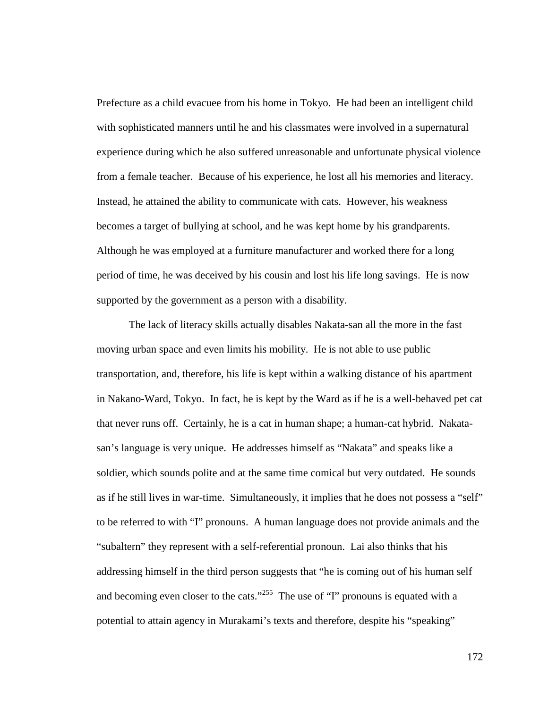Prefecture as a child evacuee from his home in Tokyo. He had been an intelligent child with sophisticated manners until he and his classmates were involved in a supernatural experience during which he also suffered unreasonable and unfortunate physical violence from a female teacher. Because of his experience, he lost all his memories and literacy. Instead, he attained the ability to communicate with cats. However, his weakness becomes a target of bullying at school, and he was kept home by his grandparents. Although he was employed at a furniture manufacturer and worked there for a long period of time, he was deceived by his cousin and lost his life long savings. He is now supported by the government as a person with a disability.

The lack of literacy skills actually disables Nakata-san all the more in the fast moving urban space and even limits his mobility. He is not able to use public transportation, and, therefore, his life is kept within a walking distance of his apartment in Nakano-Ward, Tokyo. In fact, he is kept by the Ward as if he is a well-behaved pet cat that never runs off. Certainly, he is a cat in human shape; a human-cat hybrid. Nakatasan's language is very unique. He addresses himself as "Nakata" and speaks like a soldier, which sounds polite and at the same time comical but very outdated. He sounds as if he still lives in war-time. Simultaneously, it implies that he does not possess a "self" to be referred to with "I" pronouns. A human language does not provide animals and the "subaltern" they represent with a self-referential pronoun. Lai also thinks that his addressing himself in the third person suggests that "he is coming out of his human self and becoming even closer to the cats."<sup>255</sup> The use of "I" pronouns is equated with a potential to attain agency in Murakami's texts and therefore, despite his "speaking"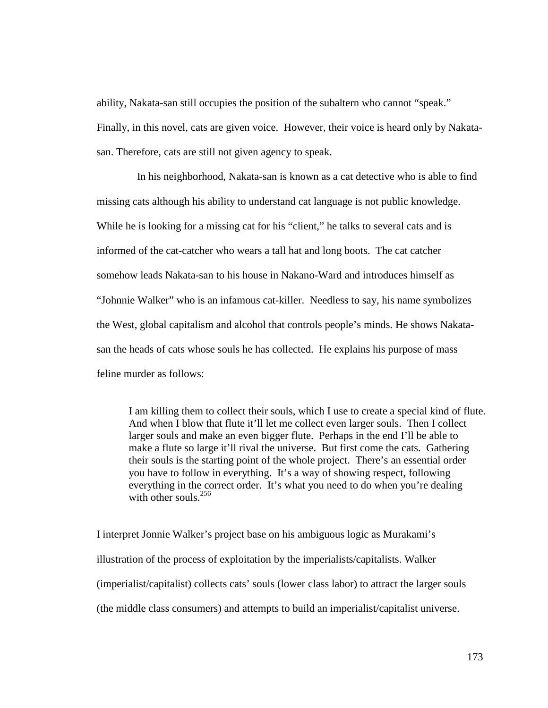ability, Nakata-san still occupies the position of the subaltern who cannot "speak." Finally, in this novel, cats are given voice. However, their voice is heard only by Nakatasan. Therefore, cats are still not given agency to speak.

 In his neighborhood, Nakata-san is known as a cat detective who is able to find missing cats although his ability to understand cat language is not public knowledge. While he is looking for a missing cat for his "client," he talks to several cats and is informed of the cat-catcher who wears a tall hat and long boots. The cat catcher somehow leads Nakata-san to his house in Nakano-Ward and introduces himself as "Johnnie Walker" who is an infamous cat-killer. Needless to say, his name symbolizes the West, global capitalism and alcohol that controls people's minds. He shows Nakatasan the heads of cats whose souls he has collected. He explains his purpose of mass feline murder as follows:

I am killing them to collect their souls, which I use to create a special kind of flute. And when I blow that flute it'll let me collect even larger souls. Then I collect larger souls and make an even bigger flute. Perhaps in the end I'll be able to make a flute so large it'll rival the universe. But first come the cats. Gathering their souls is the starting point of the whole project. There's an essential order you have to follow in everything. It's a way of showing respect, following everything in the correct order. It's what you need to do when you're dealing with other souls. $256$ 

I interpret Jonnie Walker's project base on his ambiguous logic as Murakami's illustration of the process of exploitation by the imperialists/capitalists. Walker (imperialist/capitalist) collects cats' souls (lower class labor) to attract the larger souls (the middle class consumers) and attempts to build an imperialist/capitalist universe.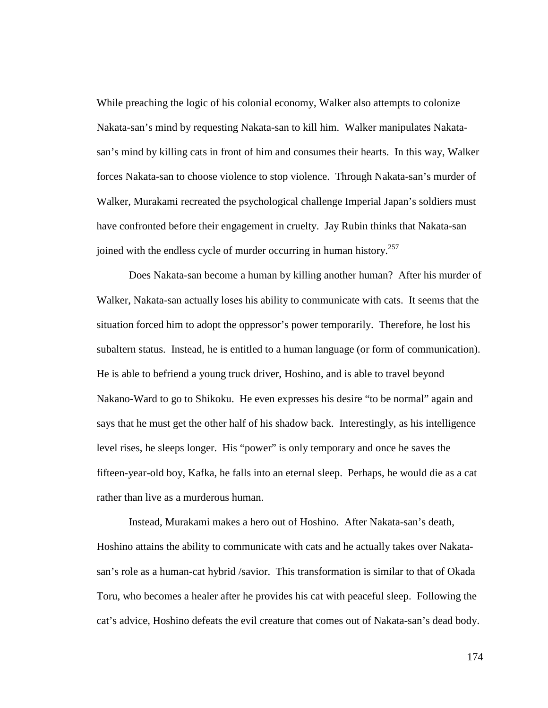While preaching the logic of his colonial economy, Walker also attempts to colonize Nakata-san's mind by requesting Nakata-san to kill him. Walker manipulates Nakatasan's mind by killing cats in front of him and consumes their hearts. In this way, Walker forces Nakata-san to choose violence to stop violence. Through Nakata-san's murder of Walker, Murakami recreated the psychological challenge Imperial Japan's soldiers must have confronted before their engagement in cruelty. Jay Rubin thinks that Nakata-san joined with the endless cycle of murder occurring in human history.<sup>257</sup>

Does Nakata-san become a human by killing another human? After his murder of Walker, Nakata-san actually loses his ability to communicate with cats. It seems that the situation forced him to adopt the oppressor's power temporarily. Therefore, he lost his subaltern status. Instead, he is entitled to a human language (or form of communication). He is able to befriend a young truck driver, Hoshino, and is able to travel beyond Nakano-Ward to go to Shikoku. He even expresses his desire "to be normal" again and says that he must get the other half of his shadow back. Interestingly, as his intelligence level rises, he sleeps longer. His "power" is only temporary and once he saves the fifteen-year-old boy, Kafka, he falls into an eternal sleep. Perhaps, he would die as a cat rather than live as a murderous human.

Instead, Murakami makes a hero out of Hoshino. After Nakata-san's death, Hoshino attains the ability to communicate with cats and he actually takes over Nakatasan's role as a human-cat hybrid /savior. This transformation is similar to that of Okada Toru, who becomes a healer after he provides his cat with peaceful sleep. Following the cat's advice, Hoshino defeats the evil creature that comes out of Nakata-san's dead body.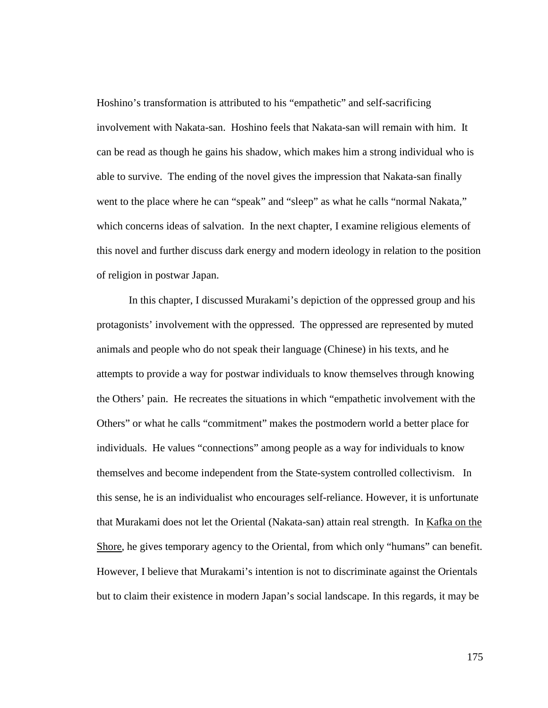Hoshino's transformation is attributed to his "empathetic" and self-sacrificing involvement with Nakata-san. Hoshino feels that Nakata-san will remain with him. It can be read as though he gains his shadow, which makes him a strong individual who is able to survive. The ending of the novel gives the impression that Nakata-san finally went to the place where he can "speak" and "sleep" as what he calls "normal Nakata," which concerns ideas of salvation. In the next chapter, I examine religious elements of this novel and further discuss dark energy and modern ideology in relation to the position of religion in postwar Japan.

In this chapter, I discussed Murakami's depiction of the oppressed group and his protagonists' involvement with the oppressed. The oppressed are represented by muted animals and people who do not speak their language (Chinese) in his texts, and he attempts to provide a way for postwar individuals to know themselves through knowing the Others' pain. He recreates the situations in which "empathetic involvement with the Others" or what he calls "commitment" makes the postmodern world a better place for individuals. He values "connections" among people as a way for individuals to know themselves and become independent from the State-system controlled collectivism. In this sense, he is an individualist who encourages self-reliance. However, it is unfortunate that Murakami does not let the Oriental (Nakata-san) attain real strength. In Kafka on the Shore, he gives temporary agency to the Oriental, from which only "humans" can benefit. However, I believe that Murakami's intention is not to discriminate against the Orientals but to claim their existence in modern Japan's social landscape. In this regards, it may be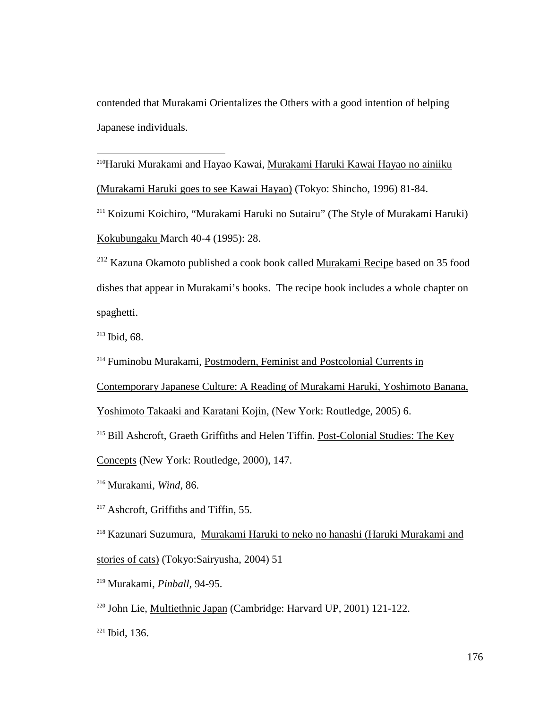contended that Murakami Orientalizes the Others with a good intention of helping Japanese individuals.

<sup>210</sup>Haruki Murakami and Hayao Kawai, <u>Murakami Haruki Kawai Hayao no ainiiku</u> (Murakami Haruki goes to see Kawai Hayao) (Tokyo: Shincho, 1996) 81-84.

<sup>211</sup> Koizumi Koichiro, "Murakami Haruki no Sutairu" (The Style of Murakami Haruki) Kokubungaku March 40-4 (1995): 28.

<sup>212</sup> Kazuna Okamoto published a cook book called Murakami Recipe based on 35 food dishes that appear in Murakami's books. The recipe book includes a whole chapter on spaghetti.

<sup>213</sup> Ibid, 68.

 $\overline{a}$ 

<sup>214</sup> Fuminobu Murakami, Postmodern, Feminist and Postcolonial Currents in

Contemporary Japanese Culture: A Reading of Murakami Haruki, Yoshimoto Banana,

Yoshimoto Takaaki and Karatani Kojin, (New York: Routledge, 2005) 6.

<sup>215</sup> Bill Ashcroft, Graeth Griffiths and Helen Tiffin. Post-Colonial Studies: The Key

Concepts (New York: Routledge, 2000), 147.

<sup>216</sup> Murakami, *Wind*, 86.

<sup>217</sup> Ashcroft, Griffiths and Tiffin, 55.

<sup>218</sup> Kazunari Suzumura, Murakami Haruki to neko no hanashi (Haruki Murakami and stories of cats) (Tokyo:Sairyusha, 2004) 51

<sup>219</sup> Murakami, *Pinball,* 94-95.

<sup>220</sup> John Lie, Multiethnic Japan (Cambridge: Harvard UP, 2001) 121-122.

 $221$  Ibid, 136.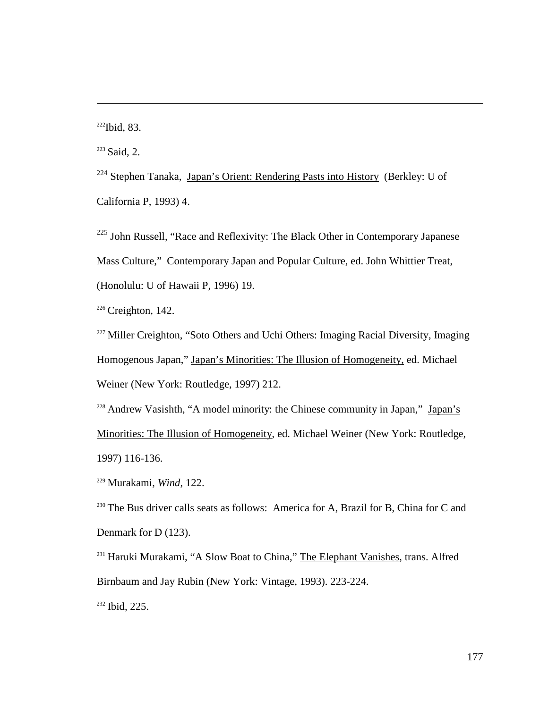$222$ Ibid, 83.

 $\overline{a}$ 

 $223$  Said, 2.

 $224$  Stephen Tanaka, Japan's Orient: Rendering Pasts into History (Berkley: U of California P, 1993) 4.

<sup>225</sup> John Russell, "Race and Reflexivity: The Black Other in Contemporary Japanese Mass Culture," Contemporary Japan and Popular Culture, ed. John Whittier Treat, (Honolulu: U of Hawaii P, 1996) 19.

 $226$  Creighton, 142.

<sup>227</sup> Miller Creighton, "Soto Others and Uchi Others: Imaging Racial Diversity, Imaging Homogenous Japan," Japan's Minorities: The Illusion of Homogeneity, ed. Michael Weiner (New York: Routledge, 1997) 212.

<sup>228</sup> Andrew Vasishth, "A model minority: the Chinese community in Japan," Japan's Minorities: The Illusion of Homogeneity, ed. Michael Weiner (New York: Routledge, 1997) 116-136.

<sup>229</sup> Murakami, *Wind*, 122.

<sup>230</sup> The Bus driver calls seats as follows: America for A, Brazil for B, China for C and Denmark for D (123).

<sup>231</sup> Haruki Murakami, "A Slow Boat to China," The Elephant Vanishes, trans. Alfred Birnbaum and Jay Rubin (New York: Vintage, 1993). 223-224.

<sup>232</sup> Ibid, 225.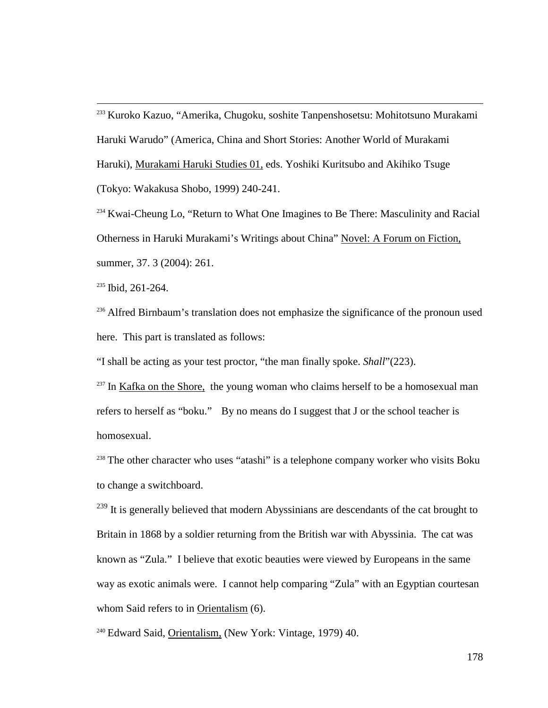<sup>233</sup> Kuroko Kazuo, "Amerika, Chugoku, soshite Tanpenshosetsu: Mohitotsuno Murakami Haruki Warudo" (America, China and Short Stories: Another World of Murakami Haruki), Murakami Haruki Studies 01, eds. Yoshiki Kuritsubo and Akihiko Tsuge (Tokyo: Wakakusa Shobo, 1999) 240-241.

<sup>234</sup> Kwai-Cheung Lo, "Return to What One Imagines to Be There: Masculinity and Racial Otherness in Haruki Murakami's Writings about China" Novel: A Forum on Fiction, summer, 37. 3 (2004): 261.

 $235$  Ibid, 261-264.

 $\overline{a}$ 

<sup>236</sup> Alfred Birnbaum's translation does not emphasize the significance of the pronoun used here. This part is translated as follows:

"I shall be acting as your test proctor, "the man finally spoke. *Shall*"(223).

 $237$  In Kafka on the Shore, the young woman who claims herself to be a homosexual man refers to herself as "boku." By no means do I suggest that J or the school teacher is homosexual.

 $238$  The other character who uses "atashi" is a telephone company worker who visits Boku to change a switchboard.

 $^{239}$  It is generally believed that modern Abyssinians are descendants of the cat brought to Britain in 1868 by a soldier returning from the British war with Abyssinia. The cat was known as "Zula." I believe that exotic beauties were viewed by Europeans in the same way as exotic animals were. I cannot help comparing "Zula" with an Egyptian courtesan whom Said refers to in Orientalism (6).

<sup>240</sup> Edward Said, Orientalism, (New York: Vintage, 1979) 40.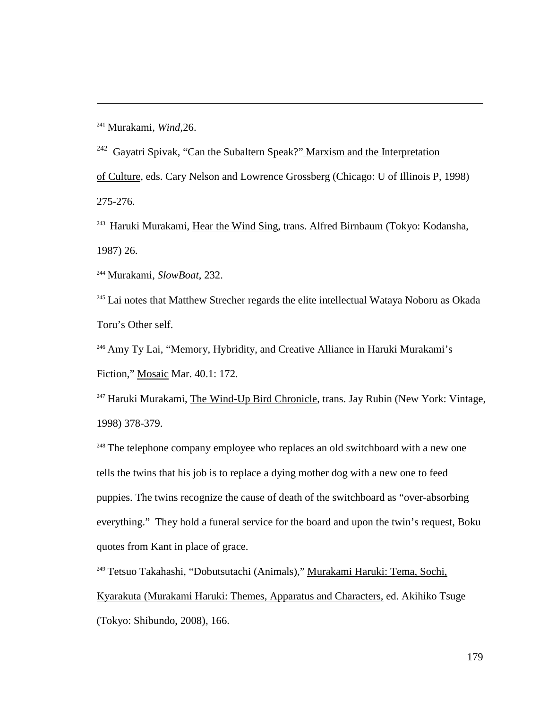<sup>241</sup> Murakami, *Wind,*26.

 $\overline{a}$ 

 $242$  Gayatri Spivak, "Can the Subaltern Speak?" Marxism and the Interpretation of Culture, eds. Cary Nelson and Lowrence Grossberg (Chicago: U of Illinois P, 1998) 275-276.

<sup>243</sup> Haruki Murakami, Hear the Wind Sing, trans. Alfred Birnbaum (Tokyo: Kodansha, 1987) 26.

<sup>244</sup> Murakami, *SlowBoat*, 232.

<sup>245</sup> Lai notes that Matthew Strecher regards the elite intellectual Wataya Noboru as Okada Toru's Other self.

<sup>246</sup> Amy Ty Lai, "Memory, Hybridity, and Creative Alliance in Haruki Murakami's Fiction," Mosaic Mar. 40.1: 172.

 $247$  Haruki Murakami, The Wind-Up Bird Chronicle, trans. Jay Rubin (New York: Vintage, 1998) 378-379.

<sup>248</sup> The telephone company employee who replaces an old switchboard with a new one tells the twins that his job is to replace a dying mother dog with a new one to feed puppies. The twins recognize the cause of death of the switchboard as "over-absorbing everything." They hold a funeral service for the board and upon the twin's request, Boku quotes from Kant in place of grace.

<sup>249</sup> Tetsuo Takahashi, "Dobutsutachi (Animals)," Murakami Haruki: Tema, Sochi, Kyarakuta (Murakami Haruki: Themes, Apparatus and Characters, ed. Akihiko Tsuge (Tokyo: Shibundo, 2008), 166.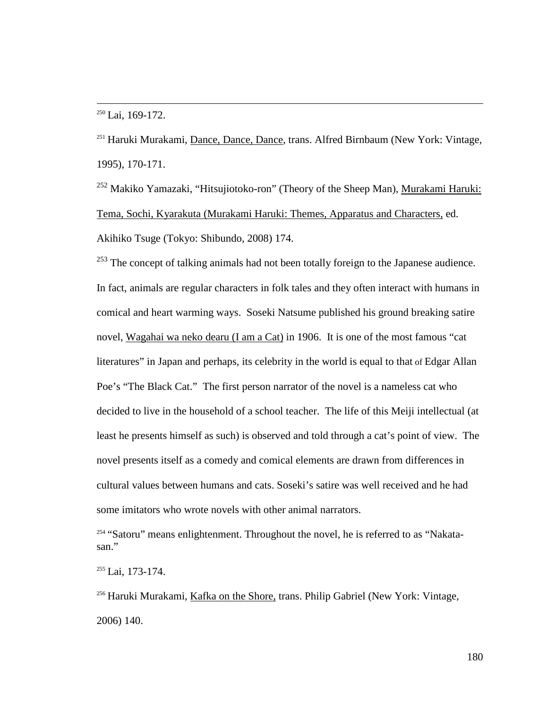$\overline{a}$ 

<sup>251</sup> Haruki Murakami, Dance, Dance, Dance, trans. Alfred Birnbaum (New York: Vintage, 1995), 170-171.

<sup>252</sup> Makiko Yamazaki, "Hitsujiotoko-ron" (Theory of the Sheep Man), Murakami Haruki: Tema, Sochi, Kyarakuta (Murakami Haruki: Themes, Apparatus and Characters, ed. Akihiko Tsuge (Tokyo: Shibundo, 2008) 174.

 $253$  The concept of talking animals had not been totally foreign to the Japanese audience. In fact, animals are regular characters in folk tales and they often interact with humans in comical and heart warming ways. Soseki Natsume published his ground breaking satire novel, Wagahai wa neko dearu (I am a Cat) in 1906. It is one of the most famous "cat literatures" in Japan and perhaps, its celebrity in the world is equal to that of Edgar Allan Poe's "The Black Cat." The first person narrator of the novel is a nameless cat who decided to live in the household of a school teacher. The life of this Meiji intellectual (at least he presents himself as such) is observed and told through a cat's point of view. The novel presents itself as a comedy and comical elements are drawn from differences in cultural values between humans and cats. Soseki's satire was well received and he had some imitators who wrote novels with other animal narrators.

<sup>254</sup> "Satoru" means enlightenment. Throughout the novel, he is referred to as "Nakatasan."

<sup>255</sup> Lai, 173-174.

<sup>256</sup> Haruki Murakami, Kafka on the Shore, trans. Philip Gabriel (New York: Vintage, 2006) 140.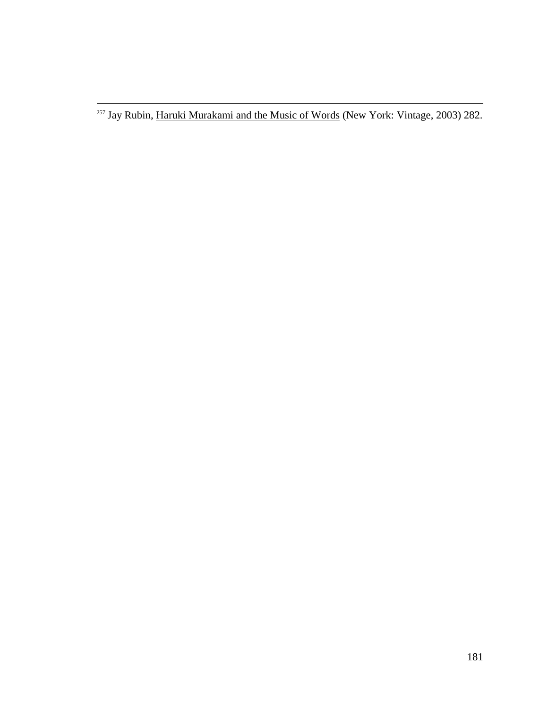$\overline{a}$ 

<sup>&</sup>lt;sup>257</sup> Jay Rubin, Haruki Murakami and the Music of Words (New York: Vintage, 2003) 282.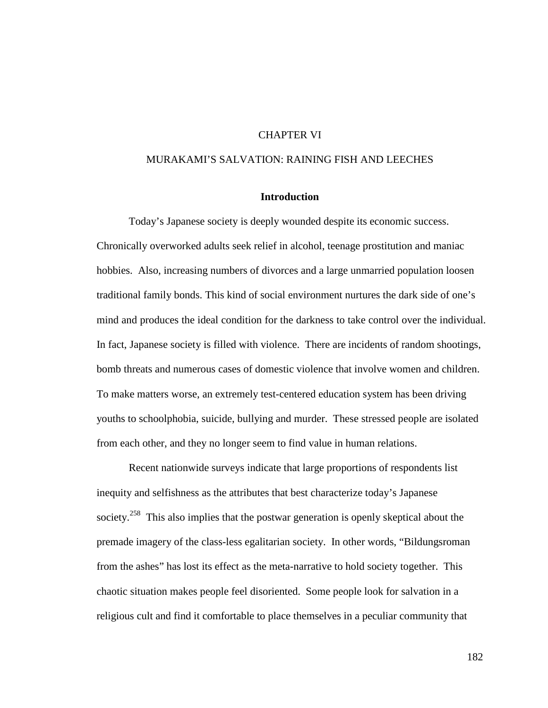# CHAPTER VI

## MURAKAMI'S SALVATION: RAINING FISH AND LEECHES

## **Introduction**

Today's Japanese society is deeply wounded despite its economic success. Chronically overworked adults seek relief in alcohol, teenage prostitution and maniac hobbies. Also, increasing numbers of divorces and a large unmarried population loosen traditional family bonds. This kind of social environment nurtures the dark side of one's mind and produces the ideal condition for the darkness to take control over the individual. In fact, Japanese society is filled with violence. There are incidents of random shootings, bomb threats and numerous cases of domestic violence that involve women and children. To make matters worse, an extremely test-centered education system has been driving youths to schoolphobia, suicide, bullying and murder. These stressed people are isolated from each other, and they no longer seem to find value in human relations.

Recent nationwide surveys indicate that large proportions of respondents list inequity and selfishness as the attributes that best characterize today's Japanese society.<sup>258</sup> This also implies that the postwar generation is openly skeptical about the premade imagery of the class-less egalitarian society. In other words, "Bildungsroman from the ashes" has lost its effect as the meta-narrative to hold society together. This chaotic situation makes people feel disoriented. Some people look for salvation in a religious cult and find it comfortable to place themselves in a peculiar community that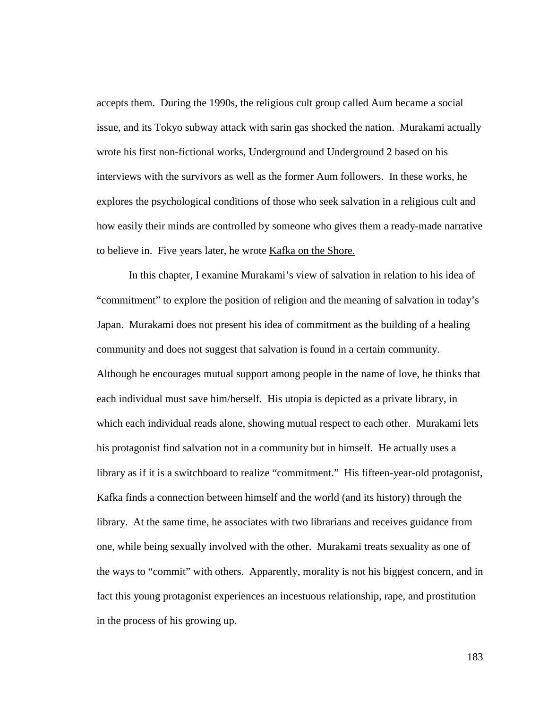accepts them. During the 1990s, the religious cult group called Aum became a social issue, and its Tokyo subway attack with sarin gas shocked the nation. Murakami actually wrote his first non-fictional works, Underground and Underground 2 based on his interviews with the survivors as well as the former Aum followers. In these works, he explores the psychological conditions of those who seek salvation in a religious cult and how easily their minds are controlled by someone who gives them a ready-made narrative to believe in. Five years later, he wrote Kafka on the Shore.

In this chapter, I examine Murakami's view of salvation in relation to his idea of "commitment" to explore the position of religion and the meaning of salvation in today's Japan. Murakami does not present his idea of commitment as the building of a healing community and does not suggest that salvation is found in a certain community. Although he encourages mutual support among people in the name of love, he thinks that each individual must save him/herself. His utopia is depicted as a private library, in which each individual reads alone, showing mutual respect to each other. Murakami lets his protagonist find salvation not in a community but in himself. He actually uses a library as if it is a switchboard to realize "commitment." His fifteen-year-old protagonist, Kafka finds a connection between himself and the world (and its history) through the library. At the same time, he associates with two librarians and receives guidance from one, while being sexually involved with the other. Murakami treats sexuality as one of the ways to "commit" with others. Apparently, morality is not his biggest concern, and in fact this young protagonist experiences an incestuous relationship, rape, and prostitution in the process of his growing up.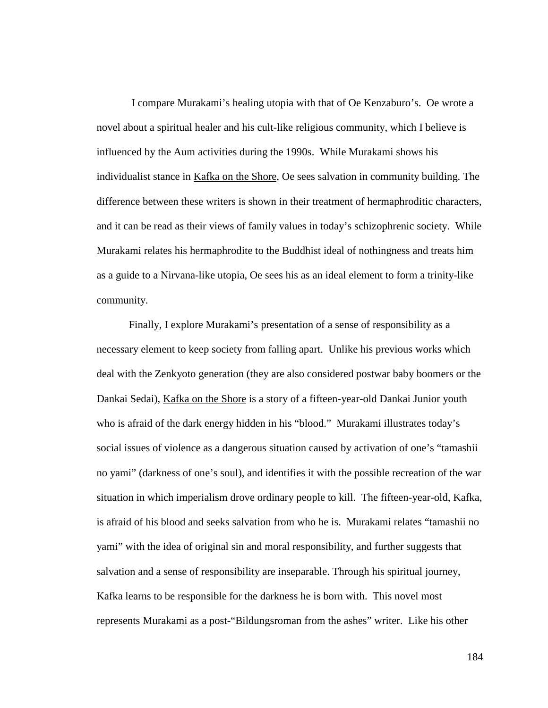I compare Murakami's healing utopia with that of Oe Kenzaburo's. Oe wrote a novel about a spiritual healer and his cult-like religious community, which I believe is influenced by the Aum activities during the 1990s. While Murakami shows his individualist stance in Kafka on the Shore, Oe sees salvation in community building. The difference between these writers is shown in their treatment of hermaphroditic characters, and it can be read as their views of family values in today's schizophrenic society. While Murakami relates his hermaphrodite to the Buddhist ideal of nothingness and treats him as a guide to a Nirvana-like utopia, Oe sees his as an ideal element to form a trinity-like community.

Finally, I explore Murakami's presentation of a sense of responsibility as a necessary element to keep society from falling apart. Unlike his previous works which deal with the Zenkyoto generation (they are also considered postwar baby boomers or the Dankai Sedai), Kafka on the Shore is a story of a fifteen-year-old Dankai Junior youth who is afraid of the dark energy hidden in his "blood." Murakami illustrates today's social issues of violence as a dangerous situation caused by activation of one's "tamashii no yami" (darkness of one's soul), and identifies it with the possible recreation of the war situation in which imperialism drove ordinary people to kill. The fifteen-year-old, Kafka, is afraid of his blood and seeks salvation from who he is. Murakami relates "tamashii no yami" with the idea of original sin and moral responsibility, and further suggests that salvation and a sense of responsibility are inseparable. Through his spiritual journey, Kafka learns to be responsible for the darkness he is born with. This novel most represents Murakami as a post-"Bildungsroman from the ashes" writer. Like his other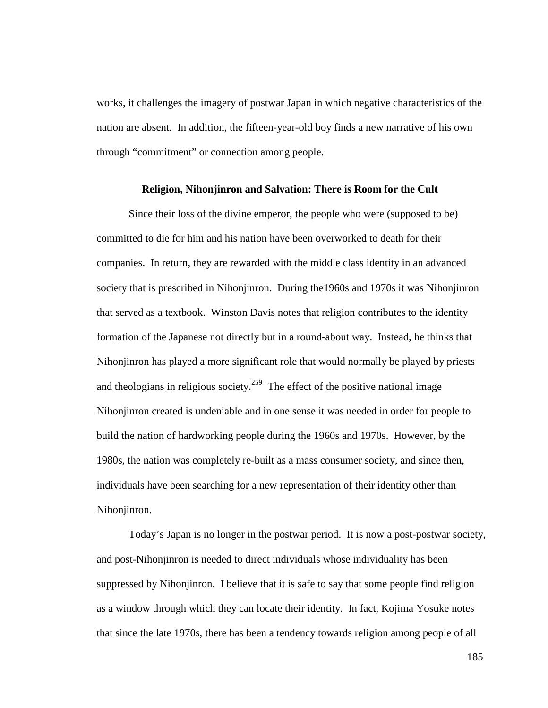works, it challenges the imagery of postwar Japan in which negative characteristics of the nation are absent. In addition, the fifteen-year-old boy finds a new narrative of his own through "commitment" or connection among people.

#### **Religion, Nihonjinron and Salvation: There is Room for the Cult**

Since their loss of the divine emperor, the people who were (supposed to be) committed to die for him and his nation have been overworked to death for their companies. In return, they are rewarded with the middle class identity in an advanced society that is prescribed in Nihonjinron. During the1960s and 1970s it was Nihonjinron that served as a textbook. Winston Davis notes that religion contributes to the identity formation of the Japanese not directly but in a round-about way. Instead, he thinks that Nihonjinron has played a more significant role that would normally be played by priests and theologians in religious society.<sup>259</sup> The effect of the positive national image Nihonjinron created is undeniable and in one sense it was needed in order for people to build the nation of hardworking people during the 1960s and 1970s. However, by the 1980s, the nation was completely re-built as a mass consumer society, and since then, individuals have been searching for a new representation of their identity other than Nihonjinron.

Today's Japan is no longer in the postwar period. It is now a post-postwar society, and post-Nihonjinron is needed to direct individuals whose individuality has been suppressed by Nihonjinron. I believe that it is safe to say that some people find religion as a window through which they can locate their identity. In fact, Kojima Yosuke notes that since the late 1970s, there has been a tendency towards religion among people of all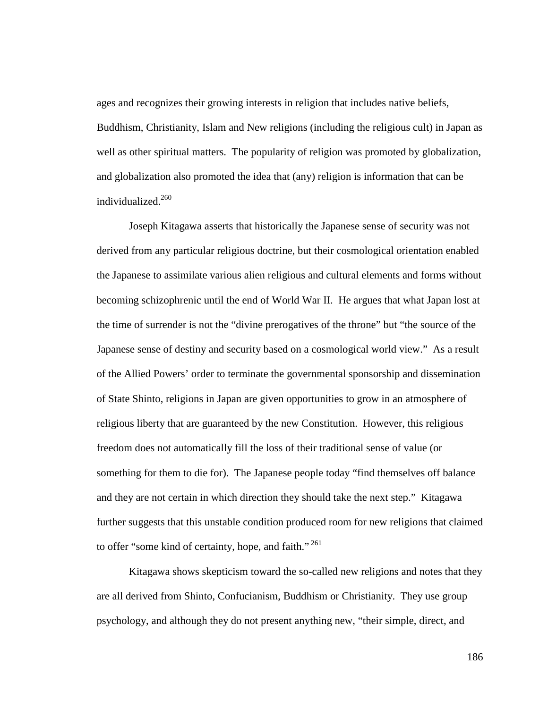ages and recognizes their growing interests in religion that includes native beliefs, Buddhism, Christianity, Islam and New religions (including the religious cult) in Japan as well as other spiritual matters. The popularity of religion was promoted by globalization, and globalization also promoted the idea that (any) religion is information that can be individualized.<sup>260</sup>

Joseph Kitagawa asserts that historically the Japanese sense of security was not derived from any particular religious doctrine, but their cosmological orientation enabled the Japanese to assimilate various alien religious and cultural elements and forms without becoming schizophrenic until the end of World War II. He argues that what Japan lost at the time of surrender is not the "divine prerogatives of the throne" but "the source of the Japanese sense of destiny and security based on a cosmological world view." As a result of the Allied Powers' order to terminate the governmental sponsorship and dissemination of State Shinto, religions in Japan are given opportunities to grow in an atmosphere of religious liberty that are guaranteed by the new Constitution. However, this religious freedom does not automatically fill the loss of their traditional sense of value (or something for them to die for). The Japanese people today "find themselves off balance and they are not certain in which direction they should take the next step." Kitagawa further suggests that this unstable condition produced room for new religions that claimed to offer "some kind of certainty, hope, and faith."<sup>261</sup>

Kitagawa shows skepticism toward the so-called new religions and notes that they are all derived from Shinto, Confucianism, Buddhism or Christianity. They use group psychology, and although they do not present anything new, "their simple, direct, and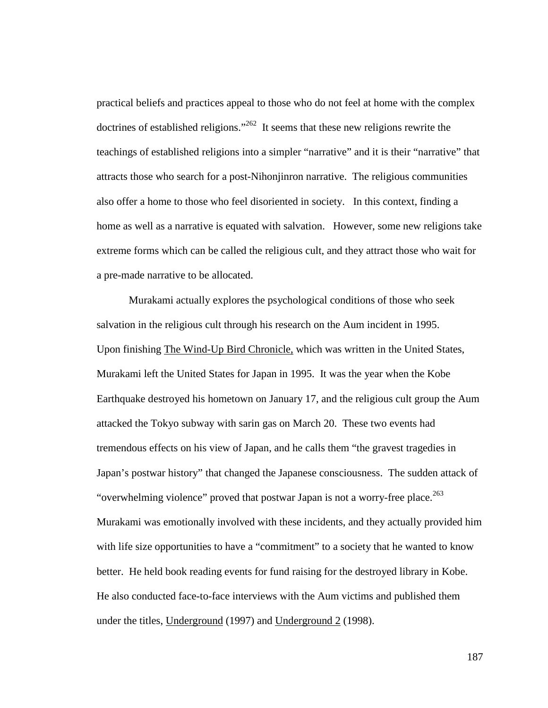practical beliefs and practices appeal to those who do not feel at home with the complex doctrines of established religions."<sup>262</sup> It seems that these new religions rewrite the teachings of established religions into a simpler "narrative" and it is their "narrative" that attracts those who search for a post-Nihonjinron narrative. The religious communities also offer a home to those who feel disoriented in society. In this context, finding a home as well as a narrative is equated with salvation. However, some new religions take extreme forms which can be called the religious cult, and they attract those who wait for a pre-made narrative to be allocated.

Murakami actually explores the psychological conditions of those who seek salvation in the religious cult through his research on the Aum incident in 1995. Upon finishing The Wind-Up Bird Chronicle, which was written in the United States, Murakami left the United States for Japan in 1995. It was the year when the Kobe Earthquake destroyed his hometown on January 17, and the religious cult group the Aum attacked the Tokyo subway with sarin gas on March 20. These two events had tremendous effects on his view of Japan, and he calls them "the gravest tragedies in Japan's postwar history" that changed the Japanese consciousness. The sudden attack of "overwhelming violence" proved that postwar Japan is not a worry-free place.<sup>263</sup> Murakami was emotionally involved with these incidents, and they actually provided him with life size opportunities to have a "commitment" to a society that he wanted to know better. He held book reading events for fund raising for the destroyed library in Kobe. He also conducted face-to-face interviews with the Aum victims and published them under the titles, Underground (1997) and Underground 2 (1998).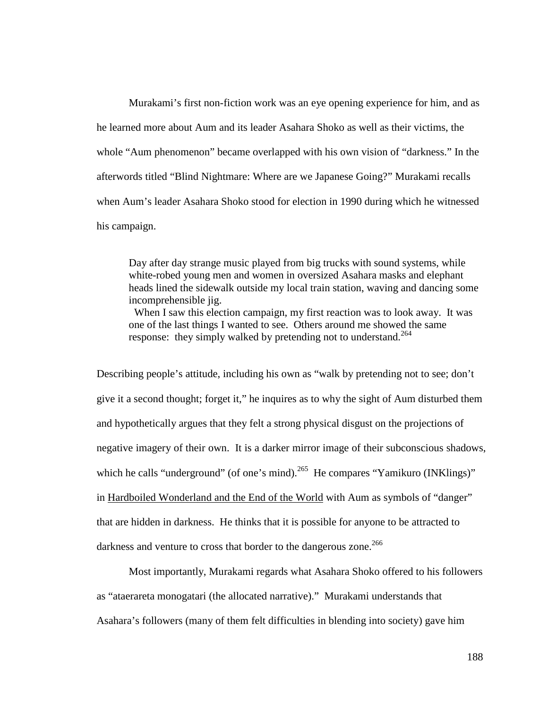Murakami's first non-fiction work was an eye opening experience for him, and as he learned more about Aum and its leader Asahara Shoko as well as their victims, the whole "Aum phenomenon" became overlapped with his own vision of "darkness." In the afterwords titled "Blind Nightmare: Where are we Japanese Going?" Murakami recalls when Aum's leader Asahara Shoko stood for election in 1990 during which he witnessed his campaign.

Day after day strange music played from big trucks with sound systems, while white-robed young men and women in oversized Asahara masks and elephant heads lined the sidewalk outside my local train station, waving and dancing some incomprehensible jig.

When I saw this election campaign, my first reaction was to look away. It was one of the last things I wanted to see. Others around me showed the same response: they simply walked by pretending not to understand.<sup>264</sup>

Describing people's attitude, including his own as "walk by pretending not to see; don't give it a second thought; forget it," he inquires as to why the sight of Aum disturbed them and hypothetically argues that they felt a strong physical disgust on the projections of negative imagery of their own. It is a darker mirror image of their subconscious shadows, which he calls "underground" (of one's mind).<sup>265</sup> He compares "Yamikuro (INKlings)" in Hardboiled Wonderland and the End of the World with Aum as symbols of "danger" that are hidden in darkness. He thinks that it is possible for anyone to be attracted to darkness and venture to cross that border to the dangerous zone.<sup>266</sup>

Most importantly, Murakami regards what Asahara Shoko offered to his followers as "ataerareta monogatari (the allocated narrative)." Murakami understands that Asahara's followers (many of them felt difficulties in blending into society) gave him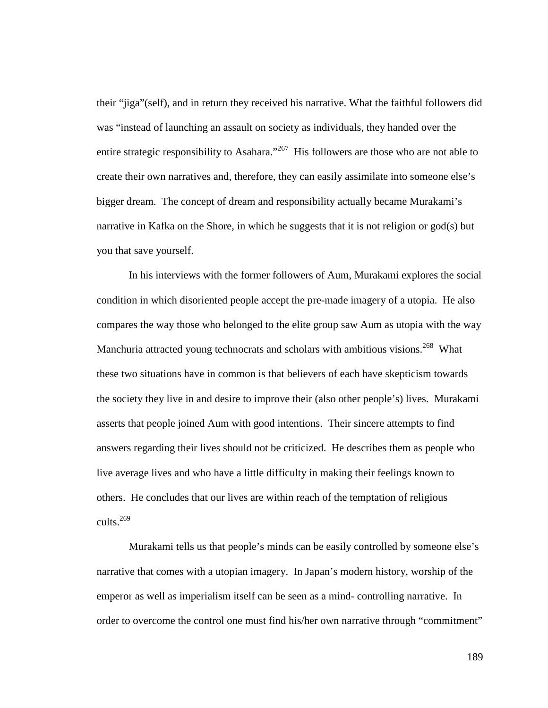their "jiga"(self), and in return they received his narrative. What the faithful followers did was "instead of launching an assault on society as individuals, they handed over the entire strategic responsibility to Asahara."<sup>267</sup> His followers are those who are not able to create their own narratives and, therefore, they can easily assimilate into someone else's bigger dream. The concept of dream and responsibility actually became Murakami's narrative in Kafka on the Shore, in which he suggests that it is not religion or god(s) but you that save yourself.

In his interviews with the former followers of Aum, Murakami explores the social condition in which disoriented people accept the pre-made imagery of a utopia. He also compares the way those who belonged to the elite group saw Aum as utopia with the way Manchuria attracted young technocrats and scholars with ambitious visions.<sup>268</sup> What these two situations have in common is that believers of each have skepticism towards the society they live in and desire to improve their (also other people's) lives. Murakami asserts that people joined Aum with good intentions. Their sincere attempts to find answers regarding their lives should not be criticized. He describes them as people who live average lives and who have a little difficulty in making their feelings known to others. He concludes that our lives are within reach of the temptation of religious cults. $269$ 

Murakami tells us that people's minds can be easily controlled by someone else's narrative that comes with a utopian imagery. In Japan's modern history, worship of the emperor as well as imperialism itself can be seen as a mind- controlling narrative. In order to overcome the control one must find his/her own narrative through "commitment"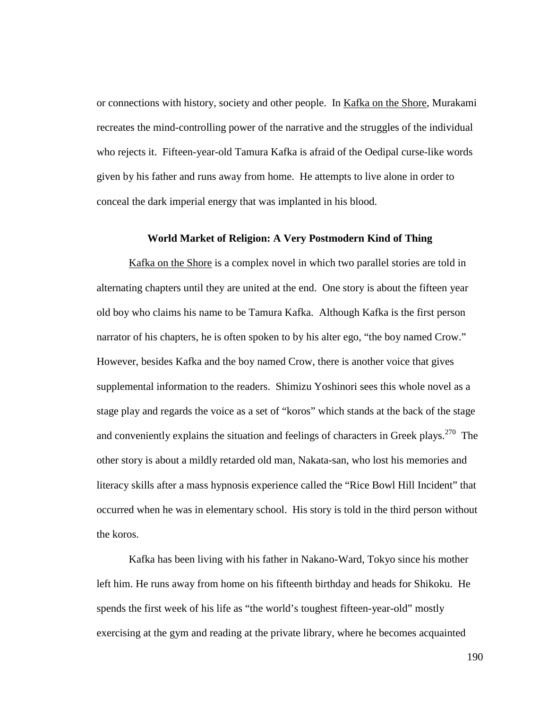or connections with history, society and other people. In Kafka on the Shore, Murakami recreates the mind-controlling power of the narrative and the struggles of the individual who rejects it. Fifteen-year-old Tamura Kafka is afraid of the Oedipal curse-like words given by his father and runs away from home. He attempts to live alone in order to conceal the dark imperial energy that was implanted in his blood.

### **World Market of Religion: A Very Postmodern Kind of Thing**

Kafka on the Shore is a complex novel in which two parallel stories are told in alternating chapters until they are united at the end. One story is about the fifteen year old boy who claims his name to be Tamura Kafka. Although Kafka is the first person narrator of his chapters, he is often spoken to by his alter ego, "the boy named Crow." However, besides Kafka and the boy named Crow, there is another voice that gives supplemental information to the readers. Shimizu Yoshinori sees this whole novel as a stage play and regards the voice as a set of "koros" which stands at the back of the stage and conveniently explains the situation and feelings of characters in Greek plays.<sup>270</sup> The other story is about a mildly retarded old man, Nakata-san, who lost his memories and literacy skills after a mass hypnosis experience called the "Rice Bowl Hill Incident" that occurred when he was in elementary school. His story is told in the third person without the koros.

Kafka has been living with his father in Nakano-Ward, Tokyo since his mother left him. He runs away from home on his fifteenth birthday and heads for Shikoku. He spends the first week of his life as "the world's toughest fifteen-year-old" mostly exercising at the gym and reading at the private library, where he becomes acquainted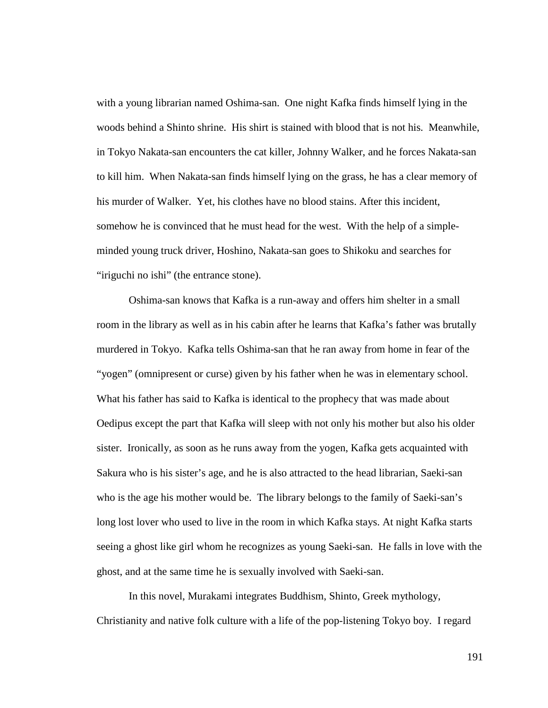with a young librarian named Oshima-san. One night Kafka finds himself lying in the woods behind a Shinto shrine. His shirt is stained with blood that is not his. Meanwhile, in Tokyo Nakata-san encounters the cat killer, Johnny Walker, and he forces Nakata-san to kill him. When Nakata-san finds himself lying on the grass, he has a clear memory of his murder of Walker. Yet, his clothes have no blood stains. After this incident, somehow he is convinced that he must head for the west. With the help of a simpleminded young truck driver, Hoshino, Nakata-san goes to Shikoku and searches for "iriguchi no ishi" (the entrance stone).

 Oshima-san knows that Kafka is a run-away and offers him shelter in a small room in the library as well as in his cabin after he learns that Kafka's father was brutally murdered in Tokyo. Kafka tells Oshima-san that he ran away from home in fear of the "yogen" (omnipresent or curse) given by his father when he was in elementary school. What his father has said to Kafka is identical to the prophecy that was made about Oedipus except the part that Kafka will sleep with not only his mother but also his older sister. Ironically, as soon as he runs away from the yogen, Kafka gets acquainted with Sakura who is his sister's age, and he is also attracted to the head librarian, Saeki-san who is the age his mother would be. The library belongs to the family of Saeki-san's long lost lover who used to live in the room in which Kafka stays. At night Kafka starts seeing a ghost like girl whom he recognizes as young Saeki-san. He falls in love with the ghost, and at the same time he is sexually involved with Saeki-san.

In this novel, Murakami integrates Buddhism, Shinto, Greek mythology, Christianity and native folk culture with a life of the pop-listening Tokyo boy. I regard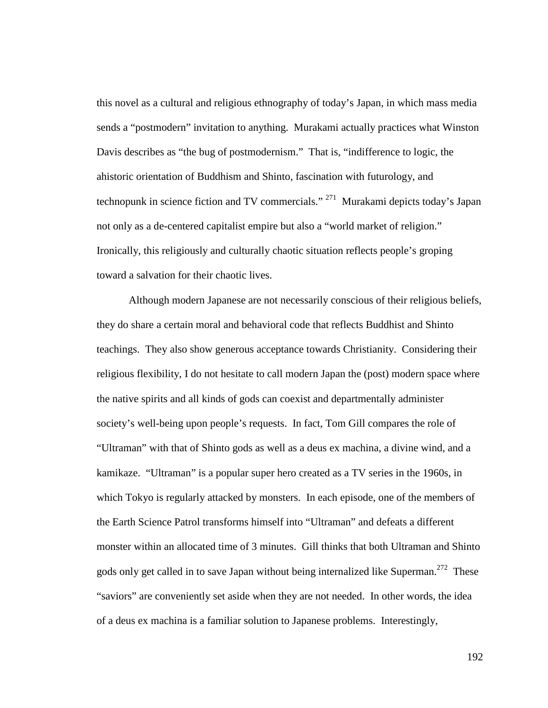this novel as a cultural and religious ethnography of today's Japan, in which mass media sends a "postmodern" invitation to anything. Murakami actually practices what Winston Davis describes as "the bug of postmodernism." That is, "indifference to logic, the ahistoric orientation of Buddhism and Shinto, fascination with futurology, and technopunk in science fiction and TV commercials." <sup>271</sup> Murakami depicts today's Japan not only as a de-centered capitalist empire but also a "world market of religion." Ironically, this religiously and culturally chaotic situation reflects people's groping toward a salvation for their chaotic lives.

Although modern Japanese are not necessarily conscious of their religious beliefs, they do share a certain moral and behavioral code that reflects Buddhist and Shinto teachings. They also show generous acceptance towards Christianity. Considering their religious flexibility, I do not hesitate to call modern Japan the (post) modern space where the native spirits and all kinds of gods can coexist and departmentally administer society's well-being upon people's requests. In fact, Tom Gill compares the role of "Ultraman" with that of Shinto gods as well as a deus ex machina, a divine wind, and a kamikaze. "Ultraman" is a popular super hero created as a TV series in the 1960s, in which Tokyo is regularly attacked by monsters. In each episode, one of the members of the Earth Science Patrol transforms himself into "Ultraman" and defeats a different monster within an allocated time of 3 minutes. Gill thinks that both Ultraman and Shinto gods only get called in to save Japan without being internalized like Superman.<sup>272</sup> These "saviors" are conveniently set aside when they are not needed. In other words, the idea of a deus ex machina is a familiar solution to Japanese problems. Interestingly,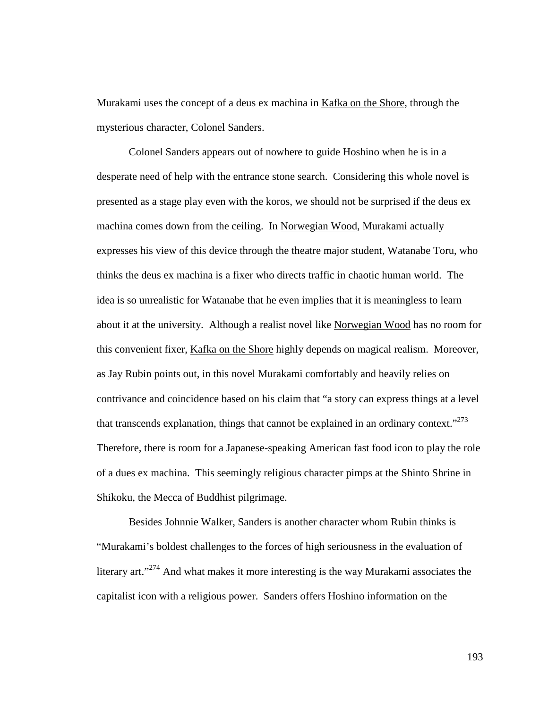Murakami uses the concept of a deus ex machina in Kafka on the Shore, through the mysterious character, Colonel Sanders.

 Colonel Sanders appears out of nowhere to guide Hoshino when he is in a desperate need of help with the entrance stone search. Considering this whole novel is presented as a stage play even with the koros, we should not be surprised if the deus ex machina comes down from the ceiling. In Norwegian Wood, Murakami actually expresses his view of this device through the theatre major student, Watanabe Toru, who thinks the deus ex machina is a fixer who directs traffic in chaotic human world. The idea is so unrealistic for Watanabe that he even implies that it is meaningless to learn about it at the university. Although a realist novel like Norwegian Wood has no room for this convenient fixer, Kafka on the Shore highly depends on magical realism. Moreover, as Jay Rubin points out, in this novel Murakami comfortably and heavily relies on contrivance and coincidence based on his claim that "a story can express things at a level that transcends explanation, things that cannot be explained in an ordinary context."<sup>273</sup> Therefore, there is room for a Japanese-speaking American fast food icon to play the role of a dues ex machina. This seemingly religious character pimps at the Shinto Shrine in Shikoku, the Mecca of Buddhist pilgrimage.

Besides Johnnie Walker, Sanders is another character whom Rubin thinks is "Murakami's boldest challenges to the forces of high seriousness in the evaluation of literary art."<sup>274</sup> And what makes it more interesting is the way Murakami associates the capitalist icon with a religious power. Sanders offers Hoshino information on the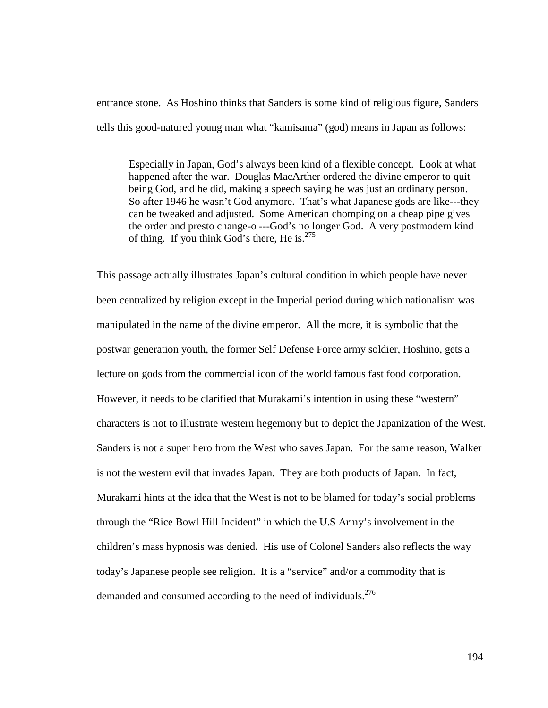entrance stone. As Hoshino thinks that Sanders is some kind of religious figure, Sanders tells this good-natured young man what "kamisama" (god) means in Japan as follows:

Especially in Japan, God's always been kind of a flexible concept. Look at what happened after the war. Douglas MacArther ordered the divine emperor to quit being God, and he did, making a speech saying he was just an ordinary person. So after 1946 he wasn't God anymore. That's what Japanese gods are like---they can be tweaked and adjusted. Some American chomping on a cheap pipe gives the order and presto change-o ---God's no longer God. A very postmodern kind of thing. If you think God's there, He is. $275$ 

This passage actually illustrates Japan's cultural condition in which people have never been centralized by religion except in the Imperial period during which nationalism was manipulated in the name of the divine emperor. All the more, it is symbolic that the postwar generation youth, the former Self Defense Force army soldier, Hoshino, gets a lecture on gods from the commercial icon of the world famous fast food corporation. However, it needs to be clarified that Murakami's intention in using these "western" characters is not to illustrate western hegemony but to depict the Japanization of the West. Sanders is not a super hero from the West who saves Japan. For the same reason, Walker is not the western evil that invades Japan. They are both products of Japan. In fact, Murakami hints at the idea that the West is not to be blamed for today's social problems through the "Rice Bowl Hill Incident" in which the U.S Army's involvement in the children's mass hypnosis was denied. His use of Colonel Sanders also reflects the way today's Japanese people see religion. It is a "service" and/or a commodity that is demanded and consumed according to the need of individuals.<sup>276</sup>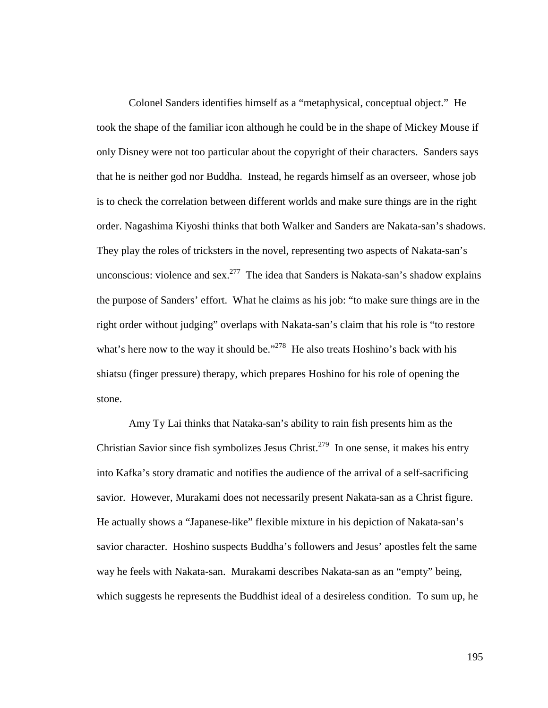Colonel Sanders identifies himself as a "metaphysical, conceptual object." He took the shape of the familiar icon although he could be in the shape of Mickey Mouse if only Disney were not too particular about the copyright of their characters. Sanders says that he is neither god nor Buddha. Instead, he regards himself as an overseer, whose job is to check the correlation between different worlds and make sure things are in the right order. Nagashima Kiyoshi thinks that both Walker and Sanders are Nakata-san's shadows. They play the roles of tricksters in the novel, representing two aspects of Nakata-san's unconscious: violence and sex.<sup>277</sup> The idea that Sanders is Nakata-san's shadow explains the purpose of Sanders' effort. What he claims as his job: "to make sure things are in the right order without judging" overlaps with Nakata-san's claim that his role is "to restore what's here now to the way it should be."<sup>278</sup> He also treats Hoshino's back with his shiatsu (finger pressure) therapy, which prepares Hoshino for his role of opening the stone.

Amy Ty Lai thinks that Nataka-san's ability to rain fish presents him as the Christian Savior since fish symbolizes Jesus Christ.<sup>279</sup> In one sense, it makes his entry into Kafka's story dramatic and notifies the audience of the arrival of a self-sacrificing savior. However, Murakami does not necessarily present Nakata-san as a Christ figure. He actually shows a "Japanese-like" flexible mixture in his depiction of Nakata-san's savior character. Hoshino suspects Buddha's followers and Jesus' apostles felt the same way he feels with Nakata-san. Murakami describes Nakata-san as an "empty" being, which suggests he represents the Buddhist ideal of a desireless condition. To sum up, he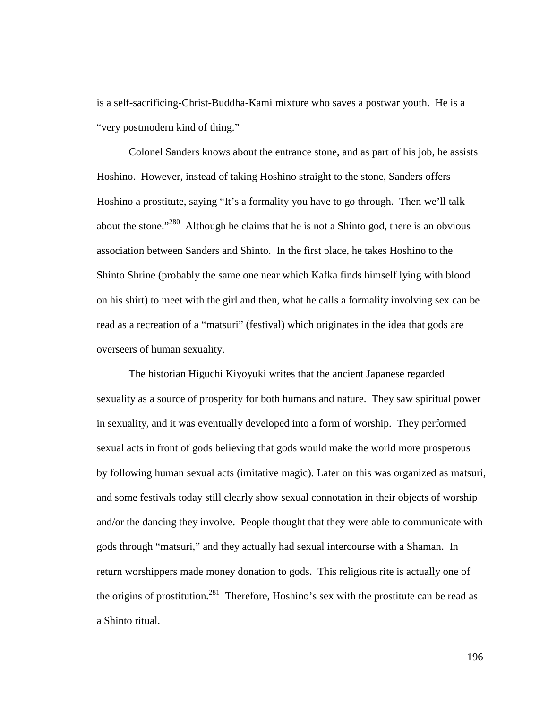is a self-sacrificing-Christ-Buddha-Kami mixture who saves a postwar youth. He is a "very postmodern kind of thing."

Colonel Sanders knows about the entrance stone, and as part of his job, he assists Hoshino. However, instead of taking Hoshino straight to the stone, Sanders offers Hoshino a prostitute, saying "It's a formality you have to go through. Then we'll talk about the stone."<sup>280</sup> Although he claims that he is not a Shinto god, there is an obvious association between Sanders and Shinto. In the first place, he takes Hoshino to the Shinto Shrine (probably the same one near which Kafka finds himself lying with blood on his shirt) to meet with the girl and then, what he calls a formality involving sex can be read as a recreation of a "matsuri" (festival) which originates in the idea that gods are overseers of human sexuality.

The historian Higuchi Kiyoyuki writes that the ancient Japanese regarded sexuality as a source of prosperity for both humans and nature. They saw spiritual power in sexuality, and it was eventually developed into a form of worship. They performed sexual acts in front of gods believing that gods would make the world more prosperous by following human sexual acts (imitative magic). Later on this was organized as matsuri, and some festivals today still clearly show sexual connotation in their objects of worship and/or the dancing they involve. People thought that they were able to communicate with gods through "matsuri," and they actually had sexual intercourse with a Shaman. In return worshippers made money donation to gods. This religious rite is actually one of the origins of prostitution.<sup>281</sup> Therefore, Hoshino's sex with the prostitute can be read as a Shinto ritual.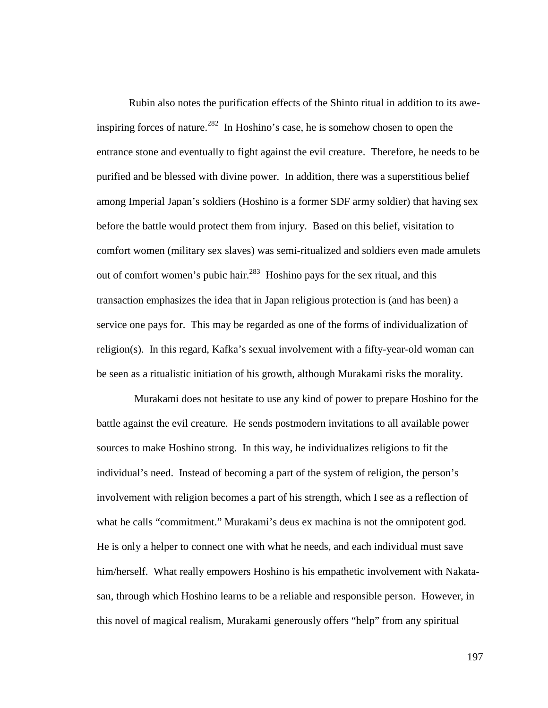Rubin also notes the purification effects of the Shinto ritual in addition to its aweinspiring forces of nature.<sup>282</sup> In Hoshino's case, he is somehow chosen to open the entrance stone and eventually to fight against the evil creature. Therefore, he needs to be purified and be blessed with divine power. In addition, there was a superstitious belief among Imperial Japan's soldiers (Hoshino is a former SDF army soldier) that having sex before the battle would protect them from injury. Based on this belief, visitation to comfort women (military sex slaves) was semi-ritualized and soldiers even made amulets out of comfort women's pubic hair.<sup>283</sup> Hoshino pays for the sex ritual, and this transaction emphasizes the idea that in Japan religious protection is (and has been) a service one pays for. This may be regarded as one of the forms of individualization of religion(s). In this regard, Kafka's sexual involvement with a fifty-year-old woman can be seen as a ritualistic initiation of his growth, although Murakami risks the morality.

 Murakami does not hesitate to use any kind of power to prepare Hoshino for the battle against the evil creature. He sends postmodern invitations to all available power sources to make Hoshino strong. In this way, he individualizes religions to fit the individual's need. Instead of becoming a part of the system of religion, the person's involvement with religion becomes a part of his strength, which I see as a reflection of what he calls "commitment." Murakami's deus ex machina is not the omnipotent god. He is only a helper to connect one with what he needs, and each individual must save him/herself. What really empowers Hoshino is his empathetic involvement with Nakatasan, through which Hoshino learns to be a reliable and responsible person. However, in this novel of magical realism, Murakami generously offers "help" from any spiritual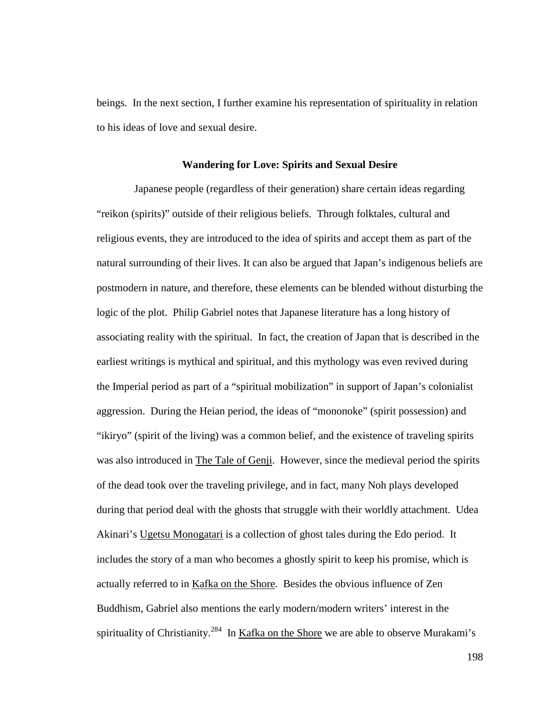beings. In the next section, I further examine his representation of spirituality in relation to his ideas of love and sexual desire.

## **Wandering for Love: Spirits and Sexual Desire**

 Japanese people (regardless of their generation) share certain ideas regarding "reikon (spirits)" outside of their religious beliefs. Through folktales, cultural and religious events, they are introduced to the idea of spirits and accept them as part of the natural surrounding of their lives. It can also be argued that Japan's indigenous beliefs are postmodern in nature, and therefore, these elements can be blended without disturbing the logic of the plot. Philip Gabriel notes that Japanese literature has a long history of associating reality with the spiritual. In fact, the creation of Japan that is described in the earliest writings is mythical and spiritual, and this mythology was even revived during the Imperial period as part of a "spiritual mobilization" in support of Japan's colonialist aggression. During the Heian period, the ideas of "mononoke" (spirit possession) and "ikiryo" (spirit of the living) was a common belief, and the existence of traveling spirits was also introduced in The Tale of Genji. However, since the medieval period the spirits of the dead took over the traveling privilege, and in fact, many Noh plays developed during that period deal with the ghosts that struggle with their worldly attachment. Udea Akinari's Ugetsu Monogatari is a collection of ghost tales during the Edo period. It includes the story of a man who becomes a ghostly spirit to keep his promise, which is actually referred to in Kafka on the Shore. Besides the obvious influence of Zen Buddhism, Gabriel also mentions the early modern/modern writers' interest in the spirituality of Christianity.<sup>284</sup> In Kafka on the Shore we are able to observe Murakami's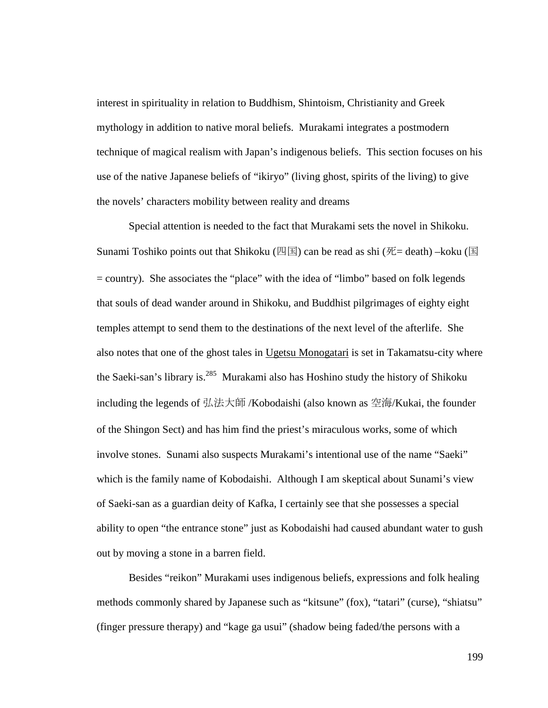interest in spirituality in relation to Buddhism, Shintoism, Christianity and Greek mythology in addition to native moral beliefs. Murakami integrates a postmodern technique of magical realism with Japan's indigenous beliefs. This section focuses on his use of the native Japanese beliefs of "ikiryo" (living ghost, spirits of the living) to give the novels' characters mobility between reality and dreams

Special attention is needed to the fact that Murakami sets the novel in Shikoku. Sunami Toshiko points out that Shikoku (四国) can be read as shi (死 $=$  death) –koku (国 = country). She associates the "place" with the idea of "limbo" based on folk legends that souls of dead wander around in Shikoku, and Buddhist pilgrimages of eighty eight temples attempt to send them to the destinations of the next level of the afterlife. She also notes that one of the ghost tales in Ugetsu Monogatari is set in Takamatsu-city where the Saeki-san's library is.<sup>285</sup> Murakami also has Hoshino study the history of Shikoku including the legends of 弘法大師 /Kobodaishi (also known as 空海/Kukai, the founder of the Shingon Sect) and has him find the priest's miraculous works, some of which involve stones. Sunami also suspects Murakami's intentional use of the name "Saeki" which is the family name of Kobodaishi. Although I am skeptical about Sunami's view of Saeki-san as a guardian deity of Kafka, I certainly see that she possesses a special ability to open "the entrance stone" just as Kobodaishi had caused abundant water to gush out by moving a stone in a barren field.

Besides "reikon" Murakami uses indigenous beliefs, expressions and folk healing methods commonly shared by Japanese such as "kitsune" (fox), "tatari" (curse), "shiatsu" (finger pressure therapy) and "kage ga usui" (shadow being faded/the persons with a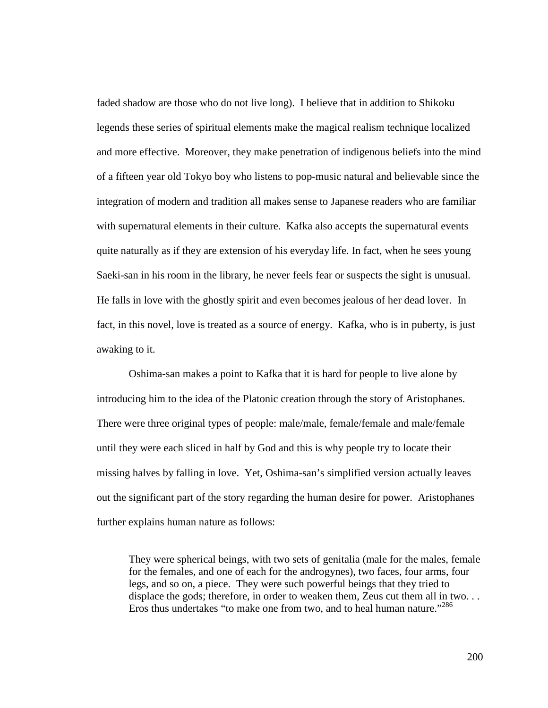faded shadow are those who do not live long). I believe that in addition to Shikoku legends these series of spiritual elements make the magical realism technique localized and more effective. Moreover, they make penetration of indigenous beliefs into the mind of a fifteen year old Tokyo boy who listens to pop-music natural and believable since the integration of modern and tradition all makes sense to Japanese readers who are familiar with supernatural elements in their culture. Kafka also accepts the supernatural events quite naturally as if they are extension of his everyday life. In fact, when he sees young Saeki-san in his room in the library, he never feels fear or suspects the sight is unusual. He falls in love with the ghostly spirit and even becomes jealous of her dead lover. In fact, in this novel, love is treated as a source of energy. Kafka, who is in puberty, is just awaking to it.

Oshima-san makes a point to Kafka that it is hard for people to live alone by introducing him to the idea of the Platonic creation through the story of Aristophanes. There were three original types of people: male/male, female/female and male/female until they were each sliced in half by God and this is why people try to locate their missing halves by falling in love. Yet, Oshima-san's simplified version actually leaves out the significant part of the story regarding the human desire for power. Aristophanes further explains human nature as follows:

They were spherical beings, with two sets of genitalia (male for the males, female for the females, and one of each for the androgynes), two faces, four arms, four legs, and so on, a piece. They were such powerful beings that they tried to displace the gods; therefore, in order to weaken them, Zeus cut them all in two. . . Eros thus undertakes "to make one from two, and to heal human nature."<sup>286</sup>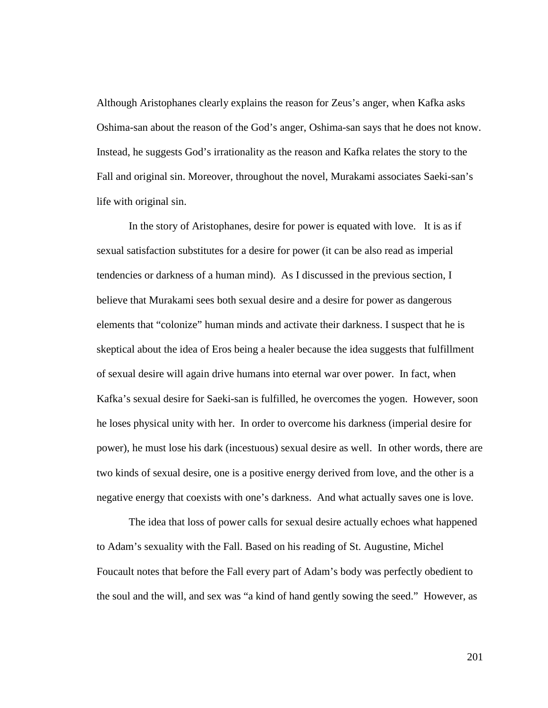Although Aristophanes clearly explains the reason for Zeus's anger, when Kafka asks Oshima-san about the reason of the God's anger, Oshima-san says that he does not know. Instead, he suggests God's irrationality as the reason and Kafka relates the story to the Fall and original sin. Moreover, throughout the novel, Murakami associates Saeki-san's life with original sin.

 In the story of Aristophanes, desire for power is equated with love. It is as if sexual satisfaction substitutes for a desire for power (it can be also read as imperial tendencies or darkness of a human mind). As I discussed in the previous section, I believe that Murakami sees both sexual desire and a desire for power as dangerous elements that "colonize" human minds and activate their darkness. I suspect that he is skeptical about the idea of Eros being a healer because the idea suggests that fulfillment of sexual desire will again drive humans into eternal war over power. In fact, when Kafka's sexual desire for Saeki-san is fulfilled, he overcomes the yogen. However, soon he loses physical unity with her. In order to overcome his darkness (imperial desire for power), he must lose his dark (incestuous) sexual desire as well. In other words, there are two kinds of sexual desire, one is a positive energy derived from love, and the other is a negative energy that coexists with one's darkness. And what actually saves one is love.

 The idea that loss of power calls for sexual desire actually echoes what happened to Adam's sexuality with the Fall. Based on his reading of St. Augustine, Michel Foucault notes that before the Fall every part of Adam's body was perfectly obedient to the soul and the will, and sex was "a kind of hand gently sowing the seed." However, as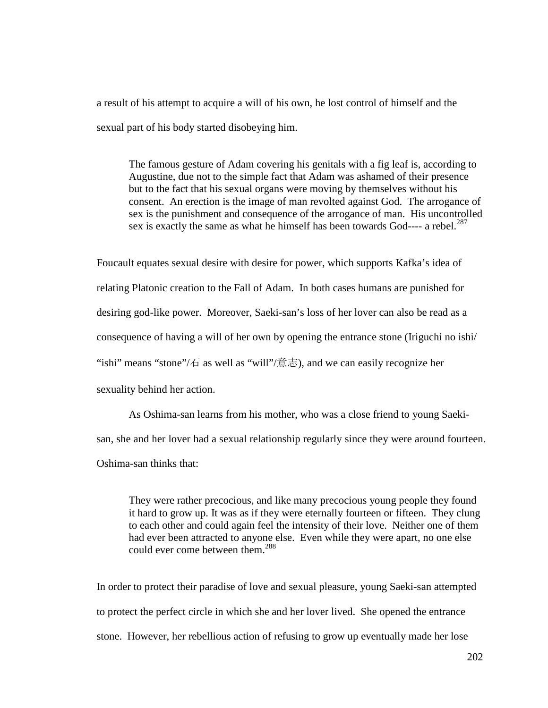a result of his attempt to acquire a will of his own, he lost control of himself and the sexual part of his body started disobeying him.

The famous gesture of Adam covering his genitals with a fig leaf is, according to Augustine, due not to the simple fact that Adam was ashamed of their presence but to the fact that his sexual organs were moving by themselves without his consent. An erection is the image of man revolted against God. The arrogance of sex is the punishment and consequence of the arrogance of man. His uncontrolled sex is exactly the same as what he himself has been towards God---- a rebel.<sup>287</sup>

Foucault equates sexual desire with desire for power, which supports Kafka's idea of relating Platonic creation to the Fall of Adam. In both cases humans are punished for desiring god-like power. Moreover, Saeki-san's loss of her lover can also be read as a consequence of having a will of her own by opening the entrance stone (Iriguchi no ishi/ "ishi" means "stone"/ $\overline{4}$  as well as "will"/ $\overline{3}$   $\overline{3}$ , and we can easily recognize her sexuality behind her action.

As Oshima-san learns from his mother, who was a close friend to young Saekisan, she and her lover had a sexual relationship regularly since they were around fourteen. Oshima-san thinks that:

They were rather precocious, and like many precocious young people they found it hard to grow up. It was as if they were eternally fourteen or fifteen. They clung to each other and could again feel the intensity of their love. Neither one of them had ever been attracted to anyone else. Even while they were apart, no one else could ever come between them.<sup>288</sup>

In order to protect their paradise of love and sexual pleasure, young Saeki-san attempted to protect the perfect circle in which she and her lover lived. She opened the entrance stone. However, her rebellious action of refusing to grow up eventually made her lose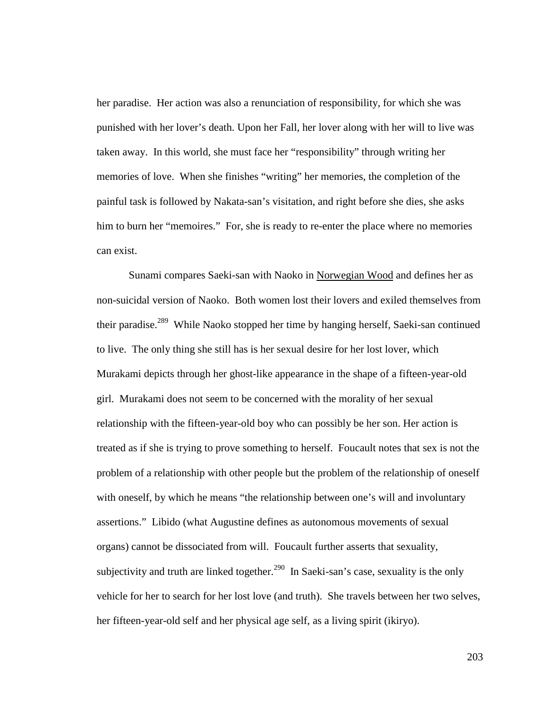her paradise. Her action was also a renunciation of responsibility, for which she was punished with her lover's death. Upon her Fall, her lover along with her will to live was taken away. In this world, she must face her "responsibility" through writing her memories of love. When she finishes "writing" her memories, the completion of the painful task is followed by Nakata-san's visitation, and right before she dies, she asks him to burn her "memoires." For, she is ready to re-enter the place where no memories can exist.

Sunami compares Saeki-san with Naoko in Norwegian Wood and defines her as non-suicidal version of Naoko. Both women lost their lovers and exiled themselves from their paradise.<sup>289</sup> While Naoko stopped her time by hanging herself, Saeki-san continued to live. The only thing she still has is her sexual desire for her lost lover, which Murakami depicts through her ghost-like appearance in the shape of a fifteen-year-old girl. Murakami does not seem to be concerned with the morality of her sexual relationship with the fifteen-year-old boy who can possibly be her son. Her action is treated as if she is trying to prove something to herself. Foucault notes that sex is not the problem of a relationship with other people but the problem of the relationship of oneself with oneself, by which he means "the relationship between one's will and involuntary assertions." Libido (what Augustine defines as autonomous movements of sexual organs) cannot be dissociated from will. Foucault further asserts that sexuality, subjectivity and truth are linked together.<sup>290</sup> In Saeki-san's case, sexuality is the only vehicle for her to search for her lost love (and truth). She travels between her two selves, her fifteen-year-old self and her physical age self, as a living spirit (ikiryo).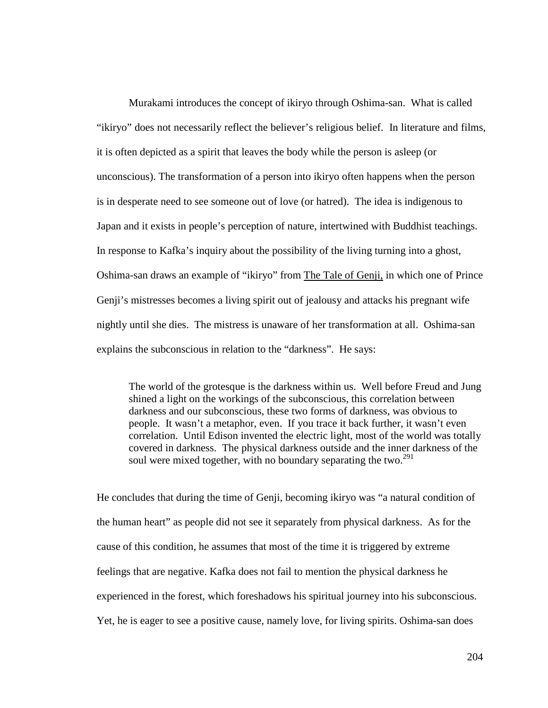Murakami introduces the concept of ikiryo through Oshima-san. What is called "ikiryo" does not necessarily reflect the believer's religious belief. In literature and films, it is often depicted as a spirit that leaves the body while the person is asleep (or unconscious). The transformation of a person into ikiryo often happens when the person is in desperate need to see someone out of love (or hatred). The idea is indigenous to Japan and it exists in people's perception of nature, intertwined with Buddhist teachings. In response to Kafka's inquiry about the possibility of the living turning into a ghost, Oshima-san draws an example of "ikiryo" from The Tale of Genji, in which one of Prince Genji's mistresses becomes a living spirit out of jealousy and attacks his pregnant wife nightly until she dies. The mistress is unaware of her transformation at all. Oshima-san explains the subconscious in relation to the "darkness". He says:

The world of the grotesque is the darkness within us. Well before Freud and Jung shined a light on the workings of the subconscious, this correlation between darkness and our subconscious, these two forms of darkness, was obvious to people. It wasn't a metaphor, even. If you trace it back further, it wasn't even correlation. Until Edison invented the electric light, most of the world was totally covered in darkness. The physical darkness outside and the inner darkness of the soul were mixed together, with no boundary separating the two. $^{291}$ 

He concludes that during the time of Genji, becoming ikiryo was "a natural condition of the human heart" as people did not see it separately from physical darkness. As for the cause of this condition, he assumes that most of the time it is triggered by extreme feelings that are negative. Kafka does not fail to mention the physical darkness he experienced in the forest, which foreshadows his spiritual journey into his subconscious. Yet, he is eager to see a positive cause, namely love, for living spirits. Oshima-san does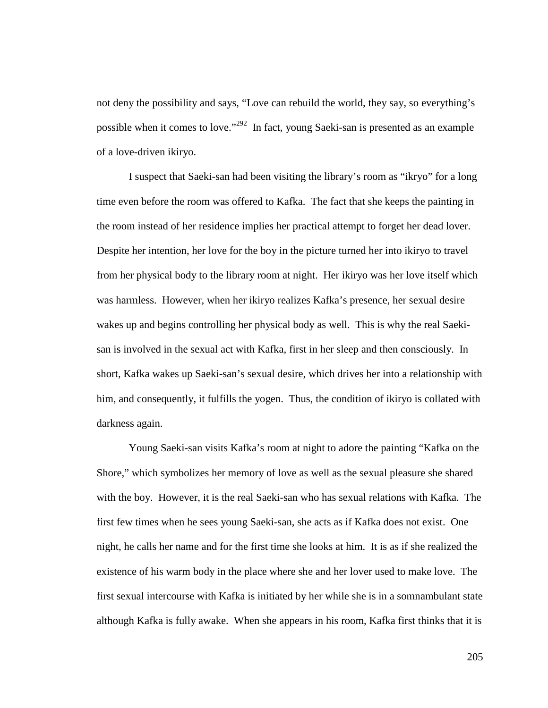not deny the possibility and says, "Love can rebuild the world, they say, so everything's possible when it comes to love."<sup>292</sup> In fact, young Saeki-san is presented as an example of a love-driven ikiryo.

I suspect that Saeki-san had been visiting the library's room as "ikryo" for a long time even before the room was offered to Kafka. The fact that she keeps the painting in the room instead of her residence implies her practical attempt to forget her dead lover. Despite her intention, her love for the boy in the picture turned her into ikiryo to travel from her physical body to the library room at night. Her ikiryo was her love itself which was harmless. However, when her ikiryo realizes Kafka's presence, her sexual desire wakes up and begins controlling her physical body as well. This is why the real Saekisan is involved in the sexual act with Kafka, first in her sleep and then consciously. In short, Kafka wakes up Saeki-san's sexual desire, which drives her into a relationship with him, and consequently, it fulfills the yogen. Thus, the condition of ikiryo is collated with darkness again.

Young Saeki-san visits Kafka's room at night to adore the painting "Kafka on the Shore," which symbolizes her memory of love as well as the sexual pleasure she shared with the boy. However, it is the real Saeki-san who has sexual relations with Kafka. The first few times when he sees young Saeki-san, she acts as if Kafka does not exist. One night, he calls her name and for the first time she looks at him. It is as if she realized the existence of his warm body in the place where she and her lover used to make love. The first sexual intercourse with Kafka is initiated by her while she is in a somnambulant state although Kafka is fully awake. When she appears in his room, Kafka first thinks that it is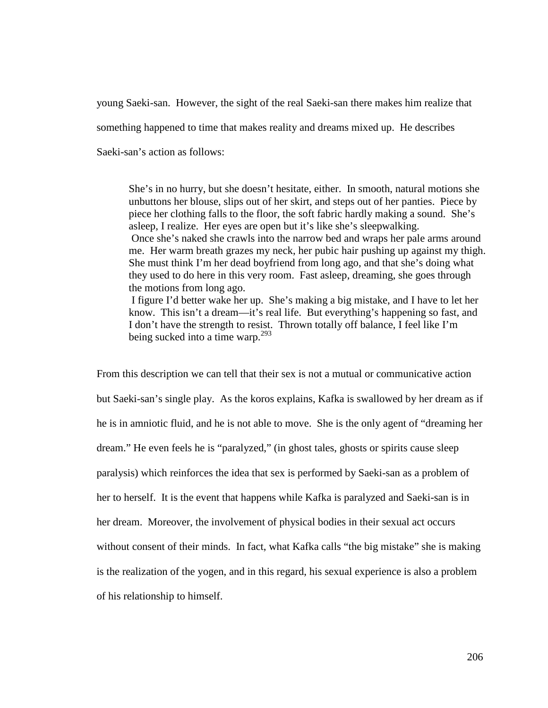young Saeki-san. However, the sight of the real Saeki-san there makes him realize that something happened to time that makes reality and dreams mixed up. He describes

Saeki-san's action as follows:

She's in no hurry, but she doesn't hesitate, either. In smooth, natural motions she unbuttons her blouse, slips out of her skirt, and steps out of her panties. Piece by piece her clothing falls to the floor, the soft fabric hardly making a sound. She's asleep, I realize. Her eyes are open but it's like she's sleepwalking. Once she's naked she crawls into the narrow bed and wraps her pale arms around me. Her warm breath grazes my neck, her pubic hair pushing up against my thigh. She must think I'm her dead boyfriend from long ago, and that she's doing what they used to do here in this very room. Fast asleep, dreaming, she goes through the motions from long ago. I figure I'd better wake her up. She's making a big mistake, and I have to let her know. This isn't a dream—it's real life. But everything's happening so fast, and

I don't have the strength to resist. Thrown totally off balance, I feel like I'm being sucked into a time warp.<sup>293</sup>

From this description we can tell that their sex is not a mutual or communicative action but Saeki-san's single play. As the koros explains, Kafka is swallowed by her dream as if he is in amniotic fluid, and he is not able to move. She is the only agent of "dreaming her dream." He even feels he is "paralyzed," (in ghost tales, ghosts or spirits cause sleep paralysis) which reinforces the idea that sex is performed by Saeki-san as a problem of her to herself. It is the event that happens while Kafka is paralyzed and Saeki-san is in her dream. Moreover, the involvement of physical bodies in their sexual act occurs without consent of their minds. In fact, what Kafka calls "the big mistake" she is making is the realization of the yogen, and in this regard, his sexual experience is also a problem of his relationship to himself.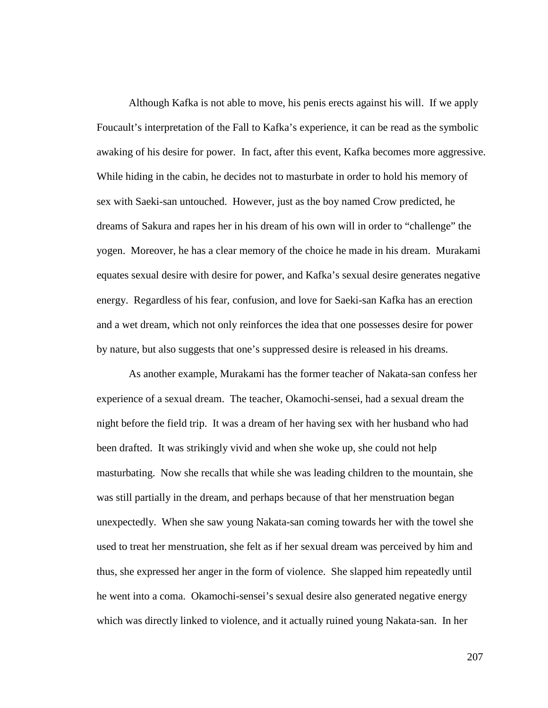Although Kafka is not able to move, his penis erects against his will. If we apply Foucault's interpretation of the Fall to Kafka's experience, it can be read as the symbolic awaking of his desire for power. In fact, after this event, Kafka becomes more aggressive. While hiding in the cabin, he decides not to masturbate in order to hold his memory of sex with Saeki-san untouched. However, just as the boy named Crow predicted, he dreams of Sakura and rapes her in his dream of his own will in order to "challenge" the yogen. Moreover, he has a clear memory of the choice he made in his dream. Murakami equates sexual desire with desire for power, and Kafka's sexual desire generates negative energy. Regardless of his fear, confusion, and love for Saeki-san Kafka has an erection and a wet dream, which not only reinforces the idea that one possesses desire for power by nature, but also suggests that one's suppressed desire is released in his dreams.

As another example, Murakami has the former teacher of Nakata-san confess her experience of a sexual dream. The teacher, Okamochi-sensei, had a sexual dream the night before the field trip. It was a dream of her having sex with her husband who had been drafted. It was strikingly vivid and when she woke up, she could not help masturbating. Now she recalls that while she was leading children to the mountain, she was still partially in the dream, and perhaps because of that her menstruation began unexpectedly. When she saw young Nakata-san coming towards her with the towel she used to treat her menstruation, she felt as if her sexual dream was perceived by him and thus, she expressed her anger in the form of violence. She slapped him repeatedly until he went into a coma. Okamochi-sensei's sexual desire also generated negative energy which was directly linked to violence, and it actually ruined young Nakata-san. In her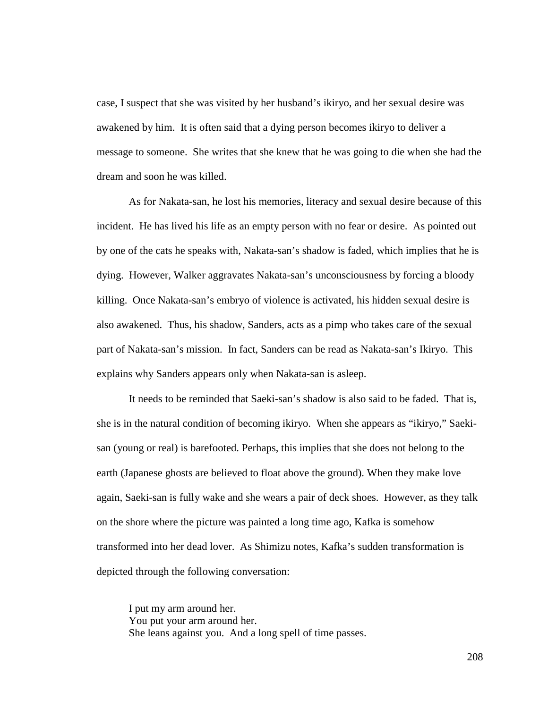case, I suspect that she was visited by her husband's ikiryo, and her sexual desire was awakened by him. It is often said that a dying person becomes ikiryo to deliver a message to someone. She writes that she knew that he was going to die when she had the dream and soon he was killed.

As for Nakata-san, he lost his memories, literacy and sexual desire because of this incident. He has lived his life as an empty person with no fear or desire. As pointed out by one of the cats he speaks with, Nakata-san's shadow is faded, which implies that he is dying. However, Walker aggravates Nakata-san's unconsciousness by forcing a bloody killing. Once Nakata-san's embryo of violence is activated, his hidden sexual desire is also awakened. Thus, his shadow, Sanders, acts as a pimp who takes care of the sexual part of Nakata-san's mission. In fact, Sanders can be read as Nakata-san's Ikiryo. This explains why Sanders appears only when Nakata-san is asleep.

It needs to be reminded that Saeki-san's shadow is also said to be faded. That is, she is in the natural condition of becoming ikiryo. When she appears as "ikiryo," Saekisan (young or real) is barefooted. Perhaps, this implies that she does not belong to the earth (Japanese ghosts are believed to float above the ground). When they make love again, Saeki-san is fully wake and she wears a pair of deck shoes. However, as they talk on the shore where the picture was painted a long time ago, Kafka is somehow transformed into her dead lover. As Shimizu notes, Kafka's sudden transformation is depicted through the following conversation:

I put my arm around her. You put your arm around her. She leans against you. And a long spell of time passes.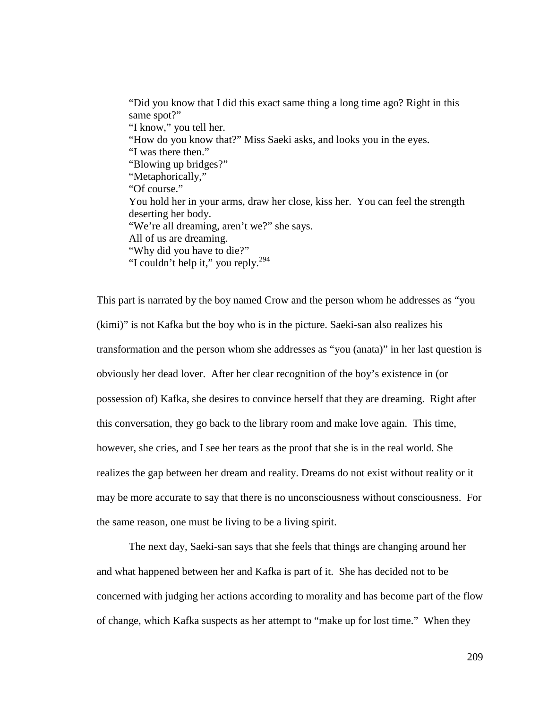"Did you know that I did this exact same thing a long time ago? Right in this same spot?" "I know," you tell her. "How do you know that?" Miss Saeki asks, and looks you in the eyes. "I was there then." "Blowing up bridges?" "Metaphorically," "Of course." You hold her in your arms, draw her close, kiss her. You can feel the strength deserting her body. "We're all dreaming, aren't we?" she says. All of us are dreaming. "Why did you have to die?" "I couldn't help it," you reply.<sup>294</sup>

This part is narrated by the boy named Crow and the person whom he addresses as "you (kimi)" is not Kafka but the boy who is in the picture. Saeki-san also realizes his transformation and the person whom she addresses as "you (anata)" in her last question is obviously her dead lover. After her clear recognition of the boy's existence in (or possession of) Kafka, she desires to convince herself that they are dreaming. Right after this conversation, they go back to the library room and make love again. This time, however, she cries, and I see her tears as the proof that she is in the real world. She realizes the gap between her dream and reality. Dreams do not exist without reality or it may be more accurate to say that there is no unconsciousness without consciousness. For the same reason, one must be living to be a living spirit.

The next day, Saeki-san says that she feels that things are changing around her and what happened between her and Kafka is part of it. She has decided not to be concerned with judging her actions according to morality and has become part of the flow of change, which Kafka suspects as her attempt to "make up for lost time." When they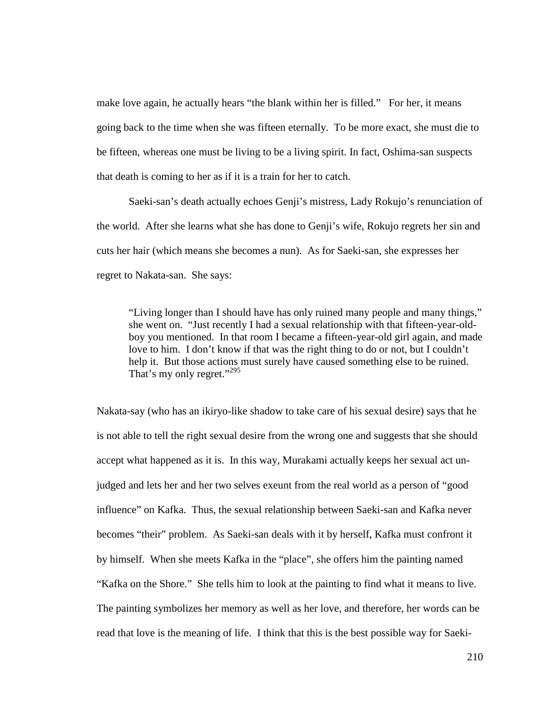make love again, he actually hears "the blank within her is filled." For her, it means going back to the time when she was fifteen eternally. To be more exact, she must die to be fifteen, whereas one must be living to be a living spirit. In fact, Oshima-san suspects that death is coming to her as if it is a train for her to catch.

Saeki-san's death actually echoes Genji's mistress, Lady Rokujo's renunciation of the world. After she learns what she has done to Genji's wife, Rokujo regrets her sin and cuts her hair (which means she becomes a nun). As for Saeki-san, she expresses her regret to Nakata-san. She says:

"Living longer than I should have has only ruined many people and many things," she went on. "Just recently I had a sexual relationship with that fifteen-year-oldboy you mentioned. In that room I became a fifteen-year-old girl again, and made love to him. I don't know if that was the right thing to do or not, but I couldn't help it. But those actions must surely have caused something else to be ruined. That's my only regret."<sup>295</sup>

Nakata-say (who has an ikiryo-like shadow to take care of his sexual desire) says that he is not able to tell the right sexual desire from the wrong one and suggests that she should accept what happened as it is. In this way, Murakami actually keeps her sexual act unjudged and lets her and her two selves exeunt from the real world as a person of "good influence" on Kafka. Thus, the sexual relationship between Saeki-san and Kafka never becomes "their" problem. As Saeki-san deals with it by herself, Kafka must confront it by himself. When she meets Kafka in the "place", she offers him the painting named "Kafka on the Shore." She tells him to look at the painting to find what it means to live. The painting symbolizes her memory as well as her love, and therefore, her words can be read that love is the meaning of life. I think that this is the best possible way for Saeki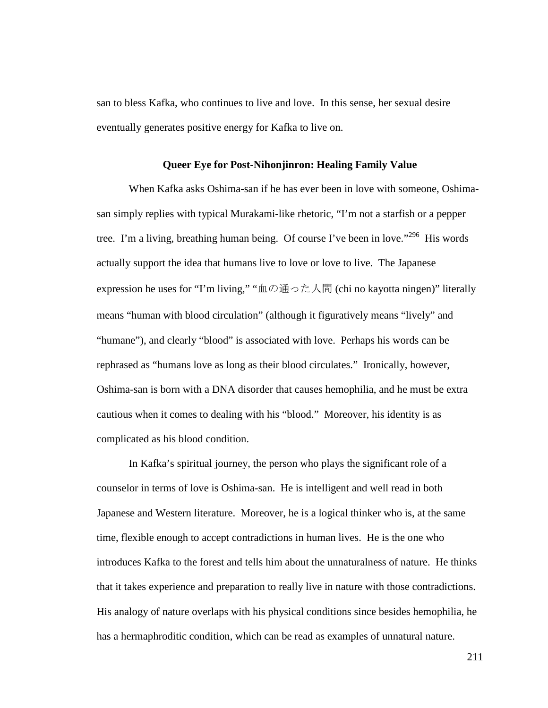san to bless Kafka, who continues to live and love. In this sense, her sexual desire eventually generates positive energy for Kafka to live on.

## **Queer Eye for Post-Nihonjinron: Healing Family Value**

When Kafka asks Oshima-san if he has ever been in love with someone, Oshimasan simply replies with typical Murakami-like rhetoric, "I'm not a starfish or a pepper tree. I'm a living, breathing human being. Of course I've been in love."<sup>296</sup> His words actually support the idea that humans live to love or love to live. The Japanese expression he uses for "I'm living," "血の通った人間 (chi no kayotta ningen)" literally means "human with blood circulation" (although it figuratively means "lively" and "humane"), and clearly "blood" is associated with love. Perhaps his words can be rephrased as "humans love as long as their blood circulates." Ironically, however, Oshima-san is born with a DNA disorder that causes hemophilia, and he must be extra cautious when it comes to dealing with his "blood." Moreover, his identity is as complicated as his blood condition.

In Kafka's spiritual journey, the person who plays the significant role of a counselor in terms of love is Oshima-san. He is intelligent and well read in both Japanese and Western literature. Moreover, he is a logical thinker who is, at the same time, flexible enough to accept contradictions in human lives. He is the one who introduces Kafka to the forest and tells him about the unnaturalness of nature. He thinks that it takes experience and preparation to really live in nature with those contradictions. His analogy of nature overlaps with his physical conditions since besides hemophilia, he has a hermaphroditic condition, which can be read as examples of unnatural nature.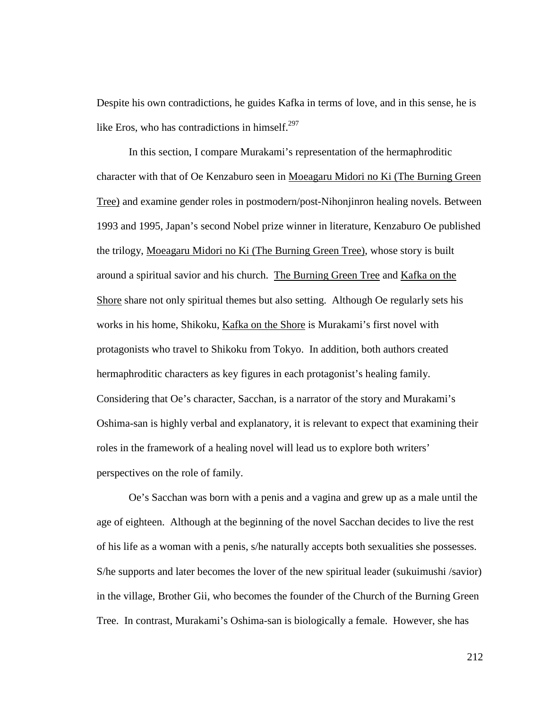Despite his own contradictions, he guides Kafka in terms of love, and in this sense, he is like Eros, who has contradictions in himself. $297$ 

In this section, I compare Murakami's representation of the hermaphroditic character with that of Oe Kenzaburo seen in Moeagaru Midori no Ki (The Burning Green Tree) and examine gender roles in postmodern/post-Nihonjinron healing novels. Between 1993 and 1995, Japan's second Nobel prize winner in literature, Kenzaburo Oe published the trilogy, Moeagaru Midori no Ki (The Burning Green Tree), whose story is built around a spiritual savior and his church. The Burning Green Tree and Kafka on the Shore share not only spiritual themes but also setting. Although Oe regularly sets his works in his home, Shikoku, Kafka on the Shore is Murakami's first novel with protagonists who travel to Shikoku from Tokyo. In addition, both authors created hermaphroditic characters as key figures in each protagonist's healing family. Considering that Oe's character, Sacchan, is a narrator of the story and Murakami's Oshima-san is highly verbal and explanatory, it is relevant to expect that examining their roles in the framework of a healing novel will lead us to explore both writers' perspectives on the role of family.

 Oe's Sacchan was born with a penis and a vagina and grew up as a male until the age of eighteen. Although at the beginning of the novel Sacchan decides to live the rest of his life as a woman with a penis, s/he naturally accepts both sexualities she possesses. S/he supports and later becomes the lover of the new spiritual leader (sukuimushi /savior) in the village, Brother Gii, who becomes the founder of the Church of the Burning Green Tree. In contrast, Murakami's Oshima-san is biologically a female. However, she has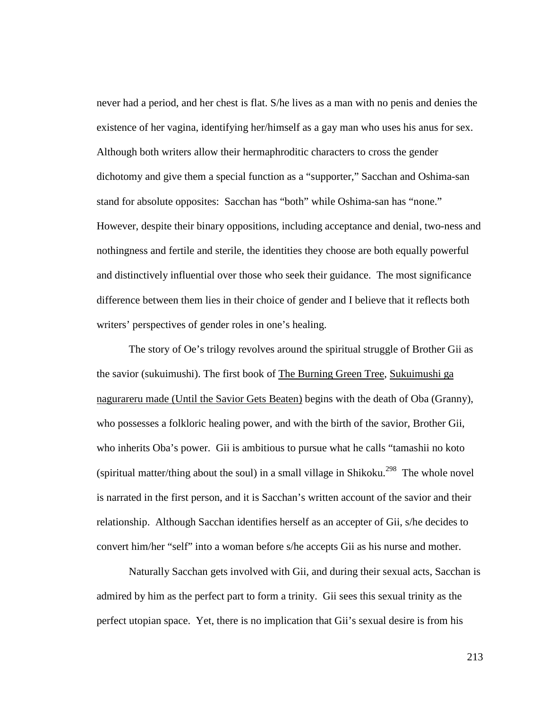never had a period, and her chest is flat. S/he lives as a man with no penis and denies the existence of her vagina, identifying her/himself as a gay man who uses his anus for sex. Although both writers allow their hermaphroditic characters to cross the gender dichotomy and give them a special function as a "supporter," Sacchan and Oshima-san stand for absolute opposites: Sacchan has "both" while Oshima-san has "none." However, despite their binary oppositions, including acceptance and denial, two-ness and nothingness and fertile and sterile, the identities they choose are both equally powerful and distinctively influential over those who seek their guidance. The most significance difference between them lies in their choice of gender and I believe that it reflects both writers' perspectives of gender roles in one's healing.

 The story of Oe's trilogy revolves around the spiritual struggle of Brother Gii as the savior (sukuimushi). The first book of The Burning Green Tree, Sukuimushi ga nagurareru made (Until the Savior Gets Beaten) begins with the death of Oba (Granny), who possesses a folkloric healing power, and with the birth of the savior, Brother Gii, who inherits Oba's power. Gii is ambitious to pursue what he calls "tamashii no koto (spiritual matter/thing about the soul) in a small village in Shikoku.<sup>298</sup> The whole novel is narrated in the first person, and it is Sacchan's written account of the savior and their relationship. Although Sacchan identifies herself as an accepter of Gii, s/he decides to convert him/her "self" into a woman before s/he accepts Gii as his nurse and mother.

 Naturally Sacchan gets involved with Gii, and during their sexual acts, Sacchan is admired by him as the perfect part to form a trinity. Gii sees this sexual trinity as the perfect utopian space. Yet, there is no implication that Gii's sexual desire is from his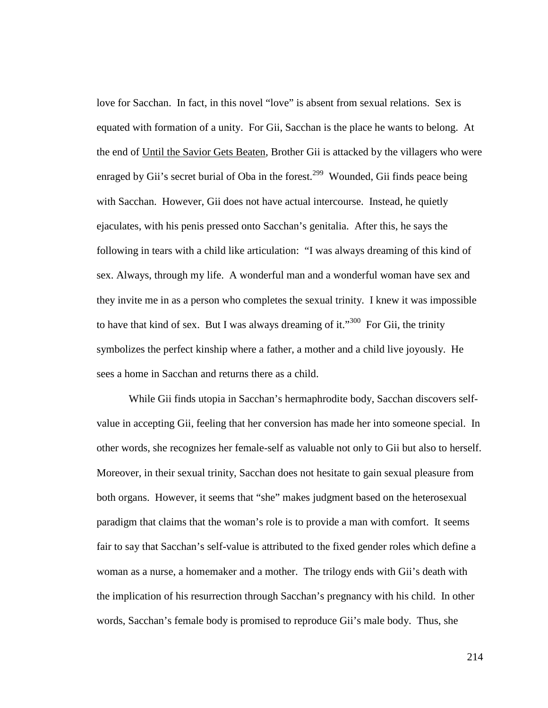love for Sacchan. In fact, in this novel "love" is absent from sexual relations. Sex is equated with formation of a unity. For Gii, Sacchan is the place he wants to belong. At the end of Until the Savior Gets Beaten, Brother Gii is attacked by the villagers who were enraged by Gii's secret burial of Oba in the forest.<sup>299</sup> Wounded, Gii finds peace being with Sacchan. However, Gii does not have actual intercourse. Instead, he quietly ejaculates, with his penis pressed onto Sacchan's genitalia. After this, he says the following in tears with a child like articulation: "I was always dreaming of this kind of sex. Always, through my life. A wonderful man and a wonderful woman have sex and they invite me in as a person who completes the sexual trinity. I knew it was impossible to have that kind of sex. But I was always dreaming of it."<sup>300</sup> For Gii, the trinity symbolizes the perfect kinship where a father, a mother and a child live joyously. He sees a home in Sacchan and returns there as a child.

 While Gii finds utopia in Sacchan's hermaphrodite body, Sacchan discovers selfvalue in accepting Gii, feeling that her conversion has made her into someone special. In other words, she recognizes her female-self as valuable not only to Gii but also to herself. Moreover, in their sexual trinity, Sacchan does not hesitate to gain sexual pleasure from both organs. However, it seems that "she" makes judgment based on the heterosexual paradigm that claims that the woman's role is to provide a man with comfort. It seems fair to say that Sacchan's self-value is attributed to the fixed gender roles which define a woman as a nurse, a homemaker and a mother. The trilogy ends with Gii's death with the implication of his resurrection through Sacchan's pregnancy with his child. In other words, Sacchan's female body is promised to reproduce Gii's male body. Thus, she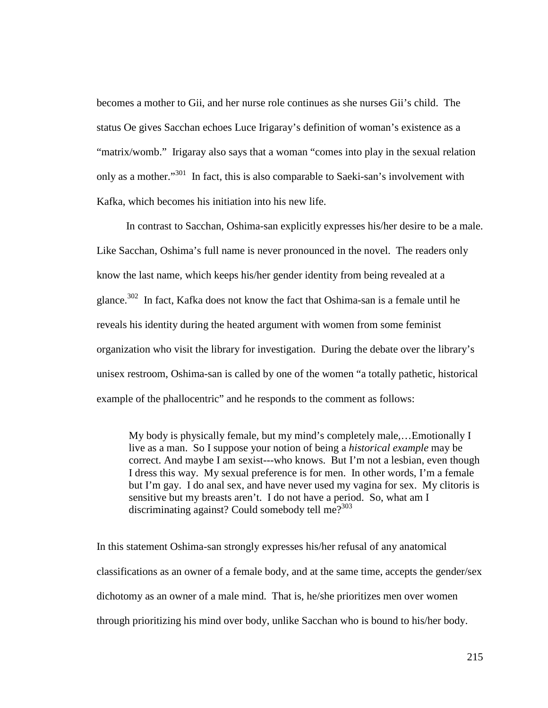becomes a mother to Gii, and her nurse role continues as she nurses Gii's child. The status Oe gives Sacchan echoes Luce Irigaray's definition of woman's existence as a "matrix/womb." Irigaray also says that a woman "comes into play in the sexual relation only as a mother."<sup>301</sup> In fact, this is also comparable to Saeki-san's involvement with Kafka, which becomes his initiation into his new life.

 In contrast to Sacchan, Oshima-san explicitly expresses his/her desire to be a male. Like Sacchan, Oshima's full name is never pronounced in the novel. The readers only know the last name, which keeps his/her gender identity from being revealed at a glance.<sup>302</sup> In fact, Kafka does not know the fact that Oshima-san is a female until he reveals his identity during the heated argument with women from some feminist organization who visit the library for investigation. During the debate over the library's unisex restroom, Oshima-san is called by one of the women "a totally pathetic, historical example of the phallocentric" and he responds to the comment as follows:

My body is physically female, but my mind's completely male,…Emotionally I live as a man. So I suppose your notion of being a *historical example* may be correct. And maybe I am sexist---who knows. But I'm not a lesbian, even though I dress this way. My sexual preference is for men. In other words, I'm a female but I'm gay. I do anal sex, and have never used my vagina for sex. My clitoris is sensitive but my breasts aren't. I do not have a period. So, what am I discriminating against? Could somebody tell me? $303$ 

In this statement Oshima-san strongly expresses his/her refusal of any anatomical classifications as an owner of a female body, and at the same time, accepts the gender/sex dichotomy as an owner of a male mind. That is, he/she prioritizes men over women through prioritizing his mind over body, unlike Sacchan who is bound to his/her body.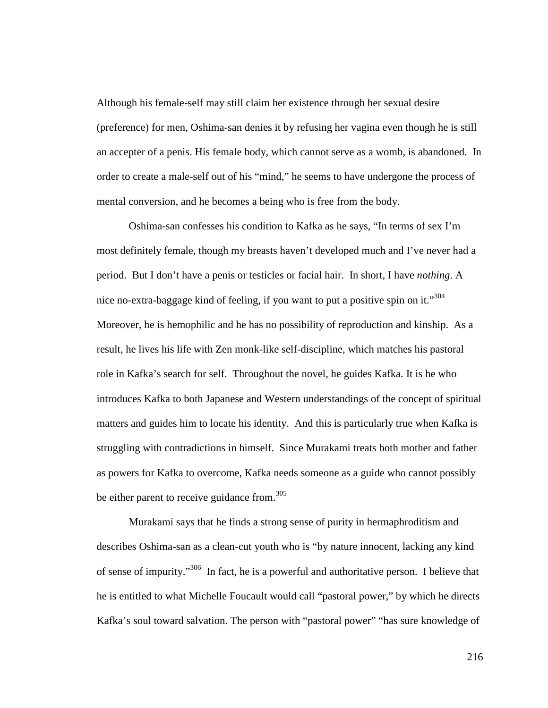Although his female-self may still claim her existence through her sexual desire (preference) for men, Oshima-san denies it by refusing her vagina even though he is still an accepter of a penis. His female body, which cannot serve as a womb, is abandoned. In order to create a male-self out of his "mind," he seems to have undergone the process of mental conversion, and he becomes a being who is free from the body.

 Oshima-san confesses his condition to Kafka as he says, "In terms of sex I'm most definitely female, though my breasts haven't developed much and I've never had a period. But I don't have a penis or testicles or facial hair. In short, I have *nothing*. A nice no-extra-baggage kind of feeling, if you want to put a positive spin on it."<sup>304</sup> Moreover, he is hemophilic and he has no possibility of reproduction and kinship. As a result, he lives his life with Zen monk-like self-discipline, which matches his pastoral role in Kafka's search for self. Throughout the novel, he guides Kafka. It is he who introduces Kafka to both Japanese and Western understandings of the concept of spiritual matters and guides him to locate his identity. And this is particularly true when Kafka is struggling with contradictions in himself. Since Murakami treats both mother and father as powers for Kafka to overcome, Kafka needs someone as a guide who cannot possibly be either parent to receive guidance from.<sup>305</sup>

 Murakami says that he finds a strong sense of purity in hermaphroditism and describes Oshima-san as a clean-cut youth who is "by nature innocent, lacking any kind of sense of impurity."<sup>306</sup> In fact, he is a powerful and authoritative person. I believe that he is entitled to what Michelle Foucault would call "pastoral power," by which he directs Kafka's soul toward salvation. The person with "pastoral power" "has sure knowledge of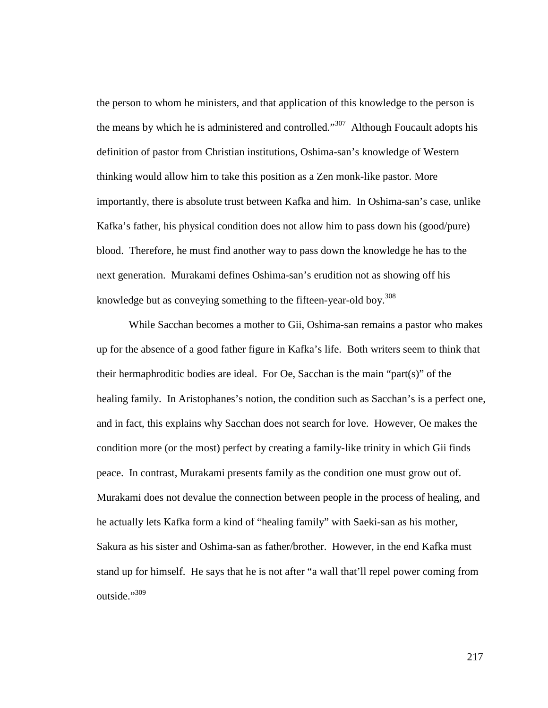the person to whom he ministers, and that application of this knowledge to the person is the means by which he is administered and controlled."<sup>307</sup> Although Foucault adopts his definition of pastor from Christian institutions, Oshima-san's knowledge of Western thinking would allow him to take this position as a Zen monk-like pastor. More importantly, there is absolute trust between Kafka and him. In Oshima-san's case, unlike Kafka's father, his physical condition does not allow him to pass down his (good/pure) blood. Therefore, he must find another way to pass down the knowledge he has to the next generation. Murakami defines Oshima-san's erudition not as showing off his knowledge but as conveying something to the fifteen-year-old boy.<sup>308</sup>

 While Sacchan becomes a mother to Gii, Oshima-san remains a pastor who makes up for the absence of a good father figure in Kafka's life. Both writers seem to think that their hermaphroditic bodies are ideal. For Oe, Sacchan is the main "part(s)" of the healing family. In Aristophanes's notion, the condition such as Sacchan's is a perfect one, and in fact, this explains why Sacchan does not search for love. However, Oe makes the condition more (or the most) perfect by creating a family-like trinity in which Gii finds peace. In contrast, Murakami presents family as the condition one must grow out of. Murakami does not devalue the connection between people in the process of healing, and he actually lets Kafka form a kind of "healing family" with Saeki-san as his mother, Sakura as his sister and Oshima-san as father/brother. However, in the end Kafka must stand up for himself. He says that he is not after "a wall that'll repel power coming from outside."<sup>309</sup>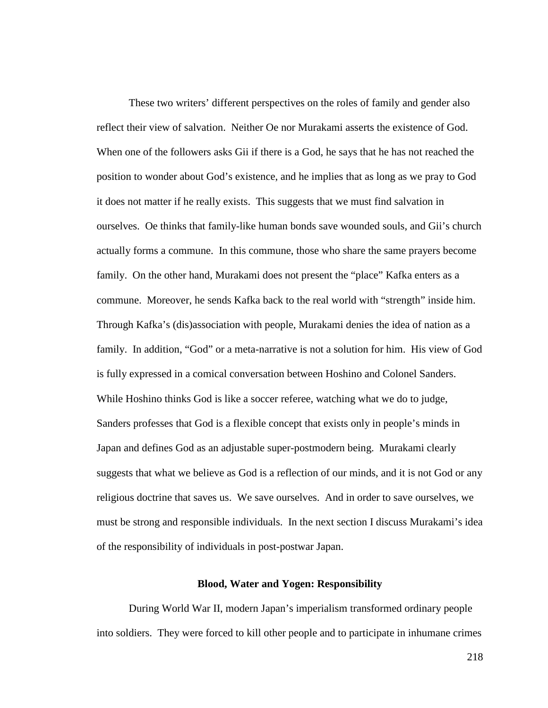These two writers' different perspectives on the roles of family and gender also reflect their view of salvation. Neither Oe nor Murakami asserts the existence of God. When one of the followers asks Gii if there is a God, he says that he has not reached the position to wonder about God's existence, and he implies that as long as we pray to God it does not matter if he really exists. This suggests that we must find salvation in ourselves. Oe thinks that family-like human bonds save wounded souls, and Gii's church actually forms a commune. In this commune, those who share the same prayers become family. On the other hand, Murakami does not present the "place" Kafka enters as a commune. Moreover, he sends Kafka back to the real world with "strength" inside him. Through Kafka's (dis)association with people, Murakami denies the idea of nation as a family. In addition, "God" or a meta-narrative is not a solution for him. His view of God is fully expressed in a comical conversation between Hoshino and Colonel Sanders. While Hoshino thinks God is like a soccer referee, watching what we do to judge, Sanders professes that God is a flexible concept that exists only in people's minds in Japan and defines God as an adjustable super-postmodern being. Murakami clearly suggests that what we believe as God is a reflection of our minds, and it is not God or any religious doctrine that saves us. We save ourselves. And in order to save ourselves, we must be strong and responsible individuals. In the next section I discuss Murakami's idea of the responsibility of individuals in post-postwar Japan.

## **Blood, Water and Yogen: Responsibility**

During World War II, modern Japan's imperialism transformed ordinary people into soldiers. They were forced to kill other people and to participate in inhumane crimes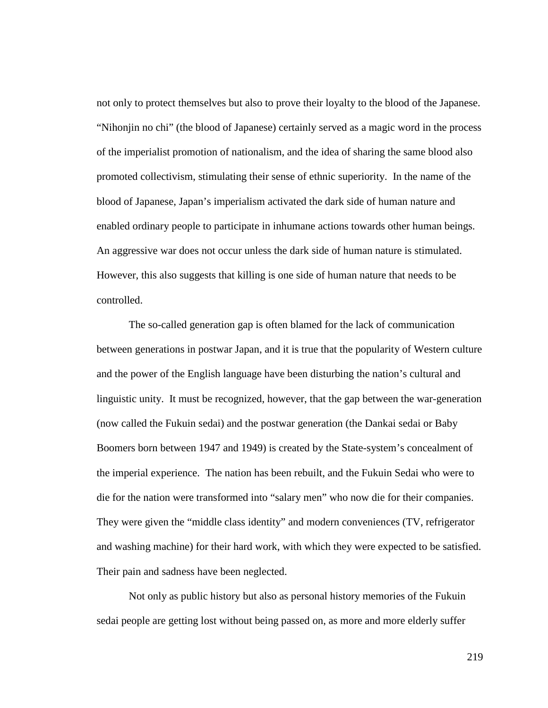not only to protect themselves but also to prove their loyalty to the blood of the Japanese. "Nihonjin no chi" (the blood of Japanese) certainly served as a magic word in the process of the imperialist promotion of nationalism, and the idea of sharing the same blood also promoted collectivism, stimulating their sense of ethnic superiority. In the name of the blood of Japanese, Japan's imperialism activated the dark side of human nature and enabled ordinary people to participate in inhumane actions towards other human beings. An aggressive war does not occur unless the dark side of human nature is stimulated. However, this also suggests that killing is one side of human nature that needs to be controlled.

The so-called generation gap is often blamed for the lack of communication between generations in postwar Japan, and it is true that the popularity of Western culture and the power of the English language have been disturbing the nation's cultural and linguistic unity. It must be recognized, however, that the gap between the war-generation (now called the Fukuin sedai) and the postwar generation (the Dankai sedai or Baby Boomers born between 1947 and 1949) is created by the State-system's concealment of the imperial experience. The nation has been rebuilt, and the Fukuin Sedai who were to die for the nation were transformed into "salary men" who now die for their companies. They were given the "middle class identity" and modern conveniences (TV, refrigerator and washing machine) for their hard work, with which they were expected to be satisfied. Their pain and sadness have been neglected.

Not only as public history but also as personal history memories of the Fukuin sedai people are getting lost without being passed on, as more and more elderly suffer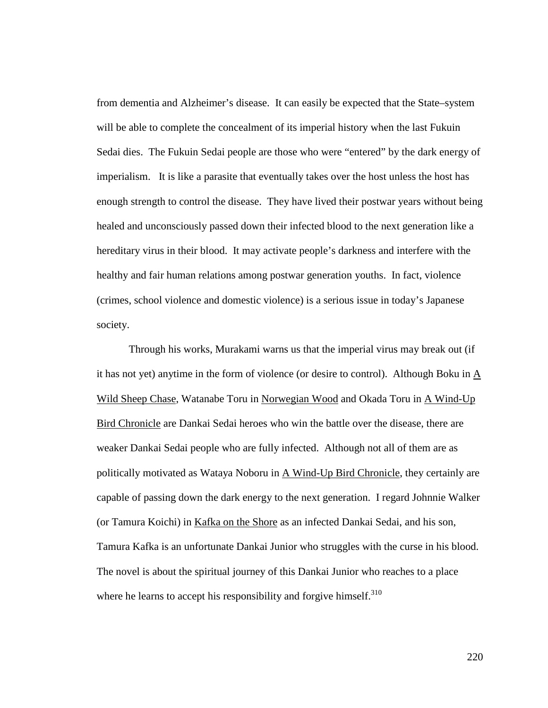from dementia and Alzheimer's disease. It can easily be expected that the State–system will be able to complete the concealment of its imperial history when the last Fukuin Sedai dies. The Fukuin Sedai people are those who were "entered" by the dark energy of imperialism. It is like a parasite that eventually takes over the host unless the host has enough strength to control the disease. They have lived their postwar years without being healed and unconsciously passed down their infected blood to the next generation like a hereditary virus in their blood. It may activate people's darkness and interfere with the healthy and fair human relations among postwar generation youths. In fact, violence (crimes, school violence and domestic violence) is a serious issue in today's Japanese society.

Through his works, Murakami warns us that the imperial virus may break out (if it has not yet) anytime in the form of violence (or desire to control). Although Boku in A Wild Sheep Chase, Watanabe Toru in Norwegian Wood and Okada Toru in A Wind-Up Bird Chronicle are Dankai Sedai heroes who win the battle over the disease, there are weaker Dankai Sedai people who are fully infected. Although not all of them are as politically motivated as Wataya Noboru in A Wind-Up Bird Chronicle, they certainly are capable of passing down the dark energy to the next generation. I regard Johnnie Walker (or Tamura Koichi) in Kafka on the Shore as an infected Dankai Sedai, and his son, Tamura Kafka is an unfortunate Dankai Junior who struggles with the curse in his blood. The novel is about the spiritual journey of this Dankai Junior who reaches to a place where he learns to accept his responsibility and forgive himself. $310$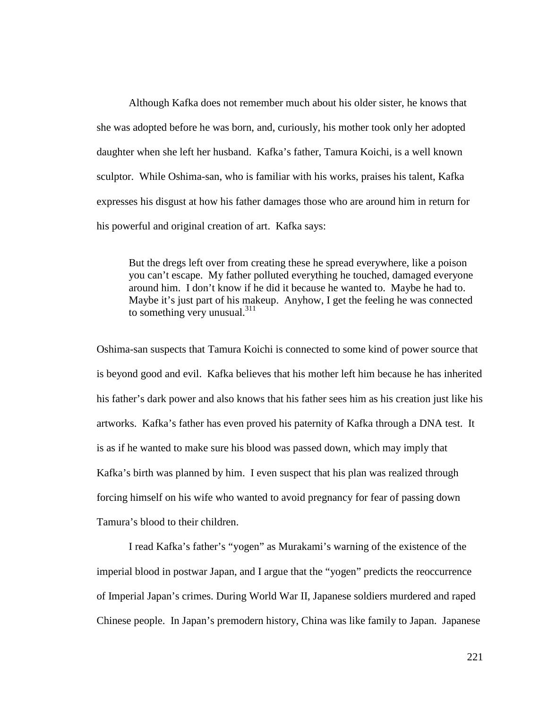Although Kafka does not remember much about his older sister, he knows that she was adopted before he was born, and, curiously, his mother took only her adopted daughter when she left her husband. Kafka's father, Tamura Koichi, is a well known sculptor. While Oshima-san, who is familiar with his works, praises his talent, Kafka expresses his disgust at how his father damages those who are around him in return for his powerful and original creation of art. Kafka says:

But the dregs left over from creating these he spread everywhere, like a poison you can't escape. My father polluted everything he touched, damaged everyone around him. I don't know if he did it because he wanted to. Maybe he had to. Maybe it's just part of his makeup. Anyhow, I get the feeling he was connected to something very unusual. $311$ 

Oshima-san suspects that Tamura Koichi is connected to some kind of power source that is beyond good and evil. Kafka believes that his mother left him because he has inherited his father's dark power and also knows that his father sees him as his creation just like his artworks. Kafka's father has even proved his paternity of Kafka through a DNA test. It is as if he wanted to make sure his blood was passed down, which may imply that Kafka's birth was planned by him. I even suspect that his plan was realized through forcing himself on his wife who wanted to avoid pregnancy for fear of passing down Tamura's blood to their children.

I read Kafka's father's "yogen" as Murakami's warning of the existence of the imperial blood in postwar Japan, and I argue that the "yogen" predicts the reoccurrence of Imperial Japan's crimes. During World War II, Japanese soldiers murdered and raped Chinese people. In Japan's premodern history, China was like family to Japan. Japanese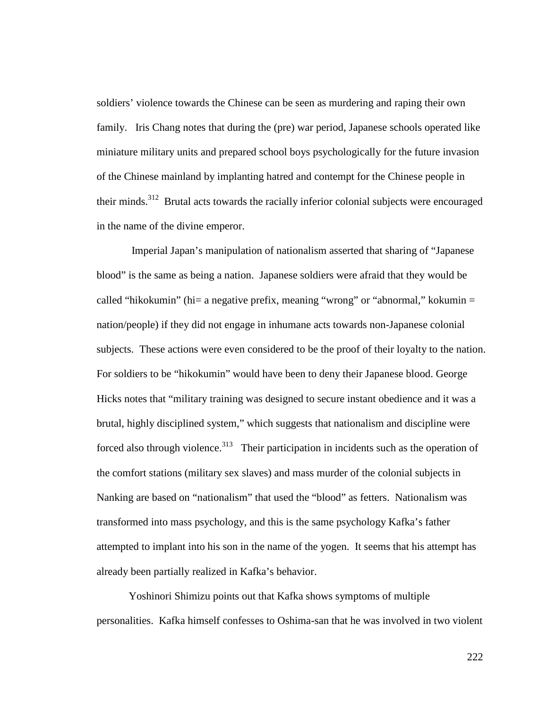soldiers' violence towards the Chinese can be seen as murdering and raping their own family. Iris Chang notes that during the (pre) war period, Japanese schools operated like miniature military units and prepared school boys psychologically for the future invasion of the Chinese mainland by implanting hatred and contempt for the Chinese people in their minds.<sup>312</sup> Brutal acts towards the racially inferior colonial subjects were encouraged in the name of the divine emperor.

 Imperial Japan's manipulation of nationalism asserted that sharing of "Japanese blood" is the same as being a nation. Japanese soldiers were afraid that they would be called "hikokumin" (hi= a negative prefix, meaning "wrong" or "abnormal," kokumin  $=$ nation/people) if they did not engage in inhumane acts towards non-Japanese colonial subjects. These actions were even considered to be the proof of their loyalty to the nation. For soldiers to be "hikokumin" would have been to deny their Japanese blood. George Hicks notes that "military training was designed to secure instant obedience and it was a brutal, highly disciplined system," which suggests that nationalism and discipline were forced also through violence.<sup>313</sup> Their participation in incidents such as the operation of the comfort stations (military sex slaves) and mass murder of the colonial subjects in Nanking are based on "nationalism" that used the "blood" as fetters. Nationalism was transformed into mass psychology, and this is the same psychology Kafka's father attempted to implant into his son in the name of the yogen. It seems that his attempt has already been partially realized in Kafka's behavior.

Yoshinori Shimizu points out that Kafka shows symptoms of multiple personalities. Kafka himself confesses to Oshima-san that he was involved in two violent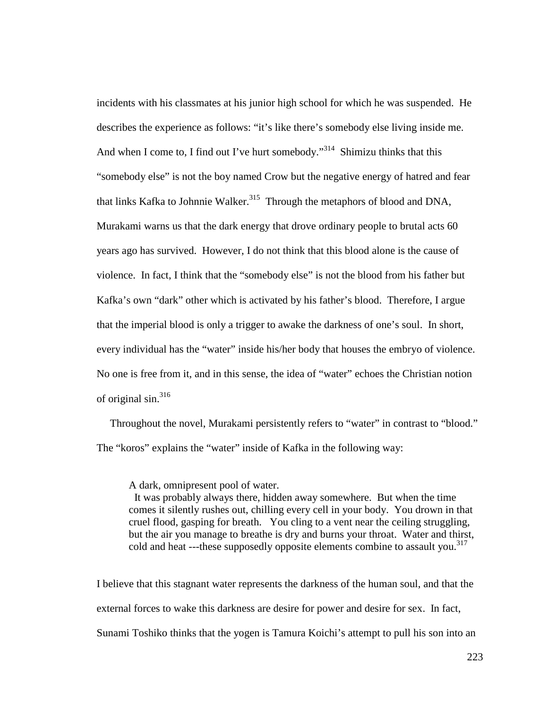incidents with his classmates at his junior high school for which he was suspended. He describes the experience as follows: "it's like there's somebody else living inside me. And when I come to, I find out I've hurt somebody."<sup>314</sup> Shimizu thinks that this "somebody else" is not the boy named Crow but the negative energy of hatred and fear that links Kafka to Johnnie Walker.<sup>315</sup> Through the metaphors of blood and DNA, Murakami warns us that the dark energy that drove ordinary people to brutal acts 60 years ago has survived. However, I do not think that this blood alone is the cause of violence. In fact, I think that the "somebody else" is not the blood from his father but Kafka's own "dark" other which is activated by his father's blood. Therefore, I argue that the imperial blood is only a trigger to awake the darkness of one's soul. In short, every individual has the "water" inside his/her body that houses the embryo of violence. No one is free from it, and in this sense, the idea of "water" echoes the Christian notion of original sin.<sup>316</sup>

 Throughout the novel, Murakami persistently refers to "water" in contrast to "blood." The "koros" explains the "water" inside of Kafka in the following way:

A dark, omnipresent pool of water.

 It was probably always there, hidden away somewhere. But when the time comes it silently rushes out, chilling every cell in your body. You drown in that cruel flood, gasping for breath. You cling to a vent near the ceiling struggling, but the air you manage to breathe is dry and burns your throat. Water and thirst, cold and heat ---these supposedly opposite elements combine to assault you.<sup>317</sup>

I believe that this stagnant water represents the darkness of the human soul, and that the external forces to wake this darkness are desire for power and desire for sex. In fact, Sunami Toshiko thinks that the yogen is Tamura Koichi's attempt to pull his son into an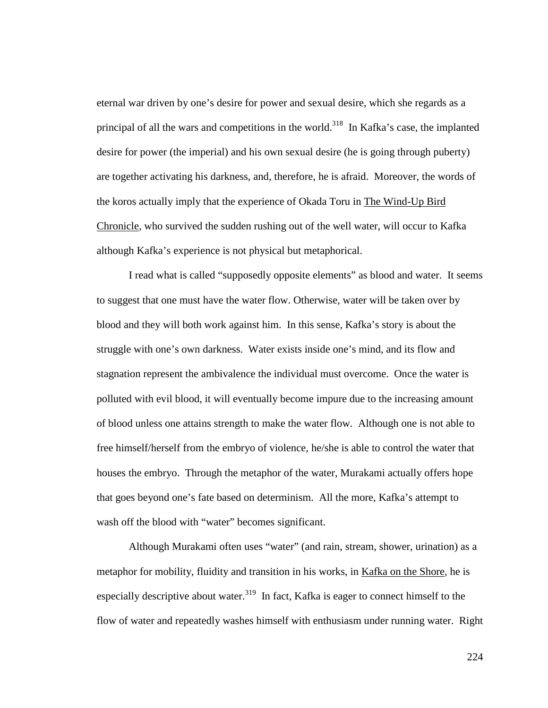eternal war driven by one's desire for power and sexual desire, which she regards as a principal of all the wars and competitions in the world.<sup>318</sup> In Kafka's case, the implanted desire for power (the imperial) and his own sexual desire (he is going through puberty) are together activating his darkness, and, therefore, he is afraid. Moreover, the words of the koros actually imply that the experience of Okada Toru in The Wind-Up Bird Chronicle, who survived the sudden rushing out of the well water, will occur to Kafka although Kafka's experience is not physical but metaphorical.

I read what is called "supposedly opposite elements" as blood and water. It seems to suggest that one must have the water flow. Otherwise, water will be taken over by blood and they will both work against him. In this sense, Kafka's story is about the struggle with one's own darkness. Water exists inside one's mind, and its flow and stagnation represent the ambivalence the individual must overcome. Once the water is polluted with evil blood, it will eventually become impure due to the increasing amount of blood unless one attains strength to make the water flow. Although one is not able to free himself/herself from the embryo of violence, he/she is able to control the water that houses the embryo. Through the metaphor of the water, Murakami actually offers hope that goes beyond one's fate based on determinism. All the more, Kafka's attempt to wash off the blood with "water" becomes significant.

Although Murakami often uses "water" (and rain, stream, shower, urination) as a metaphor for mobility, fluidity and transition in his works, in Kafka on the Shore, he is especially descriptive about water.<sup>319</sup> In fact, Kafka is eager to connect himself to the flow of water and repeatedly washes himself with enthusiasm under running water. Right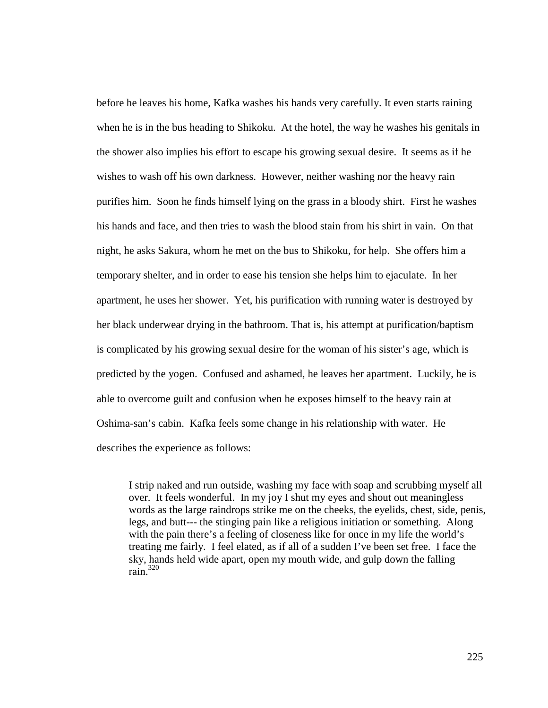before he leaves his home, Kafka washes his hands very carefully. It even starts raining when he is in the bus heading to Shikoku. At the hotel, the way he washes his genitals in the shower also implies his effort to escape his growing sexual desire. It seems as if he wishes to wash off his own darkness. However, neither washing nor the heavy rain purifies him. Soon he finds himself lying on the grass in a bloody shirt. First he washes his hands and face, and then tries to wash the blood stain from his shirt in vain. On that night, he asks Sakura, whom he met on the bus to Shikoku, for help. She offers him a temporary shelter, and in order to ease his tension she helps him to ejaculate. In her apartment, he uses her shower. Yet, his purification with running water is destroyed by her black underwear drying in the bathroom. That is, his attempt at purification/baptism is complicated by his growing sexual desire for the woman of his sister's age, which is predicted by the yogen. Confused and ashamed, he leaves her apartment. Luckily, he is able to overcome guilt and confusion when he exposes himself to the heavy rain at Oshima-san's cabin. Kafka feels some change in his relationship with water. He describes the experience as follows:

I strip naked and run outside, washing my face with soap and scrubbing myself all over. It feels wonderful. In my joy I shut my eyes and shout out meaningless words as the large raindrops strike me on the cheeks, the eyelids, chest, side, penis, legs, and butt--- the stinging pain like a religious initiation or something. Along with the pain there's a feeling of closeness like for once in my life the world's treating me fairly. I feel elated, as if all of a sudden I've been set free. I face the sky, hands held wide apart, open my mouth wide, and gulp down the falling rain.<sup>320</sup>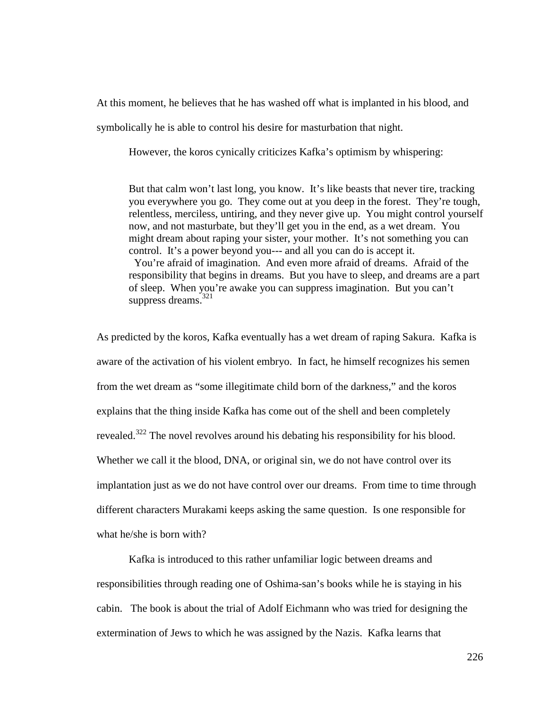At this moment, he believes that he has washed off what is implanted in his blood, and

symbolically he is able to control his desire for masturbation that night.

However, the koros cynically criticizes Kafka's optimism by whispering:

But that calm won't last long, you know. It's like beasts that never tire, tracking you everywhere you go. They come out at you deep in the forest. They're tough, relentless, merciless, untiring, and they never give up. You might control yourself now, and not masturbate, but they'll get you in the end, as a wet dream. You might dream about raping your sister, your mother. It's not something you can control. It's a power beyond you--- and all you can do is accept it.

 You're afraid of imagination. And even more afraid of dreams. Afraid of the responsibility that begins in dreams. But you have to sleep, and dreams are a part of sleep. When you're awake you can suppress imagination. But you can't suppress dreams.<sup>321</sup>

As predicted by the koros, Kafka eventually has a wet dream of raping Sakura. Kafka is aware of the activation of his violent embryo. In fact, he himself recognizes his semen from the wet dream as "some illegitimate child born of the darkness," and the koros explains that the thing inside Kafka has come out of the shell and been completely revealed.<sup>322</sup> The novel revolves around his debating his responsibility for his blood. Whether we call it the blood, DNA, or original sin, we do not have control over its implantation just as we do not have control over our dreams. From time to time through different characters Murakami keeps asking the same question. Is one responsible for what he/she is born with?

Kafka is introduced to this rather unfamiliar logic between dreams and responsibilities through reading one of Oshima-san's books while he is staying in his cabin. The book is about the trial of Adolf Eichmann who was tried for designing the extermination of Jews to which he was assigned by the Nazis. Kafka learns that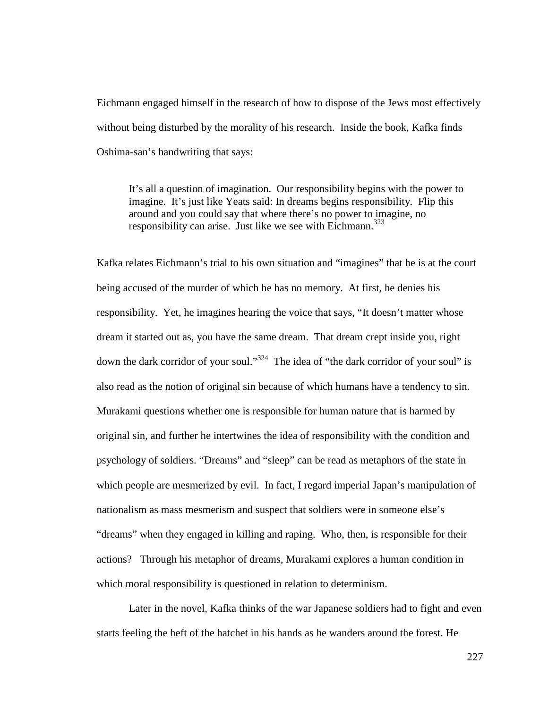Eichmann engaged himself in the research of how to dispose of the Jews most effectively without being disturbed by the morality of his research. Inside the book, Kafka finds Oshima-san's handwriting that says:

It's all a question of imagination. Our responsibility begins with the power to imagine. It's just like Yeats said: In dreams begins responsibility. Flip this around and you could say that where there's no power to imagine, no responsibility can arise. Just like we see with Eichmann.<sup>323</sup>

Kafka relates Eichmann's trial to his own situation and "imagines" that he is at the court being accused of the murder of which he has no memory. At first, he denies his responsibility. Yet, he imagines hearing the voice that says, "It doesn't matter whose dream it started out as, you have the same dream. That dream crept inside you, right down the dark corridor of your soul."<sup>324</sup> The idea of "the dark corridor of your soul" is also read as the notion of original sin because of which humans have a tendency to sin. Murakami questions whether one is responsible for human nature that is harmed by original sin, and further he intertwines the idea of responsibility with the condition and psychology of soldiers. "Dreams" and "sleep" can be read as metaphors of the state in which people are mesmerized by evil. In fact, I regard imperial Japan's manipulation of nationalism as mass mesmerism and suspect that soldiers were in someone else's "dreams" when they engaged in killing and raping. Who, then, is responsible for their actions? Through his metaphor of dreams, Murakami explores a human condition in which moral responsibility is questioned in relation to determinism.

Later in the novel, Kafka thinks of the war Japanese soldiers had to fight and even starts feeling the heft of the hatchet in his hands as he wanders around the forest. He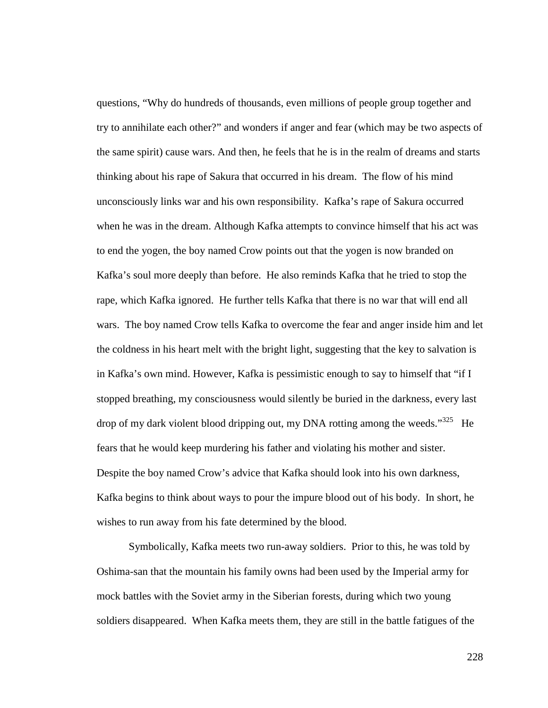questions, "Why do hundreds of thousands, even millions of people group together and try to annihilate each other?" and wonders if anger and fear (which may be two aspects of the same spirit) cause wars. And then, he feels that he is in the realm of dreams and starts thinking about his rape of Sakura that occurred in his dream. The flow of his mind unconsciously links war and his own responsibility. Kafka's rape of Sakura occurred when he was in the dream. Although Kafka attempts to convince himself that his act was to end the yogen, the boy named Crow points out that the yogen is now branded on Kafka's soul more deeply than before. He also reminds Kafka that he tried to stop the rape, which Kafka ignored. He further tells Kafka that there is no war that will end all wars. The boy named Crow tells Kafka to overcome the fear and anger inside him and let the coldness in his heart melt with the bright light, suggesting that the key to salvation is in Kafka's own mind. However, Kafka is pessimistic enough to say to himself that "if I stopped breathing, my consciousness would silently be buried in the darkness, every last drop of my dark violent blood dripping out, my DNA rotting among the weeds.<sup>325</sup> He fears that he would keep murdering his father and violating his mother and sister. Despite the boy named Crow's advice that Kafka should look into his own darkness, Kafka begins to think about ways to pour the impure blood out of his body. In short, he wishes to run away from his fate determined by the blood.

Symbolically, Kafka meets two run-away soldiers. Prior to this, he was told by Oshima-san that the mountain his family owns had been used by the Imperial army for mock battles with the Soviet army in the Siberian forests, during which two young soldiers disappeared. When Kafka meets them, they are still in the battle fatigues of the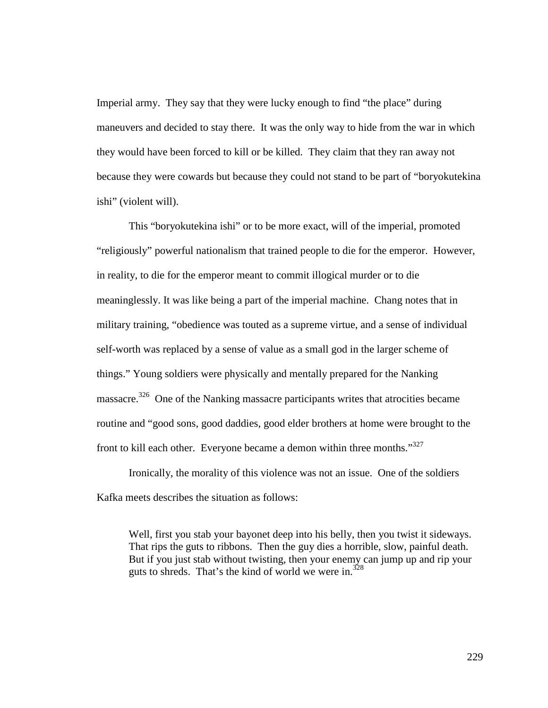Imperial army. They say that they were lucky enough to find "the place" during maneuvers and decided to stay there. It was the only way to hide from the war in which they would have been forced to kill or be killed. They claim that they ran away not because they were cowards but because they could not stand to be part of "boryokutekina ishi" (violent will).

 This "boryokutekina ishi" or to be more exact, will of the imperial, promoted "religiously" powerful nationalism that trained people to die for the emperor. However, in reality, to die for the emperor meant to commit illogical murder or to die meaninglessly. It was like being a part of the imperial machine. Chang notes that in military training, "obedience was touted as a supreme virtue, and a sense of individual self-worth was replaced by a sense of value as a small god in the larger scheme of things." Young soldiers were physically and mentally prepared for the Nanking massacre.<sup>326</sup> One of the Nanking massacre participants writes that atrocities became routine and "good sons, good daddies, good elder brothers at home were brought to the front to kill each other. Everyone became a demon within three months."<sup>327</sup>

Ironically, the morality of this violence was not an issue. One of the soldiers Kafka meets describes the situation as follows:

Well, first you stab your bayonet deep into his belly, then you twist it sideways. That rips the guts to ribbons. Then the guy dies a horrible, slow, painful death. But if you just stab without twisting, then your enemy can jump up and rip your guts to shreds. That's the kind of world we were in. $328$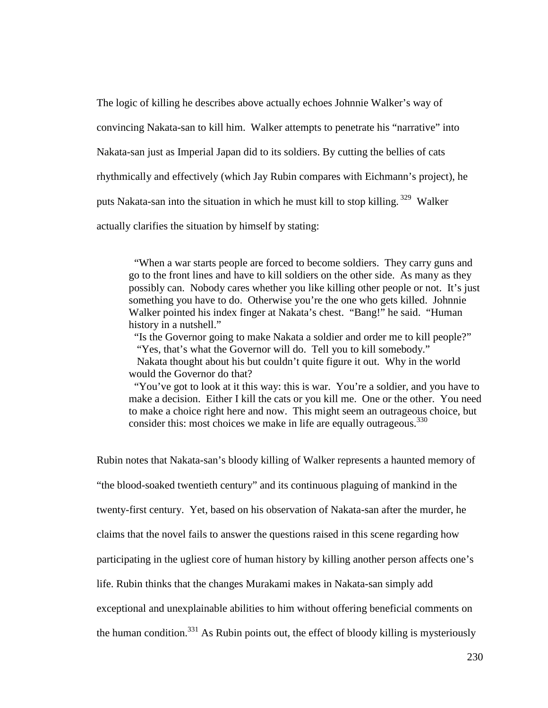The logic of killing he describes above actually echoes Johnnie Walker's way of convincing Nakata-san to kill him. Walker attempts to penetrate his "narrative" into Nakata-san just as Imperial Japan did to its soldiers. By cutting the bellies of cats rhythmically and effectively (which Jay Rubin compares with Eichmann's project), he puts Nakata-san into the situation in which he must kill to stop killing.<sup>329</sup> Walker actually clarifies the situation by himself by stating:

 "When a war starts people are forced to become soldiers. They carry guns and go to the front lines and have to kill soldiers on the other side. As many as they possibly can. Nobody cares whether you like killing other people or not. It's just something you have to do. Otherwise you're the one who gets killed. Johnnie Walker pointed his index finger at Nakata's chest. "Bang!" he said. "Human history in a nutshell."

"Is the Governor going to make Nakata a soldier and order me to kill people?" "Yes, that's what the Governor will do. Tell you to kill somebody."

 Nakata thought about his but couldn't quite figure it out. Why in the world would the Governor do that?

 "You've got to look at it this way: this is war. You're a soldier, and you have to make a decision. Either I kill the cats or you kill me. One or the other. You need to make a choice right here and now. This might seem an outrageous choice, but consider this: most choices we make in life are equally outrageous.  $330$ 

Rubin notes that Nakata-san's bloody killing of Walker represents a haunted memory of

"the blood-soaked twentieth century" and its continuous plaguing of mankind in the

twenty-first century. Yet, based on his observation of Nakata-san after the murder, he

claims that the novel fails to answer the questions raised in this scene regarding how

participating in the ugliest core of human history by killing another person affects one's

life. Rubin thinks that the changes Murakami makes in Nakata-san simply add

exceptional and unexplainable abilities to him without offering beneficial comments on

the human condition.<sup>331</sup> As Rubin points out, the effect of bloody killing is mysteriously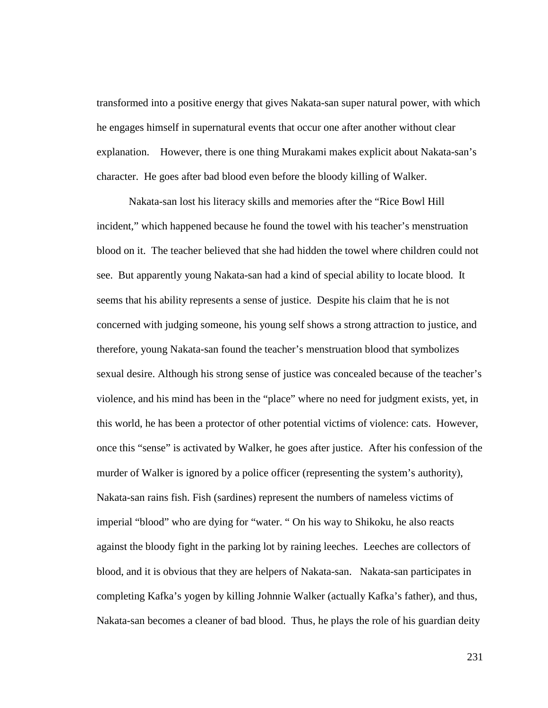transformed into a positive energy that gives Nakata-san super natural power, with which he engages himself in supernatural events that occur one after another without clear explanation. However, there is one thing Murakami makes explicit about Nakata-san's character. He goes after bad blood even before the bloody killing of Walker.

Nakata-san lost his literacy skills and memories after the "Rice Bowl Hill incident," which happened because he found the towel with his teacher's menstruation blood on it. The teacher believed that she had hidden the towel where children could not see. But apparently young Nakata-san had a kind of special ability to locate blood. It seems that his ability represents a sense of justice. Despite his claim that he is not concerned with judging someone, his young self shows a strong attraction to justice, and therefore, young Nakata-san found the teacher's menstruation blood that symbolizes sexual desire. Although his strong sense of justice was concealed because of the teacher's violence, and his mind has been in the "place" where no need for judgment exists, yet, in this world, he has been a protector of other potential victims of violence: cats. However, once this "sense" is activated by Walker, he goes after justice. After his confession of the murder of Walker is ignored by a police officer (representing the system's authority), Nakata-san rains fish. Fish (sardines) represent the numbers of nameless victims of imperial "blood" who are dying for "water. " On his way to Shikoku, he also reacts against the bloody fight in the parking lot by raining leeches. Leeches are collectors of blood, and it is obvious that they are helpers of Nakata-san. Nakata-san participates in completing Kafka's yogen by killing Johnnie Walker (actually Kafka's father), and thus, Nakata-san becomes a cleaner of bad blood. Thus, he plays the role of his guardian deity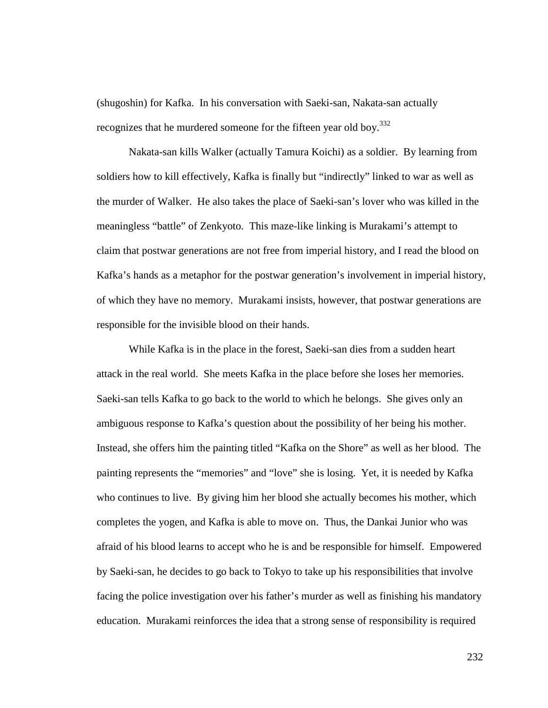(shugoshin) for Kafka. In his conversation with Saeki-san, Nakata-san actually recognizes that he murdered someone for the fifteen year old boy.<sup>332</sup>

Nakata-san kills Walker (actually Tamura Koichi) as a soldier. By learning from soldiers how to kill effectively, Kafka is finally but "indirectly" linked to war as well as the murder of Walker. He also takes the place of Saeki-san's lover who was killed in the meaningless "battle" of Zenkyoto. This maze-like linking is Murakami's attempt to claim that postwar generations are not free from imperial history, and I read the blood on Kafka's hands as a metaphor for the postwar generation's involvement in imperial history, of which they have no memory. Murakami insists, however, that postwar generations are responsible for the invisible blood on their hands.

While Kafka is in the place in the forest, Saeki-san dies from a sudden heart attack in the real world. She meets Kafka in the place before she loses her memories. Saeki-san tells Kafka to go back to the world to which he belongs. She gives only an ambiguous response to Kafka's question about the possibility of her being his mother. Instead, she offers him the painting titled "Kafka on the Shore" as well as her blood. The painting represents the "memories" and "love" she is losing. Yet, it is needed by Kafka who continues to live. By giving him her blood she actually becomes his mother, which completes the yogen, and Kafka is able to move on. Thus, the Dankai Junior who was afraid of his blood learns to accept who he is and be responsible for himself. Empowered by Saeki-san, he decides to go back to Tokyo to take up his responsibilities that involve facing the police investigation over his father's murder as well as finishing his mandatory education. Murakami reinforces the idea that a strong sense of responsibility is required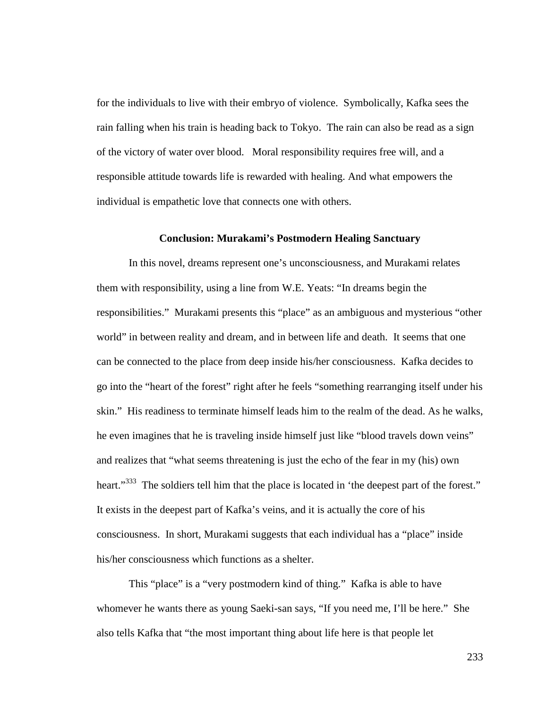for the individuals to live with their embryo of violence. Symbolically, Kafka sees the rain falling when his train is heading back to Tokyo. The rain can also be read as a sign of the victory of water over blood. Moral responsibility requires free will, and a responsible attitude towards life is rewarded with healing. And what empowers the individual is empathetic love that connects one with others.

## **Conclusion: Murakami's Postmodern Healing Sanctuary**

In this novel, dreams represent one's unconsciousness, and Murakami relates them with responsibility, using a line from W.E. Yeats: "In dreams begin the responsibilities." Murakami presents this "place" as an ambiguous and mysterious "other world" in between reality and dream, and in between life and death. It seems that one can be connected to the place from deep inside his/her consciousness. Kafka decides to go into the "heart of the forest" right after he feels "something rearranging itself under his skin." His readiness to terminate himself leads him to the realm of the dead. As he walks, he even imagines that he is traveling inside himself just like "blood travels down veins" and realizes that "what seems threatening is just the echo of the fear in my (his) own heart."<sup>333</sup> The soldiers tell him that the place is located in 'the deepest part of the forest." It exists in the deepest part of Kafka's veins, and it is actually the core of his consciousness. In short, Murakami suggests that each individual has a "place" inside his/her consciousness which functions as a shelter.

This "place" is a "very postmodern kind of thing." Kafka is able to have whomever he wants there as young Saeki-san says, "If you need me, I'll be here." She also tells Kafka that "the most important thing about life here is that people let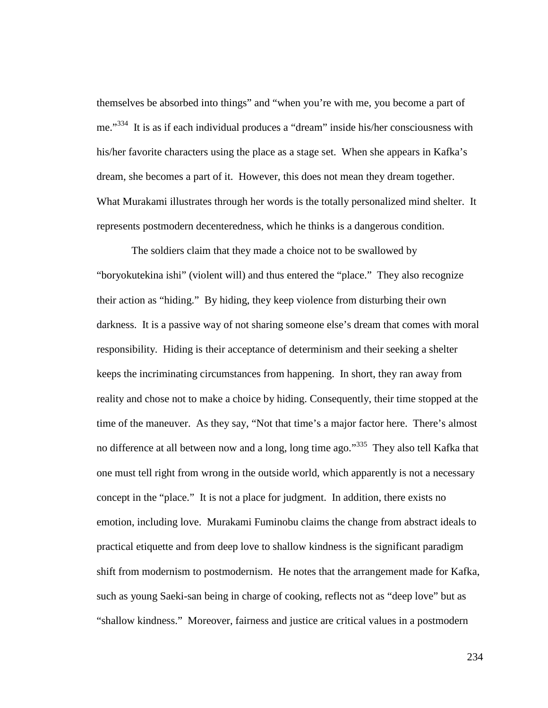themselves be absorbed into things" and "when you're with me, you become a part of me."<sup>334</sup> It is as if each individual produces a "dream" inside his/her consciousness with his/her favorite characters using the place as a stage set. When she appears in Kafka's dream, she becomes a part of it. However, this does not mean they dream together. What Murakami illustrates through her words is the totally personalized mind shelter. It represents postmodern decenteredness, which he thinks is a dangerous condition.

 The soldiers claim that they made a choice not to be swallowed by "boryokutekina ishi" (violent will) and thus entered the "place." They also recognize their action as "hiding." By hiding, they keep violence from disturbing their own darkness. It is a passive way of not sharing someone else's dream that comes with moral responsibility. Hiding is their acceptance of determinism and their seeking a shelter keeps the incriminating circumstances from happening. In short, they ran away from reality and chose not to make a choice by hiding. Consequently, their time stopped at the time of the maneuver. As they say, "Not that time's a major factor here. There's almost no difference at all between now and a long, long time ago."<sup>335</sup> They also tell Kafka that one must tell right from wrong in the outside world, which apparently is not a necessary concept in the "place." It is not a place for judgment. In addition, there exists no emotion, including love. Murakami Fuminobu claims the change from abstract ideals to practical etiquette and from deep love to shallow kindness is the significant paradigm shift from modernism to postmodernism. He notes that the arrangement made for Kafka, such as young Saeki-san being in charge of cooking, reflects not as "deep love" but as "shallow kindness." Moreover, fairness and justice are critical values in a postmodern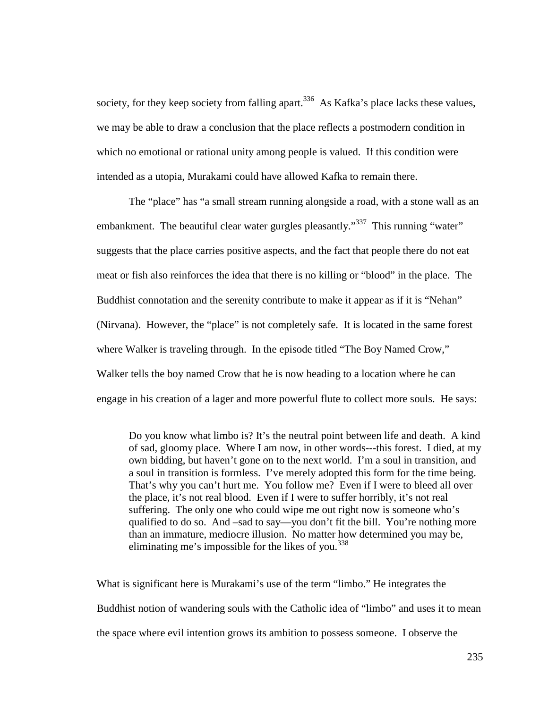society, for they keep society from falling apart.<sup>336</sup> As Kafka's place lacks these values, we may be able to draw a conclusion that the place reflects a postmodern condition in which no emotional or rational unity among people is valued. If this condition were intended as a utopia, Murakami could have allowed Kafka to remain there.

The "place" has "a small stream running alongside a road, with a stone wall as an embankment. The beautiful clear water gurgles pleasantly."<sup>337</sup> This running "water" suggests that the place carries positive aspects, and the fact that people there do not eat meat or fish also reinforces the idea that there is no killing or "blood" in the place. The Buddhist connotation and the serenity contribute to make it appear as if it is "Nehan" (Nirvana). However, the "place" is not completely safe. It is located in the same forest where Walker is traveling through. In the episode titled "The Boy Named Crow," Walker tells the boy named Crow that he is now heading to a location where he can engage in his creation of a lager and more powerful flute to collect more souls. He says:

Do you know what limbo is? It's the neutral point between life and death. A kind of sad, gloomy place. Where I am now, in other words---this forest. I died, at my own bidding, but haven't gone on to the next world. I'm a soul in transition, and a soul in transition is formless. I've merely adopted this form for the time being. That's why you can't hurt me. You follow me? Even if I were to bleed all over the place, it's not real blood. Even if I were to suffer horribly, it's not real suffering. The only one who could wipe me out right now is someone who's qualified to do so. And –sad to say—you don't fit the bill. You're nothing more than an immature, mediocre illusion. No matter how determined you may be, eliminating me's impossible for the likes of you. $338$ 

What is significant here is Murakami's use of the term "limbo." He integrates the Buddhist notion of wandering souls with the Catholic idea of "limbo" and uses it to mean the space where evil intention grows its ambition to possess someone. I observe the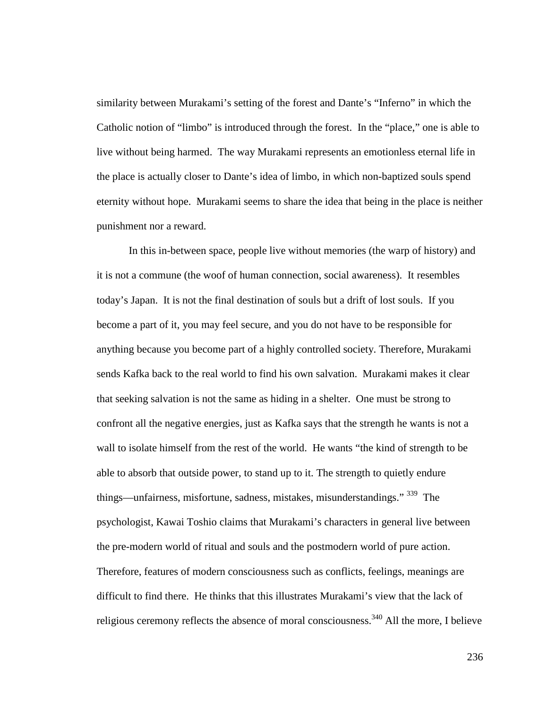similarity between Murakami's setting of the forest and Dante's "Inferno" in which the Catholic notion of "limbo" is introduced through the forest. In the "place," one is able to live without being harmed. The way Murakami represents an emotionless eternal life in the place is actually closer to Dante's idea of limbo, in which non-baptized souls spend eternity without hope. Murakami seems to share the idea that being in the place is neither punishment nor a reward.

In this in-between space, people live without memories (the warp of history) and it is not a commune (the woof of human connection, social awareness). It resembles today's Japan. It is not the final destination of souls but a drift of lost souls. If you become a part of it, you may feel secure, and you do not have to be responsible for anything because you become part of a highly controlled society. Therefore, Murakami sends Kafka back to the real world to find his own salvation. Murakami makes it clear that seeking salvation is not the same as hiding in a shelter. One must be strong to confront all the negative energies, just as Kafka says that the strength he wants is not a wall to isolate himself from the rest of the world. He wants "the kind of strength to be able to absorb that outside power, to stand up to it. The strength to quietly endure things—unfairness, misfortune, sadness, mistakes, misunderstandings."<sup>339</sup> The psychologist, Kawai Toshio claims that Murakami's characters in general live between the pre-modern world of ritual and souls and the postmodern world of pure action. Therefore, features of modern consciousness such as conflicts, feelings, meanings are difficult to find there. He thinks that this illustrates Murakami's view that the lack of religious ceremony reflects the absence of moral consciousness.<sup>340</sup> All the more, I believe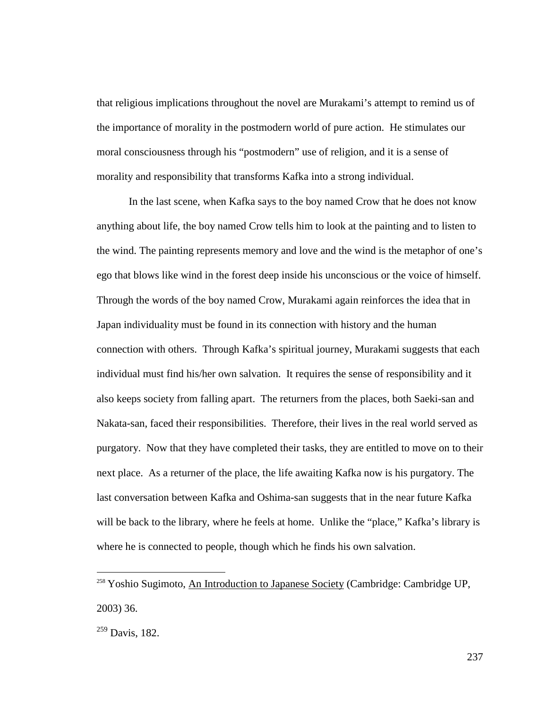that religious implications throughout the novel are Murakami's attempt to remind us of the importance of morality in the postmodern world of pure action. He stimulates our moral consciousness through his "postmodern" use of religion, and it is a sense of morality and responsibility that transforms Kafka into a strong individual.

In the last scene, when Kafka says to the boy named Crow that he does not know anything about life, the boy named Crow tells him to look at the painting and to listen to the wind. The painting represents memory and love and the wind is the metaphor of one's ego that blows like wind in the forest deep inside his unconscious or the voice of himself. Through the words of the boy named Crow, Murakami again reinforces the idea that in Japan individuality must be found in its connection with history and the human connection with others. Through Kafka's spiritual journey, Murakami suggests that each individual must find his/her own salvation. It requires the sense of responsibility and it also keeps society from falling apart. The returners from the places, both Saeki-san and Nakata-san, faced their responsibilities. Therefore, their lives in the real world served as purgatory. Now that they have completed their tasks, they are entitled to move on to their next place. As a returner of the place, the life awaiting Kafka now is his purgatory. The last conversation between Kafka and Oshima-san suggests that in the near future Kafka will be back to the library, where he feels at home. Unlike the "place," Kafka's library is where he is connected to people, though which he finds his own salvation.

<u>.</u>

<sup>&</sup>lt;sup>258</sup> Yoshio Sugimoto, An Introduction to Japanese Society (Cambridge: Cambridge UP, 2003) 36.

 $^{259}$  Davis, 182.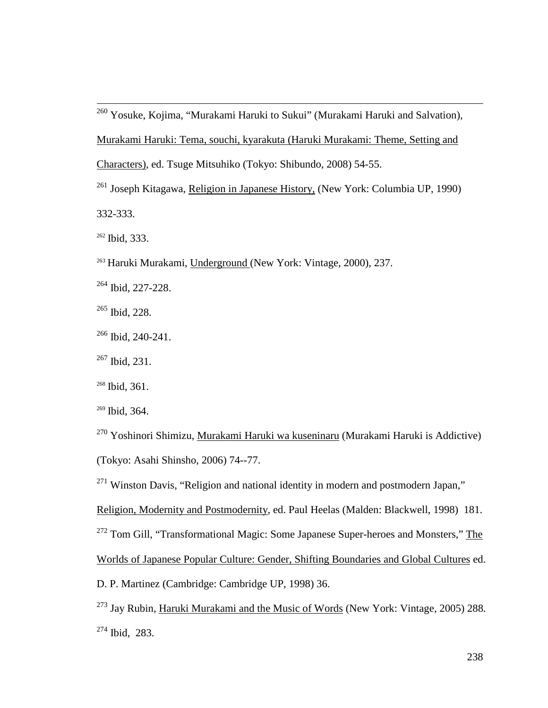- <sup>260</sup> Yosuke, Kojima, "Murakami Haruki to Sukui" (Murakami Haruki and Salvation), Murakami Haruki: Tema, souchi, kyarakuta (Haruki Murakami: Theme, Setting and Characters), ed. Tsuge Mitsuhiko (Tokyo: Shibundo, 2008) 54-55.
- <sup>261</sup> Joseph Kitagawa, Religion in Japanese History, (New York: Columbia UP, 1990) 332-333.

 $262$  Ibid, 333.

 $\overline{a}$ 

- <sup>263</sup> Haruki Murakami, Underground (New York: Vintage, 2000), 237.
- <sup>264</sup> Ibid, 227-228.
- <sup>265</sup> Ibid, 228.
- <sup>266</sup> Ibid, 240-241.
- <sup>267</sup> Ibid, 231.
- <sup>268</sup> Ibid, 361.
- <sup>269</sup> Ibid, 364.
- <sup>270</sup> Yoshinori Shimizu, <u>Murakami Haruki wa kuseninaru</u> (Murakami Haruki is Addictive) (Tokyo: Asahi Shinsho, 2006) 74--77.
- $271$  Winston Davis, "Religion and national identity in modern and postmodern Japan,"
- Religion, Modernity and Postmodernity, ed. Paul Heelas (Malden: Blackwell, 1998) 181.
- <sup>272</sup> Tom Gill, "Transformational Magic: Some Japanese Super-heroes and Monsters," The
- Worlds of Japanese Popular Culture: Gender, Shifting Boundaries and Global Cultures ed.
- D. P. Martinez (Cambridge: Cambridge UP, 1998) 36.
- <sup>273</sup> Jay Rubin, Haruki Murakami and the Music of Words (New York: Vintage, 2005) 288. <sup>274</sup> Ibid, 283.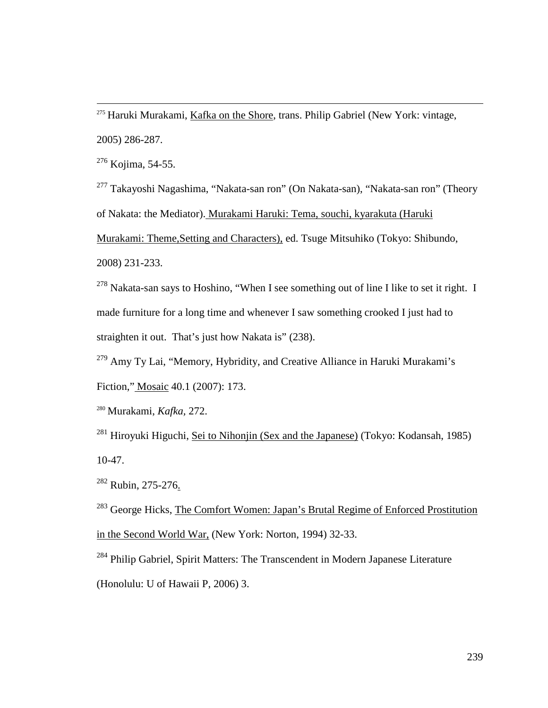<sup>275</sup> Haruki Murakami, Kafka on the Shore, trans. Philip Gabriel (New York: vintage, 2005) 286-287.

 $276$  Kojima, 54-55.

 $\overline{a}$ 

<sup>277</sup> Takayoshi Nagashima, "Nakata-san ron" (On Nakata-san), "Nakata-san ron" (Theory of Nakata: the Mediator). Murakami Haruki: Tema, souchi, kyarakuta (Haruki Murakami: Theme,Setting and Characters), ed. Tsuge Mitsuhiko (Tokyo: Shibundo, 2008) 231-233.

 $278$  Nakata-san says to Hoshino, "When I see something out of line I like to set it right. I made furniture for a long time and whenever I saw something crooked I just had to straighten it out. That's just how Nakata is" (238).

<sup>279</sup> Amy Ty Lai, "Memory, Hybridity, and Creative Alliance in Haruki Murakami's Fiction," Mosaic 40.1 (2007): 173.

<sup>280</sup> Murakami, *Kafka,* 272.

<sup>281</sup> Hiroyuki Higuchi, Sei to Nihonjin (Sex and the Japanese) (Tokyo: Kodansah, 1985) 10-47.

<sup>282</sup> Rubin, 275-276.

<sup>283</sup> George Hicks, The Comfort Women: Japan's Brutal Regime of Enforced Prostitution in the Second World War, (New York: Norton, 1994) 32-33.

<sup>284</sup> Philip Gabriel, Spirit Matters: The Transcendent in Modern Japanese Literature (Honolulu: U of Hawaii P, 2006) 3.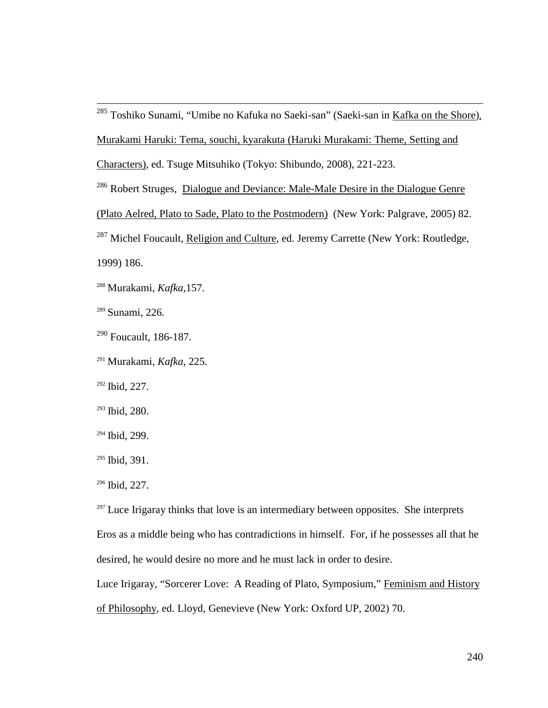<sup>285</sup> Toshiko Sunami, "Umibe no Kafuka no Saeki-san" (Saeki-san in <u>Kafka on the Shore).</u> Murakami Haruki: Tema, souchi, kyarakuta (Haruki Murakami: Theme, Setting and

Characters), ed. Tsuge Mitsuhiko (Tokyo: Shibundo, 2008), 221-223.

<sup>286</sup> Robert Struges, Dialogue and Deviance: Male-Male Desire in the Dialogue Genre (Plato Aelred, Plato to Sade, Plato to the Postmodern) (New York: Palgrave, 2005) 82. <sup>287</sup> Michel Foucault, Religion and Culture, ed. Jeremy Carrette (New York: Routledge,

1999) 186.

 $\overline{a}$ 

<sup>288</sup> Murakami, *Kafka,*157.

<sup>289</sup> Sunami, 226.

- $290$  Foucault, 186-187.
- <sup>291</sup> Murakami, *Kafka*, 225.

<sup>292</sup> Ibid, 227.

- <sup>293</sup> Ibid, 280.
- <sup>294</sup> Ibid, 299.
- <sup>295</sup> Ibid, 391.

 $297$  Luce Irigaray thinks that love is an intermediary between opposites. She interprets Eros as a middle being who has contradictions in himself. For, if he possesses all that he desired, he would desire no more and he must lack in order to desire.

Luce Irigaray, "Sorcerer Love: A Reading of Plato, Symposium," Feminism and History of Philosophy, ed. Lloyd, Genevieve (New York: Oxford UP, 2002) 70.

<sup>296</sup> Ibid, 227.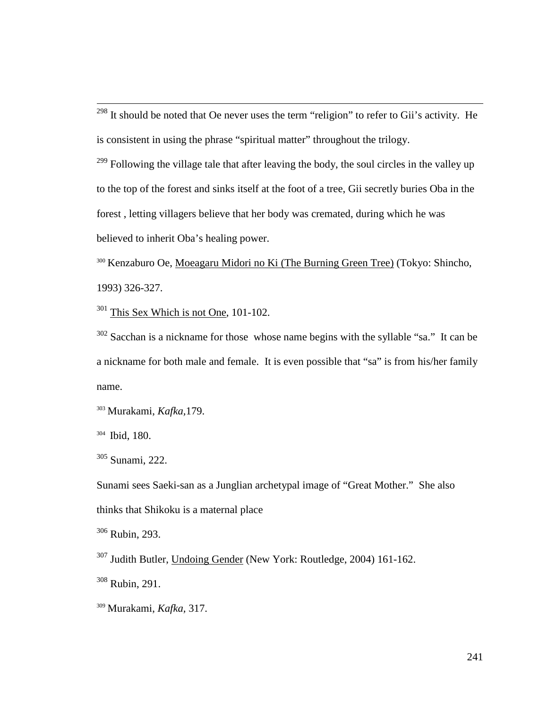$298$  It should be noted that Oe never uses the term "religion" to refer to Gii's activity. He is consistent in using the phrase "spiritual matter" throughout the trilogy.

 $299$  Following the village tale that after leaving the body, the soul circles in the valley up to the top of the forest and sinks itself at the foot of a tree, Gii secretly buries Oba in the forest , letting villagers believe that her body was cremated, during which he was believed to inherit Oba's healing power.

<sup>300</sup> Kenzaburo Oe, Moeagaru Midori no Ki (The Burning Green Tree) (Tokyo: Shincho, 1993) 326-327.

<sup>301</sup> This Sex Which is not One, 101-102.

 $302$  Sacchan is a nickname for those whose name begins with the syllable "sa." It can be a nickname for both male and female. It is even possible that "sa" is from his/her family name.

<sup>303</sup> Murakami, *Kafka,*179.

304 Ibid, 180.

 $\overline{a}$ 

<sup>305</sup> Sunami, 222.

Sunami sees Saeki-san as a Junglian archetypal image of "Great Mother." She also thinks that Shikoku is a maternal place

<sup>306</sup> Rubin, 293.

<sup>307</sup> Judith Butler, Undoing Gender (New York: Routledge, 2004) 161-162.

 $308$  Rubin, 291.

<sup>309</sup> Murakami, *Kafka,* 317.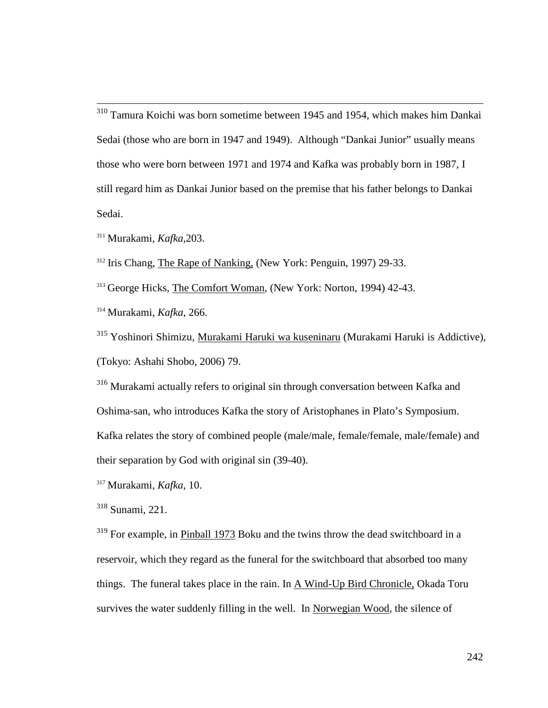$\overline{a}$ <sup>310</sup> Tamura Koichi was born sometime between 1945 and 1954, which makes him Dankai Sedai (those who are born in 1947 and 1949). Although "Dankai Junior" usually means those who were born between 1971 and 1974 and Kafka was probably born in 1987, I still regard him as Dankai Junior based on the premise that his father belongs to Dankai Sedai.

<sup>311</sup> Murakami, *Kafka,*203.

<sup>312</sup> Iris Chang, The Rape of Nanking, (New York: Penguin, 1997) 29-33.

<sup>313</sup> George Hicks, The Comfort Woman, (New York: Norton, 1994) 42-43.

<sup>314</sup> Murakami, *Kafka*, 266.

<sup>315</sup> Yoshinori Shimizu, Murakami Haruki wa kuseninaru (Murakami Haruki is Addictive), (Tokyo: Ashahi Shobo, 2006) 79.

<sup>316</sup> Murakami actually refers to original sin through conversation between Kafka and Oshima-san, who introduces Kafka the story of Aristophanes in Plato's Symposium. Kafka relates the story of combined people (male/male, female/female, male/female) and their separation by God with original sin (39-40).

<sup>317</sup> Murakami, *Kafka,* 10.

<sup>318</sup> Sunami, 221.

<sup>319</sup> For example, in Pinball 1973 Boku and the twins throw the dead switchboard in a reservoir, which they regard as the funeral for the switchboard that absorbed too many things. The funeral takes place in the rain. In  $\overline{A}$  Wind-Up Bird Chronicle, Okada Toru survives the water suddenly filling in the well. In Norwegian Wood, the silence of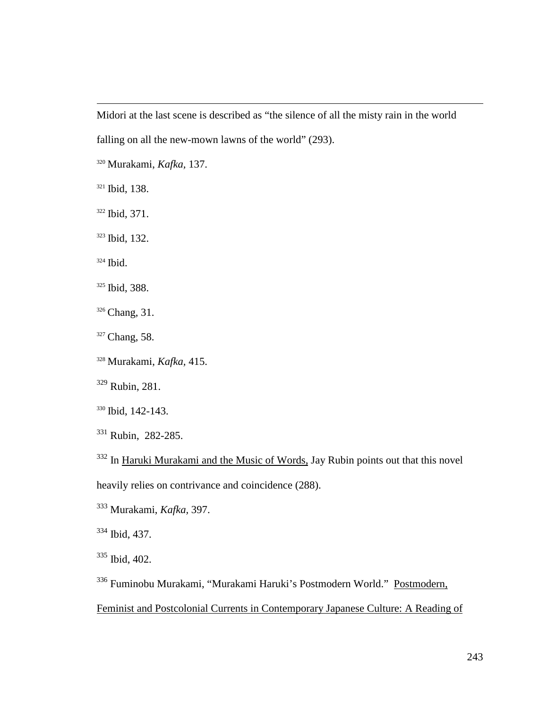Midori at the last scene is described as "the silence of all the misty rain in the world falling on all the new-mown lawns of the world" (293).

<sup>320</sup> Murakami, *Kafka,* 137.

<sup>321</sup> Ibid, 138.

 $\overline{a}$ 

<sup>322</sup> Ibid, 371.

<sup>323</sup> Ibid, 132.

<sup>324</sup> Ibid.

<sup>325</sup> Ibid, 388.

<sup>326</sup> Chang, 31.

<sup>327</sup> Chang, 58.

<sup>328</sup> Murakami, *Kafka,* 415.

<sup>329</sup> Rubin, 281.

<sup>330</sup> Ibid, 142-143.

<sup>331</sup> Rubin, 282-285.

<sup>332</sup> In Haruki Murakami and the Music of Words, Jay Rubin points out that this novel heavily relies on contrivance and coincidence (288).

<sup>333</sup> Murakami, *Kafka,* 397.

<sup>334</sup> Ibid, 437.

<sup>335</sup> Ibid, 402.

<sup>336</sup> Fuminobu Murakami, "Murakami Haruki's Postmodern World." Postmodern,

Feminist and Postcolonial Currents in Contemporary Japanese Culture: A Reading of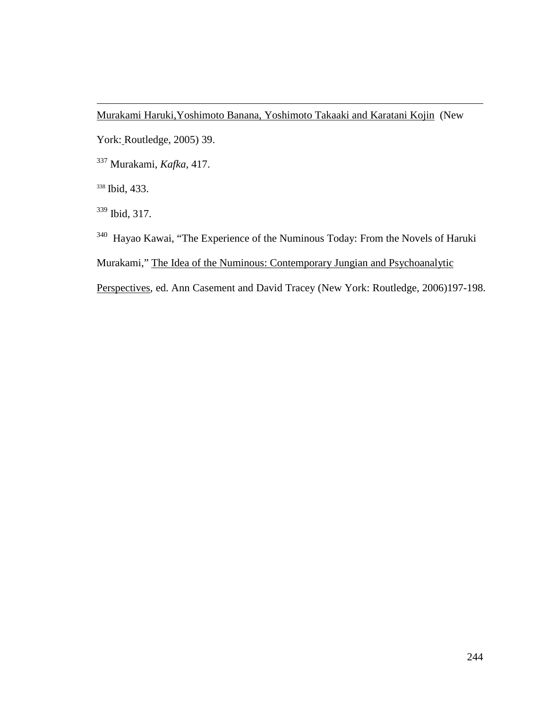Murakami Haruki,Yoshimoto Banana, Yoshimoto Takaaki and Karatani Kojin (New

York: Routledge, 2005) 39.

<sup>337</sup> Murakami, *Kafka,* 417.

<sup>338</sup> Ibid, 433.

 $\overline{a}$ 

<sup>339</sup> Ibid, 317.

<sup>340</sup> Hayao Kawai, "The Experience of the Numinous Today: From the Novels of Haruki

Murakami," The Idea of the Numinous: Contemporary Jungian and Psychoanalytic

Perspectives, ed. Ann Casement and David Tracey (New York: Routledge, 2006)197-198.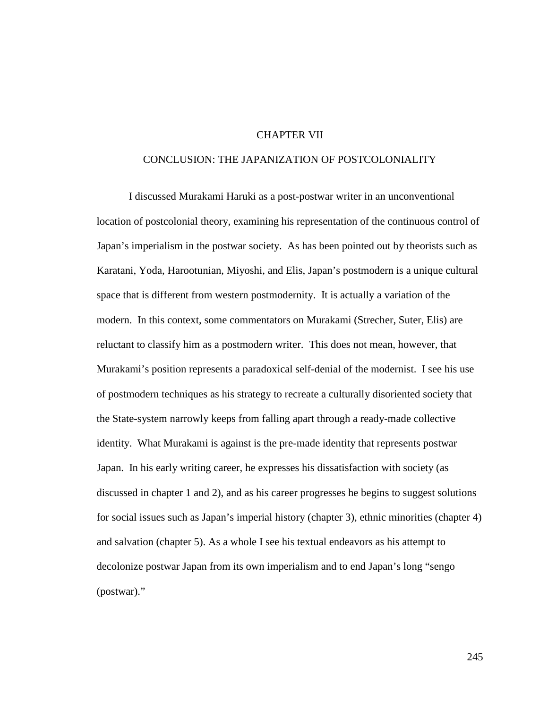## CHAPTER VII

## CONCLUSION: THE JAPANIZATION OF POSTCOLONIALITY

I discussed Murakami Haruki as a post-postwar writer in an unconventional location of postcolonial theory, examining his representation of the continuous control of Japan's imperialism in the postwar society. As has been pointed out by theorists such as Karatani, Yoda, Harootunian, Miyoshi, and Elis, Japan's postmodern is a unique cultural space that is different from western postmodernity. It is actually a variation of the modern. In this context, some commentators on Murakami (Strecher, Suter, Elis) are reluctant to classify him as a postmodern writer. This does not mean, however, that Murakami's position represents a paradoxical self-denial of the modernist. I see his use of postmodern techniques as his strategy to recreate a culturally disoriented society that the State-system narrowly keeps from falling apart through a ready-made collective identity. What Murakami is against is the pre-made identity that represents postwar Japan. In his early writing career, he expresses his dissatisfaction with society (as discussed in chapter 1 and 2), and as his career progresses he begins to suggest solutions for social issues such as Japan's imperial history (chapter 3), ethnic minorities (chapter 4) and salvation (chapter 5). As a whole I see his textual endeavors as his attempt to decolonize postwar Japan from its own imperialism and to end Japan's long "sengo (postwar)."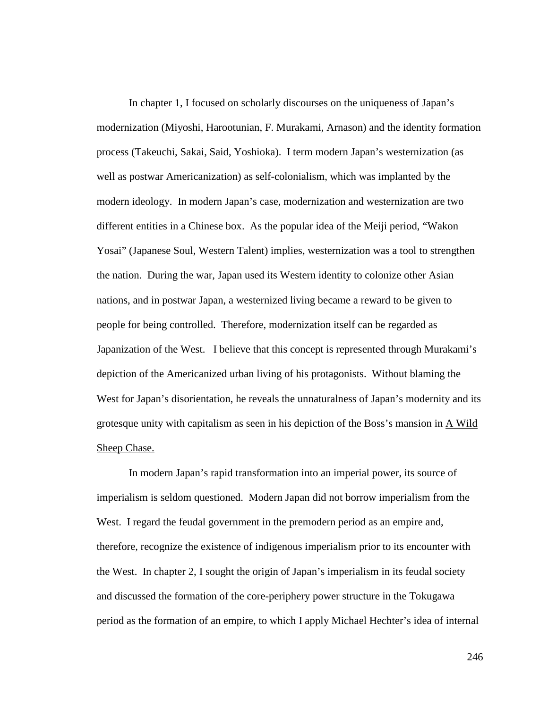In chapter 1, I focused on scholarly discourses on the uniqueness of Japan's modernization (Miyoshi, Harootunian, F. Murakami, Arnason) and the identity formation process (Takeuchi, Sakai, Said, Yoshioka). I term modern Japan's westernization (as well as postwar Americanization) as self-colonialism, which was implanted by the modern ideology. In modern Japan's case, modernization and westernization are two different entities in a Chinese box. As the popular idea of the Meiji period, "Wakon Yosai" (Japanese Soul, Western Talent) implies, westernization was a tool to strengthen the nation. During the war, Japan used its Western identity to colonize other Asian nations, and in postwar Japan, a westernized living became a reward to be given to people for being controlled. Therefore, modernization itself can be regarded as Japanization of the West. I believe that this concept is represented through Murakami's depiction of the Americanized urban living of his protagonists. Without blaming the West for Japan's disorientation, he reveals the unnaturalness of Japan's modernity and its grotesque unity with capitalism as seen in his depiction of the Boss's mansion in  $\overline{A}$  Wild Sheep Chase.

In modern Japan's rapid transformation into an imperial power, its source of imperialism is seldom questioned. Modern Japan did not borrow imperialism from the West. I regard the feudal government in the premodern period as an empire and, therefore, recognize the existence of indigenous imperialism prior to its encounter with the West. In chapter 2, I sought the origin of Japan's imperialism in its feudal society and discussed the formation of the core-periphery power structure in the Tokugawa period as the formation of an empire, to which I apply Michael Hechter's idea of internal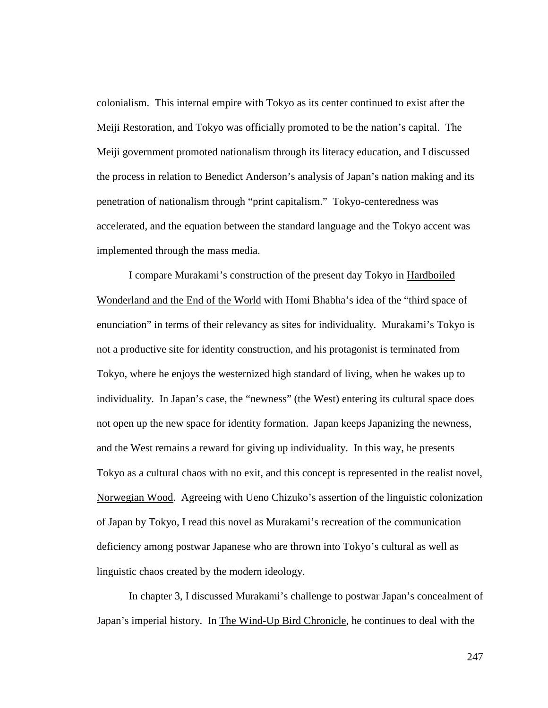colonialism. This internal empire with Tokyo as its center continued to exist after the Meiji Restoration, and Tokyo was officially promoted to be the nation's capital. The Meiji government promoted nationalism through its literacy education, and I discussed the process in relation to Benedict Anderson's analysis of Japan's nation making and its penetration of nationalism through "print capitalism." Tokyo-centeredness was accelerated, and the equation between the standard language and the Tokyo accent was implemented through the mass media.

I compare Murakami's construction of the present day Tokyo in Hardboiled Wonderland and the End of the World with Homi Bhabha's idea of the "third space of enunciation" in terms of their relevancy as sites for individuality. Murakami's Tokyo is not a productive site for identity construction, and his protagonist is terminated from Tokyo, where he enjoys the westernized high standard of living, when he wakes up to individuality. In Japan's case, the "newness" (the West) entering its cultural space does not open up the new space for identity formation. Japan keeps Japanizing the newness, and the West remains a reward for giving up individuality. In this way, he presents Tokyo as a cultural chaos with no exit, and this concept is represented in the realist novel, Norwegian Wood. Agreeing with Ueno Chizuko's assertion of the linguistic colonization of Japan by Tokyo, I read this novel as Murakami's recreation of the communication deficiency among postwar Japanese who are thrown into Tokyo's cultural as well as linguistic chaos created by the modern ideology.

In chapter 3, I discussed Murakami's challenge to postwar Japan's concealment of Japan's imperial history. In The Wind-Up Bird Chronicle, he continues to deal with the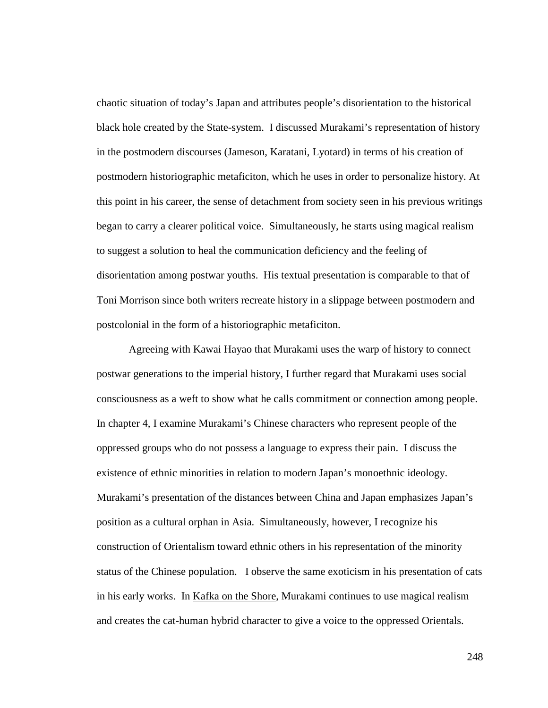chaotic situation of today's Japan and attributes people's disorientation to the historical black hole created by the State-system. I discussed Murakami's representation of history in the postmodern discourses (Jameson, Karatani, Lyotard) in terms of his creation of postmodern historiographic metaficiton, which he uses in order to personalize history. At this point in his career, the sense of detachment from society seen in his previous writings began to carry a clearer political voice. Simultaneously, he starts using magical realism to suggest a solution to heal the communication deficiency and the feeling of disorientation among postwar youths. His textual presentation is comparable to that of Toni Morrison since both writers recreate history in a slippage between postmodern and postcolonial in the form of a historiographic metaficiton.

Agreeing with Kawai Hayao that Murakami uses the warp of history to connect postwar generations to the imperial history, I further regard that Murakami uses social consciousness as a weft to show what he calls commitment or connection among people. In chapter 4, I examine Murakami's Chinese characters who represent people of the oppressed groups who do not possess a language to express their pain. I discuss the existence of ethnic minorities in relation to modern Japan's monoethnic ideology. Murakami's presentation of the distances between China and Japan emphasizes Japan's position as a cultural orphan in Asia. Simultaneously, however, I recognize his construction of Orientalism toward ethnic others in his representation of the minority status of the Chinese population. I observe the same exoticism in his presentation of cats in his early works. In Kafka on the Shore, Murakami continues to use magical realism and creates the cat-human hybrid character to give a voice to the oppressed Orientals.

248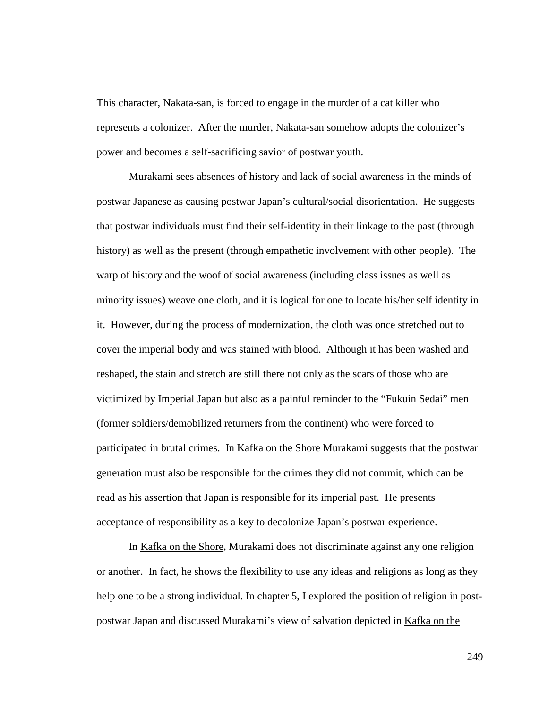This character, Nakata-san, is forced to engage in the murder of a cat killer who represents a colonizer. After the murder, Nakata-san somehow adopts the colonizer's power and becomes a self-sacrificing savior of postwar youth.

Murakami sees absences of history and lack of social awareness in the minds of postwar Japanese as causing postwar Japan's cultural/social disorientation. He suggests that postwar individuals must find their self-identity in their linkage to the past (through history) as well as the present (through empathetic involvement with other people). The warp of history and the woof of social awareness (including class issues as well as minority issues) weave one cloth, and it is logical for one to locate his/her self identity in it. However, during the process of modernization, the cloth was once stretched out to cover the imperial body and was stained with blood. Although it has been washed and reshaped, the stain and stretch are still there not only as the scars of those who are victimized by Imperial Japan but also as a painful reminder to the "Fukuin Sedai" men (former soldiers/demobilized returners from the continent) who were forced to participated in brutal crimes. In Kafka on the Shore Murakami suggests that the postwar generation must also be responsible for the crimes they did not commit, which can be read as his assertion that Japan is responsible for its imperial past. He presents acceptance of responsibility as a key to decolonize Japan's postwar experience.

In Kafka on the Shore, Murakami does not discriminate against any one religion or another. In fact, he shows the flexibility to use any ideas and religions as long as they help one to be a strong individual. In chapter 5, I explored the position of religion in postpostwar Japan and discussed Murakami's view of salvation depicted in Kafka on the

249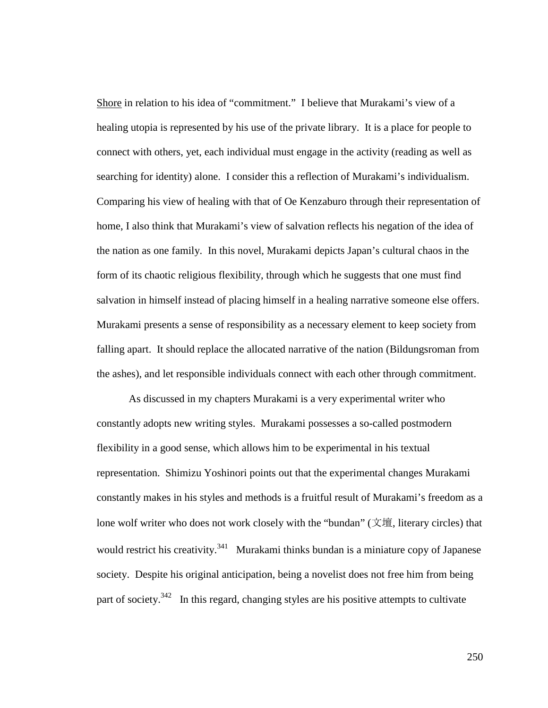Shore in relation to his idea of "commitment." I believe that Murakami's view of a healing utopia is represented by his use of the private library. It is a place for people to connect with others, yet, each individual must engage in the activity (reading as well as searching for identity) alone. I consider this a reflection of Murakami's individualism. Comparing his view of healing with that of Oe Kenzaburo through their representation of home, I also think that Murakami's view of salvation reflects his negation of the idea of the nation as one family. In this novel, Murakami depicts Japan's cultural chaos in the form of its chaotic religious flexibility, through which he suggests that one must find salvation in himself instead of placing himself in a healing narrative someone else offers. Murakami presents a sense of responsibility as a necessary element to keep society from falling apart. It should replace the allocated narrative of the nation (Bildungsroman from the ashes), and let responsible individuals connect with each other through commitment.

As discussed in my chapters Murakami is a very experimental writer who constantly adopts new writing styles. Murakami possesses a so-called postmodern flexibility in a good sense, which allows him to be experimental in his textual representation. Shimizu Yoshinori points out that the experimental changes Murakami constantly makes in his styles and methods is a fruitful result of Murakami's freedom as a lone wolf writer who does not work closely with the "bundan" (文壇, literary circles) that would restrict his creativity.<sup>341</sup> Murakami thinks bundan is a miniature copy of Japanese society. Despite his original anticipation, being a novelist does not free him from being part of society. $342$  In this regard, changing styles are his positive attempts to cultivate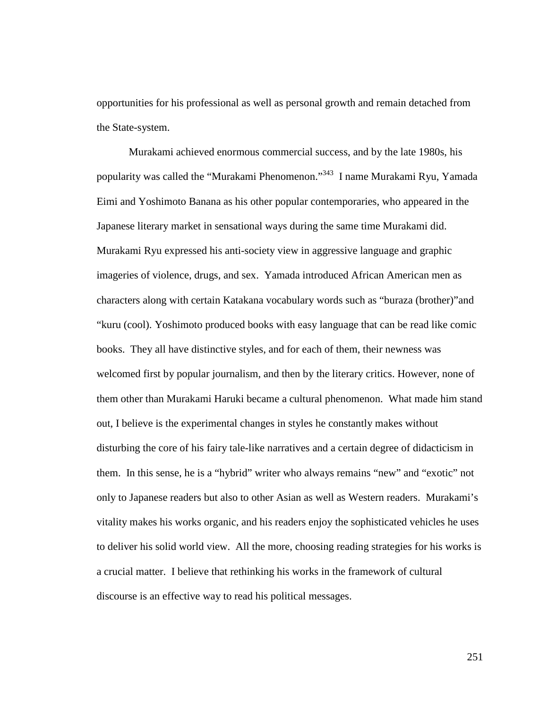opportunities for his professional as well as personal growth and remain detached from the State-system.

Murakami achieved enormous commercial success, and by the late 1980s, his popularity was called the "Murakami Phenomenon."<sup>343</sup> I name Murakami Ryu, Yamada Eimi and Yoshimoto Banana as his other popular contemporaries, who appeared in the Japanese literary market in sensational ways during the same time Murakami did. Murakami Ryu expressed his anti-society view in aggressive language and graphic imageries of violence, drugs, and sex. Yamada introduced African American men as characters along with certain Katakana vocabulary words such as "buraza (brother)"and "kuru (cool). Yoshimoto produced books with easy language that can be read like comic books. They all have distinctive styles, and for each of them, their newness was welcomed first by popular journalism, and then by the literary critics. However, none of them other than Murakami Haruki became a cultural phenomenon. What made him stand out, I believe is the experimental changes in styles he constantly makes without disturbing the core of his fairy tale-like narratives and a certain degree of didacticism in them. In this sense, he is a "hybrid" writer who always remains "new" and "exotic" not only to Japanese readers but also to other Asian as well as Western readers. Murakami's vitality makes his works organic, and his readers enjoy the sophisticated vehicles he uses to deliver his solid world view. All the more, choosing reading strategies for his works is a crucial matter. I believe that rethinking his works in the framework of cultural discourse is an effective way to read his political messages.

251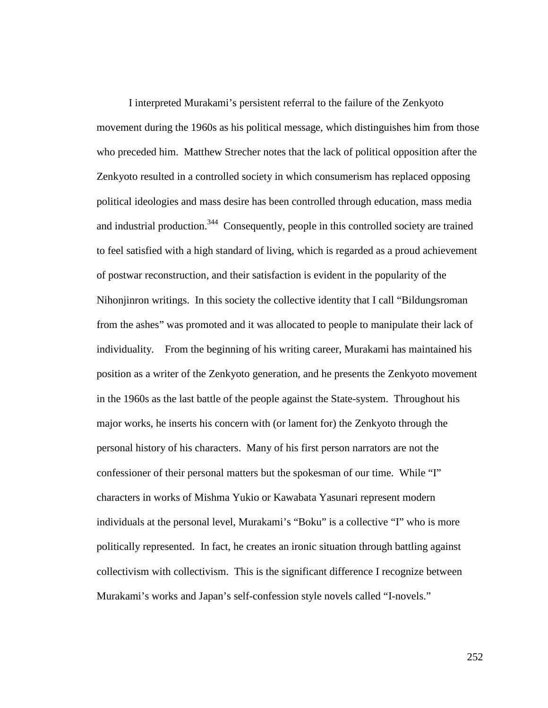I interpreted Murakami's persistent referral to the failure of the Zenkyoto movement during the 1960s as his political message, which distinguishes him from those who preceded him. Matthew Strecher notes that the lack of political opposition after the Zenkyoto resulted in a controlled society in which consumerism has replaced opposing political ideologies and mass desire has been controlled through education, mass media and industrial production.<sup>344</sup> Consequently, people in this controlled society are trained to feel satisfied with a high standard of living, which is regarded as a proud achievement of postwar reconstruction, and their satisfaction is evident in the popularity of the Nihonjinron writings. In this society the collective identity that I call "Bildungsroman from the ashes" was promoted and it was allocated to people to manipulate their lack of individuality. From the beginning of his writing career, Murakami has maintained his position as a writer of the Zenkyoto generation, and he presents the Zenkyoto movement in the 1960s as the last battle of the people against the State-system. Throughout his major works, he inserts his concern with (or lament for) the Zenkyoto through the personal history of his characters. Many of his first person narrators are not the confessioner of their personal matters but the spokesman of our time. While "I" characters in works of Mishma Yukio or Kawabata Yasunari represent modern individuals at the personal level, Murakami's "Boku" is a collective "I" who is more politically represented. In fact, he creates an ironic situation through battling against collectivism with collectivism. This is the significant difference I recognize between Murakami's works and Japan's self-confession style novels called "I-novels."

252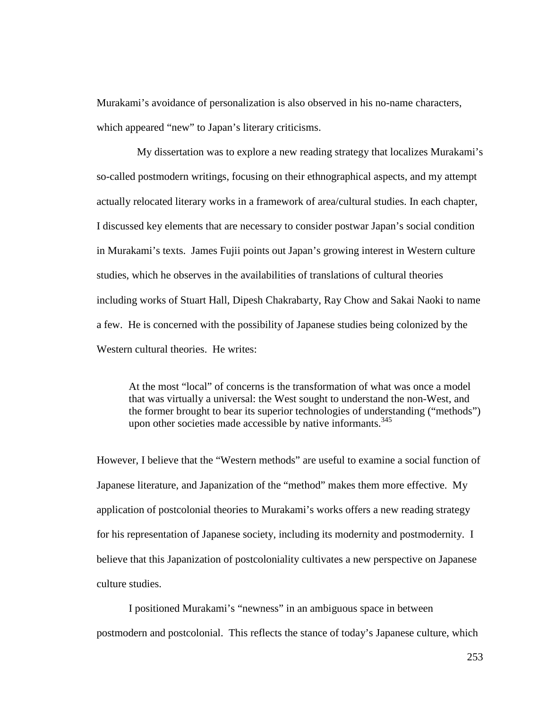Murakami's avoidance of personalization is also observed in his no-name characters, which appeared "new" to Japan's literary criticisms.

 My dissertation was to explore a new reading strategy that localizes Murakami's so-called postmodern writings, focusing on their ethnographical aspects, and my attempt actually relocated literary works in a framework of area/cultural studies. In each chapter, I discussed key elements that are necessary to consider postwar Japan's social condition in Murakami's texts. James Fujii points out Japan's growing interest in Western culture studies, which he observes in the availabilities of translations of cultural theories including works of Stuart Hall, Dipesh Chakrabarty, Ray Chow and Sakai Naoki to name a few. He is concerned with the possibility of Japanese studies being colonized by the Western cultural theories. He writes:

At the most "local" of concerns is the transformation of what was once a model that was virtually a universal: the West sought to understand the non-West, and the former brought to bear its superior technologies of understanding ("methods") upon other societies made accessible by native informants.<sup>345</sup>

However, I believe that the "Western methods" are useful to examine a social function of Japanese literature, and Japanization of the "method" makes them more effective. My application of postcolonial theories to Murakami's works offers a new reading strategy for his representation of Japanese society, including its modernity and postmodernity. I believe that this Japanization of postcoloniality cultivates a new perspective on Japanese culture studies.

I positioned Murakami's "newness" in an ambiguous space in between postmodern and postcolonial. This reflects the stance of today's Japanese culture, which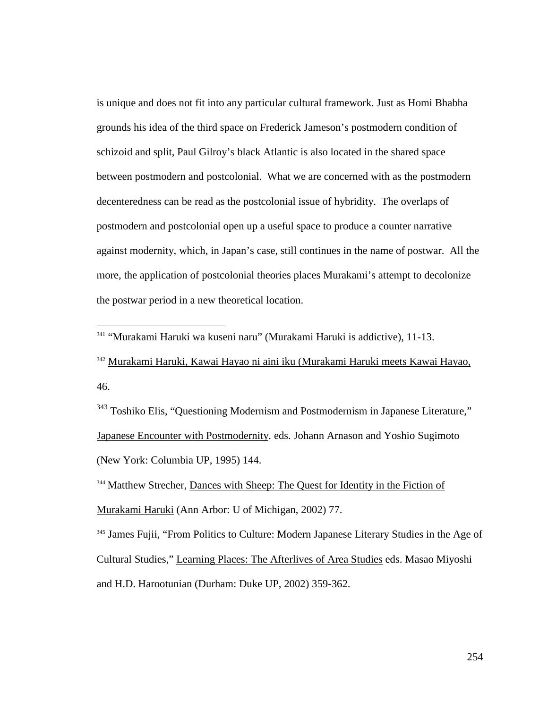is unique and does not fit into any particular cultural framework. Just as Homi Bhabha grounds his idea of the third space on Frederick Jameson's postmodern condition of schizoid and split, Paul Gilroy's black Atlantic is also located in the shared space between postmodern and postcolonial. What we are concerned with as the postmodern decenteredness can be read as the postcolonial issue of hybridity. The overlaps of postmodern and postcolonial open up a useful space to produce a counter narrative against modernity, which, in Japan's case, still continues in the name of postwar. All the more, the application of postcolonial theories places Murakami's attempt to decolonize the postwar period in a new theoretical location.

<sup>341</sup> "Murakami Haruki wa kuseni naru" (Murakami Haruki is addictive), 11-13.

 $\overline{a}$ 

<sup>342</sup> Murakami Haruki, Kawai Hayao ni aini iku (Murakami Haruki meets Kawai Hayao, 46.

<sup>343</sup> Toshiko Elis, "Questioning Modernism and Postmodernism in Japanese Literature," Japanese Encounter with Postmodernity. eds. Johann Arnason and Yoshio Sugimoto (New York: Columbia UP, 1995) 144.

<sup>344</sup> Matthew Strecher, Dances with Sheep: The Quest for Identity in the Fiction of Murakami Haruki (Ann Arbor: U of Michigan, 2002) 77.

<sup>345</sup> James Fujii, "From Politics to Culture: Modern Japanese Literary Studies in the Age of Cultural Studies," Learning Places: The Afterlives of Area Studies eds. Masao Miyoshi and H.D. Harootunian (Durham: Duke UP, 2002) 359-362.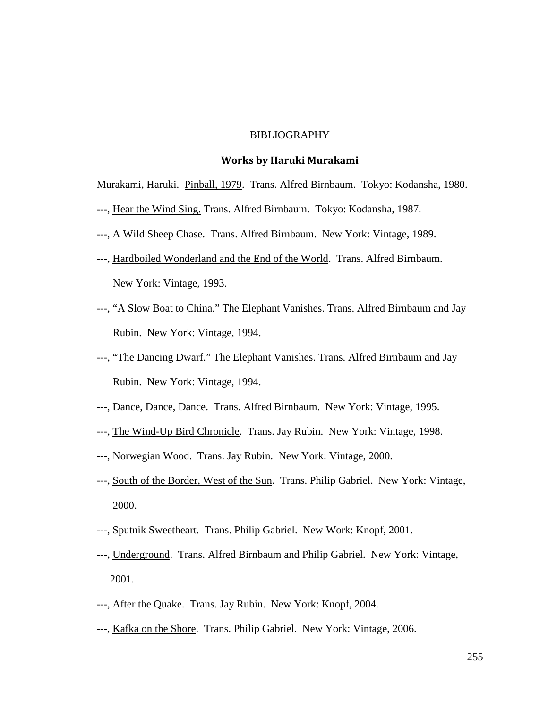# BIBLIOGRAPHY

#### Works by Haruki Murakami

Murakami, Haruki. Pinball, 1979. Trans. Alfred Birnbaum. Tokyo: Kodansha, 1980.

- ---, Hear the Wind Sing. Trans. Alfred Birnbaum. Tokyo: Kodansha, 1987.
- ---, A Wild Sheep Chase. Trans. Alfred Birnbaum. New York: Vintage, 1989.
- ---, Hardboiled Wonderland and the End of the World. Trans. Alfred Birnbaum. New York: Vintage, 1993.
- ---, "A Slow Boat to China." The Elephant Vanishes. Trans. Alfred Birnbaum and Jay Rubin. New York: Vintage, 1994.
- ---, "The Dancing Dwarf." The Elephant Vanishes. Trans. Alfred Birnbaum and Jay Rubin. New York: Vintage, 1994.
- ---, Dance, Dance, Dance. Trans. Alfred Birnbaum. New York: Vintage, 1995.
- ---, The Wind-Up Bird Chronicle. Trans. Jay Rubin. New York: Vintage, 1998.
- ---, Norwegian Wood. Trans. Jay Rubin. New York: Vintage, 2000.
- ---, South of the Border, West of the Sun. Trans. Philip Gabriel. New York: Vintage, 2000.
- ---, Sputnik Sweetheart. Trans. Philip Gabriel. New Work: Knopf, 2001.
- ---, Underground. Trans. Alfred Birnbaum and Philip Gabriel. New York: Vintage, 2001.
- ---, After the Quake. Trans. Jay Rubin. New York: Knopf, 2004.
- ---, Kafka on the Shore. Trans. Philip Gabriel. New York: Vintage, 2006.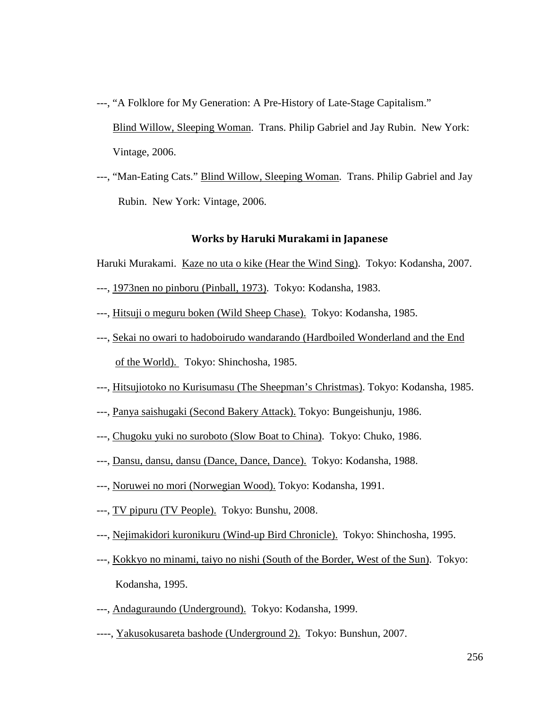- ---, "A Folklore for My Generation: A Pre-History of Late-Stage Capitalism." Blind Willow, Sleeping Woman. Trans. Philip Gabriel and Jay Rubin. New York: Vintage, 2006.
- ---, "Man-Eating Cats." Blind Willow, Sleeping Woman. Trans. Philip Gabriel and Jay Rubin. New York: Vintage, 2006.

## Works by Haruki Murakami in Japanese

Haruki Murakami. Kaze no uta o kike (Hear the Wind Sing). Tokyo: Kodansha, 2007.

- ---, 1973nen no pinboru (Pinball, 1973). Tokyo: Kodansha, 1983.
- ---, Hitsuji o meguru boken (Wild Sheep Chase). Tokyo: Kodansha, 1985.
- ---, Sekai no owari to hadoboirudo wandarando (Hardboiled Wonderland and the End of the World). Tokyo: Shinchosha, 1985.
- ---, Hitsujiotoko no Kurisumasu (The Sheepman's Christmas). Tokyo: Kodansha, 1985.
- ---, Panya saishugaki (Second Bakery Attack). Tokyo: Bungeishunju, 1986.
- ---, Chugoku yuki no suroboto (Slow Boat to China). Tokyo: Chuko, 1986.
- ---, Dansu, dansu, dansu (Dance, Dance, Dance). Tokyo: Kodansha, 1988.
- ---, Noruwei no mori (Norwegian Wood). Tokyo: Kodansha, 1991.
- ---, TV pipuru (TV People). Tokyo: Bunshu, 2008.
- ---, Nejimakidori kuronikuru (Wind-up Bird Chronicle). Tokyo: Shinchosha, 1995.
- ---, Kokkyo no minami, taiyo no nishi (South of the Border, West of the Sun). Tokyo: Kodansha, 1995.
- ---, Andaguraundo (Underground). Tokyo: Kodansha, 1999.
- ----, Yakusokusareta bashode (Underground 2). Tokyo: Bunshun, 2007.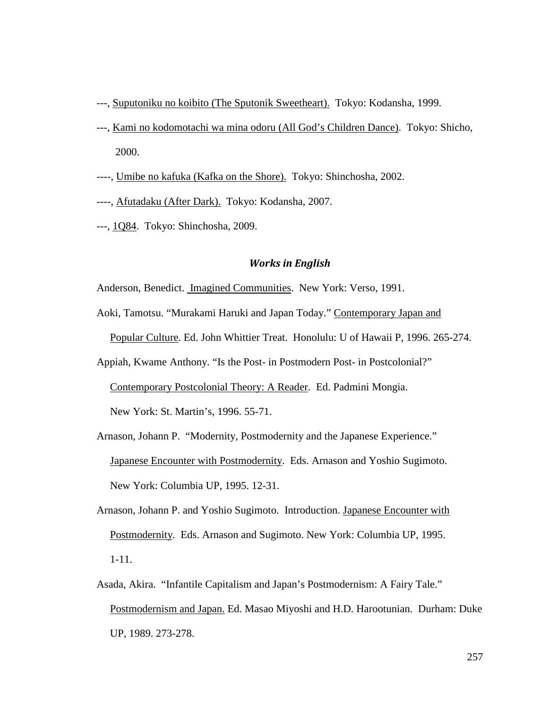- ---, Suputoniku no koibito (The Sputonik Sweetheart). Tokyo: Kodansha, 1999.
- ---, Kami no kodomotachi wa mina odoru (All God's Children Dance). Tokyo: Shicho, 2000.
- ----, Umibe no kafuka (Kafka on the Shore). Tokyo: Shinchosha, 2002.
- ----, Afutadaku (After Dark). Tokyo: Kodansha, 2007.
- ---, 1Q84. Tokyo: Shinchosha, 2009.

### Works in English

Anderson, Benedict. Imagined Communities. New York: Verso, 1991.

Aoki, Tamotsu. "Murakami Haruki and Japan Today." Contemporary Japan and

Popular Culture. Ed. John Whittier Treat. Honolulu: U of Hawaii P, 1996. 265-274.

Appiah, Kwame Anthony. "Is the Post- in Postmodern Post- in Postcolonial?"

Contemporary Postcolonial Theory: A Reader. Ed. Padmini Mongia.

New York: St. Martin's, 1996. 55-71.

- Arnason, Johann P. "Modernity, Postmodernity and the Japanese Experience." Japanese Encounter with Postmodernity. Eds. Arnason and Yoshio Sugimoto. New York: Columbia UP, 1995. 12-31.
- Arnason, Johann P. and Yoshio Sugimoto. Introduction. Japanese Encounter with Postmodernity. Eds. Arnason and Sugimoto. New York: Columbia UP, 1995. 1-11.
- Asada, Akira. "Infantile Capitalism and Japan's Postmodernism: A Fairy Tale." Postmodernism and Japan. Ed. Masao Miyoshi and H.D. Harootunian. Durham: Duke UP, 1989. 273-278.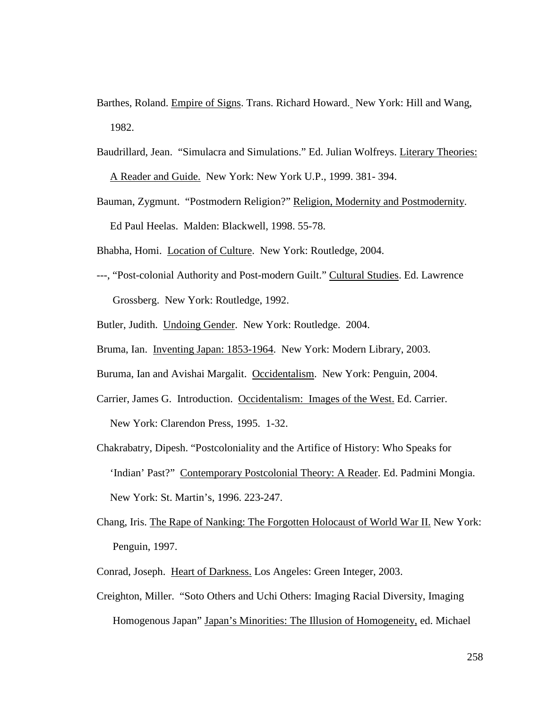- Barthes, Roland. Empire of Signs. Trans. Richard Howard. New York: Hill and Wang, 1982.
- Baudrillard, Jean. "Simulacra and Simulations." Ed. Julian Wolfreys. Literary Theories: A Reader and Guide. New York: New York U.P., 1999. 381- 394.
- Bauman, Zygmunt. "Postmodern Religion?" Religion, Modernity and Postmodernity. Ed Paul Heelas. Malden: Blackwell, 1998. 55-78.
- Bhabha, Homi. Location of Culture. New York: Routledge, 2004.
- ---, "Post-colonial Authority and Post-modern Guilt." Cultural Studies. Ed. Lawrence Grossberg. New York: Routledge, 1992.
- Butler, Judith. Undoing Gender. New York: Routledge. 2004.
- Bruma, Ian. Inventing Japan: 1853-1964. New York: Modern Library, 2003.
- Buruma, Ian and Avishai Margalit. Occidentalism. New York: Penguin, 2004.
- Carrier, James G. Introduction. Occidentalism: Images of the West. Ed. Carrier. New York: Clarendon Press, 1995. 1-32.
- Chakrabatry, Dipesh. "Postcoloniality and the Artifice of History: Who Speaks for 'Indian' Past?" Contemporary Postcolonial Theory: A Reader. Ed. Padmini Mongia. New York: St. Martin's, 1996. 223-247.
- Chang, Iris. The Rape of Nanking: The Forgotten Holocaust of World War II. New York: Penguin, 1997.
- Conrad, Joseph. Heart of Darkness. Los Angeles: Green Integer, 2003.
- Creighton, Miller. "Soto Others and Uchi Others: Imaging Racial Diversity, Imaging Homogenous Japan" Japan's Minorities: The Illusion of Homogeneity, ed. Michael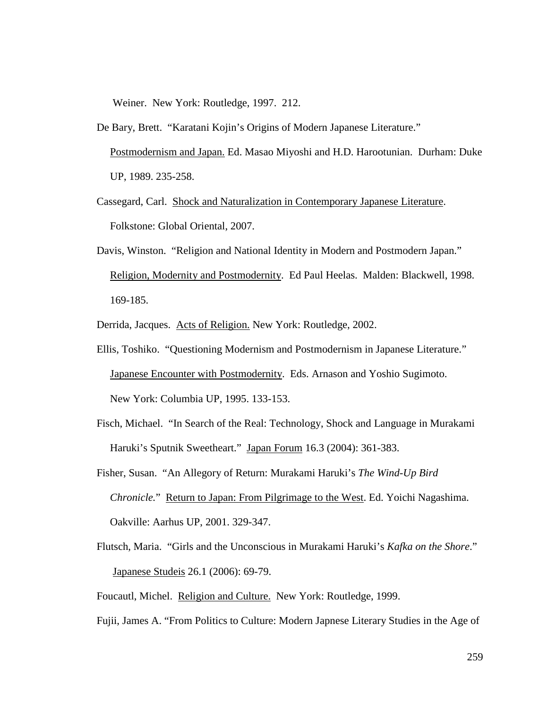Weiner. New York: Routledge, 1997. 212.

- De Bary, Brett. "Karatani Kojin's Origins of Modern Japanese Literature." Postmodernism and Japan. Ed. Masao Miyoshi and H.D. Harootunian. Durham: Duke UP, 1989. 235-258.
- Cassegard, Carl. Shock and Naturalization in Contemporary Japanese Literature. Folkstone: Global Oriental, 2007.
- Davis, Winston. "Religion and National Identity in Modern and Postmodern Japan." Religion, Modernity and Postmodernity. Ed Paul Heelas. Malden: Blackwell, 1998. 169-185.

Derrida, Jacques. Acts of Religion. New York: Routledge, 2002.

- Ellis, Toshiko. "Questioning Modernism and Postmodernism in Japanese Literature." Japanese Encounter with Postmodernity. Eds. Arnason and Yoshio Sugimoto. New York: Columbia UP, 1995. 133-153.
- Fisch, Michael. "In Search of the Real: Technology, Shock and Language in Murakami Haruki's Sputnik Sweetheart." Japan Forum 16.3 (2004): 361-383.
- Fisher, Susan. "An Allegory of Return: Murakami Haruki's *The Wind-Up Bird Chronicle.*" Return to Japan: From Pilgrimage to the West. Ed. Yoichi Nagashima. Oakville: Aarhus UP, 2001. 329-347.
- Flutsch, Maria. "Girls and the Unconscious in Murakami Haruki's *Kafka on the Shore*." Japanese Studeis 26.1 (2006): 69-79.

Foucautl, Michel. Religion and Culture. New York: Routledge, 1999.

Fujii, James A. "From Politics to Culture: Modern Japnese Literary Studies in the Age of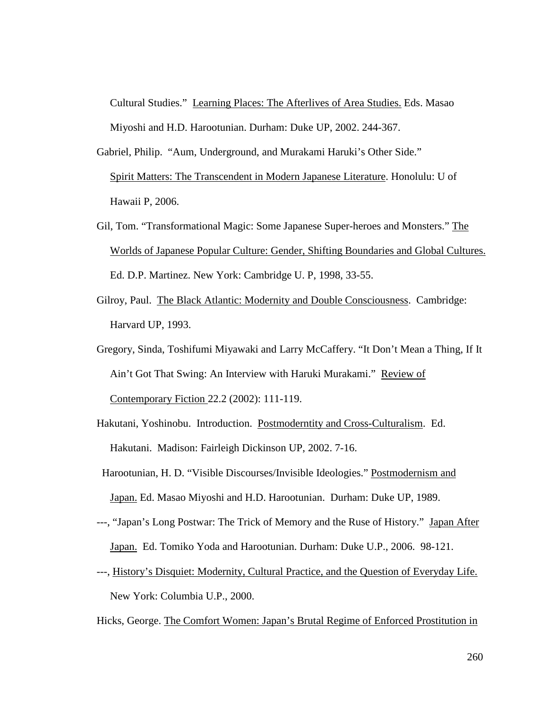Cultural Studies." Learning Places: The Afterlives of Area Studies. Eds. Masao Miyoshi and H.D. Harootunian. Durham: Duke UP, 2002. 244-367.

- Gabriel, Philip. "Aum, Underground, and Murakami Haruki's Other Side." Spirit Matters: The Transcendent in Modern Japanese Literature. Honolulu: U of Hawaii P, 2006.
- Gil, Tom. "Transformational Magic: Some Japanese Super-heroes and Monsters." The Worlds of Japanese Popular Culture: Gender, Shifting Boundaries and Global Cultures. Ed. D.P. Martinez. New York: Cambridge U. P, 1998, 33-55.
- Gilroy, Paul. The Black Atlantic: Modernity and Double Consciousness. Cambridge: Harvard UP, 1993.
- Gregory, Sinda, Toshifumi Miyawaki and Larry McCaffery. "It Don't Mean a Thing, If It Ain't Got That Swing: An Interview with Haruki Murakami." Review of Contemporary Fiction 22.2 (2002): 111-119.
- Hakutani, Yoshinobu. Introduction. Postmoderntity and Cross-Culturalism. Ed. Hakutani. Madison: Fairleigh Dickinson UP, 2002. 7-16.
- Harootunian, H. D. "Visible Discourses/Invisible Ideologies." Postmodernism and Japan. Ed. Masao Miyoshi and H.D. Harootunian. Durham: Duke UP, 1989.
- ---, "Japan's Long Postwar: The Trick of Memory and the Ruse of History." Japan After Japan. Ed. Tomiko Yoda and Harootunian. Durham: Duke U.P., 2006. 98-121.
- ---, History's Disquiet: Modernity, Cultural Practice, and the Question of Everyday Life. New York: Columbia U.P., 2000.
- Hicks, George. The Comfort Women: Japan's Brutal Regime of Enforced Prostitution in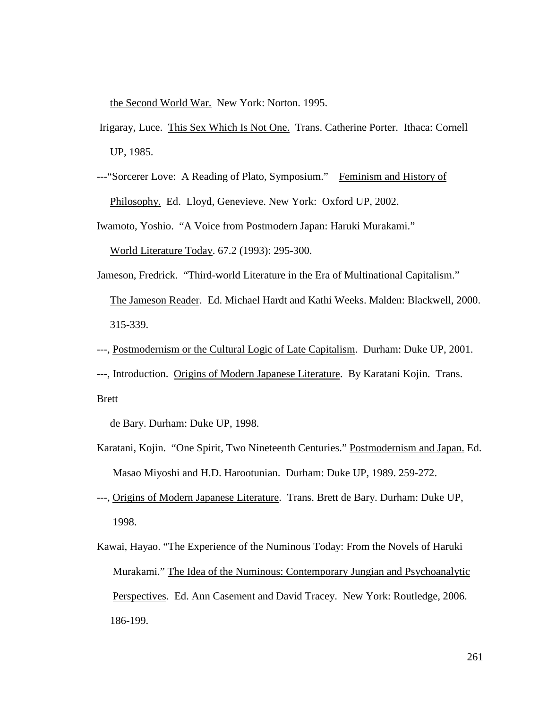the Second World War. New York: Norton. 1995.

- Irigaray, Luce. This Sex Which Is Not One. Trans. Catherine Porter. Ithaca: Cornell UP, 1985.
- ---"Sorcerer Love: A Reading of Plato, Symposium." Feminism and History of Philosophy. Ed. Lloyd, Genevieve. New York: Oxford UP, 2002.

Iwamoto, Yoshio. "A Voice from Postmodern Japan: Haruki Murakami."

World Literature Today. 67.2 (1993): 295-300.

Jameson, Fredrick. "Third-world Literature in the Era of Multinational Capitalism." The Jameson Reader. Ed. Michael Hardt and Kathi Weeks. Malden: Blackwell, 2000. 315-339.

---, Postmodernism or the Cultural Logic of Late Capitalism. Durham: Duke UP, 2001.

---, Introduction. Origins of Modern Japanese Literature. By Karatani Kojin. Trans.

Brett

de Bary. Durham: Duke UP, 1998.

- Karatani, Kojin. "One Spirit, Two Nineteenth Centuries." Postmodernism and Japan. Ed. Masao Miyoshi and H.D. Harootunian. Durham: Duke UP, 1989. 259-272.
- ---, Origins of Modern Japanese Literature. Trans. Brett de Bary. Durham: Duke UP, 1998.
- Kawai, Hayao. "The Experience of the Numinous Today: From the Novels of Haruki Murakami." The Idea of the Numinous: Contemporary Jungian and Psychoanalytic Perspectives. Ed. Ann Casement and David Tracey. New York: Routledge, 2006. 186-199.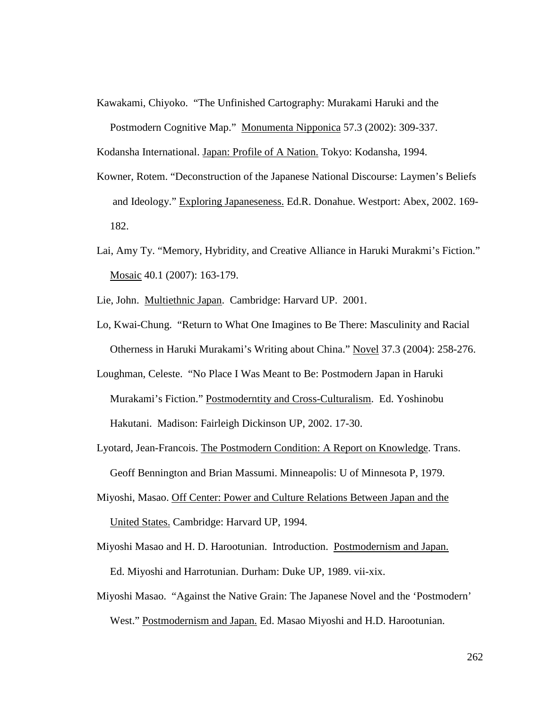Kawakami, Chiyoko. "The Unfinished Cartography: Murakami Haruki and the Postmodern Cognitive Map." Monumenta Nipponica 57.3 (2002): 309-337.

Kodansha International. Japan: Profile of A Nation. Tokyo: Kodansha, 1994.

- Kowner, Rotem. "Deconstruction of the Japanese National Discourse: Laymen's Beliefs and Ideology." Exploring Japaneseness. Ed.R. Donahue. Westport: Abex, 2002. 169- 182.
- Lai, Amy Ty. "Memory, Hybridity, and Creative Alliance in Haruki Murakmi's Fiction." Mosaic 40.1 (2007): 163-179.
- Lie, John. Multiethnic Japan. Cambridge: Harvard UP. 2001.
- Lo, Kwai-Chung. "Return to What One Imagines to Be There: Masculinity and Racial Otherness in Haruki Murakami's Writing about China." Novel 37.3 (2004): 258-276.
- Loughman, Celeste. "No Place I Was Meant to Be: Postmodern Japan in Haruki Murakami's Fiction." Postmoderntity and Cross-Culturalism. Ed. Yoshinobu Hakutani. Madison: Fairleigh Dickinson UP, 2002. 17-30.
- Lyotard, Jean-Francois. The Postmodern Condition: A Report on Knowledge. Trans. Geoff Bennington and Brian Massumi. Minneapolis: U of Minnesota P, 1979.
- Miyoshi, Masao. Off Center: Power and Culture Relations Between Japan and the United States. Cambridge: Harvard UP, 1994.
- Miyoshi Masao and H. D. Harootunian. Introduction. Postmodernism and Japan. Ed. Miyoshi and Harrotunian. Durham: Duke UP, 1989. vii-xix.
- Miyoshi Masao. "Against the Native Grain: The Japanese Novel and the 'Postmodern' West." Postmodernism and Japan. Ed. Masao Miyoshi and H.D. Harootunian.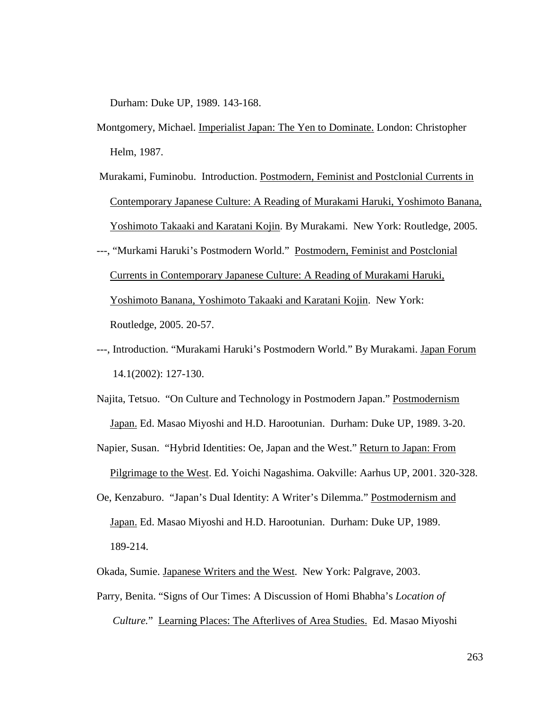Durham: Duke UP, 1989. 143-168.

- Montgomery, Michael. Imperialist Japan: The Yen to Dominate. London: Christopher Helm, 1987.
- Murakami, Fuminobu. Introduction. Postmodern, Feminist and Postclonial Currents in Contemporary Japanese Culture: A Reading of Murakami Haruki, Yoshimoto Banana, Yoshimoto Takaaki and Karatani Kojin. By Murakami. New York: Routledge, 2005.
- ---, "Murkami Haruki's Postmodern World." Postmodern, Feminist and Postclonial Currents in Contemporary Japanese Culture: A Reading of Murakami Haruki, Yoshimoto Banana, Yoshimoto Takaaki and Karatani Kojin. New York: Routledge, 2005. 20-57.
- ---, Introduction. "Murakami Haruki's Postmodern World." By Murakami. Japan Forum 14.1(2002): 127-130.
- Najita, Tetsuo. "On Culture and Technology in Postmodern Japan." Postmodernism Japan. Ed. Masao Miyoshi and H.D. Harootunian. Durham: Duke UP, 1989. 3-20.
- Napier, Susan. "Hybrid Identities: Oe, Japan and the West." Return to Japan: From Pilgrimage to the West. Ed. Yoichi Nagashima. Oakville: Aarhus UP, 2001. 320-328.
- Oe, Kenzaburo. "Japan's Dual Identity: A Writer's Dilemma." Postmodernism and Japan. Ed. Masao Miyoshi and H.D. Harootunian. Durham: Duke UP, 1989. 189-214.
- Okada, Sumie. Japanese Writers and the West. New York: Palgrave, 2003.
- Parry, Benita. "Signs of Our Times: A Discussion of Homi Bhabha's *Location of Culture.*" Learning Places: The Afterlives of Area Studies. Ed. Masao Miyoshi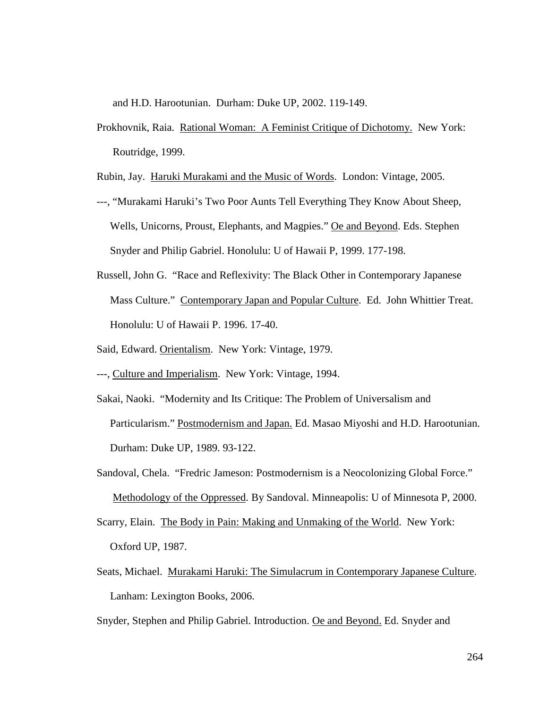and H.D. Harootunian. Durham: Duke UP, 2002. 119-149.

Prokhovnik, Raia. Rational Woman: A Feminist Critique of Dichotomy. New York: Routridge, 1999.

Rubin, Jay. Haruki Murakami and the Music of Words. London: Vintage, 2005.

- ---, "Murakami Haruki's Two Poor Aunts Tell Everything They Know About Sheep, Wells, Unicorns, Proust, Elephants, and Magpies." Oe and Beyond. Eds. Stephen Snyder and Philip Gabriel. Honolulu: U of Hawaii P, 1999. 177-198.
- Russell, John G. "Race and Reflexivity: The Black Other in Contemporary Japanese Mass Culture." Contemporary Japan and Popular Culture. Ed. John Whittier Treat. Honolulu: U of Hawaii P. 1996. 17-40.
- Said, Edward. Orientalism. New York: Vintage, 1979.
- ---, Culture and Imperialism. New York: Vintage, 1994.
- Sakai, Naoki. "Modernity and Its Critique: The Problem of Universalism and Particularism." Postmodernism and Japan. Ed. Masao Miyoshi and H.D. Harootunian. Durham: Duke UP, 1989. 93-122.
- Sandoval, Chela. "Fredric Jameson: Postmodernism is a Neocolonizing Global Force." Methodology of the Oppressed. By Sandoval. Minneapolis: U of Minnesota P, 2000.
- Scarry, Elain. The Body in Pain: Making and Unmaking of the World. New York: Oxford UP, 1987.
- Seats, Michael. Murakami Haruki: The Simulacrum in Contemporary Japanese Culture. Lanham: Lexington Books, 2006.
- Snyder, Stephen and Philip Gabriel. Introduction. Oe and Beyond. Ed. Snyder and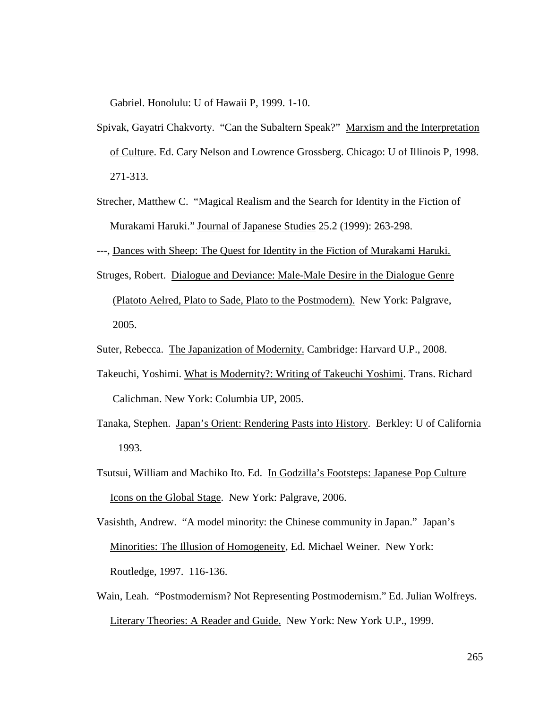Gabriel. Honolulu: U of Hawaii P, 1999. 1-10.

- Spivak, Gayatri Chakvorty. "Can the Subaltern Speak?" Marxism and the Interpretation of Culture. Ed. Cary Nelson and Lowrence Grossberg. Chicago: U of Illinois P, 1998. 271-313.
- Strecher, Matthew C. "Magical Realism and the Search for Identity in the Fiction of Murakami Haruki." Journal of Japanese Studies 25.2 (1999): 263-298.
- ---, Dances with Sheep: The Quest for Identity in the Fiction of Murakami Haruki.
- Struges, Robert. Dialogue and Deviance: Male-Male Desire in the Dialogue Genre (Platoto Aelred, Plato to Sade, Plato to the Postmodern). New York: Palgrave, 2005.
- Suter, Rebecca. The Japanization of Modernity. Cambridge: Harvard U.P., 2008.
- Takeuchi, Yoshimi. What is Modernity?: Writing of Takeuchi Yoshimi. Trans. Richard Calichman. New York: Columbia UP, 2005.
- Tanaka, Stephen. Japan's Orient: Rendering Pasts into History. Berkley: U of California 1993.
- Tsutsui, William and Machiko Ito. Ed. In Godzilla's Footsteps: Japanese Pop Culture Icons on the Global Stage. New York: Palgrave, 2006.

Vasishth, Andrew. "A model minority: the Chinese community in Japan." Japan's Minorities: The Illusion of Homogeneity, Ed. Michael Weiner. New York: Routledge, 1997. 116-136.

Wain, Leah. "Postmodernism? Not Representing Postmodernism." Ed. Julian Wolfreys. Literary Theories: A Reader and Guide. New York: New York U.P., 1999.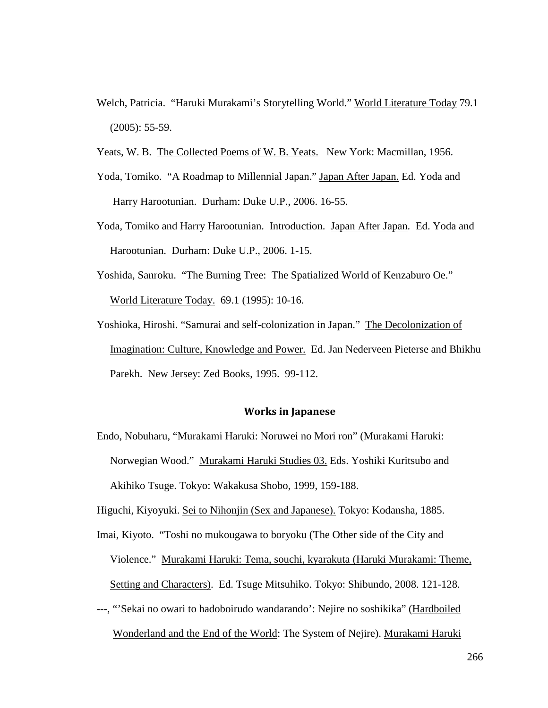- Welch, Patricia. "Haruki Murakami's Storytelling World." World Literature Today 79.1 (2005): 55-59.
- Yeats, W. B. The Collected Poems of W. B. Yeats. New York: Macmillan, 1956.
- Yoda, Tomiko. "A Roadmap to Millennial Japan." Japan After Japan. Ed. Yoda and Harry Harootunian. Durham: Duke U.P., 2006. 16-55.
- Yoda, Tomiko and Harry Harootunian. Introduction. Japan After Japan. Ed. Yoda and Harootunian. Durham: Duke U.P., 2006. 1-15.
- Yoshida, Sanroku. "The Burning Tree: The Spatialized World of Kenzaburo Oe." World Literature Today. 69.1 (1995): 10-16.
- Yoshioka, Hiroshi. "Samurai and self-colonization in Japan." The Decolonization of Imagination: Culture, Knowledge and Power. Ed. Jan Nederveen Pieterse and Bhikhu Parekh. New Jersey: Zed Books, 1995. 99-112.

#### Works in Japanese

Endo, Nobuharu, "Murakami Haruki: Noruwei no Mori ron" (Murakami Haruki: Norwegian Wood." Murakami Haruki Studies 03. Eds. Yoshiki Kuritsubo and Akihiko Tsuge. Tokyo: Wakakusa Shobo, 1999, 159-188.

Higuchi, Kiyoyuki. Sei to Nihonjin (Sex and Japanese). Tokyo: Kodansha, 1885.

- Imai, Kiyoto. "Toshi no mukougawa to boryoku (The Other side of the City and Violence." Murakami Haruki: Tema, souchi, kyarakuta (Haruki Murakami: Theme, Setting and Characters). Ed. Tsuge Mitsuhiko. Tokyo: Shibundo, 2008. 121-128.
- ---, "'Sekai no owari to hadoboirudo wandarando': Nejire no soshikika" (Hardboiled Wonderland and the End of the World: The System of Nejire). Murakami Haruki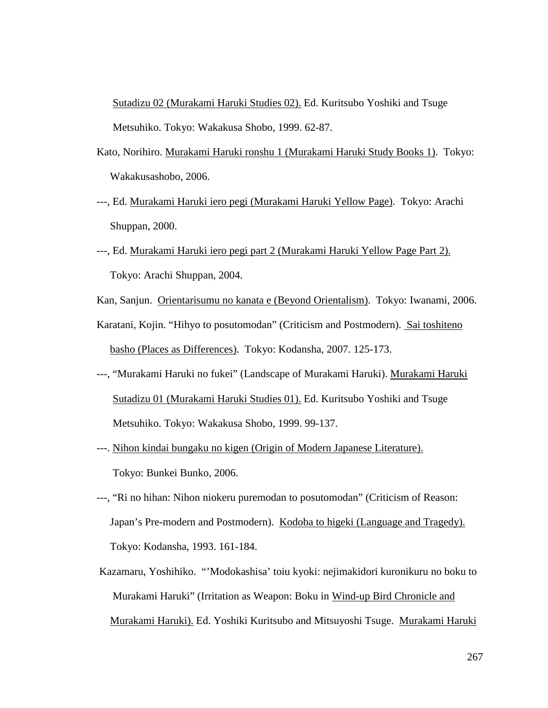Sutadizu 02 (Murakami Haruki Studies 02). Ed. Kuritsubo Yoshiki and Tsuge Metsuhiko. Tokyo: Wakakusa Shobo, 1999. 62-87.

- Kato, Norihiro. Murakami Haruki ronshu 1 (Murakami Haruki Study Books 1). Tokyo: Wakakusashobo, 2006.
- ---, Ed. Murakami Haruki iero pegi (Murakami Haruki Yellow Page). Tokyo: Arachi Shuppan, 2000.
- ---, Ed. Murakami Haruki iero pegi part 2 (Murakami Haruki Yellow Page Part 2). Tokyo: Arachi Shuppan, 2004.
- Kan, Sanjun. Orientarisumu no kanata e (Beyond Orientalism). Tokyo: Iwanami, 2006.
- Karatani, Kojin. "Hihyo to posutomodan" (Criticism and Postmodern). Sai toshiteno basho (Places as Differences). Tokyo: Kodansha, 2007. 125-173.
- ---, "Murakami Haruki no fukei" (Landscape of Murakami Haruki). Murakami Haruki Sutadizu 01 (Murakami Haruki Studies 01). Ed. Kuritsubo Yoshiki and Tsuge Metsuhiko. Tokyo: Wakakusa Shobo, 1999. 99-137.
- ---. Nihon kindai bungaku no kigen (Origin of Modern Japanese Literature). Tokyo: Bunkei Bunko, 2006.
- ---, "Ri no hihan: Nihon niokeru puremodan to posutomodan" (Criticism of Reason: Japan's Pre-modern and Postmodern). Kodoba to higeki (Language and Tragedy). Tokyo: Kodansha, 1993. 161-184.
- Kazamaru, Yoshihiko. "'Modokashisa' toiu kyoki: nejimakidori kuronikuru no boku to Murakami Haruki" (Irritation as Weapon: Boku in Wind-up Bird Chronicle and Murakami Haruki). Ed. Yoshiki Kuritsubo and Mitsuyoshi Tsuge. Murakami Haruki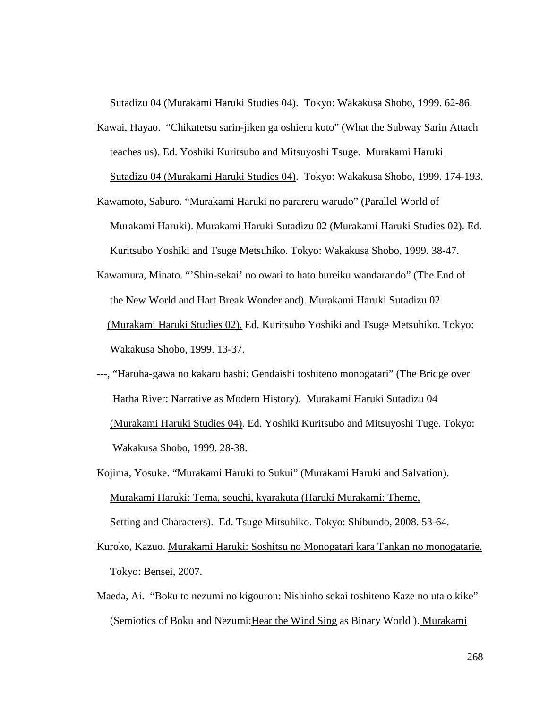Sutadizu 04 (Murakami Haruki Studies 04). Tokyo: Wakakusa Shobo, 1999. 62-86.

- Kawai, Hayao. "Chikatetsu sarin-jiken ga oshieru koto" (What the Subway Sarin Attach teaches us). Ed. Yoshiki Kuritsubo and Mitsuyoshi Tsuge. Murakami Haruki Sutadizu 04 (Murakami Haruki Studies 04). Tokyo: Wakakusa Shobo, 1999. 174-193.
- Kawamoto, Saburo. "Murakami Haruki no parareru warudo" (Parallel World of Murakami Haruki). Murakami Haruki Sutadizu 02 (Murakami Haruki Studies 02). Ed. Kuritsubo Yoshiki and Tsuge Metsuhiko. Tokyo: Wakakusa Shobo, 1999. 38-47.
- Kawamura, Minato. "'Shin-sekai' no owari to hato bureiku wandarando" (The End of the New World and Hart Break Wonderland). Murakami Haruki Sutadizu 02 (Murakami Haruki Studies 02). Ed. Kuritsubo Yoshiki and Tsuge Metsuhiko. Tokyo: Wakakusa Shobo, 1999. 13-37.
- ---, "Haruha-gawa no kakaru hashi: Gendaishi toshiteno monogatari" (The Bridge over Harha River: Narrative as Modern History). Murakami Haruki Sutadizu 04 (Murakami Haruki Studies 04). Ed. Yoshiki Kuritsubo and Mitsuyoshi Tuge. Tokyo: Wakakusa Shobo, 1999. 28-38.
- Kojima, Yosuke. "Murakami Haruki to Sukui" (Murakami Haruki and Salvation). Murakami Haruki: Tema, souchi, kyarakuta (Haruki Murakami: Theme, Setting and Characters). Ed. Tsuge Mitsuhiko. Tokyo: Shibundo, 2008. 53-64.
- Kuroko, Kazuo. Murakami Haruki: Soshitsu no Monogatari kara Tankan no monogatarie. Tokyo: Bensei, 2007.
- Maeda, Ai. "Boku to nezumi no kigouron: Nishinho sekai toshiteno Kaze no uta o kike" (Semiotics of Boku and Nezumi:Hear the Wind Sing as Binary World ). Murakami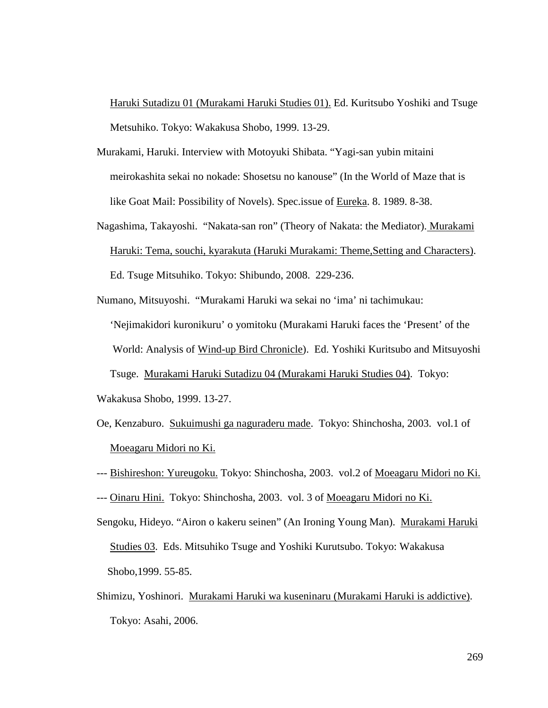Haruki Sutadizu 01 (Murakami Haruki Studies 01). Ed. Kuritsubo Yoshiki and Tsuge Metsuhiko. Tokyo: Wakakusa Shobo, 1999. 13-29.

- Murakami, Haruki. Interview with Motoyuki Shibata. "Yagi-san yubin mitaini meirokashita sekai no nokade: Shosetsu no kanouse" (In the World of Maze that is like Goat Mail: Possibility of Novels). Spec.issue of Eureka. 8. 1989. 8-38.
- Nagashima, Takayoshi. "Nakata-san ron" (Theory of Nakata: the Mediator). Murakami Haruki: Tema, souchi, kyarakuta (Haruki Murakami: Theme,Setting and Characters). Ed. Tsuge Mitsuhiko. Tokyo: Shibundo, 2008. 229-236.
- Numano, Mitsuyoshi. "Murakami Haruki wa sekai no 'ima' ni tachimukau: 'Nejimakidori kuronikuru' o yomitoku (Murakami Haruki faces the 'Present' of the World: Analysis of Wind-up Bird Chronicle). Ed. Yoshiki Kuritsubo and Mitsuyoshi Tsuge. Murakami Haruki Sutadizu 04 (Murakami Haruki Studies 04). Tokyo:
- Wakakusa Shobo, 1999. 13-27.
- Oe, Kenzaburo. Sukuimushi ga naguraderu made. Tokyo: Shinchosha, 2003. vol.1 of Moeagaru Midori no Ki.
- --- Bishireshon: Yureugoku. Tokyo: Shinchosha, 2003. vol.2 of Moeagaru Midori no Ki.
- --- Oinaru Hini. Tokyo: Shinchosha, 2003. vol. 3 of Moeagaru Midori no Ki.
- Sengoku, Hideyo. "Airon o kakeru seinen" (An Ironing Young Man). Murakami Haruki Studies 03. Eds. Mitsuhiko Tsuge and Yoshiki Kurutsubo. Tokyo: Wakakusa Shobo,1999. 55-85.
- Shimizu, Yoshinori. Murakami Haruki wa kuseninaru (Murakami Haruki is addictive). Tokyo: Asahi, 2006.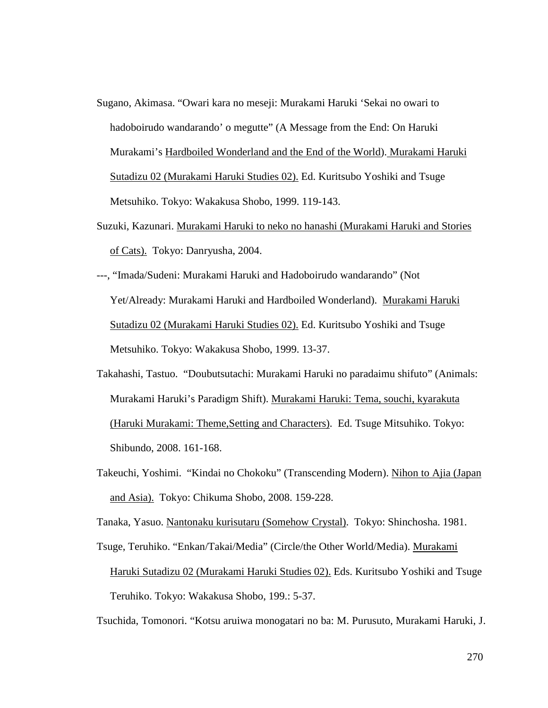- Sugano, Akimasa. "Owari kara no meseji: Murakami Haruki 'Sekai no owari to hadoboirudo wandarando' o megutte" (A Message from the End: On Haruki Murakami's Hardboiled Wonderland and the End of the World). Murakami Haruki Sutadizu 02 (Murakami Haruki Studies 02). Ed. Kuritsubo Yoshiki and Tsuge Metsuhiko. Tokyo: Wakakusa Shobo, 1999. 119-143.
- Suzuki, Kazunari. Murakami Haruki to neko no hanashi (Murakami Haruki and Stories of Cats). Tokyo: Danryusha, 2004.
- ---, "Imada/Sudeni: Murakami Haruki and Hadoboirudo wandarando" (Not Yet/Already: Murakami Haruki and Hardboiled Wonderland). Murakami Haruki Sutadizu 02 (Murakami Haruki Studies 02). Ed. Kuritsubo Yoshiki and Tsuge Metsuhiko. Tokyo: Wakakusa Shobo, 1999. 13-37.
- Takahashi, Tastuo. "Doubutsutachi: Murakami Haruki no paradaimu shifuto" (Animals: Murakami Haruki's Paradigm Shift). Murakami Haruki: Tema, souchi, kyarakuta (Haruki Murakami: Theme,Setting and Characters). Ed. Tsuge Mitsuhiko. Tokyo: Shibundo, 2008. 161-168.
- Takeuchi, Yoshimi. "Kindai no Chokoku" (Transcending Modern). Nihon to Ajia (Japan and Asia). Tokyo: Chikuma Shobo, 2008. 159-228.

Tanaka, Yasuo. Nantonaku kurisutaru (Somehow Crystal). Tokyo: Shinchosha. 1981.

Tsuge, Teruhiko. "Enkan/Takai/Media" (Circle/the Other World/Media). Murakami Haruki Sutadizu 02 (Murakami Haruki Studies 02). Eds. Kuritsubo Yoshiki and Tsuge Teruhiko. Tokyo: Wakakusa Shobo, 199.: 5-37.

Tsuchida, Tomonori. "Kotsu aruiwa monogatari no ba: M. Purusuto, Murakami Haruki, J.